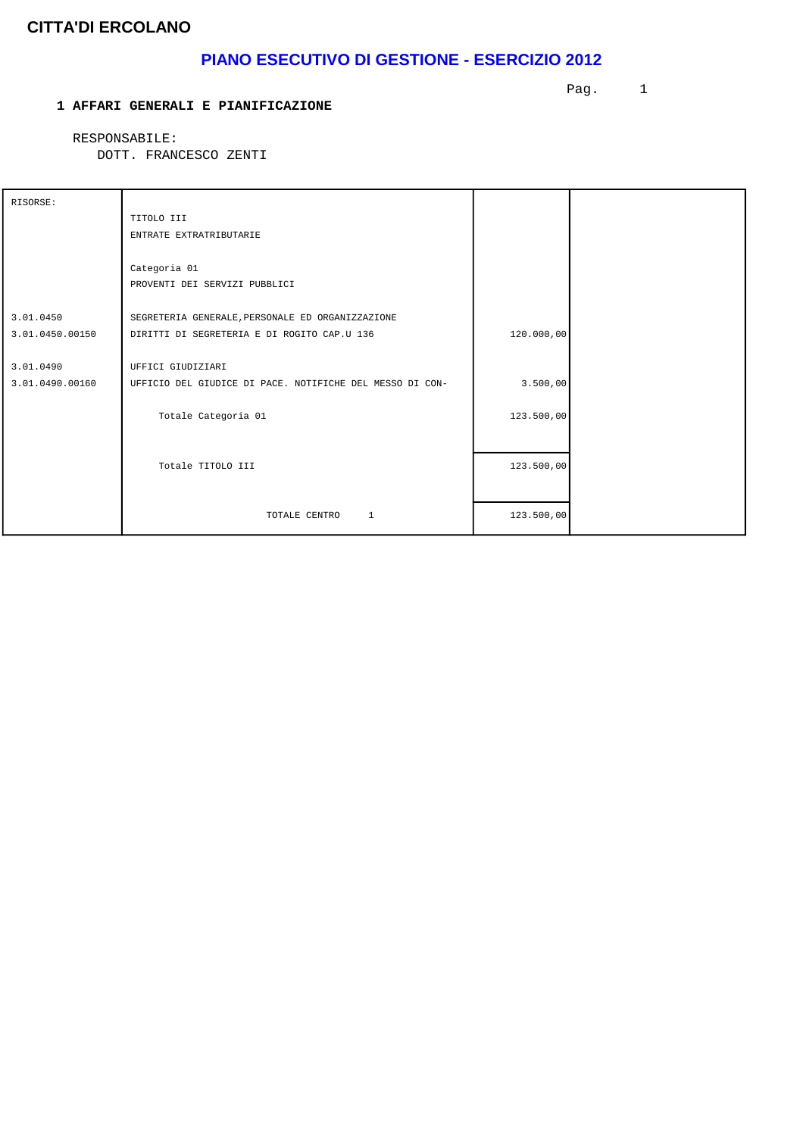# **PIANO ESECUTIVO DI GESTIONE - ESERCIZIO 2012**

#### **1 AFFARI GENERALI E PIANIFICAZIONE**

Pag. 1

RESPONSABILE:

| RISORSE:        |                                                          |            |  |
|-----------------|----------------------------------------------------------|------------|--|
|                 | TITOLO III                                               |            |  |
|                 | ENTRATE EXTRATRIBUTARIE                                  |            |  |
|                 |                                                          |            |  |
|                 | Categoria 01                                             |            |  |
|                 | PROVENTI DEI SERVIZI PUBBLICI                            |            |  |
|                 |                                                          |            |  |
| 3.01.0450       | SEGRETERIA GENERALE, PERSONALE ED ORGANIZZAZIONE         |            |  |
| 3.01.0450.00150 | DIRITTI DI SEGRETERIA E DI ROGITO CAP.U 136              | 120.000,00 |  |
|                 |                                                          |            |  |
| 3.01.0490       | UFFICI GIUDIZIARI                                        |            |  |
| 3.01.0490.00160 | UFFICIO DEL GIUDICE DI PACE. NOTIFICHE DEL MESSO DI CON- | 3.500,00   |  |
|                 |                                                          |            |  |
|                 | Totale Categoria 01                                      | 123.500,00 |  |
|                 |                                                          |            |  |
|                 |                                                          |            |  |
|                 | Totale TITOLO III                                        | 123.500,00 |  |
|                 |                                                          |            |  |
|                 |                                                          |            |  |
|                 | $\mathbf{1}$<br>TOTALE CENTRO                            | 123.500,00 |  |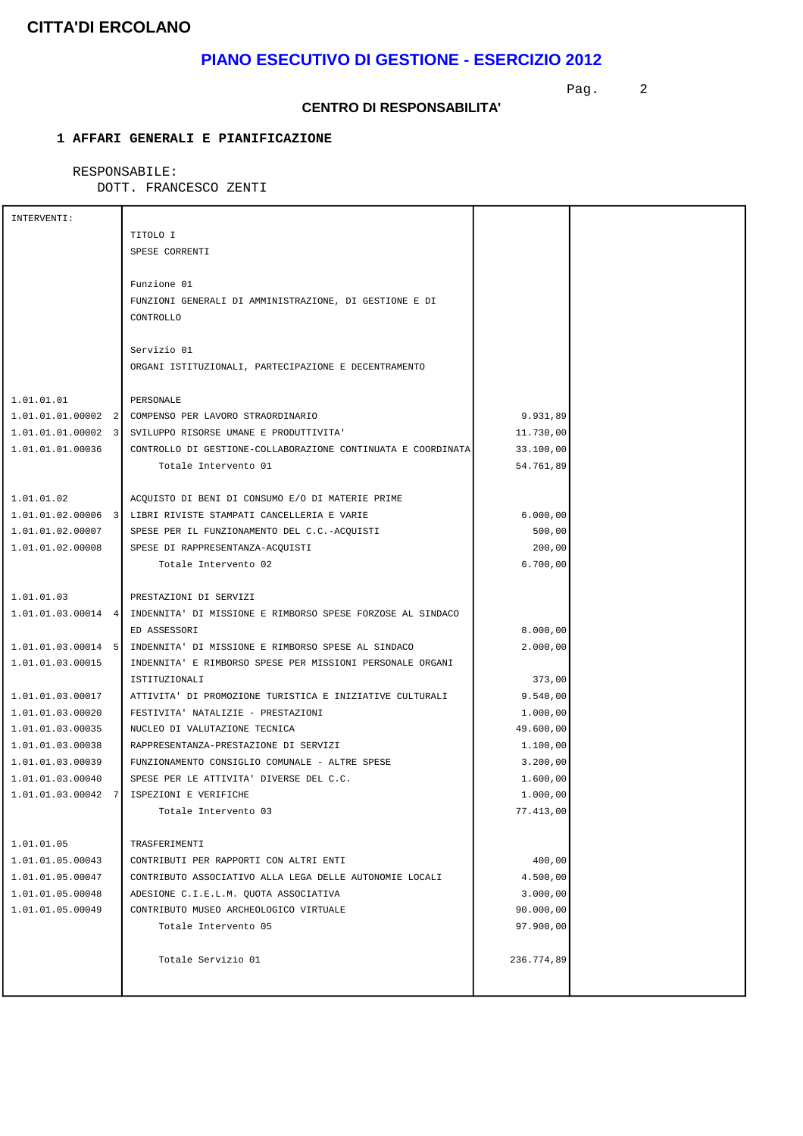# **PIANO ESECUTIVO DI GESTIONE - ESERCIZIO 2012**

Pag. 2

#### **CENTRO DI RESPONSABILITA'**

### **1 AFFARI GENERALI E PIANIFICAZIONE**

### RESPONSABILE:

| INTERVENTI:                          |                                                                                 |                      |  |
|--------------------------------------|---------------------------------------------------------------------------------|----------------------|--|
|                                      | TITOLO I                                                                        |                      |  |
|                                      | SPESE CORRENTI                                                                  |                      |  |
|                                      |                                                                                 |                      |  |
|                                      | Funzione 01                                                                     |                      |  |
|                                      | FUNZIONI GENERALI DI AMMINISTRAZIONE, DI GESTIONE E DI                          |                      |  |
|                                      | CONTROLLO                                                                       |                      |  |
|                                      |                                                                                 |                      |  |
|                                      | Servizio 01                                                                     |                      |  |
|                                      | ORGANI ISTITUZIONALI, PARTECIPAZIONE E DECENTRAMENTO                            |                      |  |
|                                      |                                                                                 |                      |  |
| 1.01.01.01                           | PERSONALE                                                                       |                      |  |
| $1.01.01.01.00002$ 2                 | COMPENSO PER LAVORO STRAORDINARIO                                               | 9.931,89             |  |
| $1.01.01.01.00002$ 3                 | SVILUPPO RISORSE UMANE E PRODUTTIVITA'                                          | 11.730,00            |  |
| 1.01.01.01.00036                     | CONTROLLO DI GESTIONE-COLLABORAZIONE CONTINUATA E COORDINATA                    | 33.100,00            |  |
|                                      | Totale Intervento 01                                                            | 54.761,89            |  |
|                                      |                                                                                 |                      |  |
| 1.01.01.02                           | ACQUISTO DI BENI DI CONSUMO E/O DI MATERIE PRIME                                |                      |  |
|                                      | 1.01.01.02.00006 3 LIBRI RIVISTE STAMPATI CANCELLERIA E VARIE                   | 6.000,00             |  |
| 1.01.01.02.00007                     | SPESE PER IL FUNZIONAMENTO DEL C.C.-ACQUISTI                                    | 500,00               |  |
| 1.01.01.02.00008                     | SPESE DI RAPPRESENTANZA-ACQUISTI                                                | 200,00               |  |
|                                      | Totale Intervento 02                                                            | 6.700,00             |  |
|                                      |                                                                                 |                      |  |
| 1.01.01.03                           | PRESTAZIONI DI SERVIZI                                                          |                      |  |
|                                      | 1.01.01.03.00014 4   INDENNITA' DI MISSIONE E RIMBORSO SPESE FORZOSE AL SINDACO |                      |  |
|                                      | ED ASSESSORI                                                                    | 8.000,00             |  |
| $1.01.01.03.00014$ 5                 | INDENNITA' DI MISSIONE E RIMBORSO SPESE AL SINDACO                              | 2.000,00             |  |
| 1.01.01.03.00015                     | INDENNITA' E RIMBORSO SPESE PER MISSIONI PERSONALE ORGANI                       |                      |  |
|                                      | ISTITUZIONALI                                                                   | 373,00               |  |
| 1.01.01.03.00017                     | ATTIVITA' DI PROMOZIONE TURISTICA E INIZIATIVE CULTURALI                        | 9.540,00             |  |
| 1.01.01.03.00020                     | FESTIVITA' NATALIZIE - PRESTAZIONI                                              | 1.000,00             |  |
| 1.01.01.03.00035                     | NUCLEO DI VALUTAZIONE TECNICA                                                   | 49.600,00            |  |
| 1.01.01.03.00038                     | RAPPRESENTANZA-PRESTAZIONE DI SERVIZI                                           | 1.100,00             |  |
| 1.01.01.03.00039                     | FUNZIONAMENTO CONSIGLIO COMUNALE - ALTRE SPESE                                  | 3.200,00             |  |
| 1.01.01.03.00040                     | SPESE PER LE ATTIVITA' DIVERSE DEL C.C.                                         | 1.600,00             |  |
|                                      | 1.01.01.03.00042 7 ISPEZIONI E VERIFICHE                                        | 1.000,00             |  |
|                                      | Totale Intervento 03                                                            | 77.413,00            |  |
|                                      |                                                                                 |                      |  |
| 1.01.01.05                           | TRASFERIMENTI<br>CONTRIBUTI PER RAPPORTI CON ALTRI ENTI                         |                      |  |
| 1.01.01.05.00043                     | CONTRIBUTO ASSOCIATIVO ALLA LEGA DELLE AUTONOMIE LOCALI                         | 400,00               |  |
| 1.01.01.05.00047<br>1.01.01.05.00048 | ADESIONE C.I.E.L.M. QUOTA ASSOCIATIVA                                           | 4.500,00<br>3.000,00 |  |
| 1.01.01.05.00049                     | CONTRIBUTO MUSEO ARCHEOLOGICO VIRTUALE                                          | 90.000,00            |  |
|                                      | Totale Intervento 05                                                            | 97.900,00            |  |
|                                      |                                                                                 |                      |  |
|                                      | Totale Servizio 01                                                              | 236.774,89           |  |
|                                      |                                                                                 |                      |  |
|                                      |                                                                                 |                      |  |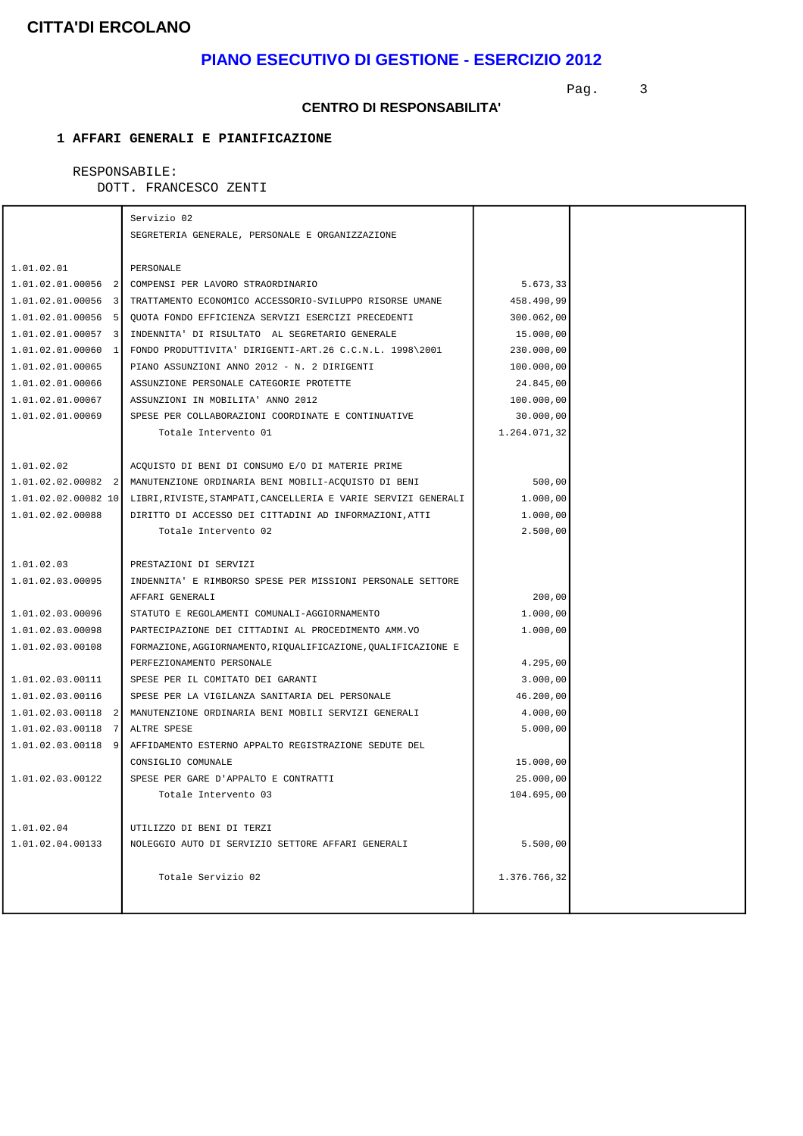### **PIANO ESECUTIVO DI GESTIONE - ESERCIZIO 2012**

Pag. 3

#### **CENTRO DI RESPONSABILITA'**

### **1 AFFARI GENERALI E PIANIFICAZIONE**

### RESPONSABILE:

|                                    | Servizio 02                                                    |              |  |
|------------------------------------|----------------------------------------------------------------|--------------|--|
|                                    | SEGRETERIA GENERALE, PERSONALE E ORGANIZZAZIONE                |              |  |
|                                    |                                                                |              |  |
| 1.01.02.01                         | PERSONALE                                                      |              |  |
| $1.01.02.01.00056$ 2               | COMPENSI PER LAVORO STRAORDINARIO                              | 5.673,33     |  |
| $1.01.02.01.00056$ 3               | TRATTAMENTO ECONOMICO ACCESSORIO-SVILUPPO RISORSE UMANE        | 458.490,99   |  |
| 1.01.02.01.00056<br>- 51           | QUOTA FONDO EFFICIENZA SERVIZI ESERCIZI PRECEDENTI             | 300.062,00   |  |
| 1.01.02.01.00057<br>3              | INDENNITA' DI RISULTATO AL SEGRETARIO GENERALE                 | 15.000,00    |  |
| 1.01.02.01.00060 1                 | FONDO PRODUTTIVITA' DIRIGENTI-ART.26 C.C.N.L. 1998\2001        | 230.000,00   |  |
| 1.01.02.01.00065                   | PIANO ASSUNZIONI ANNO 2012 - N. 2 DIRIGENTI                    | 100.000,00   |  |
| 1.01.02.01.00066                   | ASSUNZIONE PERSONALE CATEGORIE PROTETTE                        | 24.845,00    |  |
| 1.01.02.01.00067                   | ASSUNZIONI IN MOBILITA' ANNO 2012                              | 100.000,00   |  |
| 1.01.02.01.00069                   | SPESE PER COLLABORAZIONI COORDINATE E CONTINUATIVE             | 30.000,00    |  |
|                                    | Totale Intervento 01                                           | 1.264.071,32 |  |
|                                    |                                                                |              |  |
| 1.01.02.02                         | ACQUISTO DI BENI DI CONSUMO E/O DI MATERIE PRIME               |              |  |
| $1.01.02.02.00082$ 2               | MANUTENZIONE ORDINARIA BENI MOBILI-ACQUISTO DI BENI            | 500,00       |  |
| 1.01.02.02.00082 10                | LIBRI, RIVISTE, STAMPATI, CANCELLERIA E VARIE SERVIZI GENERALI | 1.000,00     |  |
| 1.01.02.02.00088                   | DIRITTO DI ACCESSO DEI CITTADINI AD INFORMAZIONI, ATTI         | 1.000,00     |  |
|                                    | Totale Intervento 02                                           | 2.500,00     |  |
|                                    |                                                                |              |  |
| 1.01.02.03                         | PRESTAZIONI DI SERVIZI                                         |              |  |
| 1.01.02.03.00095                   | INDENNITA' E RIMBORSO SPESE PER MISSIONI PERSONALE SETTORE     |              |  |
|                                    | AFFARI GENERALI                                                | 200,00       |  |
| 1.01.02.03.00096                   | STATUTO E REGOLAMENTI COMUNALI-AGGIORNAMENTO                   | 1.000,00     |  |
| 1.01.02.03.00098                   | PARTECIPAZIONE DEI CITTADINI AL PROCEDIMENTO AMM.VO            | 1.000,00     |  |
| 1.01.02.03.00108                   | FORMAZIONE, AGGIORNAMENTO, RIQUALIFICAZIONE, QUALIFICAZIONE E  |              |  |
|                                    | PERFEZIONAMENTO PERSONALE                                      | 4.295,00     |  |
| 1.01.02.03.00111                   | SPESE PER IL COMITATO DEI GARANTI                              | 3.000,00     |  |
| 1.01.02.03.00116                   | SPESE PER LA VIGILANZA SANITARIA DEL PERSONALE                 | 46.200,00    |  |
| 1.01.02.03.00118<br>$\overline{2}$ | MANUTENZIONE ORDINARIA BENI MOBILI SERVIZI GENERALI            | 4.000,00     |  |
| 1.01.02.03.00118<br><sup>7</sup>   | ALTRE SPESE                                                    | 5.000,00     |  |
| $1.01.02.03.00118$ 9               | AFFIDAMENTO ESTERNO APPALTO REGISTRAZIONE SEDUTE DEL           |              |  |
|                                    | CONSIGLIO COMUNALE                                             | 15.000,00    |  |
| 1.01.02.03.00122                   | SPESE PER GARE D'APPALTO E CONTRATTI                           | 25.000,00    |  |
|                                    | Totale Intervento 03                                           | 104.695,00   |  |
|                                    |                                                                |              |  |
| 1.01.02.04                         | UTILIZZO DI BENI DI TERZI                                      |              |  |
| 1.01.02.04.00133                   | NOLEGGIO AUTO DI SERVIZIO SETTORE AFFARI GENERALI              | 5.500,00     |  |
|                                    |                                                                |              |  |
|                                    | Totale Servizio 02                                             | 1.376.766,32 |  |
|                                    |                                                                |              |  |
|                                    |                                                                |              |  |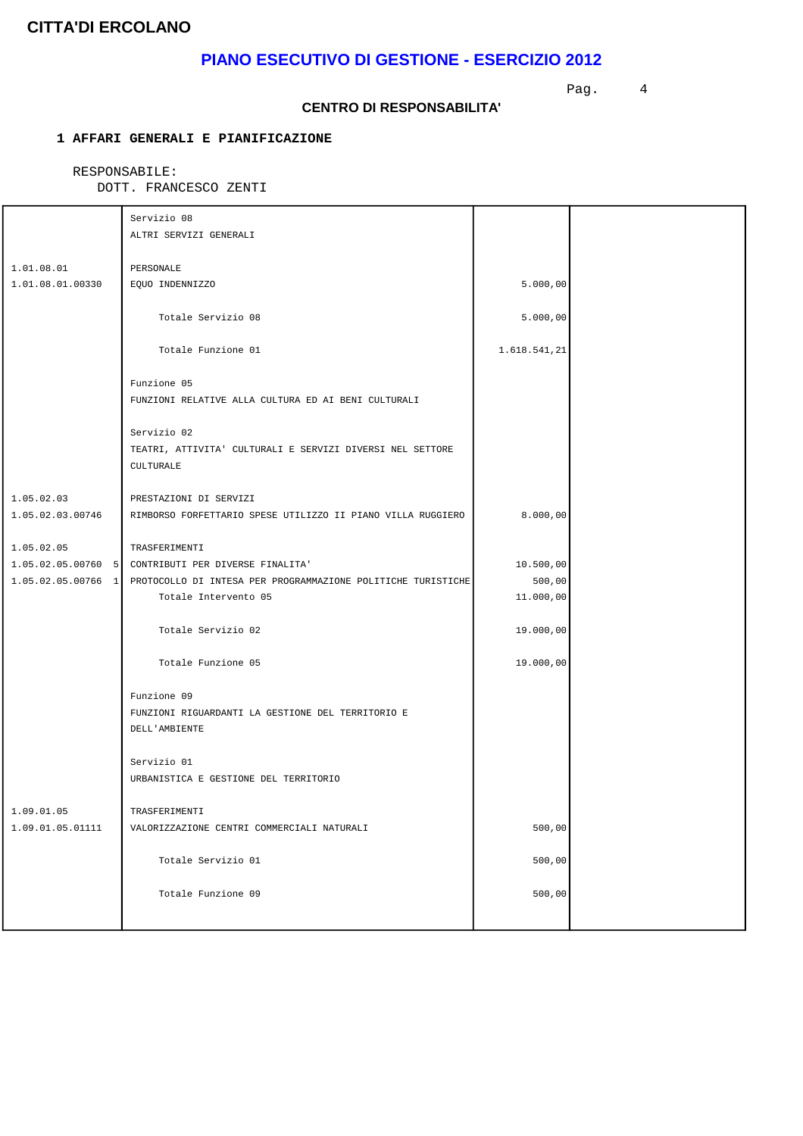# **PIANO ESECUTIVO DI GESTIONE - ESERCIZIO 2012**

Pag. 4

#### **CENTRO DI RESPONSABILITA'**

### **1 AFFARI GENERALI E PIANIFICAZIONE**

### RESPONSABILE:

|                  | Servizio 08                                                                     |              |  |
|------------------|---------------------------------------------------------------------------------|--------------|--|
|                  | ALTRI SERVIZI GENERALI                                                          |              |  |
|                  |                                                                                 |              |  |
| 1.01.08.01       | PERSONALE                                                                       |              |  |
| 1.01.08.01.00330 | EQUO INDENNIZZO                                                                 | 5.000,00     |  |
|                  | Totale Servizio 08                                                              | 5.000,00     |  |
|                  |                                                                                 |              |  |
|                  | Totale Funzione 01                                                              | 1.618.541,21 |  |
|                  | Funzione 05                                                                     |              |  |
|                  | FUNZIONI RELATIVE ALLA CULTURA ED AI BENI CULTURALI                             |              |  |
|                  |                                                                                 |              |  |
|                  | Servizio 02                                                                     |              |  |
|                  | TEATRI, ATTIVITA' CULTURALI E SERVIZI DIVERSI NEL SETTORE                       |              |  |
|                  | CULTURALE                                                                       |              |  |
|                  |                                                                                 |              |  |
| 1.05.02.03       | PRESTAZIONI DI SERVIZI                                                          |              |  |
| 1.05.02.03.00746 | RIMBORSO FORFETTARIO SPESE UTILIZZO II PIANO VILLA RUGGIERO                     | 8.000,00     |  |
| 1.05.02.05       | TRASFERIMENTI                                                                   |              |  |
|                  | 1.05.02.05.00760 5 CONTRIBUTI PER DIVERSE FINALITA                              | 10.500,00    |  |
|                  | 1.05.02.05.00766 1 PROTOCOLLO DI INTESA PER PROGRAMMAZIONE POLITICHE TURISTICHE | 500,00       |  |
|                  | Totale Intervento 05                                                            | 11.000,00    |  |
|                  |                                                                                 |              |  |
|                  | Totale Servizio 02                                                              | 19.000,00    |  |
|                  |                                                                                 |              |  |
|                  | Totale Funzione 05                                                              | 19.000,00    |  |
|                  | Funzione 09                                                                     |              |  |
|                  | FUNZIONI RIGUARDANTI LA GESTIONE DEL TERRITORIO E                               |              |  |
|                  | DELL'AMBIENTE                                                                   |              |  |
|                  |                                                                                 |              |  |
|                  | Servizio 01                                                                     |              |  |
|                  | URBANISTICA E GESTIONE DEL TERRITORIO                                           |              |  |
| 1.09.01.05       | TRASFERIMENTI                                                                   |              |  |
| 1.09.01.05.01111 | VALORIZZAZIONE CENTRI COMMERCIALI NATURALI                                      | 500,00       |  |
|                  |                                                                                 |              |  |
|                  | Totale Servizio 01                                                              | 500,00       |  |
|                  |                                                                                 |              |  |
|                  | Totale Funzione 09                                                              | 500,00       |  |
|                  |                                                                                 |              |  |
|                  |                                                                                 |              |  |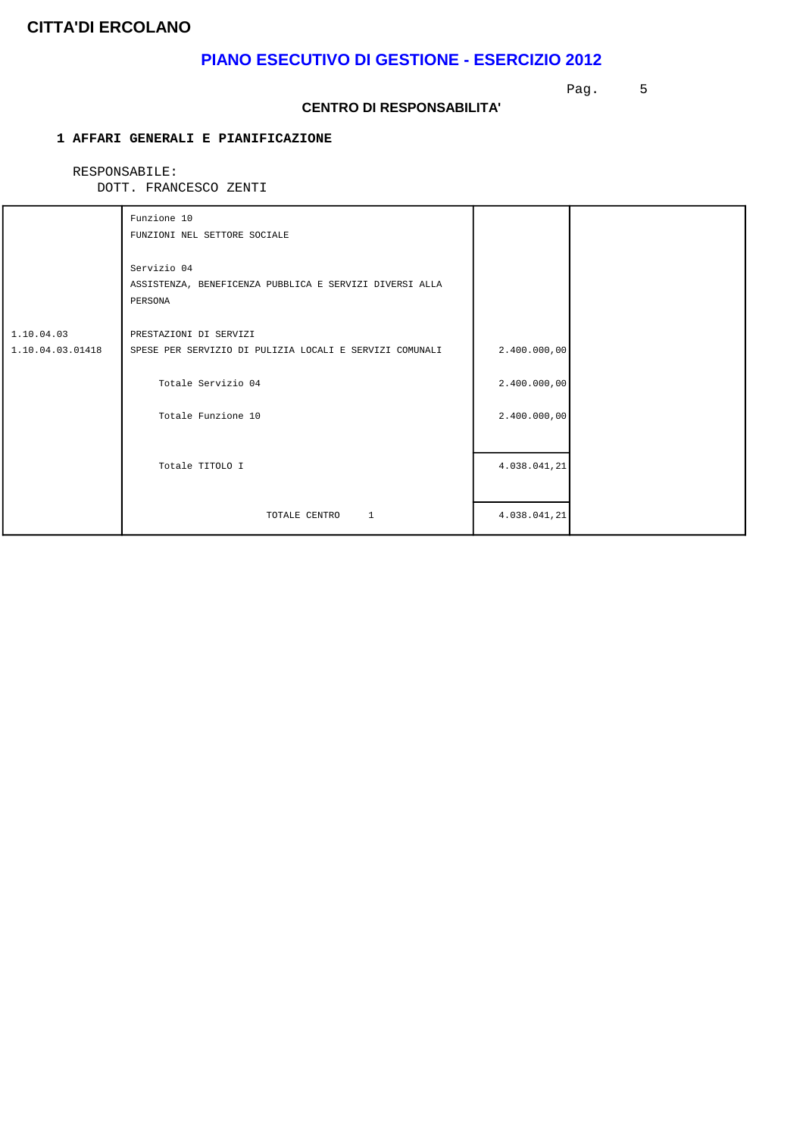### **PIANO ESECUTIVO DI GESTIONE - ESERCIZIO 2012**

Pag. 5

#### **CENTRO DI RESPONSABILITA'**

### **1 AFFARI GENERALI E PIANIFICAZIONE**

### RESPONSABILE:

|                                | Funzione 10<br>FUNZIONI NEL SETTORE SOCIALE                                       |              |  |
|--------------------------------|-----------------------------------------------------------------------------------|--------------|--|
|                                | Servizio 04<br>ASSISTENZA, BENEFICENZA PUBBLICA E SERVIZI DIVERSI ALLA<br>PERSONA |              |  |
| 1.10.04.03<br>1.10.04.03.01418 | PRESTAZIONI DI SERVIZI<br>SPESE PER SERVIZIO DI PULIZIA LOCALI E SERVIZI COMUNALI | 2.400.000,00 |  |
|                                | Totale Servizio 04                                                                | 2.400.000,00 |  |
|                                | Totale Funzione 10                                                                | 2.400.000,00 |  |
|                                | Totale TITOLO I                                                                   | 4.038.041,21 |  |
|                                | TOTALE CENTRO<br><sup>1</sup>                                                     | 4.038.041,21 |  |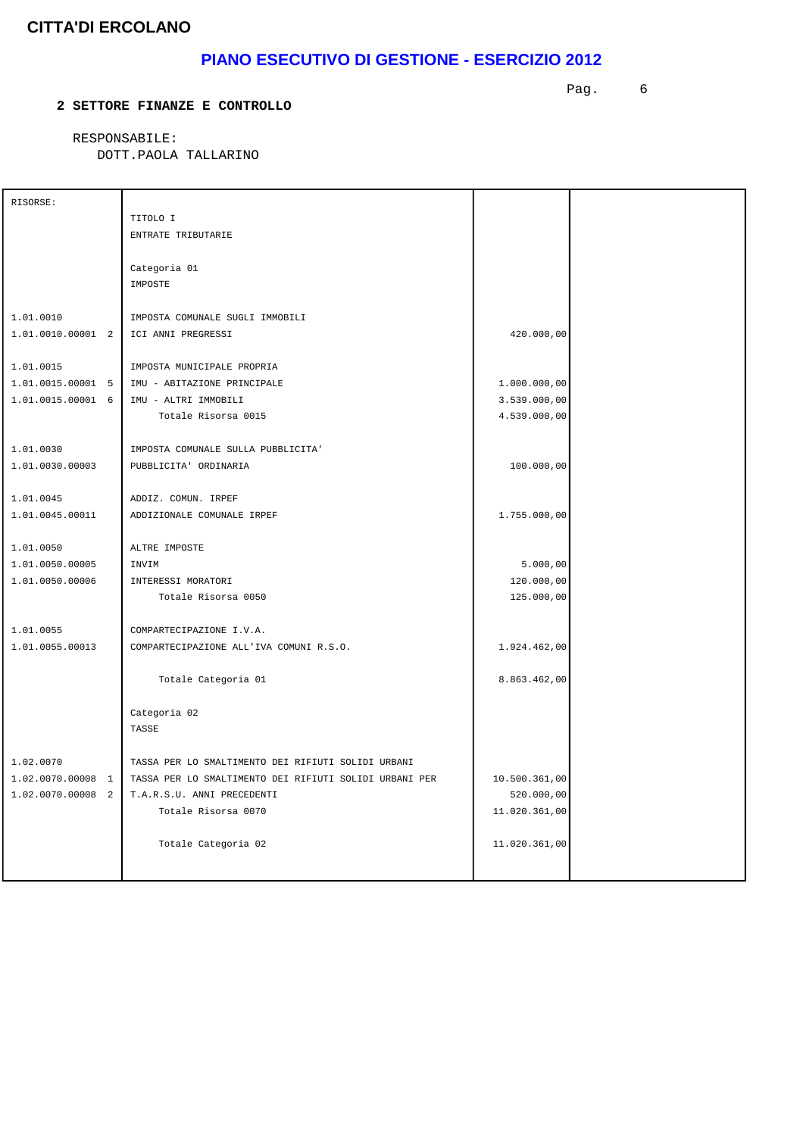# **PIANO ESECUTIVO DI GESTIONE - ESERCIZIO 2012**

#### **2 SETTORE FINANZE E CONTROLLO**

Pag. 6

 RESPONSABILE: DOTT.PAOLA TALLARINO

| RISORSE:            |                                                        |               |  |
|---------------------|--------------------------------------------------------|---------------|--|
|                     | TITOLO I                                               |               |  |
|                     | ENTRATE TRIBUTARIE                                     |               |  |
|                     |                                                        |               |  |
|                     | Categoria 01                                           |               |  |
|                     | IMPOSTE                                                |               |  |
|                     |                                                        |               |  |
| 1.01.0010           | IMPOSTA COMUNALE SUGLI IMMOBILI                        |               |  |
| $1.01.0010.00001$ 2 | ICI ANNI PREGRESSI                                     | 420.000,00    |  |
|                     |                                                        |               |  |
| 1.01.0015           | IMPOSTA MUNICIPALE PROPRIA                             |               |  |
| 1.01.0015.00001 5   | IMU - ABITAZIONE PRINCIPALE                            | 1.000.000,00  |  |
| 1.01.0015.00001 6   | IMU - ALTRI IMMOBILI                                   | 3.539.000,00  |  |
|                     | Totale Risorsa 0015                                    | 4.539.000,00  |  |
|                     |                                                        |               |  |
| 1.01.0030           | IMPOSTA COMUNALE SULLA PUBBLICITA'                     |               |  |
|                     |                                                        |               |  |
| 1.01.0030.00003     | PUBBLICITA' ORDINARIA                                  | 100.000,00    |  |
|                     |                                                        |               |  |
| 1.01.0045           | ADDIZ. COMUN. IRPEF                                    |               |  |
| 1.01.0045.00011     | ADDIZIONALE COMUNALE IRPEF                             | 1.755.000,00  |  |
|                     |                                                        |               |  |
| 1.01.0050           | ALTRE IMPOSTE                                          |               |  |
| 1.01.0050.00005     | INVIM                                                  | 5.000,00      |  |
| 1.01.0050.00006     | INTERESSI MORATORI                                     | 120.000,00    |  |
|                     | Totale Risorsa 0050                                    | 125.000,00    |  |
|                     |                                                        |               |  |
| 1.01.0055           | COMPARTECIPAZIONE I.V.A.                               |               |  |
| 1.01.0055.00013     | COMPARTECIPAZIONE ALL'IVA COMUNI R.S.O.                | 1.924.462,00  |  |
|                     |                                                        |               |  |
|                     | Totale Categoria 01                                    | 8.863.462,00  |  |
|                     |                                                        |               |  |
|                     | Categoria 02                                           |               |  |
|                     | TASSE                                                  |               |  |
|                     |                                                        |               |  |
| 1.02.0070           | TASSA PER LO SMALTIMENTO DEI RIFIUTI SOLIDI URBANI     |               |  |
| 1.02.0070.00008 1   | TASSA PER LO SMALTIMENTO DEI RIFIUTI SOLIDI URBANI PER | 10.500.361,00 |  |
| 1.02.0070.00008 2   | T.A.R.S.U. ANNI PRECEDENTI                             | 520.000,00    |  |
|                     | Totale Risorsa 0070                                    | 11.020.361,00 |  |
|                     |                                                        |               |  |
|                     | Totale Categoria 02                                    | 11.020.361,00 |  |
|                     |                                                        |               |  |
|                     |                                                        |               |  |
|                     |                                                        |               |  |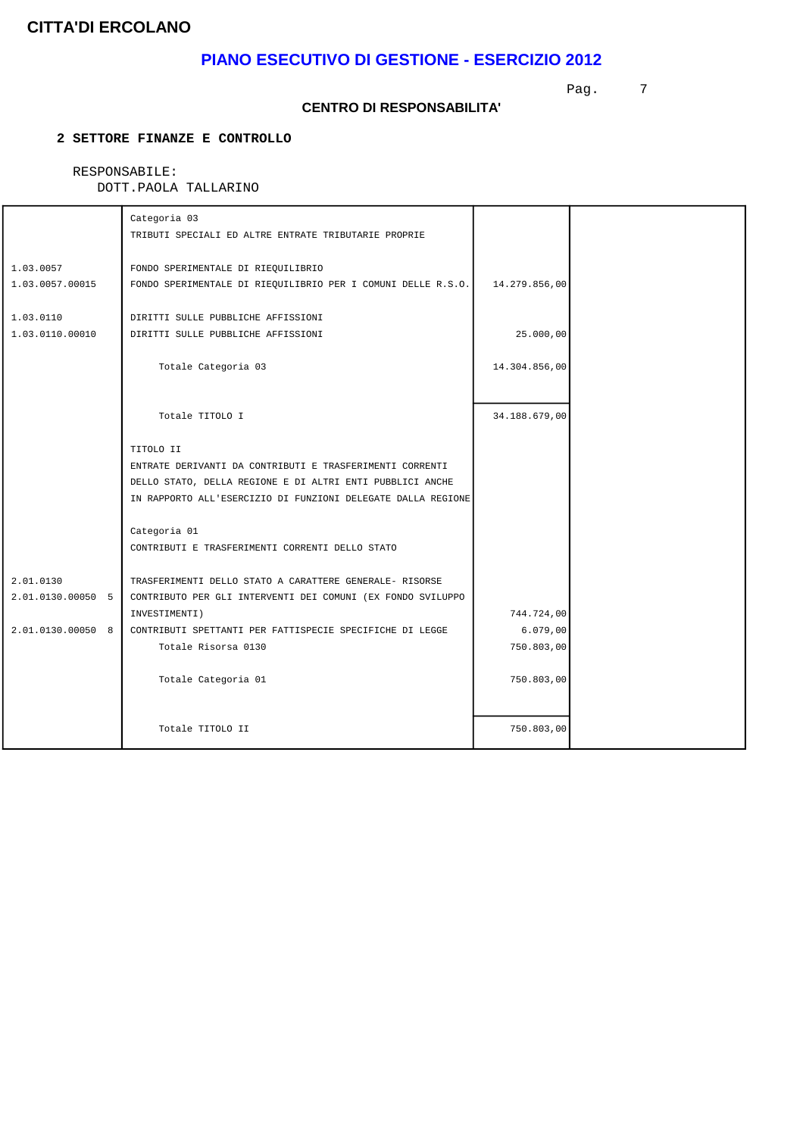# **PIANO ESECUTIVO DI GESTIONE - ESERCIZIO 2012**

Pag. 7

#### **CENTRO DI RESPONSABILITA'**

### **2 SETTORE FINANZE E CONTROLLO**

### RESPONSABILE:

|                              | Categoria 03<br>TRIBUTI SPECIALI ED ALTRE ENTRATE TRIBUTARIE PROPRIE                               |               |  |
|------------------------------|----------------------------------------------------------------------------------------------------|---------------|--|
| 1.03.0057<br>1.03.0057.00015 | FONDO SPERIMENTALE DI RIEQUILIBRIO<br>FONDO SPERIMENTALE DI RIEQUILIBRIO PER I COMUNI DELLE R.S.O. | 14.279.856,00 |  |
| 1.03.0110<br>1.03.0110.00010 | DIRITTI SULLE PUBBLICHE AFFISSIONI<br>DIRITTI SULLE PUBBLICHE AFFISSIONI                           | 25.000,00     |  |
|                              | Totale Categoria 03                                                                                | 14.304.856,00 |  |
|                              |                                                                                                    |               |  |
|                              | Totale TITOLO I                                                                                    | 34.188.679,00 |  |
|                              | TITOLO II                                                                                          |               |  |
|                              | ENTRATE DERIVANTI DA CONTRIBUTI E TRASFERIMENTI CORRENTI                                           |               |  |
|                              | DELLO STATO, DELLA REGIONE E DI ALTRI ENTI PUBBLICI ANCHE                                          |               |  |
|                              | IN RAPPORTO ALL'ESERCIZIO DI FUNZIONI DELEGATE DALLA REGIONE                                       |               |  |
|                              | Categoria 01                                                                                       |               |  |
|                              | CONTRIBUTI E TRASFERIMENTI CORRENTI DELLO STATO                                                    |               |  |
| 2.01.0130                    | TRASFERIMENTI DELLO STATO A CARATTERE GENERALE- RISORSE                                            |               |  |
| 2.01.0130.00050 5            | CONTRIBUTO PER GLI INTERVENTI DEI COMUNI (EX FONDO SVILUPPO                                        |               |  |
|                              | INVESTIMENTI)                                                                                      | 744.724,00    |  |
| 2.01.0130.00050 8            | CONTRIBUTI SPETTANTI PER FATTISPECIE SPECIFICHE DI LEGGE                                           | 6.079,00      |  |
|                              | Totale Risorsa 0130                                                                                | 750.803,00    |  |
|                              | Totale Categoria 01                                                                                | 750.803,00    |  |
|                              | Totale TITOLO II                                                                                   | 750.803,00    |  |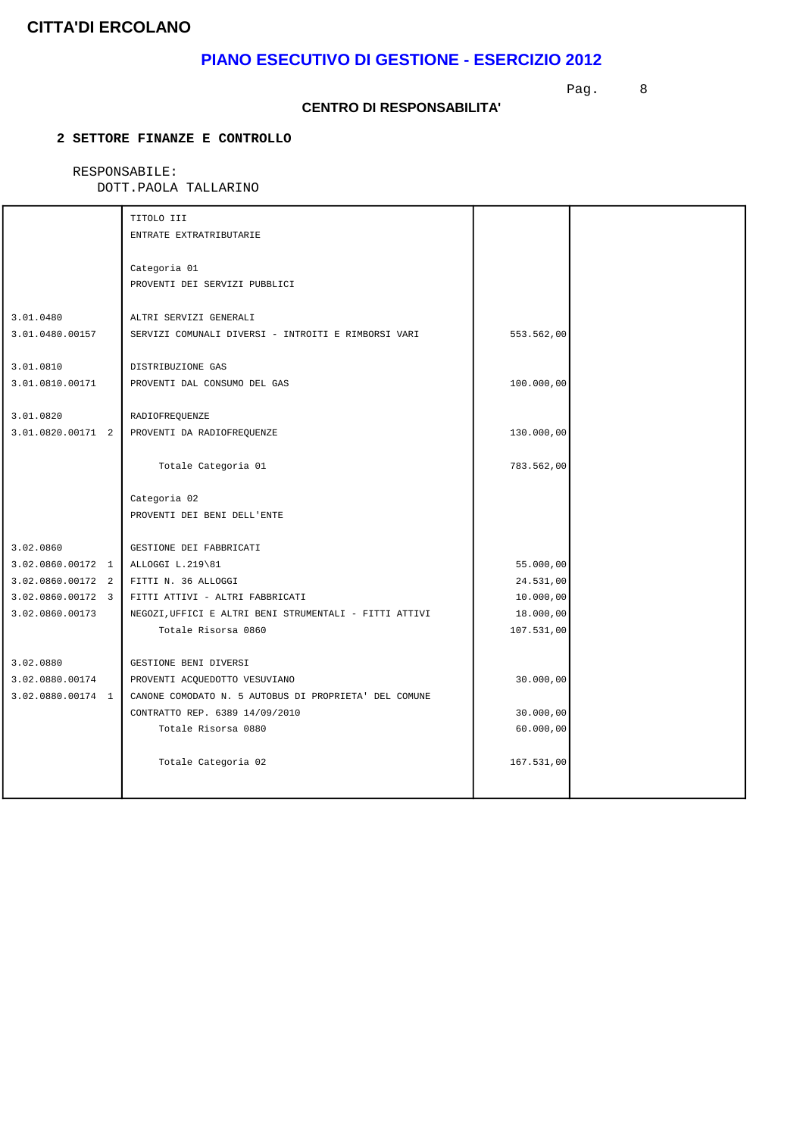# **PIANO ESECUTIVO DI GESTIONE - ESERCIZIO 2012**

Pag. 8

#### **CENTRO DI RESPONSABILITA'**

### **2 SETTORE FINANZE E CONTROLLO**

### RESPONSABILE:

|                                    | TITOLO III<br>ENTRATE EXTRATRIBUTARIE                                         |            |  |
|------------------------------------|-------------------------------------------------------------------------------|------------|--|
|                                    | Categoria 01<br>PROVENTI DEI SERVIZI PUBBLICI                                 |            |  |
| 3.01.0480<br>3.01.0480.00157       | ALTRI SERVIZI GENERALI<br>SERVIZI COMUNALI DIVERSI - INTROITI E RIMBORSI VARI | 553.562,00 |  |
| 3.01.0810<br>3.01.0810.00171       | DISTRIBUZIONE GAS<br>PROVENTI DAL CONSUMO DEL GAS                             | 100.000,00 |  |
| 3.01.0820<br>3.01.0820.00171 2     | RADIOFREQUENZE<br>PROVENTI DA RADIOFREQUENZE                                  | 130.000,00 |  |
|                                    | Totale Categoria 01                                                           | 783.562,00 |  |
|                                    | Categoria 02<br>PROVENTI DEI BENI DELL'ENTE                                   |            |  |
| 3.02.0860                          | GESTIONE DEI FABBRICATI                                                       |            |  |
| 3.02.0860.00172 1 ALLOGGI L.219\81 |                                                                               | 55.000,00  |  |
| $3.02.0860.00172$ 2                | FITTI N. 36 ALLOGGI                                                           | 24.531,00  |  |
| 3.02.0860.00172 3                  | FITTI ATTIVI - ALTRI FABBRICATI                                               | 10.000,00  |  |
| 3.02.0860.00173                    | NEGOZI, UFFICI E ALTRI BENI STRUMENTALI - FITTI ATTIVI                        | 18.000,00  |  |
|                                    | Totale Risorsa 0860                                                           | 107.531,00 |  |
| 3.02.0880                          | GESTIONE BENI DIVERSI                                                         |            |  |
| 3.02.0880.00174                    | PROVENTI ACQUEDOTTO VESUVIANO                                                 | 30.000,00  |  |
| 3.02.0880.00174 1                  | CANONE COMODATO N. 5 AUTOBUS DI PROPRIETA' DEL COMUNE                         |            |  |
|                                    | CONTRATTO REP. 6389 14/09/2010                                                | 30.000,00  |  |
|                                    | Totale Risorsa 0880                                                           | 60.000,00  |  |
|                                    | Totale Categoria 02                                                           | 167.531,00 |  |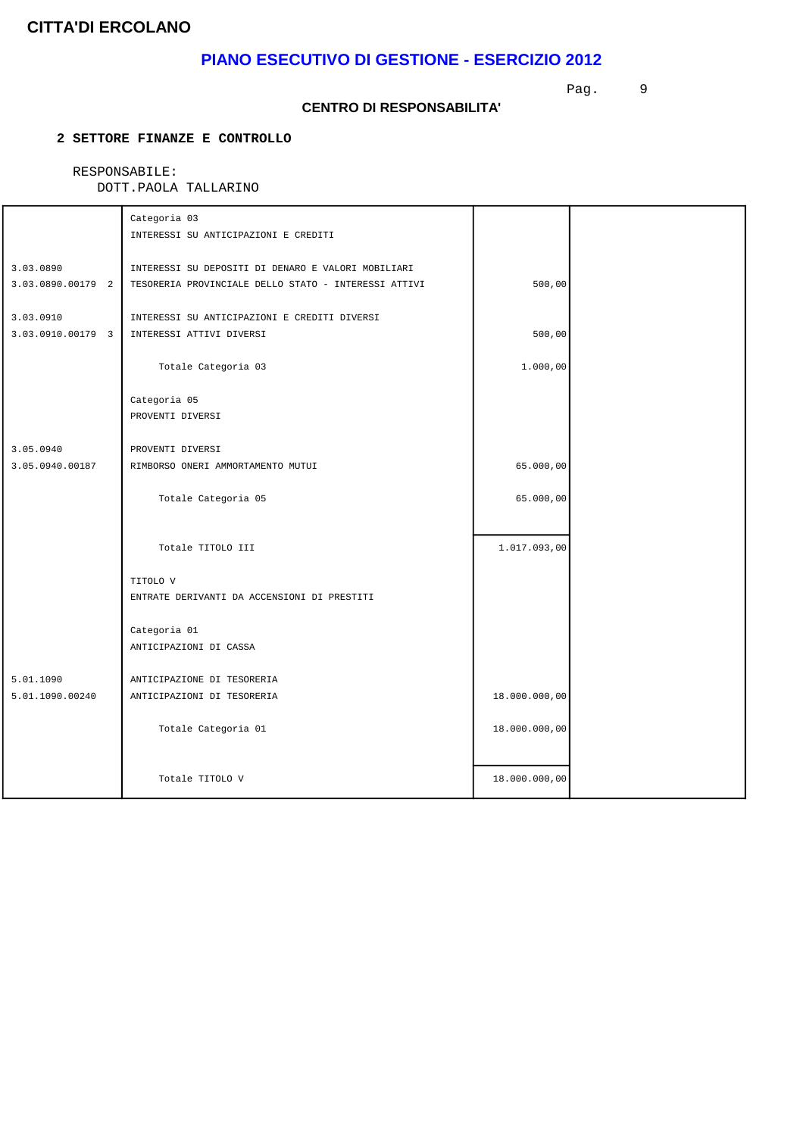## **PIANO ESECUTIVO DI GESTIONE - ESERCIZIO 2012**

Pag. 9

#### **CENTRO DI RESPONSABILITA'**

### **2 SETTORE FINANZE E CONTROLLO**

### RESPONSABILE:

|                                | Categoria 03<br>INTERESSI SU ANTICIPAZIONI E CREDITI                                                       |               |  |
|--------------------------------|------------------------------------------------------------------------------------------------------------|---------------|--|
| 3.03.0890<br>3.03.0890.00179 2 | INTERESSI SU DEPOSITI DI DENARO E VALORI MOBILIARI<br>TESORERIA PROVINCIALE DELLO STATO - INTERESSI ATTIVI | 500,00        |  |
| 3.03.0910<br>3.03.0910.00179 3 | INTERESSI SU ANTICIPAZIONI E CREDITI DIVERSI<br>INTERESSI ATTIVI DIVERSI                                   | 500,00        |  |
|                                | Totale Categoria 03                                                                                        | 1.000,00      |  |
|                                | Categoria 05<br>PROVENTI DIVERSI                                                                           |               |  |
| 3.05.0940                      | PROVENTI DIVERSI                                                                                           |               |  |
| 3.05.0940.00187                | RIMBORSO ONERI AMMORTAMENTO MUTUI                                                                          | 65.000,00     |  |
|                                | Totale Categoria 05                                                                                        | 65.000,00     |  |
|                                | Totale TITOLO III                                                                                          | 1.017.093,00  |  |
|                                | TITOLO V<br>ENTRATE DERIVANTI DA ACCENSIONI DI PRESTITI                                                    |               |  |
|                                | Categoria 01<br>ANTICIPAZIONI DI CASSA                                                                     |               |  |
| 5.01.1090<br>5.01.1090.00240   | ANTICIPAZIONE DI TESORERIA<br>ANTICIPAZIONI DI TESORERIA                                                   | 18.000.000,00 |  |
|                                | Totale Categoria 01                                                                                        | 18.000.000,00 |  |
|                                | Totale TITOLO V                                                                                            | 18.000.000,00 |  |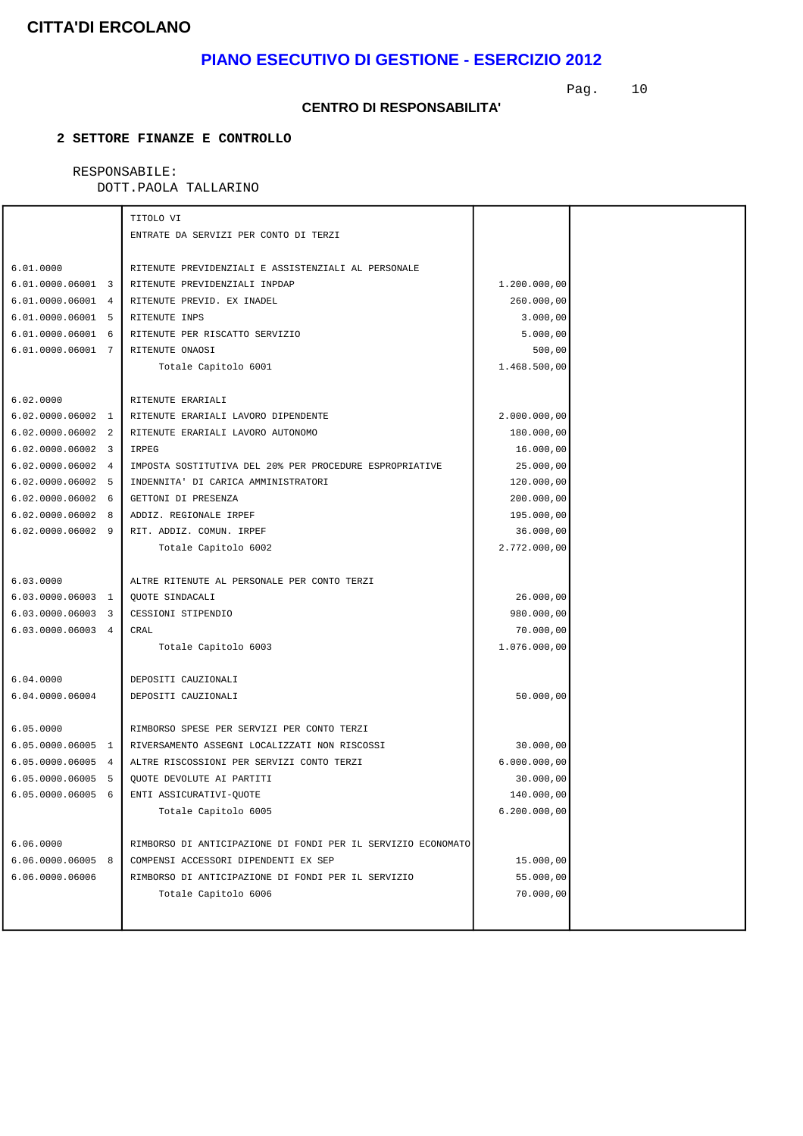# **PIANO ESECUTIVO DI GESTIONE - ESERCIZIO 2012**

Pag. 10

#### **CENTRO DI RESPONSABILITA'**

#### **2 SETTORE FINANZE E CONTROLLO**

#### RESPONSABILE: DOTT.PAOLA TALLARINO

| DOIT.PAOLA IALLARINO |  |
|----------------------|--|
|                      |  |

|                     | TITOLO VI                                                    |              |  |
|---------------------|--------------------------------------------------------------|--------------|--|
|                     | ENTRATE DA SERVIZI PER CONTO DI TERZI                        |              |  |
|                     |                                                              |              |  |
| 6.01.0000           | RITENUTE PREVIDENZIALI E ASSISTENZIALI AL PERSONALE          |              |  |
| 6.01.0000.06001 3   | RITENUTE PREVIDENZIALI INPDAP                                | 1.200.000,00 |  |
| 6.01.0000.06001 4   | RITENUTE PREVID. EX INADEL                                   | 260.000,00   |  |
| 6.01.0000.06001 5   | RITENUTE INPS                                                | 3.000,00     |  |
| 6.01.0000.06001 6   | RITENUTE PER RISCATTO SERVIZIO                               | 5.000,00     |  |
| 6.01.0000.06001 7   | RITENUTE ONAOSI                                              | 500,00       |  |
|                     | Totale Capitolo 6001                                         | 1.468.500,00 |  |
|                     |                                                              |              |  |
| 6.02.0000           | RITENUTE ERARIALI                                            |              |  |
| 6.02.0000.06002 1   | RITENUTE ERARIALI LAVORO DIPENDENTE                          | 2.000.000,00 |  |
| 6.02.0000.06002 2   | RITENUTE ERARIALI LAVORO AUTONOMO                            | 180.000,00   |  |
| $6.02.0000.06002$ 3 | IRPEG                                                        | 16.000,00    |  |
| $6.02.0000.06002$ 4 | IMPOSTA SOSTITUTIVA DEL 20% PER PROCEDURE ESPROPRIATIVE      | 25.000,00    |  |
| $6.02.0000.06002$ 5 | INDENNITA' DI CARICA AMMINISTRATORI                          | 120.000,00   |  |
| $6.02.0000.06002$ 6 | GETTONI DI PRESENZA                                          | 200.000,00   |  |
| $6.02.0000.06002$ 8 | ADDIZ. REGIONALE IRPEF                                       | 195.000,00   |  |
| 6.02.0000.06002 9   | RIT. ADDIZ. COMUN. IRPEF                                     | 36.000,00    |  |
|                     | Totale Capitolo 6002                                         | 2.772.000,00 |  |
|                     |                                                              |              |  |
| 6.03.0000           | ALTRE RITENUTE AL PERSONALE PER CONTO TERZI                  |              |  |
| 6.03.0000.06003 1   | <b>OUOTE SINDACALI</b>                                       | 26.000,00    |  |
| 6.03.0000.06003 3   | CESSIONI STIPENDIO                                           | 980.000,00   |  |
| 6.03.0000.06003 4   | CRAL                                                         | 70.000,00    |  |
|                     | Totale Capitolo 6003                                         | 1.076.000,00 |  |
|                     |                                                              |              |  |
| 6.04.0000           | DEPOSITI CAUZIONALI                                          |              |  |
| 6.04.0000.06004     | DEPOSITI CAUZIONALI                                          | 50.000,00    |  |
|                     |                                                              |              |  |
| 6.05.0000           | RIMBORSO SPESE PER SERVIZI PER CONTO TERZI                   |              |  |
| 6.05.0000.06005 1   | RIVERSAMENTO ASSEGNI LOCALIZZATI NON RISCOSSI                | 30.000,00    |  |
| 6.05.0000.06005 4   | ALTRE RISCOSSIONI PER SERVIZI CONTO TERZI                    | 6.000.000,00 |  |
| 6.05.0000.06005 5   | QUOTE DEVOLUTE AI PARTITI                                    | 30.000,00    |  |
| 6.05.0000.06005 6   | ENTI ASSICURATIVI-QUOTE                                      | 140.000,00   |  |
|                     | Totale Capitolo 6005                                         | 6.200.000,00 |  |
|                     |                                                              |              |  |
| 6.06.0000           | RIMBORSO DI ANTICIPAZIONE DI FONDI PER IL SERVIZIO ECONOMATO |              |  |
| $6.06.0000.06005$ 8 | COMPENSI ACCESSORI DIPENDENTI EX SEP                         | 15.000,00    |  |
| 6.06.0000.06006     | RIMBORSO DI ANTICIPAZIONE DI FONDI PER IL SERVIZIO           | 55.000,00    |  |
|                     | Totale Capitolo 6006                                         | 70.000,00    |  |
|                     |                                                              |              |  |
|                     |                                                              |              |  |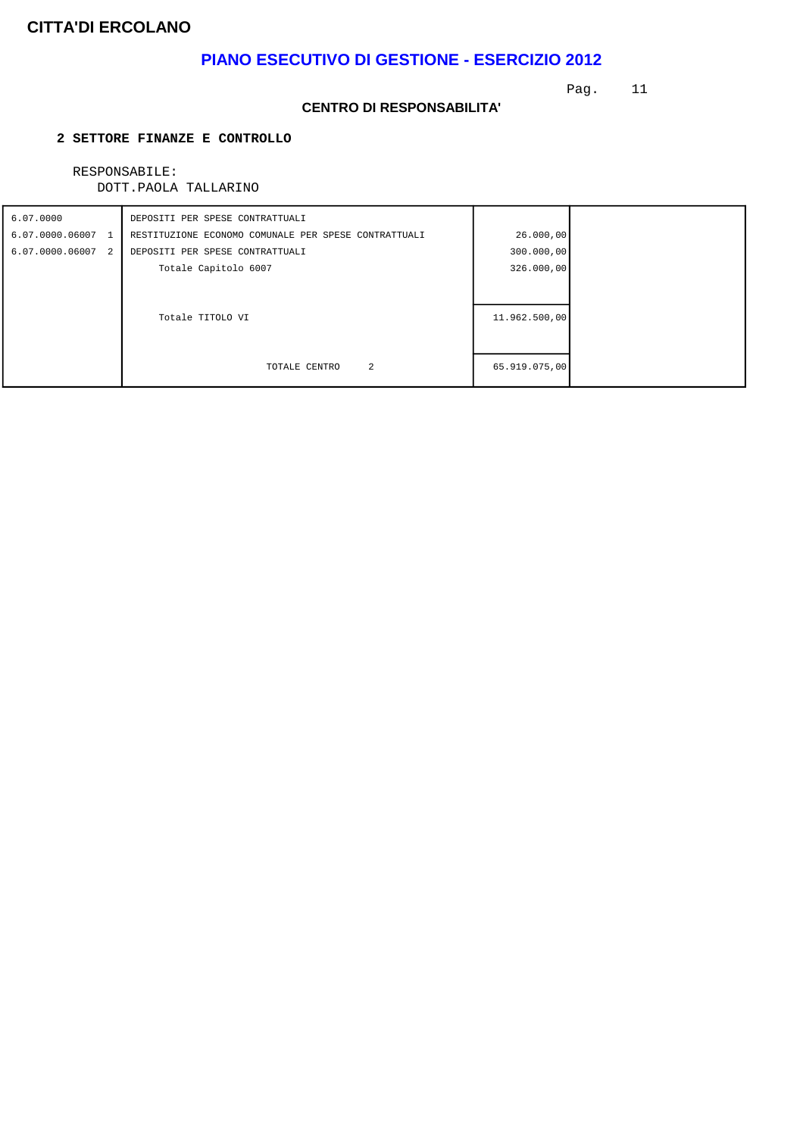# **PIANO ESECUTIVO DI GESTIONE - ESERCIZIO 2012**

Pag. 11

#### **CENTRO DI RESPONSABILITA'**

### **2 SETTORE FINANZE E CONTROLLO**

# RESPONSABILE:

| 6.07.0000         | DEPOSITI PER SPESE CONTRATTUALI                      |               |  |
|-------------------|------------------------------------------------------|---------------|--|
| 6.07.0000.06007 1 | RESTITUZIONE ECONOMO COMUNALE PER SPESE CONTRATTUALI | 26.000,00     |  |
| 6.07.0000.06007 2 | DEPOSITI PER SPESE CONTRATTUALI                      | 300.000,00    |  |
|                   | Totale Capitolo 6007                                 | 326.000,00    |  |
|                   |                                                      |               |  |
|                   |                                                      |               |  |
|                   | Totale TITOLO VI                                     | 11.962.500,00 |  |
|                   |                                                      |               |  |
|                   |                                                      |               |  |
|                   | 2<br>TOTALE CENTRO                                   | 65.919.075,00 |  |
|                   |                                                      |               |  |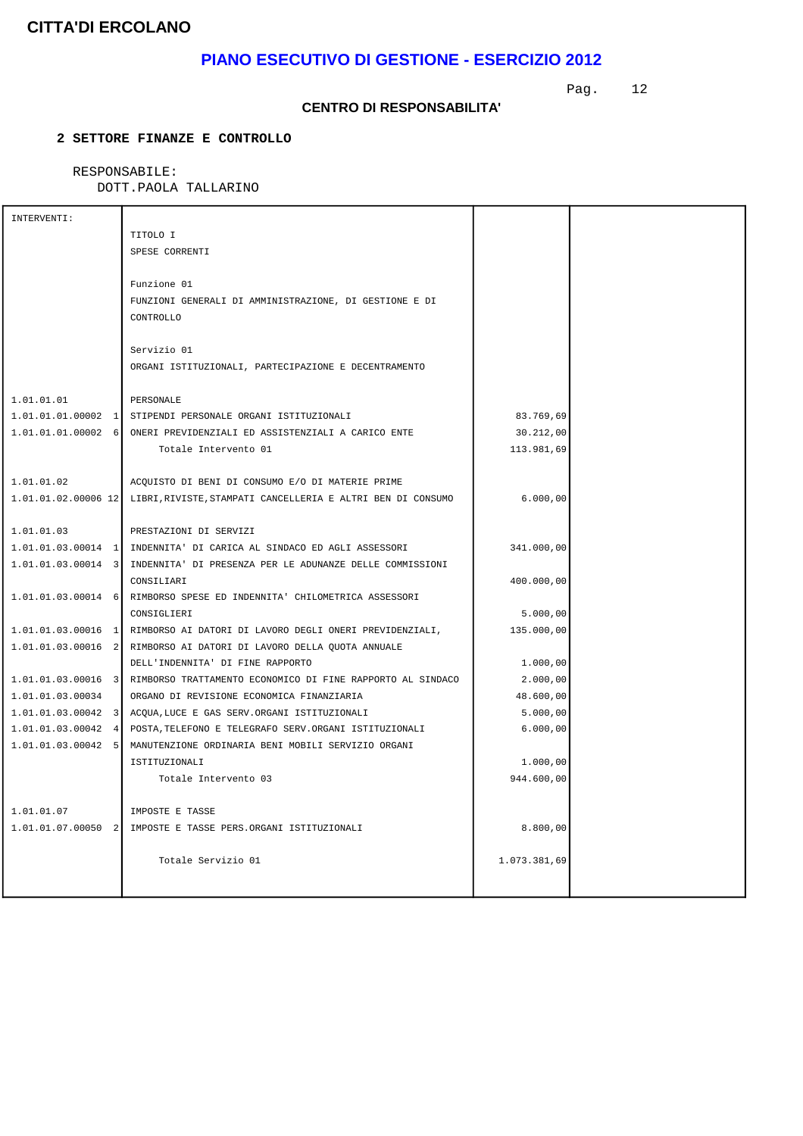# **PIANO ESECUTIVO DI GESTIONE - ESERCIZIO 2012**

Pag. 12

#### **CENTRO DI RESPONSABILITA'**

### **2 SETTORE FINANZE E CONTROLLO**

### RESPONSABILE:

| INTERVENTI:                        |                                                                               |              |  |
|------------------------------------|-------------------------------------------------------------------------------|--------------|--|
|                                    | TITOLO I                                                                      |              |  |
|                                    | SPESE CORRENTI                                                                |              |  |
|                                    |                                                                               |              |  |
|                                    | Funzione 01                                                                   |              |  |
|                                    | FUNZIONI GENERALI DI AMMINISTRAZIONE, DI GESTIONE E DI                        |              |  |
|                                    | CONTROLLO                                                                     |              |  |
|                                    |                                                                               |              |  |
|                                    | Servizio 01                                                                   |              |  |
|                                    | ORGANI ISTITUZIONALI, PARTECIPAZIONE E DECENTRAMENTO                          |              |  |
|                                    |                                                                               |              |  |
| 1.01.01.01                         | PERSONALE                                                                     |              |  |
|                                    | 1.01.01.01.00002 1 STIPENDI PERSONALE ORGANI ISTITUZIONALI                    | 83.769,69    |  |
| $1.01.01.01.00002$ 6               | ONERI PREVIDENZIALI ED ASSISTENZIALI A CARICO ENTE                            | 30.212,00    |  |
|                                    | Totale Intervento 01                                                          | 113.981,69   |  |
|                                    |                                                                               |              |  |
| 1.01.01.02                         | ACOUISTO DI BENI DI CONSUMO E/O DI MATERIE PRIME                              |              |  |
| $1.01.01.02.00006$ 12              | LIBRI, RIVISTE, STAMPATI CANCELLERIA E ALTRI BEN DI CONSUMO                   | 6.000,00     |  |
|                                    |                                                                               |              |  |
| 1.01.01.03                         | PRESTAZIONI DI SERVIZI                                                        |              |  |
| $1.01.01.03.00014$ 1               | INDENNITA' DI CARICA AL SINDACO ED AGLI ASSESSORI                             | 341.000,00   |  |
| $1.01.01.03.00014$ 3               | INDENNITA' DI PRESENZA PER LE ADUNANZE DELLE COMMISSIONI                      |              |  |
|                                    | CONSILIARI                                                                    | 400.000,00   |  |
| $1.01.01.03.00014$ 6               | RIMBORSO SPESE ED INDENNITA' CHILOMETRICA ASSESSORI                           |              |  |
|                                    | CONSIGLIERI                                                                   | 5.000,00     |  |
| $1.01.01.03.00016$ 1               | RIMBORSO AI DATORI DI LAVORO DEGLI ONERI PREVIDENZIALI,                       | 135.000,00   |  |
| $1.01.01.03.00016$ 2               | RIMBORSO AI DATORI DI LAVORO DELLA QUOTA ANNUALE                              |              |  |
|                                    | DELL'INDENNITA' DI FINE RAPPORTO                                              | 1,000,00     |  |
|                                    | 1.01.01.03.00016 3 RIMBORSO TRATTAMENTO ECONOMICO DI FINE RAPPORTO AL SINDACO | 2.000,00     |  |
| 1.01.01.03.00034                   | ORGANO DI REVISIONE ECONOMICA FINANZIARIA                                     | 48.600,00    |  |
| $1.01.01.03.00042$ 3               | ACQUA, LUCE E GAS SERV. ORGANI ISTITUZIONALI                                  | 5.000,00     |  |
| 1.01.01.03.00042<br>$\overline{4}$ | POSTA, TELEFONO E TELEGRAFO SERV. ORGANI ISTITUZIONALI                        | 6.000,00     |  |
| $1.01.01.03.00042$ 5               | MANUTENZIONE ORDINARIA BENI MOBILI SERVIZIO ORGANI                            |              |  |
|                                    | ISTITUZIONALI                                                                 | 1.000,00     |  |
|                                    | Totale Intervento 03                                                          | 944.600,00   |  |
|                                    |                                                                               |              |  |
| 1.01.01.07                         | IMPOSTE E TASSE                                                               |              |  |
| 1.01.01.07.00050 2                 | IMPOSTE E TASSE PERS.ORGANI ISTITUZIONALI                                     | 8.800,00     |  |
|                                    |                                                                               |              |  |
|                                    | Totale Servizio 01                                                            | 1.073.381,69 |  |
|                                    |                                                                               |              |  |
|                                    |                                                                               |              |  |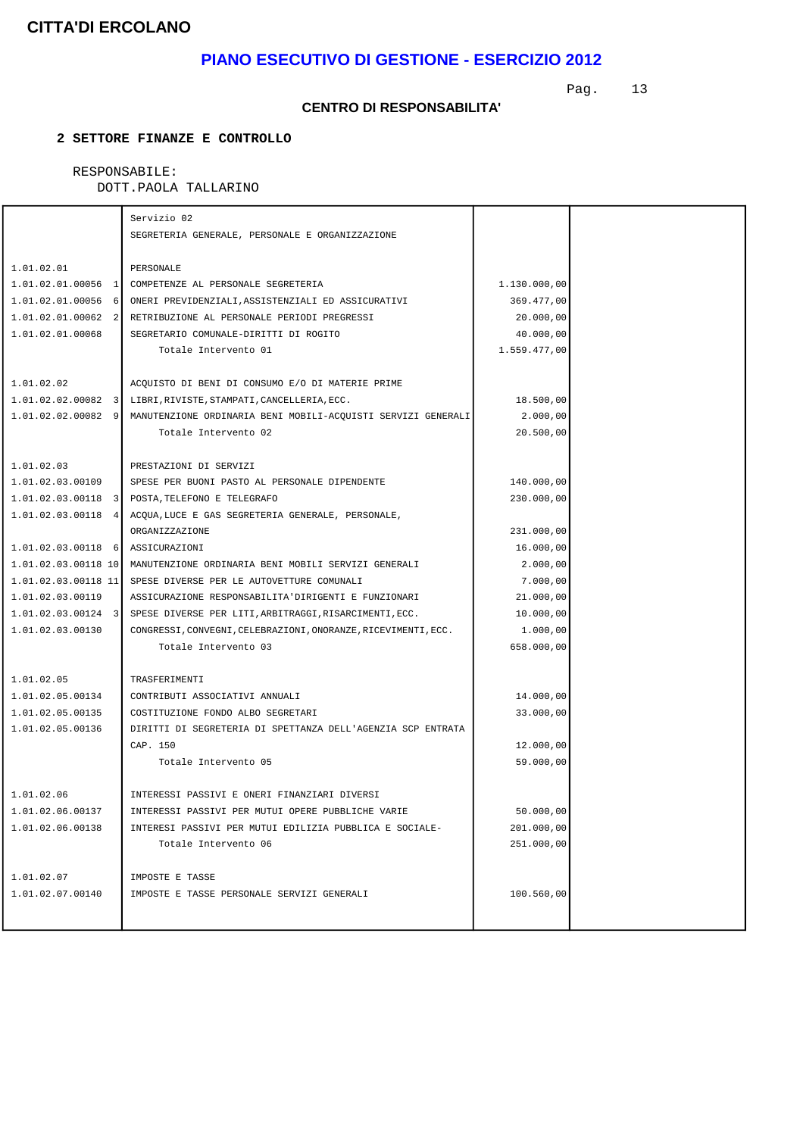# **PIANO ESECUTIVO DI GESTIONE - ESERCIZIO 2012**

Pag. 13

#### **CENTRO DI RESPONSABILITA'**

### **2 SETTORE FINANZE E CONTROLLO**

# RESPONSABILE:

|                       | Servizio 02                                                          |              |  |
|-----------------------|----------------------------------------------------------------------|--------------|--|
|                       | SEGRETERIA GENERALE, PERSONALE E ORGANIZZAZIONE                      |              |  |
|                       |                                                                      |              |  |
| 1.01.02.01            | PERSONALE                                                            |              |  |
|                       | 1.01.02.01.00056 1 COMPETENZE AL PERSONALE SEGRETERIA                | 1.130.000,00 |  |
| 1.01.02.01.00056 6    | ONERI PREVIDENZIALI, ASSISTENZIALI ED ASSICURATIVI                   | 369.477,00   |  |
| $1.01.02.01.00062$ 2  | RETRIBUZIONE AL PERSONALE PERIODI PREGRESSI                          | 20.000,00    |  |
| 1.01.02.01.00068      | SEGRETARIO COMUNALE-DIRITTI DI ROGITO                                | 40.000,00    |  |
|                       | Totale Intervento 01                                                 | 1.559.477,00 |  |
|                       |                                                                      |              |  |
| 1.01.02.02            | ACOUISTO DI BENI DI CONSUMO E/O DI MATERIE PRIME                     |              |  |
|                       | 1.01.02.02.00082 3 LIBRI, RIVISTE, STAMPATI, CANCELLERIA, ECC.       | 18.500,00    |  |
| $1.01.02.02.00082$ 9  | MANUTENZIONE ORDINARIA BENI MOBILI-ACQUISTI SERVIZI GENERALI         | 2.000,00     |  |
|                       | Totale Intervento 02                                                 | 20.500,00    |  |
|                       |                                                                      |              |  |
| 1.01.02.03            | PRESTAZIONI DI SERVIZI                                               |              |  |
| 1.01.02.03.00109      | SPESE PER BUONI PASTO AL PERSONALE DIPENDENTE                        | 140.000,00   |  |
|                       | 1.01.02.03.00118 3 POSTA, TELEFONO E TELEGRAFO                       | 230.000,00   |  |
|                       | 1.01.02.03.00118 4 ACQUA, LUCE E GAS SEGRETERIA GENERALE, PERSONALE, |              |  |
|                       | ORGANIZZAZIONE                                                       | 231.000,00   |  |
| $1.01.02.03.00118$ 6  | ASSICURAZIONI                                                        | 16.000,00    |  |
| $1.01.02.03.00118$ 10 | MANUTENZIONE ORDINARIA BENI MOBILI SERVIZI GENERALI                  | 2.000,00     |  |
| $1.01.02.03.00118$ 11 | SPESE DIVERSE PER LE AUTOVETTURE COMUNALI                            | 7.000,00     |  |
| 1.01.02.03.00119      | ASSICURAZIONE RESPONSABILITA'DIRIGENTI E FUNZIONARI                  | 21.000,00    |  |
| $1.01.02.03.00124$ 3  | SPESE DIVERSE PER LITI, ARBITRAGGI, RISARCIMENTI, ECC.               | 10.000,00    |  |
| 1.01.02.03.00130      | CONGRESSI, CONVEGNI, CELEBRAZIONI, ONORANZE, RICEVIMENTI, ECC.       | 1.000,00     |  |
|                       | Totale Intervento 03                                                 | 658.000,00   |  |
|                       |                                                                      |              |  |
| 1.01.02.05            | TRASFERIMENTI                                                        |              |  |
| 1.01.02.05.00134      | CONTRIBUTI ASSOCIATIVI ANNUALI                                       | 14.000,00    |  |
| 1.01.02.05.00135      | COSTITUZIONE FONDO ALBO SEGRETARI                                    | 33.000,00    |  |
| 1.01.02.05.00136      | DIRITTI DI SEGRETERIA DI SPETTANZA DELL'AGENZIA SCP ENTRATA          |              |  |
|                       | CAP. 150                                                             | 12.000,00    |  |
|                       | Totale Intervento 05                                                 | 59.000,00    |  |
|                       |                                                                      |              |  |
| 1.01.02.06            | INTERESSI PASSIVI E ONERI FINANZIARI DIVERSI                         |              |  |
| 1.01.02.06.00137      | INTERESSI PASSIVI PER MUTUI OPERE PUBBLICHE VARIE                    | 50.000,00    |  |
| 1.01.02.06.00138      | INTERESI PASSIVI PER MUTUI EDILIZIA PUBBLICA E SOCIALE-              | 201.000,00   |  |
|                       | Totale Intervento 06                                                 | 251.000,00   |  |
|                       |                                                                      |              |  |
| 1.01.02.07            | IMPOSTE E TASSE                                                      |              |  |
| 1.01.02.07.00140      | IMPOSTE E TASSE PERSONALE SERVIZI GENERALI                           | 100.560,00   |  |
|                       |                                                                      |              |  |
|                       |                                                                      |              |  |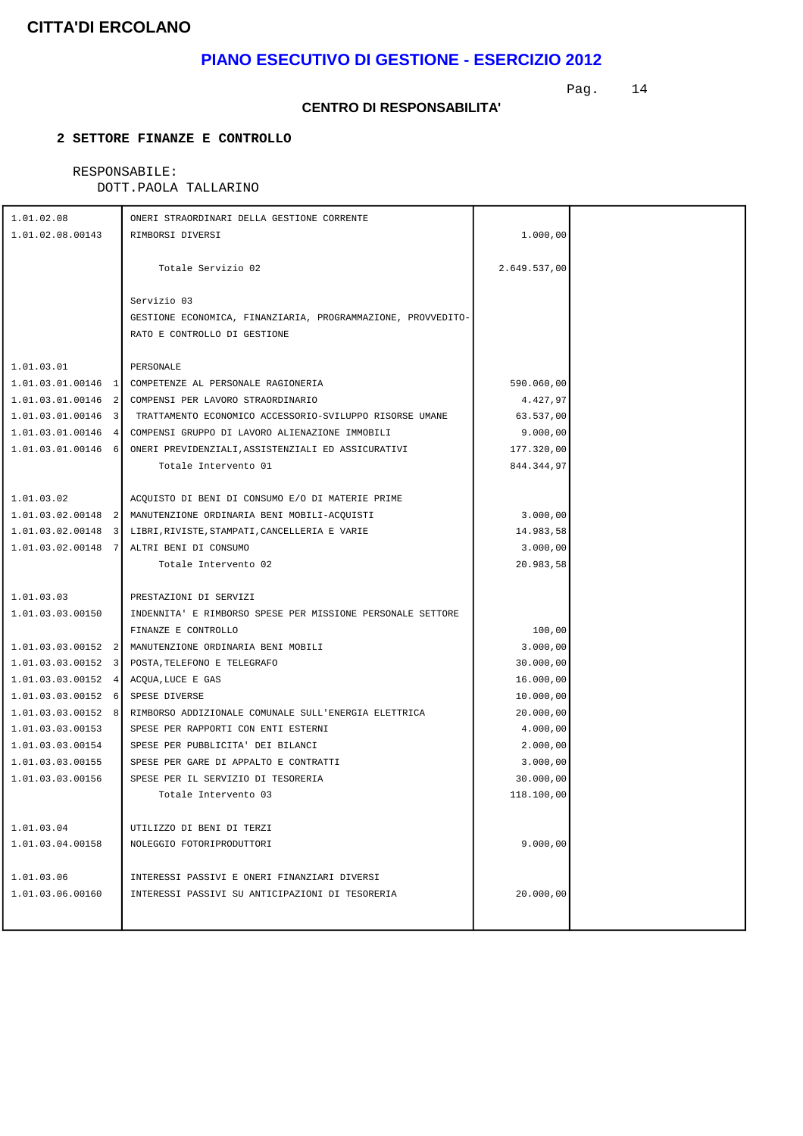# **PIANO ESECUTIVO DI GESTIONE - ESERCIZIO 2012**

Pag. 14

#### **CENTRO DI RESPONSABILITA'**

### **2 SETTORE FINANZE E CONTROLLO**

# RESPONSABILE:

| 1.01.02.08           | ONERI STRAORDINARI DELLA GESTIONE CORRENTE                                 |              |  |
|----------------------|----------------------------------------------------------------------------|--------------|--|
| 1.01.02.08.00143     | RIMBORSI DIVERSI                                                           | 1.000,00     |  |
|                      |                                                                            |              |  |
|                      | Totale Servizio 02                                                         | 2.649.537,00 |  |
|                      |                                                                            |              |  |
|                      | Servizio 03                                                                |              |  |
|                      | GESTIONE ECONOMICA, FINANZIARIA, PROGRAMMAZIONE, PROVVEDITO-               |              |  |
|                      | RATO E CONTROLLO DI GESTIONE                                               |              |  |
|                      |                                                                            |              |  |
| 1.01.03.01           | PERSONALE                                                                  |              |  |
|                      | 1.01.03.01.00146 1 COMPETENZE AL PERSONALE RAGIONERIA                      | 590.060,00   |  |
|                      | 1.01.03.01.00146 2 COMPENSI PER LAVORO STRAORDINARIO                       | 4.427,97     |  |
|                      | 1.01.03.01.00146 3 TRATTAMENTO ECONOMICO ACCESSORIO-SVILUPPO RISORSE UMANE | 63.537,00    |  |
|                      | 1.01.03.01.00146 4 COMPENSI GRUPPO DI LAVORO ALIENAZIONE IMMOBILI          | 9.000,00     |  |
|                      | 1.01.03.01.00146 6 ONERI PREVIDENZIALI, ASSISTENZIALI ED ASSICURATIVI      | 177.320,00   |  |
|                      | Totale Intervento 01                                                       | 844.344,97   |  |
|                      |                                                                            |              |  |
| 1.01.03.02           | ACQUISTO DI BENI DI CONSUMO E/O DI MATERIE PRIME                           |              |  |
|                      | 1.01.03.02.00148 2 MANUTENZIONE ORDINARIA BENI MOBILI-ACQUISTI             | 3.000,00     |  |
|                      | 1.01.03.02.00148 3 LIBRI, RIVISTE, STAMPATI, CANCELLERIA E VARIE           | 14.983,58    |  |
|                      | 1.01.03.02.00148 7 ALTRI BENI DI CONSUMO                                   | 3.000,00     |  |
|                      | Totale Intervento 02                                                       | 20.983,58    |  |
|                      |                                                                            |              |  |
| 1.01.03.03           | PRESTAZIONI DI SERVIZI                                                     |              |  |
| 1.01.03.03.00150     | INDENNITA' E RIMBORSO SPESE PER MISSIONE PERSONALE SETTORE                 |              |  |
|                      | FINANZE E CONTROLLO                                                        | 100,00       |  |
| $1.01.03.03.00152$ 2 | MANUTENZIONE ORDINARIA BENI MOBILI                                         | 3.000,00     |  |
| $1.01.03.03.00152$ 3 | POSTA, TELEFONO E TELEGRAFO                                                | 30.000,00    |  |
| $1.01.03.03.00152$ 4 | ACQUA, LUCE E GAS                                                          | 16.000,00    |  |
| $1.01.03.03.00152$ 6 | SPESE DIVERSE                                                              | 10.000,00    |  |
| $1.01.03.03.00152$ 8 | RIMBORSO ADDIZIONALE COMUNALE SULL'ENERGIA ELETTRICA                       | 20.000,00    |  |
| 1.01.03.03.00153     | SPESE PER RAPPORTI CON ENTI ESTERNI                                        | 4.000,00     |  |
| 1.01.03.03.00154     | SPESE PER PUBBLICITA' DEI BILANCI                                          | 2.000,00     |  |
| 1.01.03.03.00155     | SPESE PER GARE DI APPALTO E CONTRATTI                                      | 3.000,00     |  |
| 1.01.03.03.00156     | SPESE PER IL SERVIZIO DI TESORERIA                                         | 30.000,00    |  |
|                      | Totale Intervento 03                                                       | 118.100,00   |  |
|                      |                                                                            |              |  |
| 1.01.03.04           | UTILIZZO DI BENI DI TERZI                                                  |              |  |
| 1.01.03.04.00158     | NOLEGGIO FOTORIPRODUTTORI                                                  | 9.000,00     |  |
|                      |                                                                            |              |  |
| 1.01.03.06           | INTERESSI PASSIVI E ONERI FINANZIARI DIVERSI                               |              |  |
| 1.01.03.06.00160     | INTERESSI PASSIVI SU ANTICIPAZIONI DI TESORERIA                            | 20.000,00    |  |
|                      |                                                                            |              |  |
|                      |                                                                            |              |  |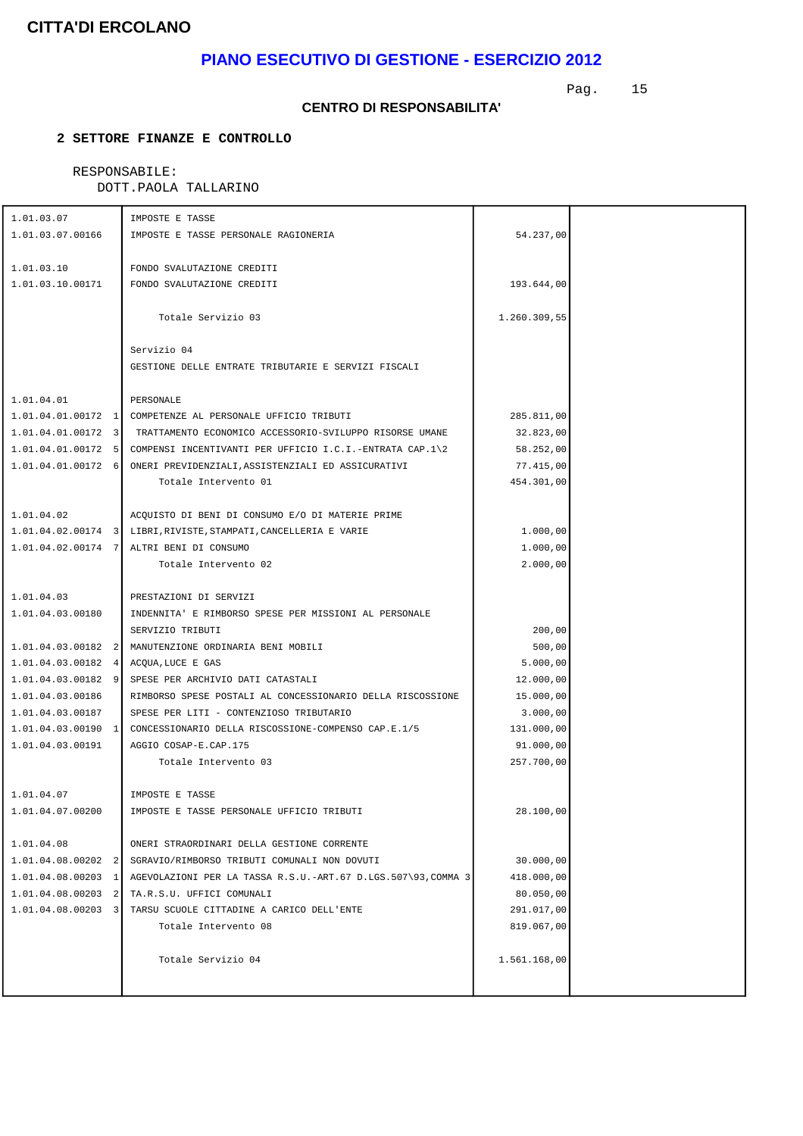# **PIANO ESECUTIVO DI GESTIONE - ESERCIZIO 2012**

Pag. 15

#### **CENTRO DI RESPONSABILITA'**

### **2 SETTORE FINANZE E CONTROLLO**

### RESPONSABILE:

| 1.01.03.07                         | IMPOSTE E TASSE                                                             |                         |  |
|------------------------------------|-----------------------------------------------------------------------------|-------------------------|--|
| 1.01.03.07.00166                   | IMPOSTE E TASSE PERSONALE RAGIONERIA                                        | 54.237,00               |  |
|                                    |                                                                             |                         |  |
| 1.01.03.10                         | FONDO SVALUTAZIONE CREDITI                                                  |                         |  |
| 1.01.03.10.00171                   | FONDO SVALUTAZIONE CREDITI                                                  | 193.644,00              |  |
|                                    |                                                                             |                         |  |
|                                    | Totale Servizio 03                                                          | 1.260.309,55            |  |
|                                    |                                                                             |                         |  |
|                                    | Servizio 04                                                                 |                         |  |
|                                    | GESTIONE DELLE ENTRATE TRIBUTARIE E SERVIZI FISCALI                         |                         |  |
|                                    |                                                                             |                         |  |
| 1.01.04.01                         | PERSONALE                                                                   |                         |  |
|                                    | 1.01.04.01.00172 1 COMPETENZE AL PERSONALE UFFICIO TRIBUTI                  | 285.811,00              |  |
|                                    | 1.01.04.01.00172 3 TRATTAMENTO ECONOMICO ACCESSORIO-SVILUPPO RISORSE UMANE  | 32.823,00               |  |
|                                    | 1.01.04.01.00172 5 COMPENSI INCENTIVANTI PER UFFICIO I.C.I.-ENTRATA CAP.1\2 | 58.252,00               |  |
|                                    | 1.01.04.01.00172 6 ONERI PREVIDENZIALI, ASSISTENZIALI ED ASSICURATIVI       | 77.415,00               |  |
|                                    | Totale Intervento 01                                                        | 454.301,00              |  |
|                                    |                                                                             |                         |  |
| 1.01.04.02                         | ACQUISTO DI BENI DI CONSUMO E/O DI MATERIE PRIME                            |                         |  |
|                                    | 1.01.04.02.00174 3 LIBRI, RIVISTE, STAMPATI, CANCELLERIA E VARIE            | 1.000,00                |  |
|                                    | 1.01.04.02.00174 7 ALTRI BENI DI CONSUMO                                    | 1.000,00                |  |
|                                    | Totale Intervento 02                                                        | 2.000,00                |  |
|                                    |                                                                             |                         |  |
| 1.01.04.03                         | PRESTAZIONI DI SERVIZI                                                      |                         |  |
| 1.01.04.03.00180                   | INDENNITA' E RIMBORSO SPESE PER MISSIONI AL PERSONALE                       |                         |  |
|                                    | SERVIZIO TRIBUTI                                                            | 200,00                  |  |
| $1.01.04.03.00182$ 2               | MANUTENZIONE ORDINARIA BENI MOBILI                                          | 500,00                  |  |
| $1.01.04.03.00182$ 4               | ACQUA, LUCE E GAS                                                           | 5.000,00                |  |
|                                    | 1.01.04.03.00182 9 SPESE PER ARCHIVIO DATI CATASTALI                        | 12.000,00               |  |
| 1.01.04.03.00186                   | RIMBORSO SPESE POSTALI AL CONCESSIONARIO DELLA RISCOSSIONE                  | 15.000,00               |  |
| 1.01.04.03.00187                   | SPESE PER LITI - CONTENZIOSO TRIBUTARIO                                     | 3.000,00                |  |
|                                    | 1.01.04.03.00190 1 CONCESSIONARIO DELLA RISCOSSIONE-COMPENSO CAP.E.1/5      | 131.000,00              |  |
| 1.01.04.03.00191                   | AGGIO COSAP-E.CAP.175                                                       | 91.000,00               |  |
|                                    | Totale Intervento 03                                                        | 257.700,00              |  |
|                                    |                                                                             |                         |  |
| 1.01.04.07                         | IMPOSTE E TASSE                                                             |                         |  |
| 1.01.04.07.00200                   | IMPOSTE E TASSE PERSONALE UFFICIO TRIBUTI                                   | 28.100,00               |  |
|                                    | ONERI STRAORDINARI DELLA GESTIONE CORRENTE                                  |                         |  |
| 1.01.04.08<br>$1.01.04.08.00202$ 2 | SGRAVIO/RIMBORSO TRIBUTI COMUNALI NON DOVUTI                                |                         |  |
| $1.01.04.08.00203$ 1               | AGEVOLAZIONI PER LA TASSA R.S.U.-ART.67 D.LGS.507\93,COMMA 3                | 30.000,00               |  |
| $1.01.04.08.00203$ 2               | TA.R.S.U. UFFICI COMUNALI                                                   | 418.000,00<br>80.050,00 |  |
| $1.01.04.08.00203$ 3               | TARSU SCUOLE CITTADINE A CARICO DELL'ENTE                                   | 291.017,00              |  |
|                                    | Totale Intervento 08                                                        | 819.067,00              |  |
|                                    |                                                                             |                         |  |
|                                    | Totale Servizio 04                                                          | 1.561.168,00            |  |
|                                    |                                                                             |                         |  |
|                                    |                                                                             |                         |  |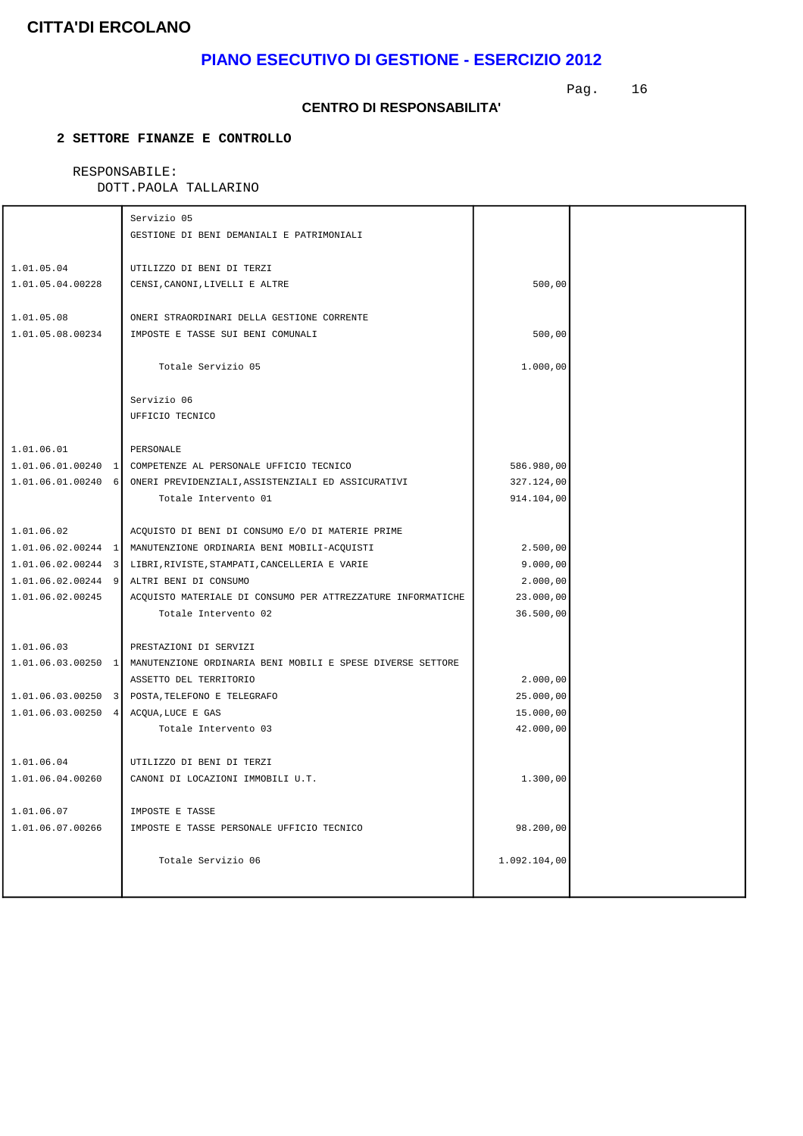# **PIANO ESECUTIVO DI GESTIONE - ESERCIZIO 2012**

Pag. 16

#### **CENTRO DI RESPONSABILITA'**

### **2 SETTORE FINANZE E CONTROLLO**

# RESPONSABILE:

|                      | Servizio 05                                                                                               |              |  |
|----------------------|-----------------------------------------------------------------------------------------------------------|--------------|--|
|                      | GESTIONE DI BENI DEMANIALI E PATRIMONIALI                                                                 |              |  |
|                      |                                                                                                           |              |  |
| 1.01.05.04           | UTILIZZO DI BENI DI TERZI                                                                                 |              |  |
| 1.01.05.04.00228     | CENSI, CANONI, LIVELLI E ALTRE                                                                            | 500,00       |  |
|                      |                                                                                                           |              |  |
| 1.01.05.08           | ONERI STRAORDINARI DELLA GESTIONE CORRENTE                                                                |              |  |
| 1.01.05.08.00234     | IMPOSTE E TASSE SUI BENI COMUNALI                                                                         | 500,00       |  |
|                      |                                                                                                           |              |  |
|                      | Totale Servizio 05                                                                                        | 1.000,00     |  |
|                      |                                                                                                           |              |  |
|                      | Servizio 06                                                                                               |              |  |
|                      | UFFICIO TECNICO                                                                                           |              |  |
|                      |                                                                                                           |              |  |
| 1.01.06.01           | PERSONALE                                                                                                 |              |  |
|                      | 1.01.06.01.00240 1 COMPETENZE AL PERSONALE UFFICIO TECNICO                                                | 586.980,00   |  |
|                      | 1.01.06.01.00240 6 ONERI PREVIDENZIALI, ASSISTENZIALI ED ASSICURATIVI                                     | 327.124,00   |  |
|                      | Totale Intervento 01                                                                                      | 914.104,00   |  |
|                      |                                                                                                           |              |  |
| 1.01.06.02           | ACOUISTO DI BENI DI CONSUMO E/O DI MATERIE PRIME                                                          |              |  |
|                      | 1.01.06.02.00244 1 MANUTENZIONE ORDINARIA BENI MOBILI-ACQUISTI                                            | 2.500,00     |  |
|                      | 1.01.06.02.00244 3 LIBRI, RIVISTE, STAMPATI, CANCELLERIA E VARIE                                          | 9.000,00     |  |
| $1.01.06.02.00244$ 9 | ALTRI BENI DI CONSUMO                                                                                     | 2.000,00     |  |
| 1.01.06.02.00245     | ACQUISTO MATERIALE DI CONSUMO PER ATTREZZATURE INFORMATICHE                                               | 23.000,00    |  |
|                      | Totale Intervento 02                                                                                      | 36.500,00    |  |
|                      |                                                                                                           |              |  |
| 1.01.06.03           | PRESTAZIONI DI SERVIZI<br>1.01.06.03.00250 1   MANUTENZIONE ORDINARIA BENI MOBILI E SPESE DIVERSE SETTORE |              |  |
|                      | ASSETTO DEL TERRITORIO                                                                                    | 2.000,00     |  |
|                      | 1.01.06.03.00250 3 POSTA, TELEFONO E TELEGRAFO                                                            | 25.000,00    |  |
| $1.01.06.03.00250$ 4 | ACQUA, LUCE E GAS                                                                                         | 15.000,00    |  |
|                      | Totale Intervento 03                                                                                      | 42.000,00    |  |
|                      |                                                                                                           |              |  |
| 1.01.06.04           | UTILIZZO DI BENI DI TERZI                                                                                 |              |  |
| 1.01.06.04.00260     | CANONI DI LOCAZIONI IMMOBILI U.T.                                                                         | 1.300,00     |  |
|                      |                                                                                                           |              |  |
| 1.01.06.07           | IMPOSTE E TASSE                                                                                           |              |  |
| 1.01.06.07.00266     | IMPOSTE E TASSE PERSONALE UFFICIO TECNICO                                                                 | 98.200,00    |  |
|                      |                                                                                                           |              |  |
|                      | Totale Servizio 06                                                                                        | 1.092.104,00 |  |
|                      |                                                                                                           |              |  |
|                      |                                                                                                           |              |  |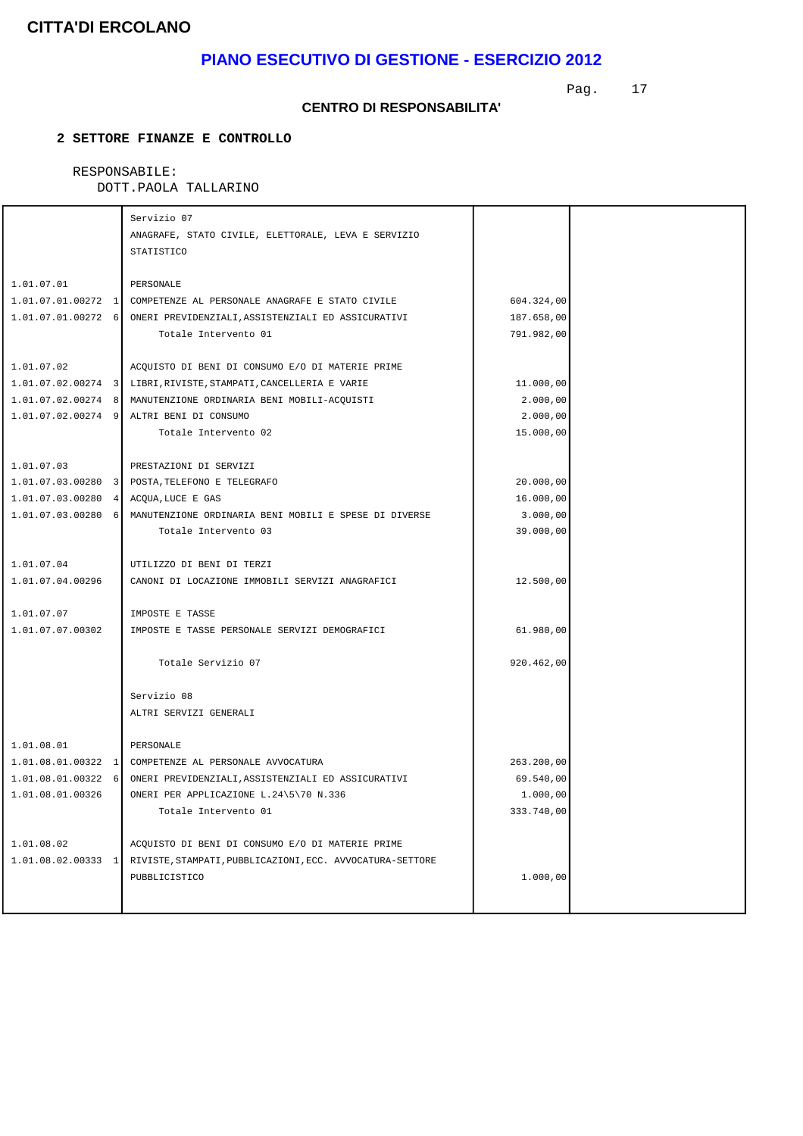# **PIANO ESECUTIVO DI GESTIONE - ESERCIZIO 2012**

Pag. 17

#### **CENTRO DI RESPONSABILITA'**

### **2 SETTORE FINANZE E CONTROLLO**

# RESPONSABILE:

|                                      | Servizio 07                                                                |            |  |
|--------------------------------------|----------------------------------------------------------------------------|------------|--|
|                                      | ANAGRAFE, STATO CIVILE, ELETTORALE, LEVA E SERVIZIO                        |            |  |
|                                      | STATISTICO                                                                 |            |  |
|                                      |                                                                            |            |  |
| 1.01.07.01                           | PERSONALE                                                                  |            |  |
|                                      | 1.01.07.01.00272 1 COMPETENZE AL PERSONALE ANAGRAFE E STATO CIVILE         | 604.324,00 |  |
|                                      | 1.01.07.01.00272 6 ONERI PREVIDENZIALI, ASSISTENZIALI ED ASSICURATIVI      | 187.658,00 |  |
|                                      | Totale Intervento 01                                                       | 791.982,00 |  |
|                                      |                                                                            |            |  |
| 1.01.07.02                           | ACQUISTO DI BENI DI CONSUMO E/O DI MATERIE PRIME                           |            |  |
|                                      | 1.01.07.02.00274 3 LIBRI, RIVISTE, STAMPATI, CANCELLERIA E VARIE           | 11.000,00  |  |
|                                      | 1.01.07.02.00274 8   MANUTENZIONE ORDINARIA BENI MOBILI-ACQUISTI           | 2.000,00   |  |
|                                      | 1.01.07.02.00274 9 ALTRI BENI DI CONSUMO                                   | 2.000,00   |  |
|                                      | Totale Intervento 02                                                       | 15.000,00  |  |
|                                      |                                                                            |            |  |
| 1.01.07.03                           | PRESTAZIONI DI SERVIZI                                                     |            |  |
|                                      | 1.01.07.03.00280 3 POSTA, TELEFONO E TELEGRAFO                             | 20.000,00  |  |
| 1.01.07.03.00280 4 ACQUA, LUCE E GAS |                                                                            | 16.000,00  |  |
|                                      | 1.01.07.03.00280 6   MANUTENZIONE ORDINARIA BENI MOBILI E SPESE DI DIVERSE | 3.000,00   |  |
|                                      | Totale Intervento 03                                                       | 39.000,00  |  |
| 1.01.07.04                           | UTILIZZO DI BENI DI TERZI                                                  |            |  |
| 1.01.07.04.00296                     |                                                                            |            |  |
|                                      | CANONI DI LOCAZIONE IMMOBILI SERVIZI ANAGRAFICI                            | 12.500,00  |  |
| 1.01.07.07                           | IMPOSTE E TASSE                                                            |            |  |
| 1.01.07.07.00302                     | IMPOSTE E TASSE PERSONALE SERVIZI DEMOGRAFICI                              | 61.980,00  |  |
|                                      |                                                                            |            |  |
|                                      | Totale Servizio 07                                                         | 920.462,00 |  |
|                                      |                                                                            |            |  |
|                                      | Servizio 08                                                                |            |  |
|                                      | ALTRI SERVIZI GENERALI                                                     |            |  |
|                                      |                                                                            |            |  |
| 1.01.08.01                           | PERSONALE                                                                  |            |  |
|                                      | 1.01.08.01.00322 1 COMPETENZE AL PERSONALE AVVOCATURA                      | 263.200,00 |  |
| $1.01.08.01.00322$ 6                 | ONERI PREVIDENZIALI, ASSISTENZIALI ED ASSICURATIVI                         | 69.540,00  |  |
| 1.01.08.01.00326                     | ONERI PER APPLICAZIONE L.24\5\70 N.336                                     | 1.000,00   |  |
|                                      | Totale Intervento 01                                                       | 333.740,00 |  |
|                                      |                                                                            |            |  |
| 1.01.08.02                           | ACQUISTO DI BENI DI CONSUMO E/O DI MATERIE PRIME                           |            |  |
| $1.01.08.02.00333$ 1                 | RIVISTE, STAMPATI, PUBBLICAZIONI, ECC. AVVOCATURA-SETTORE                  |            |  |
|                                      | PUBBLICISTICO                                                              | 1.000,00   |  |
|                                      |                                                                            |            |  |
|                                      |                                                                            |            |  |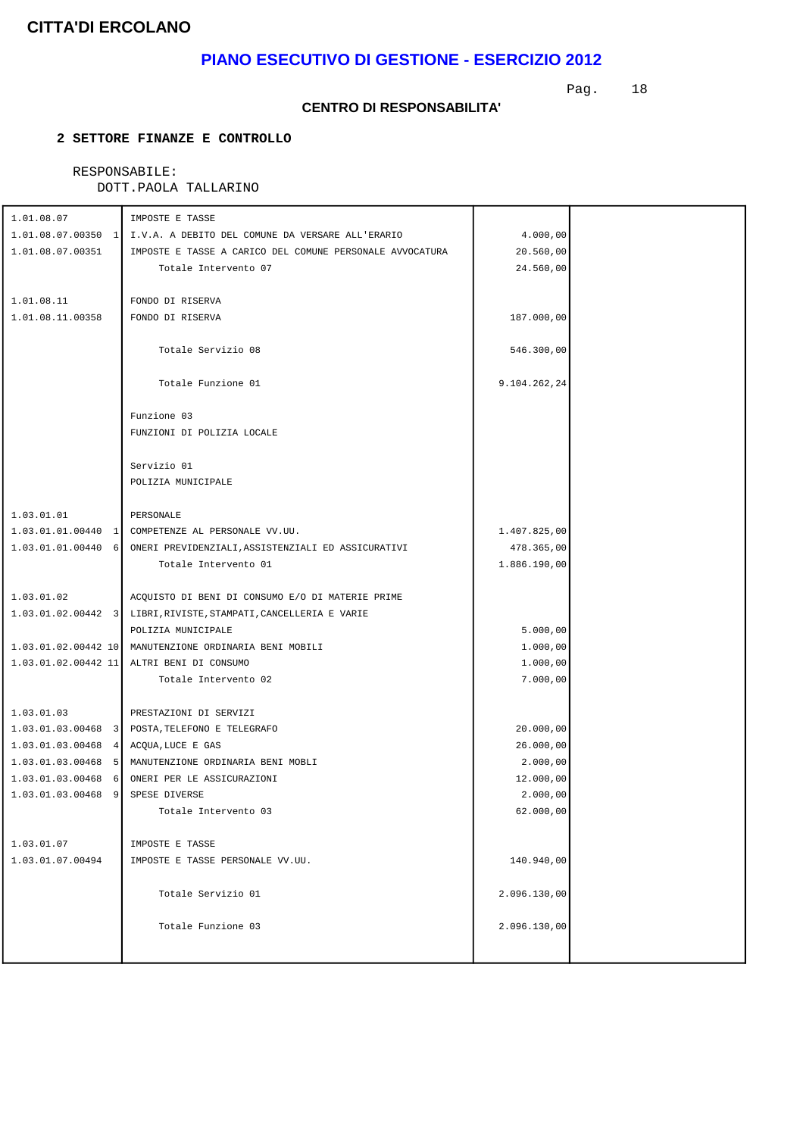# **PIANO ESECUTIVO DI GESTIONE - ESERCIZIO 2012**

Pag. 18

#### **CENTRO DI RESPONSABILITA'**

### **2 SETTORE FINANZE E CONTROLLO**

### RESPONSABILE:

| 1.01.08.07                           | IMPOSTE E TASSE                                                     |              |  |
|--------------------------------------|---------------------------------------------------------------------|--------------|--|
|                                      | 1.01.08.07.00350 1 I.V.A. A DEBITO DEL COMUNE DA VERSARE ALL'ERARIO | 4.000,00     |  |
| 1.01.08.07.00351                     | IMPOSTE E TASSE A CARICO DEL COMUNE PERSONALE AVVOCATURA            | 20.560,00    |  |
|                                      | Totale Intervento 07                                                | 24.560,00    |  |
|                                      |                                                                     |              |  |
| 1.01.08.11                           | FONDO DI RISERVA                                                    |              |  |
| 1.01.08.11.00358                     | FONDO DI RISERVA                                                    | 187.000,00   |  |
|                                      |                                                                     |              |  |
|                                      | Totale Servizio 08                                                  | 546.300,00   |  |
|                                      |                                                                     |              |  |
|                                      | Totale Funzione 01                                                  | 9.104.262,24 |  |
|                                      |                                                                     |              |  |
|                                      | Funzione 03                                                         |              |  |
|                                      | FUNZIONI DI POLIZIA LOCALE                                          |              |  |
|                                      |                                                                     |              |  |
|                                      | Servizio 01                                                         |              |  |
|                                      | POLIZIA MUNICIPALE                                                  |              |  |
|                                      |                                                                     |              |  |
| 1.03.01.01                           | PERSONALE                                                           |              |  |
|                                      |                                                                     | 1.407.825,00 |  |
| $1.03.01.01.00440$ 6                 | ONERI PREVIDENZIALI, ASSISTENZIALI ED ASSICURATIVI                  | 478.365,00   |  |
|                                      | Totale Intervento 01                                                | 1.886.190,00 |  |
| 1.03.01.02                           | ACQUISTO DI BENI DI CONSUMO E/O DI MATERIE PRIME                    |              |  |
|                                      | 1.03.01.02.00442 3 LIBRI, RIVISTE, STAMPATI, CANCELLERIA E VARIE    |              |  |
|                                      | POLIZIA MUNICIPALE                                                  | 5.000,00     |  |
|                                      | 1.03.01.02.00442 10 MANUTENZIONE ORDINARIA BENI MOBILI              | 1.000,00     |  |
|                                      | 1.03.01.02.00442 11 ALTRI BENI DI CONSUMO                           | 1.000,00     |  |
|                                      | Totale Intervento 02                                                | 7.000,00     |  |
|                                      |                                                                     |              |  |
| 1.03.01.03                           | PRESTAZIONI DI SERVIZI                                              |              |  |
|                                      | 1.03.01.03.00468 3 POSTA, TELEFONO E TELEGRAFO                      | 20.000,00    |  |
| 1.03.01.03.00468 4 ACQUA, LUCE E GAS |                                                                     | 26.000,00    |  |
|                                      | 1.03.01.03.00468 5   MANUTENZIONE ORDINARIA BENI MOBLI              | 2.000,00     |  |
|                                      | 1.03.01.03.00468 6 ONERI PER LE ASSICURAZIONI                       | 12.000,00    |  |
| 1.03.01.03.00468 9 SPESE DIVERSE     |                                                                     | 2.000,00     |  |
|                                      | Totale Intervento 03                                                | 62.000,00    |  |
| 1.03.01.07                           | IMPOSTE E TASSE                                                     |              |  |
| 1.03.01.07.00494                     | IMPOSTE E TASSE PERSONALE VV.UU.                                    | 140.940,00   |  |
|                                      |                                                                     |              |  |
|                                      | Totale Servizio 01                                                  | 2.096.130,00 |  |
|                                      |                                                                     |              |  |
|                                      | Totale Funzione 03                                                  | 2.096.130,00 |  |
|                                      |                                                                     |              |  |
|                                      |                                                                     |              |  |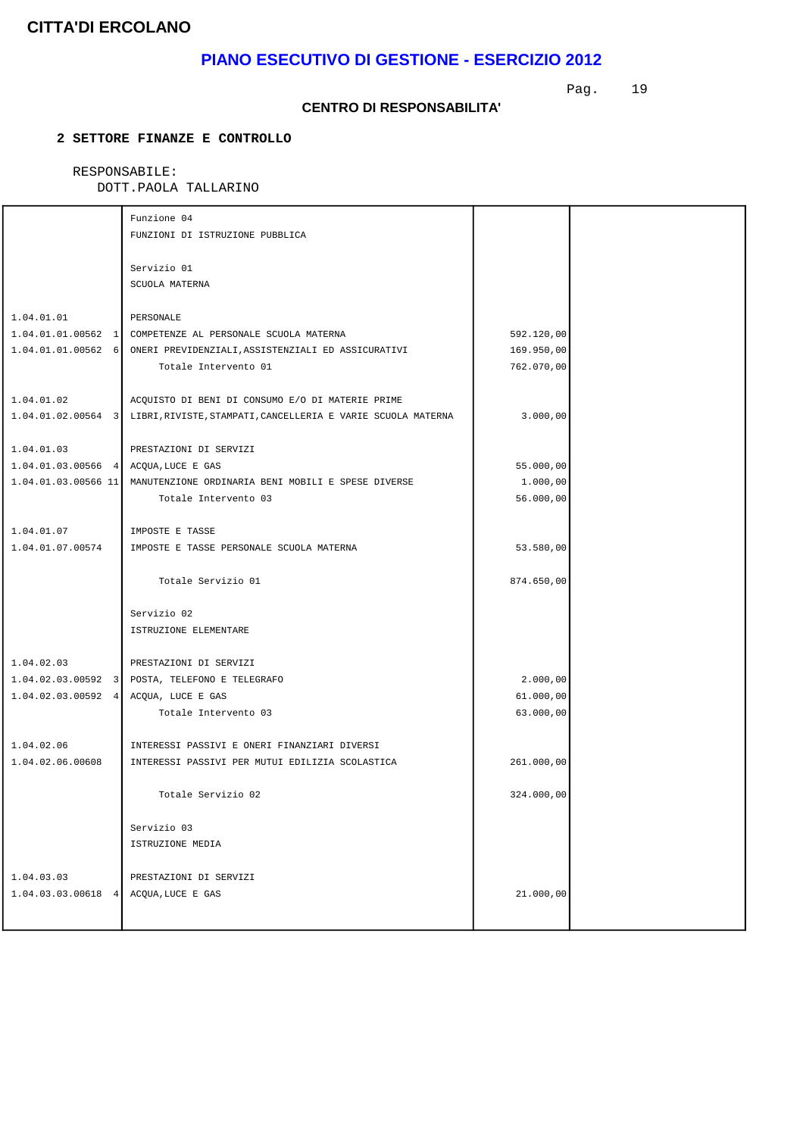# **PIANO ESECUTIVO DI GESTIONE - ESERCIZIO 2012**

Pag. 19

#### **CENTRO DI RESPONSABILITA'**

### **2 SETTORE FINANZE E CONTROLLO**

#### RESPONSABILE: DOTT.PAOLA TALLARINO

|                                      | Funzione 04                                                                     |            |  |
|--------------------------------------|---------------------------------------------------------------------------------|------------|--|
|                                      | FUNZIONI DI ISTRUZIONE PUBBLICA                                                 |            |  |
|                                      |                                                                                 |            |  |
|                                      | Servizio 01                                                                     |            |  |
|                                      | SCUOLA MATERNA                                                                  |            |  |
|                                      |                                                                                 |            |  |
| 1.04.01.01                           | PERSONALE                                                                       |            |  |
|                                      | 1.04.01.01.00562 1 COMPETENZE AL PERSONALE SCUOLA MATERNA                       | 592.120,00 |  |
|                                      | 1.04.01.01.00562 6 ONERI PREVIDENZIALI, ASSISTENZIALI ED ASSICURATIVI           | 169.950,00 |  |
|                                      | Totale Intervento 01                                                            | 762.070,00 |  |
|                                      |                                                                                 |            |  |
| 1.04.01.02                           | ACQUISTO DI BENI DI CONSUMO E/O DI MATERIE PRIME                                |            |  |
|                                      | 1.04.01.02.00564 3 LIBRI, RIVISTE, STAMPATI, CANCELLERIA E VARIE SCUOLA MATERNA | 3.000,00   |  |
|                                      |                                                                                 |            |  |
| 1.04.01.03                           | PRESTAZIONI DI SERVIZI                                                          |            |  |
| 1.04.01.03.00566 4 ACQUA, LUCE E GAS |                                                                                 | 55.000,00  |  |
|                                      | 1.04.01.03.00566 11   MANUTENZIONE ORDINARIA BENI MOBILI E SPESE DIVERSE        | 1.000,00   |  |
|                                      | Totale Intervento 03                                                            | 56.000,00  |  |
|                                      |                                                                                 |            |  |
| 1.04.01.07                           | IMPOSTE E TASSE                                                                 |            |  |
| 1.04.01.07.00574                     | IMPOSTE E TASSE PERSONALE SCUOLA MATERNA                                        | 53.580,00  |  |
|                                      |                                                                                 |            |  |
|                                      | Totale Servizio 01                                                              | 874.650,00 |  |
|                                      |                                                                                 |            |  |
|                                      | Servizio 02                                                                     |            |  |
|                                      | ISTRUZIONE ELEMENTARE                                                           |            |  |
|                                      |                                                                                 |            |  |
| 1.04.02.03                           | PRESTAZIONI DI SERVIZI                                                          |            |  |
|                                      | 1.04.02.03.00592 3 POSTA, TELEFONO E TELEGRAFO                                  | 2.000,00   |  |
| $1.04.02.03.00592$ 4                 | ACQUA, LUCE E GAS                                                               | 61.000,00  |  |
|                                      | Totale Intervento 03                                                            | 63.000,00  |  |
|                                      |                                                                                 |            |  |
| 1.04.02.06                           | INTERESSI PASSIVI E ONERI FINANZIARI DIVERSI                                    |            |  |
| 1.04.02.06.00608                     | INTERESSI PASSIVI PER MUTUI EDILIZIA SCOLASTICA                                 | 261.000,00 |  |
|                                      |                                                                                 |            |  |
|                                      | Totale Servizio 02                                                              |            |  |
|                                      |                                                                                 | 324.000,00 |  |
|                                      | Servizio 03                                                                     |            |  |
|                                      | ISTRUZIONE MEDIA                                                                |            |  |
|                                      |                                                                                 |            |  |
| 1.04.03.03                           | PRESTAZIONI DI SERVIZI                                                          |            |  |
| 1.04.03.03.00618 4 ACQUA, LUCE E GAS |                                                                                 | 21.000,00  |  |
|                                      |                                                                                 |            |  |
|                                      |                                                                                 |            |  |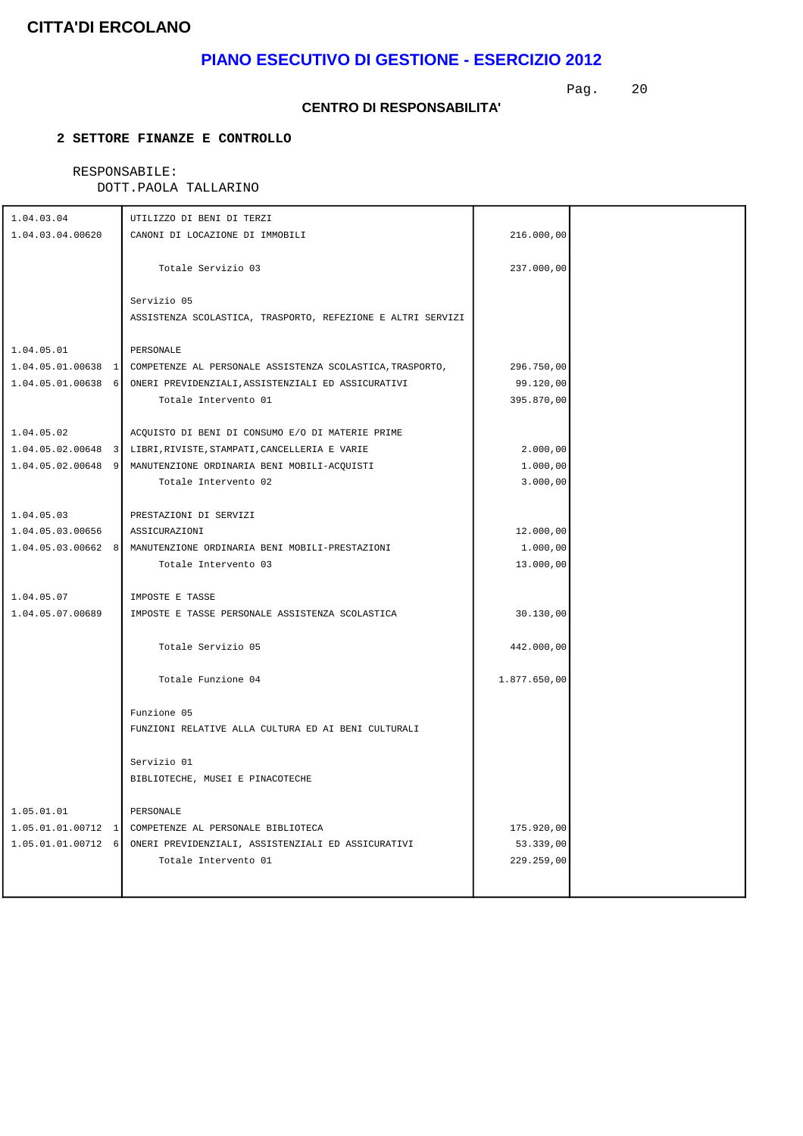# **PIANO ESECUTIVO DI GESTIONE - ESERCIZIO 2012**

Pag. 20

#### **CENTRO DI RESPONSABILITA'**

### **2 SETTORE FINANZE E CONTROLLO**

# RESPONSABILE:

| 1.04.03.04       | UTILIZZO DI BENI DI TERZI                                                    |              |  |
|------------------|------------------------------------------------------------------------------|--------------|--|
| 1.04.03.04.00620 | CANONI DI LOCAZIONE DI IMMOBILI                                              | 216.000,00   |  |
|                  |                                                                              |              |  |
|                  | Totale Servizio 03                                                           | 237.000,00   |  |
|                  |                                                                              |              |  |
|                  | Servizio 05                                                                  |              |  |
|                  | ASSISTENZA SCOLASTICA, TRASPORTO, REFEZIONE E ALTRI SERVIZI                  |              |  |
|                  |                                                                              |              |  |
| 1.04.05.01       | PERSONALE                                                                    |              |  |
|                  | 1.04.05.01.00638 1 COMPETENZE AL PERSONALE ASSISTENZA SCOLASTICA, TRASPORTO, | 296.750,00   |  |
|                  | 1.04.05.01.00638 6 ONERI PREVIDENZIALI, ASSISTENZIALI ED ASSICURATIVI        | 99.120,00    |  |
|                  | Totale Intervento 01                                                         | 395.870,00   |  |
|                  |                                                                              |              |  |
| 1.04.05.02       | ACQUISTO DI BENI DI CONSUMO E/O DI MATERIE PRIME                             |              |  |
|                  | 1.04.05.02.00648 3 LIBRI, RIVISTE, STAMPATI, CANCELLERIA E VARIE             | 2.000,00     |  |
|                  | 1.04.05.02.00648 9 MANUTENZIONE ORDINARIA BENI MOBILI-ACQUISTI               | 1.000,00     |  |
|                  | Totale Intervento 02                                                         | 3.000,00     |  |
|                  |                                                                              |              |  |
| 1.04.05.03       | PRESTAZIONI DI SERVIZI                                                       |              |  |
| 1.04.05.03.00656 | ASSICURAZIONI                                                                | 12.000,00    |  |
|                  | 1.04.05.03.00662 8 MANUTENZIONE ORDINARIA BENI MOBILI-PRESTAZIONI            | 1.000,00     |  |
|                  | Totale Intervento 03                                                         | 13.000,00    |  |
| 1.04.05.07       | IMPOSTE E TASSE                                                              |              |  |
| 1.04.05.07.00689 | IMPOSTE E TASSE PERSONALE ASSISTENZA SCOLASTICA                              | 30.130,00    |  |
|                  |                                                                              |              |  |
|                  | Totale Servizio 05                                                           | 442.000,00   |  |
|                  |                                                                              |              |  |
|                  | Totale Funzione 04                                                           | 1.877.650,00 |  |
|                  |                                                                              |              |  |
|                  | Funzione 05                                                                  |              |  |
|                  | FUNZIONI RELATIVE ALLA CULTURA ED AI BENI CULTURALI                          |              |  |
|                  |                                                                              |              |  |
|                  | Servizio 01                                                                  |              |  |
|                  | BIBLIOTECHE, MUSEI E PINACOTECHE                                             |              |  |
|                  |                                                                              |              |  |
| 1.05.01.01       | PERSONALE                                                                    |              |  |
|                  | 1.05.01.01.00712 1 COMPETENZE AL PERSONALE BIBLIOTECA                        | 175.920,00   |  |
|                  | 1.05.01.01.00712 6 ONERI PREVIDENZIALI, ASSISTENZIALI ED ASSICURATIVI        | 53.339,00    |  |
|                  | Totale Intervento 01                                                         | 229.259,00   |  |
|                  |                                                                              |              |  |
|                  |                                                                              |              |  |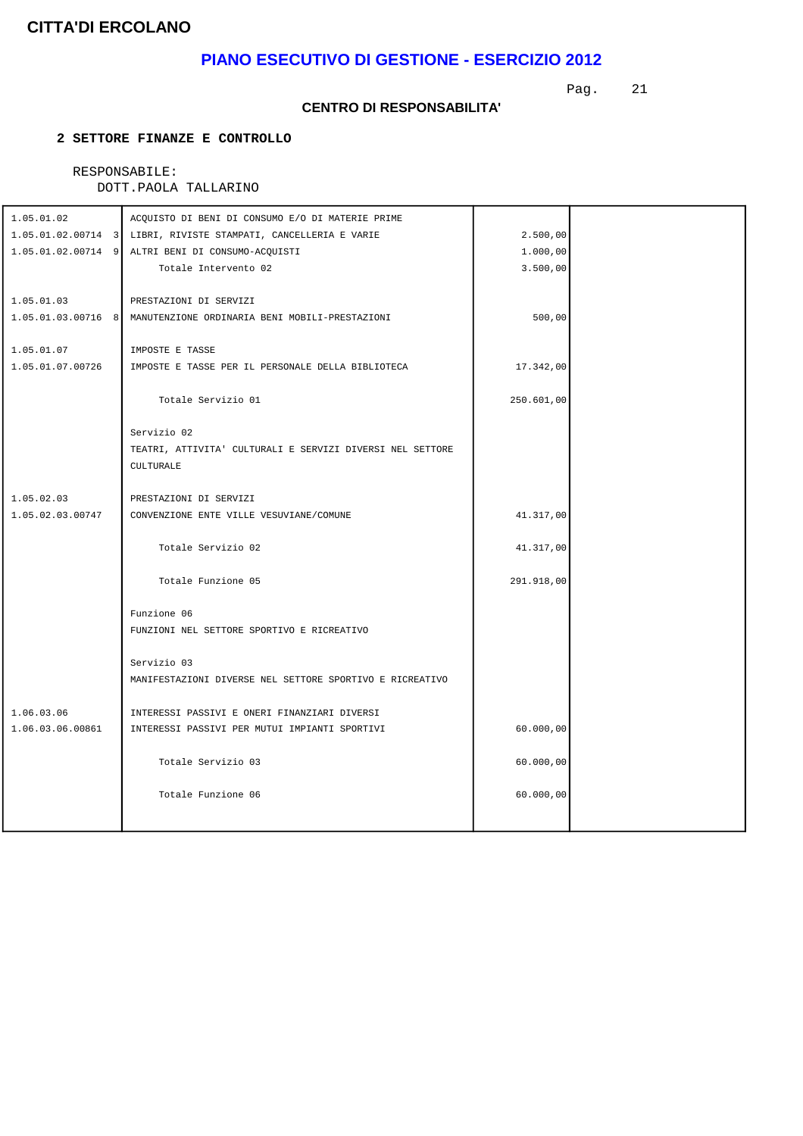# **PIANO ESECUTIVO DI GESTIONE - ESERCIZIO 2012**

Pag. 21

#### **CENTRO DI RESPONSABILITA'**

### **2 SETTORE FINANZE E CONTROLLO**

# RESPONSABILE:

| 1.05.01.02       | ACQUISTO DI BENI DI CONSUMO E/O DI MATERIE PRIME                  |            |  |
|------------------|-------------------------------------------------------------------|------------|--|
|                  | 1.05.01.02.00714 3 LIBRI, RIVISTE STAMPATI, CANCELLERIA E VARIE   | 2.500,00   |  |
|                  | 1.05.01.02.00714 9 ALTRI BENI DI CONSUMO-ACQUISTI                 | 1.000,00   |  |
|                  | Totale Intervento 02                                              | 3.500,00   |  |
|                  |                                                                   |            |  |
| 1.05.01.03       | PRESTAZIONI DI SERVIZI                                            |            |  |
|                  | 1.05.01.03.00716 8 MANUTENZIONE ORDINARIA BENI MOBILI-PRESTAZIONI | 500,00     |  |
|                  |                                                                   |            |  |
| 1.05.01.07       | IMPOSTE E TASSE                                                   |            |  |
| 1.05.01.07.00726 | IMPOSTE E TASSE PER IL PERSONALE DELLA BIBLIOTECA                 | 17.342,00  |  |
|                  | Totale Servizio 01                                                | 250.601,00 |  |
|                  | Servizio 02                                                       |            |  |
|                  | TEATRI, ATTIVITA' CULTURALI E SERVIZI DIVERSI NEL SETTORE         |            |  |
|                  | CULTURALE                                                         |            |  |
|                  |                                                                   |            |  |
| 1.05.02.03       | PRESTAZIONI DI SERVIZI                                            |            |  |
| 1.05.02.03.00747 | CONVENZIONE ENTE VILLE VESUVIANE/COMUNE                           | 41.317,00  |  |
|                  |                                                                   |            |  |
|                  | Totale Servizio 02                                                | 41.317,00  |  |
|                  |                                                                   |            |  |
|                  | Totale Funzione 05                                                | 291.918,00 |  |
|                  |                                                                   |            |  |
|                  | Funzione 06<br>FUNZIONI NEL SETTORE SPORTIVO E RICREATIVO         |            |  |
|                  |                                                                   |            |  |
|                  | Servizio 03                                                       |            |  |
|                  | MANIFESTAZIONI DIVERSE NEL SETTORE SPORTIVO E RICREATIVO          |            |  |
|                  |                                                                   |            |  |
| 1.06.03.06       | INTERESSI PASSIVI E ONERI FINANZIARI DIVERSI                      |            |  |
| 1.06.03.06.00861 | INTERESSI PASSIVI PER MUTUI IMPIANTI SPORTIVI                     | 60.000,00  |  |
|                  |                                                                   |            |  |
|                  | Totale Servizio 03                                                | 60.000,00  |  |
|                  |                                                                   |            |  |
|                  | Totale Funzione 06                                                | 60.000,00  |  |
|                  |                                                                   |            |  |
|                  |                                                                   |            |  |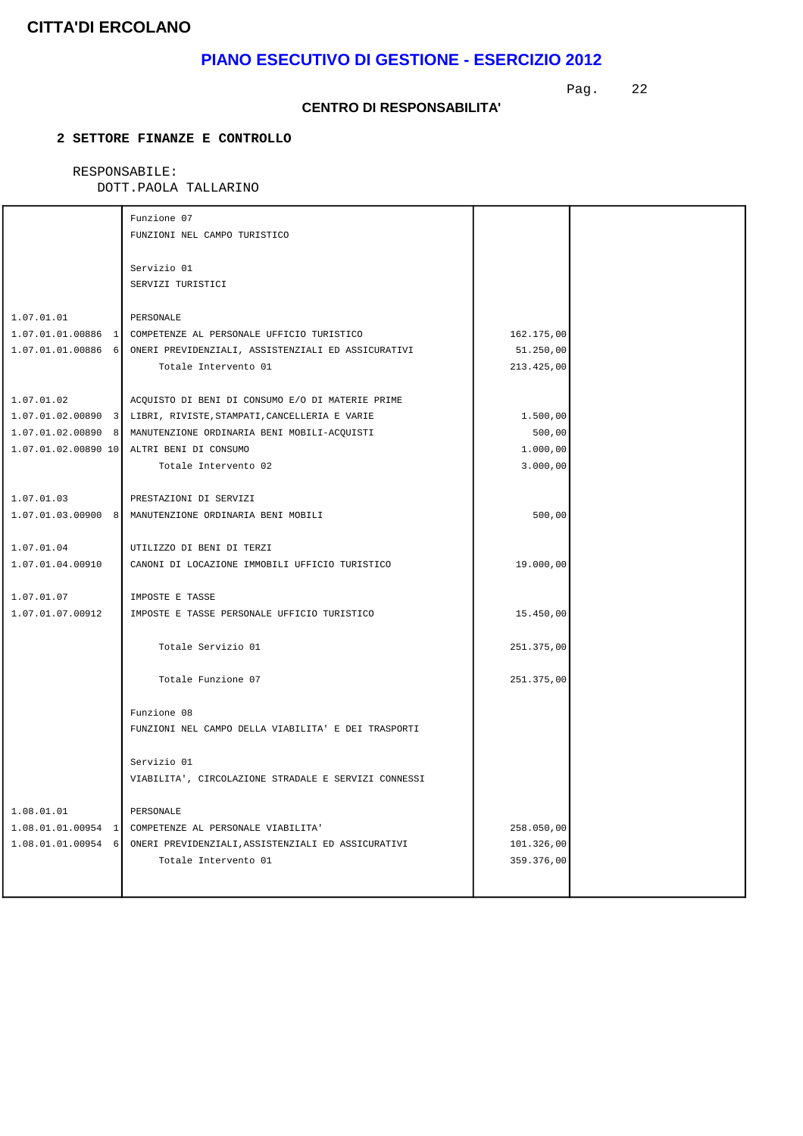# **PIANO ESECUTIVO DI GESTIONE - ESERCIZIO 2012**

Pag. 22

### **CENTRO DI RESPONSABILITA'**

### **2 SETTORE FINANZE E CONTROLLO**

#### RESPONSABILE: DIA<br>DAOLA TALLADINO

| DOTT.PAOLA TALLARINO |  |
|----------------------|--|
|----------------------|--|

|                  | Funzione 07                                                           |            |  |
|------------------|-----------------------------------------------------------------------|------------|--|
|                  | FUNZIONI NEL CAMPO TURISTICO                                          |            |  |
|                  |                                                                       |            |  |
|                  | Servizio 01                                                           |            |  |
|                  | SERVIZI TURISTICI                                                     |            |  |
|                  |                                                                       |            |  |
| 1.07.01.01       | PERSONALE                                                             |            |  |
|                  | 1.07.01.01.00886 1 COMPETENZE AL PERSONALE UFFICIO TURISTICO          | 162.175,00 |  |
|                  | 1.07.01.01.00886 6 ONERI PREVIDENZIALI, ASSISTENZIALI ED ASSICURATIVI | 51.250,00  |  |
|                  | Totale Intervento 01                                                  | 213.425,00 |  |
|                  |                                                                       |            |  |
| 1.07.01.02       | ACQUISTO DI BENI DI CONSUMO E/O DI MATERIE PRIME                      |            |  |
|                  | 1.07.01.02.00890 3 LIBRI, RIVISTE, STAMPATI, CANCELLERIA E VARIE      | 1.500,00   |  |
|                  | 1.07.01.02.00890 8 MANUTENZIONE ORDINARIA BENI MOBILI-ACQUISTI        | 500,00     |  |
|                  | 1.07.01.02.00890 10 ALTRI BENI DI CONSUMO                             | 1.000,00   |  |
|                  | Totale Intervento 02                                                  | 3.000,00   |  |
|                  |                                                                       |            |  |
| 1.07.01.03       | PRESTAZIONI DI SERVIZI                                                |            |  |
|                  | 1.07.01.03.00900 8 MANUTENZIONE ORDINARIA BENI MOBILI                 | 500,00     |  |
|                  |                                                                       |            |  |
| 1.07.01.04       | UTILIZZO DI BENI DI TERZI                                             |            |  |
| 1.07.01.04.00910 | CANONI DI LOCAZIONE IMMOBILI UFFICIO TURISTICO                        | 19.000,00  |  |
|                  |                                                                       |            |  |
| 1.07.01.07       | IMPOSTE E TASSE                                                       |            |  |
| 1.07.01.07.00912 | IMPOSTE E TASSE PERSONALE UFFICIO TURISTICO                           | 15.450,00  |  |
|                  |                                                                       |            |  |
|                  | Totale Servizio 01                                                    | 251.375,00 |  |
|                  |                                                                       |            |  |
|                  | Totale Funzione 07                                                    | 251.375,00 |  |
|                  |                                                                       |            |  |
|                  | Funzione 08                                                           |            |  |
|                  | FUNZIONI NEL CAMPO DELLA VIABILITA' E DEI TRASPORTI                   |            |  |
|                  |                                                                       |            |  |
|                  | Servizio 01                                                           |            |  |
|                  | VIABILITA', CIRCOLAZIONE STRADALE E SERVIZI CONNESSI                  |            |  |
|                  |                                                                       |            |  |
| 1.08.01.01       | PERSONALE                                                             |            |  |
|                  | 1.08.01.01.00954 1 COMPETENZE AL PERSONALE VIABILITA                  | 258.050,00 |  |
|                  | 1.08.01.01.00954 6 ONERI PREVIDENZIALI, ASSISTENZIALI ED ASSICURATIVI | 101.326,00 |  |
|                  | Totale Intervento 01                                                  | 359.376,00 |  |
|                  |                                                                       |            |  |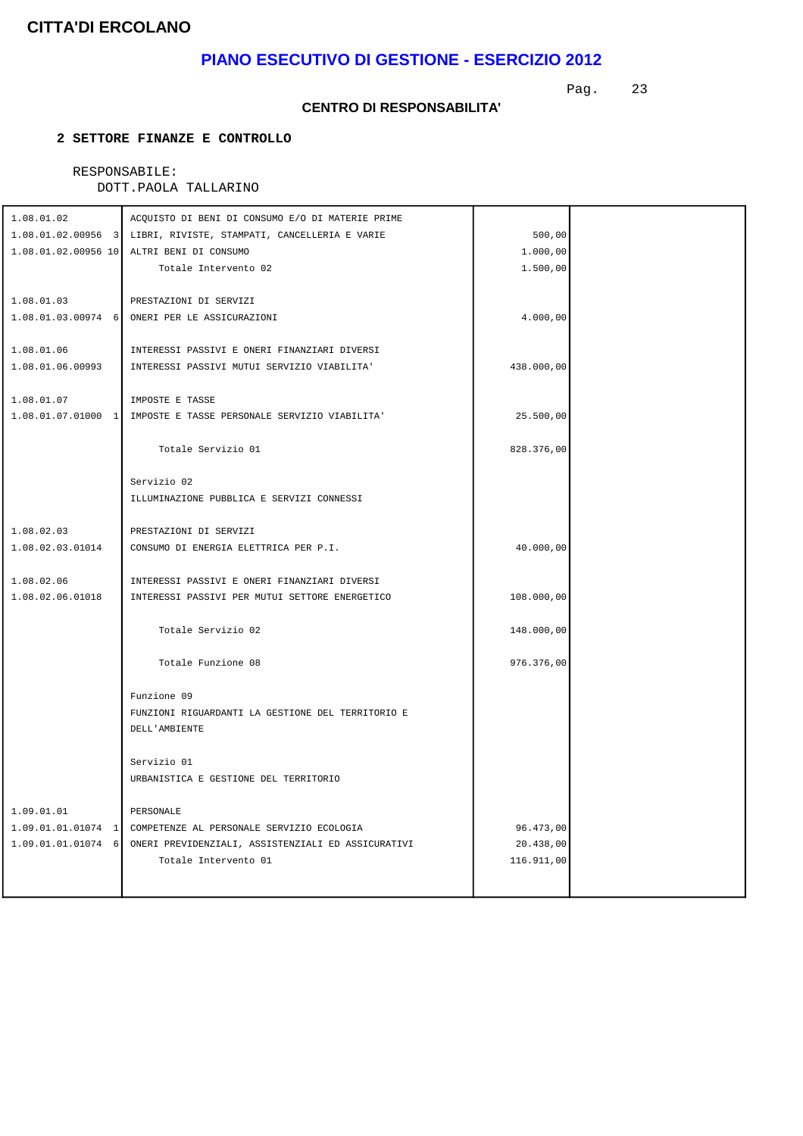# **PIANO ESECUTIVO DI GESTIONE - ESERCIZIO 2012**

Pag. 23

### **CENTRO DI RESPONSABILITA'**

### **2 SETTORE FINANZE E CONTROLLO**

# RESPONSABILE:

| DOTT. PAOLA TALLARINO |                                                                  |            |  |  |
|-----------------------|------------------------------------------------------------------|------------|--|--|
| 1.08.01.02            | ACQUISTO DI BENI DI CONSUMO E/O DI MATERIE PRIME                 |            |  |  |
|                       | 1.08.01.02.00956 3 LIBRI, RIVISTE, STAMPATI, CANCELLERIA E VARIE | 500,00     |  |  |
|                       | 1.08.01.02.00956 10 ALTRI BENI DI CONSUMO                        | 1.000,00   |  |  |
|                       | Totale Intervento 02                                             | 1.500,00   |  |  |
|                       |                                                                  |            |  |  |
| 1.08.01.03            | PRESTAZIONI DI SERVIZI                                           |            |  |  |
|                       | 1.08.01.03.00974 6 ONERI PER LE ASSICURAZIONI                    | 4.000,00   |  |  |
| 1.08.01.06            | INTERESSI PASSIVI E ONERI FINANZIARI DIVERSI                     |            |  |  |
| 1.08.01.06.00993      | INTERESSI PASSIVI MUTUI SERVIZIO VIABILITA'                      | 438.000,00 |  |  |
|                       |                                                                  |            |  |  |
| 1.08.01.07            | IMPOSTE E TASSE                                                  |            |  |  |
|                       | 1.08.01.07.01000 1 IMPOSTE E TASSE PERSONALE SERVIZIO VIABILITA' | 25.500,00  |  |  |
|                       |                                                                  |            |  |  |
|                       | Totale Servizio 01                                               | 828.376,00 |  |  |
|                       |                                                                  |            |  |  |
|                       | Servizio 02                                                      |            |  |  |
|                       | ILLUMINAZIONE PUBBLICA E SERVIZI CONNESSI                        |            |  |  |
| 1.08.02.03            | PRESTAZIONI DI SERVIZI                                           |            |  |  |
| 1.08.02.03.01014      | CONSUMO DI ENERGIA ELETTRICA PER P.I.                            | 40.000,00  |  |  |
|                       |                                                                  |            |  |  |
| 1.08.02.06            | INTERESSI PASSIVI E ONERI FINANZIARI DIVERSI                     |            |  |  |
| 1.08.02.06.01018      | INTERESSI PASSIVI PER MUTUI SETTORE ENERGETICO                   | 108.000,00 |  |  |
|                       |                                                                  |            |  |  |
|                       | Totale Servizio 02                                               | 148.000,00 |  |  |
|                       |                                                                  |            |  |  |
|                       | Totale Funzione 08                                               | 976.376,00 |  |  |
|                       | Funzione 09                                                      |            |  |  |
|                       | FUNZIONI RIGUARDANTI LA GESTIONE DEL TERRITORIO E                |            |  |  |
|                       | DELL'AMBIENTE                                                    |            |  |  |
|                       |                                                                  |            |  |  |
|                       | Servizio 01                                                      |            |  |  |
|                       | URBANISTICA E GESTIONE DEL TERRITORIO                            |            |  |  |
|                       |                                                                  |            |  |  |
| 1.09.01.01            | PERSONALE                                                        |            |  |  |
| $1.09.01.01.01074$ 1  | COMPETENZE AL PERSONALE SERVIZIO ECOLOGIA                        | 96.473,00  |  |  |
| $1.09.01.01.01074$ 6  | ONERI PREVIDENZIALI, ASSISTENZIALI ED ASSICURATIVI               | 20.438,00  |  |  |
|                       | Totale Intervento 01                                             | 116.911,00 |  |  |
|                       |                                                                  |            |  |  |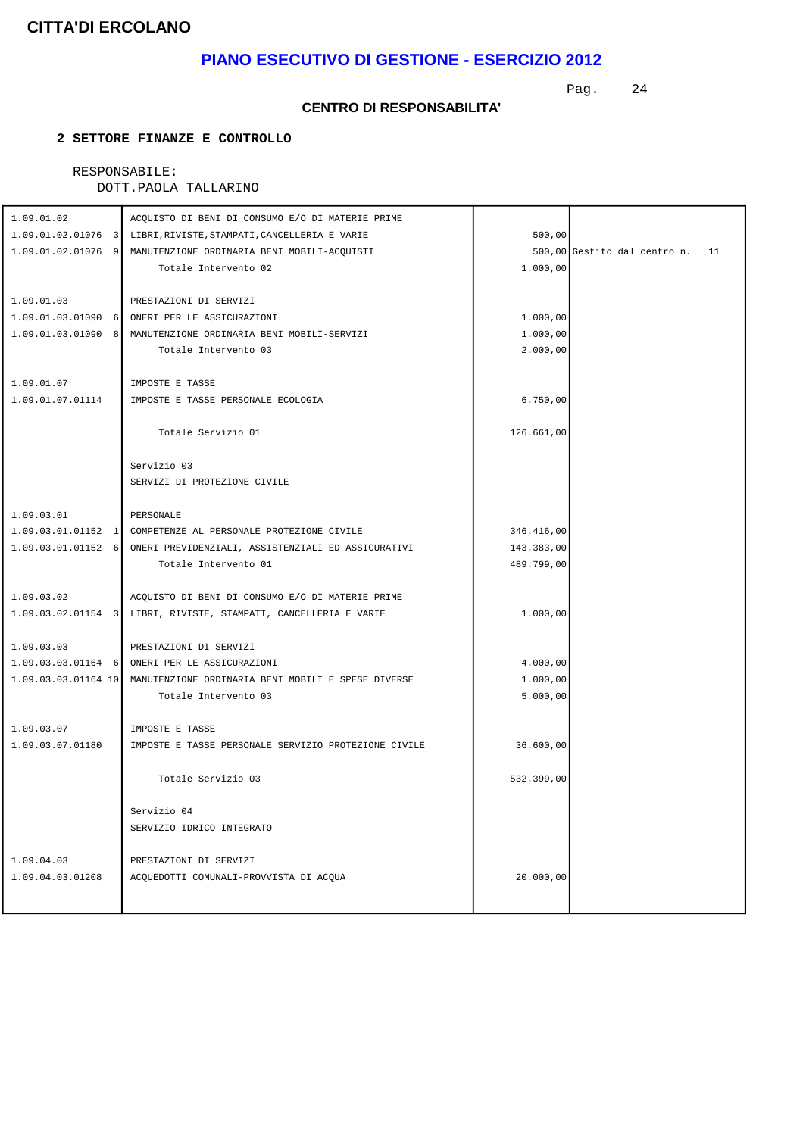# **PIANO ESECUTIVO DI GESTIONE - ESERCIZIO 2012**

Pag. 24

#### **CENTRO DI RESPONSABILITA'**

### **2 SETTORE FINANZE E CONTROLLO**

# RESPONSABILE:

| 1.09.01.02                     | ACQUISTO DI BENI DI CONSUMO E/O DI MATERIE PRIME                        |            |                                 |
|--------------------------------|-------------------------------------------------------------------------|------------|---------------------------------|
|                                | 1.09.01.02.01076 3 LIBRI, RIVISTE, STAMPATI, CANCELLERIA E VARIE        | 500,00     |                                 |
|                                | 1.09.01.02.01076 9 MANUTENZIONE ORDINARIA BENI MOBILI-ACOUISTI          |            | 500,00 Gestito dal centro n. 11 |
|                                | Totale Intervento 02                                                    | 1.000,00   |                                 |
|                                |                                                                         |            |                                 |
| 1.09.01.03                     | PRESTAZIONI DI SERVIZI                                                  |            |                                 |
|                                | 1.09.01.03.01090 6 ONERI PER LE ASSICURAZIONI                           | 1.000,00   |                                 |
|                                | 1.09.01.03.01090 8 MANUTENZIONE ORDINARIA BENI MOBILI-SERVIZI           | 1.000,00   |                                 |
|                                | Totale Intervento 03                                                    | 2.000,00   |                                 |
|                                |                                                                         |            |                                 |
| 1.09.01.07                     | IMPOSTE E TASSE                                                         |            |                                 |
| 1.09.01.07.01114               | IMPOSTE E TASSE PERSONALE ECOLOGIA                                      | 6.750,00   |                                 |
|                                |                                                                         |            |                                 |
|                                | Totale Servizio 01                                                      | 126.661,00 |                                 |
|                                | Servizio 03                                                             |            |                                 |
|                                | SERVIZI DI PROTEZIONE CIVILE                                            |            |                                 |
|                                |                                                                         |            |                                 |
| 1.09.03.01                     | PERSONALE                                                               |            |                                 |
|                                | 1.09.03.01.01152 1 COMPETENZE AL PERSONALE PROTEZIONE CIVILE            | 346.416,00 |                                 |
|                                | 1.09.03.01.01152 6 ONERI PREVIDENZIALI, ASSISTENZIALI ED ASSICURATIVI   | 143.383,00 |                                 |
|                                | Totale Intervento 01                                                    | 489.799,00 |                                 |
|                                |                                                                         |            |                                 |
| 1.09.03.02                     | ACQUISTO DI BENI DI CONSUMO E/O DI MATERIE PRIME                        |            |                                 |
|                                | 1.09.03.02.01154 3 LIBRI, RIVISTE, STAMPATI, CANCELLERIA E VARIE        | 1.000,00   |                                 |
|                                |                                                                         |            |                                 |
| 1.09.03.03                     | PRESTAZIONI DI SERVIZI                                                  |            |                                 |
|                                | 1.09.03.03.01164 6 ONERI PER LE ASSICURAZIONI                           | 4.000,00   |                                 |
|                                | 1.09.03.03.01164 10 MANUTENZIONE ORDINARIA BENI MOBILI E SPESE DIVERSE  | 1.000,00   |                                 |
|                                | Totale Intervento 03                                                    | 5.000,00   |                                 |
|                                |                                                                         |            |                                 |
| 1.09.03.07<br>1.09.03.07.01180 | IMPOSTE E TASSE<br>IMPOSTE E TASSE PERSONALE SERVIZIO PROTEZIONE CIVILE |            |                                 |
|                                |                                                                         | 36.600,00  |                                 |
|                                | Totale Servizio 03                                                      | 532.399,00 |                                 |
|                                |                                                                         |            |                                 |
|                                | Servizio 04                                                             |            |                                 |
|                                | SERVIZIO IDRICO INTEGRATO                                               |            |                                 |
|                                |                                                                         |            |                                 |
| 1.09.04.03                     | PRESTAZIONI DI SERVIZI                                                  |            |                                 |
| 1.09.04.03.01208               | ACQUEDOTTI COMUNALI-PROVVISTA DI ACQUA                                  | 20.000,00  |                                 |
|                                |                                                                         |            |                                 |
|                                |                                                                         |            |                                 |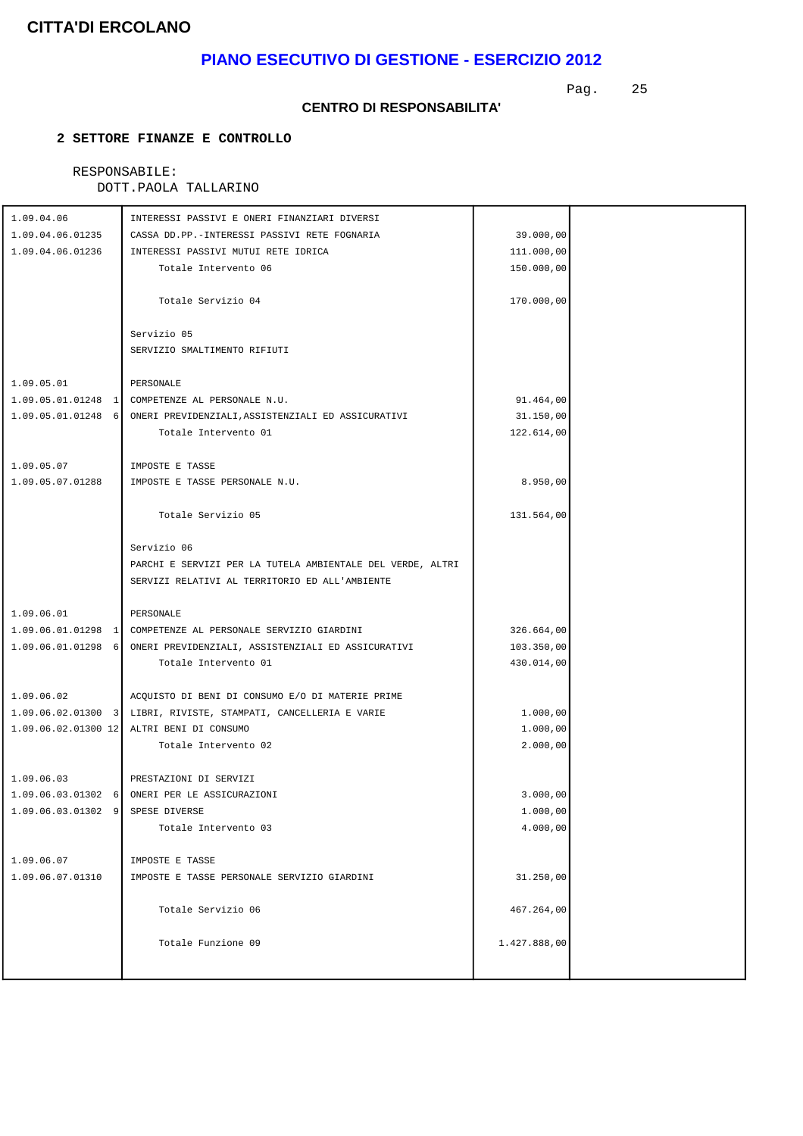# **PIANO ESECUTIVO DI GESTIONE - ESERCIZIO 2012**

Pag. 25

#### **CENTRO DI RESPONSABILITA'**

### **2 SETTORE FINANZE E CONTROLLO**

# RESPONSABILE:

| 1.09.04.06                       | INTERESSI PASSIVI E ONERI FINANZIARI DIVERSI                          |                      |  |
|----------------------------------|-----------------------------------------------------------------------|----------------------|--|
| 1.09.04.06.01235                 | CASSA DD.PP.-INTERESSI PASSIVI RETE FOGNARIA                          | 39.000,00            |  |
| 1.09.04.06.01236                 | INTERESSI PASSIVI MUTUI RETE IDRICA                                   | 111.000,00           |  |
|                                  | Totale Intervento 06                                                  | 150.000,00           |  |
|                                  |                                                                       |                      |  |
|                                  | Totale Servizio 04                                                    | 170.000,00           |  |
|                                  |                                                                       |                      |  |
|                                  | Servizio 05                                                           |                      |  |
|                                  | SERVIZIO SMALTIMENTO RIFIUTI                                          |                      |  |
|                                  |                                                                       |                      |  |
| 1.09.05.01                       | PERSONALE                                                             |                      |  |
|                                  | 1.09.05.01.01248 1 COMPETENZE AL PERSONALE N.U.                       | 91.464,00            |  |
|                                  | 1.09.05.01.01248 6 ONERI PREVIDENZIALI, ASSISTENZIALI ED ASSICURATIVI | 31.150,00            |  |
|                                  | Totale Intervento 01                                                  | 122.614,00           |  |
|                                  |                                                                       |                      |  |
| 1.09.05.07                       | IMPOSTE E TASSE                                                       |                      |  |
| 1.09.05.07.01288                 | IMPOSTE E TASSE PERSONALE N.U.                                        | 8.950,00             |  |
|                                  | Totale Servizio 05                                                    | 131.564,00           |  |
|                                  |                                                                       |                      |  |
|                                  | Servizio 06                                                           |                      |  |
|                                  | PARCHI E SERVIZI PER LA TUTELA AMBIENTALE DEL VERDE, ALTRI            |                      |  |
|                                  | SERVIZI RELATIVI AL TERRITORIO ED ALL'AMBIENTE                        |                      |  |
|                                  |                                                                       |                      |  |
| 1.09.06.01                       | PERSONALE                                                             |                      |  |
|                                  | 1.09.06.01.01298 1 COMPETENZE AL PERSONALE SERVIZIO GIARDINI          | 326.664,00           |  |
|                                  | 1.09.06.01.01298 6 ONERI PREVIDENZIALI, ASSISTENZIALI ED ASSICURATIVI | 103.350,00           |  |
|                                  | Totale Intervento 01                                                  | 430.014,00           |  |
|                                  |                                                                       |                      |  |
| 1.09.06.02                       | ACQUISTO DI BENI DI CONSUMO E/O DI MATERIE PRIME                      |                      |  |
|                                  | 1.09.06.02.01300 3 LIBRI, RIVISTE, STAMPATI, CANCELLERIA E VARIE      | 1.000,00             |  |
|                                  | 1.09.06.02.01300 12 ALTRI BENI DI CONSUMO                             | 1.000,00             |  |
|                                  | Totale Intervento 02                                                  | 2.000,00             |  |
|                                  |                                                                       |                      |  |
| 1.09.06.03                       | PRESTAZIONI DI SERVIZI                                                |                      |  |
| 1.09.06.03.01302 9 SPESE DIVERSE | 1.09.06.03.01302 6 ONERI PER LE ASSICURAZIONI                         | 3.000,00<br>1.000,00 |  |
|                                  |                                                                       |                      |  |
|                                  | Totale Intervento 03                                                  | 4.000,00             |  |
| 1.09.06.07                       | IMPOSTE E TASSE                                                       |                      |  |
| 1.09.06.07.01310                 | IMPOSTE E TASSE PERSONALE SERVIZIO GIARDINI                           | 31.250,00            |  |
|                                  |                                                                       |                      |  |
|                                  | Totale Servizio 06                                                    | 467.264,00           |  |
|                                  |                                                                       |                      |  |
|                                  | Totale Funzione 09                                                    | 1.427.888,00         |  |
|                                  |                                                                       |                      |  |
|                                  |                                                                       |                      |  |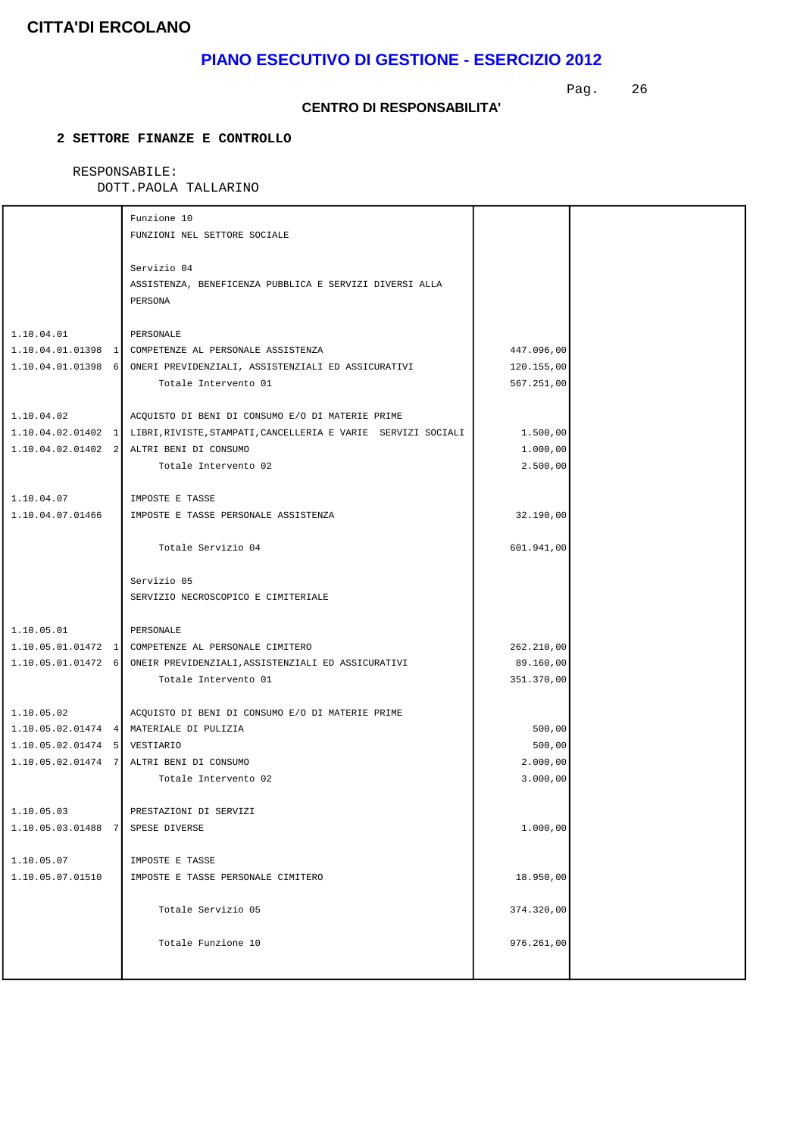# **PIANO ESECUTIVO DI GESTIONE - ESERCIZIO 2012**

Pag. 26

#### **CENTRO DI RESPONSABILITA'**

### **2 SETTORE FINANZE E CONTROLLO**

### RESPONSABILE:

|                                  | Funzione 10<br>FUNZIONI NEL SETTORE SOCIALE                                                                                                                                                              |                                        |  |
|----------------------------------|----------------------------------------------------------------------------------------------------------------------------------------------------------------------------------------------------------|----------------------------------------|--|
|                                  | Servizio 04<br>ASSISTENZA, BENEFICENZA PUBBLICA E SERVIZI DIVERSI ALLA<br>PERSONA                                                                                                                        |                                        |  |
| 1.10.04.01                       | PERSONALE<br>1.10.04.01.01398 1 COMPETENZE AL PERSONALE ASSISTENZA<br>1.10.04.01.01398 6 ONERI PREVIDENZIALI, ASSISTENZIALI ED ASSICURATIVI<br>Totale Intervento 01                                      | 447.096,00<br>120.155,00<br>567.251,00 |  |
| 1.10.04.02                       | ACQUISTO DI BENI DI CONSUMO E/O DI MATERIE PRIME<br>1.10.04.02.01402 1 LIBRI, RIVISTE, STAMPATI, CANCELLERIA E VARIE SERVIZI SOCIALI<br>1.10.04.02.01402 2 ALTRI BENI DI CONSUMO<br>Totale Intervento 02 | 1.500,00<br>1.000,00<br>2.500,00       |  |
| 1.10.04.07<br>1.10.04.07.01466   | IMPOSTE E TASSE<br>IMPOSTE E TASSE PERSONALE ASSISTENZA                                                                                                                                                  | 32.190,00                              |  |
|                                  | Totale Servizio 04                                                                                                                                                                                       | 601.941,00                             |  |
|                                  | Servizio 05<br>SERVIZIO NECROSCOPICO E CIMITERIALE                                                                                                                                                       |                                        |  |
| 1.10.05.01                       | PERSONALE                                                                                                                                                                                                |                                        |  |
|                                  | 1.10.05.01.01472 1 COMPETENZE AL PERSONALE CIMITERO<br>1.10.05.01.01472 6 ONEIR PREVIDENZIALI, ASSISTENZIALI ED ASSICURATIVI<br>Totale Intervento 01                                                     | 262.210,00<br>89.160,00<br>351.370,00  |  |
| 1.10.05.02                       | ACQUISTO DI BENI DI CONSUMO E/O DI MATERIE PRIME                                                                                                                                                         |                                        |  |
|                                  | 1.10.05.02.01474  4   MATERIALE DI PULIZIA                                                                                                                                                               | 500,00                                 |  |
| 1.10.05.02.01474 5 VESTIARIO     |                                                                                                                                                                                                          | 500,00                                 |  |
|                                  | 1.10.05.02.01474 7 ALTRI BENI DI CONSUMO<br>Totale Intervento 02                                                                                                                                         | 2.000,00<br>3.000,00                   |  |
| 1.10.05.03                       | PRESTAZIONI DI SERVIZI                                                                                                                                                                                   |                                        |  |
| 1.10.05.03.01488 7 SPESE DIVERSE |                                                                                                                                                                                                          | 1.000,00                               |  |
| 1.10.05.07                       | IMPOSTE E TASSE                                                                                                                                                                                          |                                        |  |
| 1.10.05.07.01510                 | IMPOSTE E TASSE PERSONALE CIMITERO                                                                                                                                                                       | 18.950,00                              |  |
|                                  | Totale Servizio 05                                                                                                                                                                                       | 374.320,00                             |  |
|                                  | Totale Funzione 10                                                                                                                                                                                       | 976.261,00                             |  |
|                                  |                                                                                                                                                                                                          |                                        |  |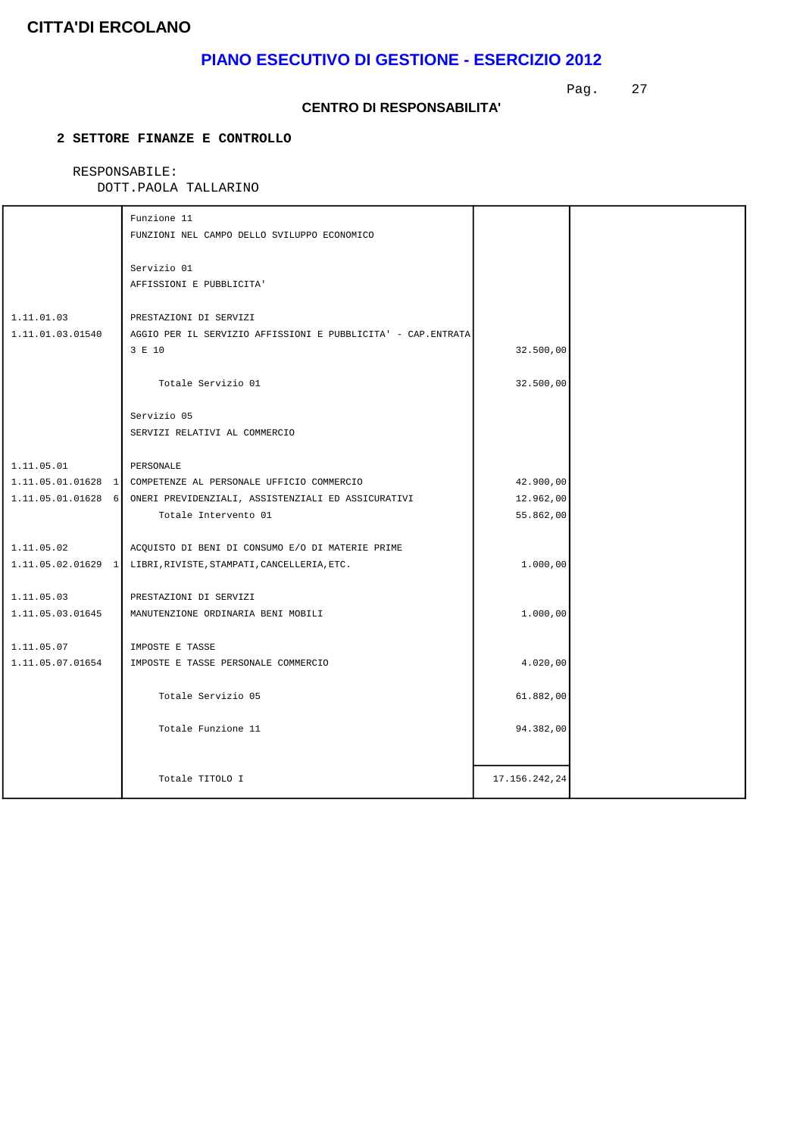# **PIANO ESECUTIVO DI GESTIONE - ESERCIZIO 2012**

Pag. 27

#### **CENTRO DI RESPONSABILITA'**

### **2 SETTORE FINANZE E CONTROLLO**

# RESPONSABILE:

|                                | Funzione 11<br>FUNZIONI NEL CAMPO DELLO SVILUPPO ECONOMICO                                        |               |  |
|--------------------------------|---------------------------------------------------------------------------------------------------|---------------|--|
|                                | Servizio 01<br>AFFISSIONI E PUBBLICITA'                                                           |               |  |
| 1.11.01.03<br>1.11.01.03.01540 | PRESTAZIONI DI SERVIZI<br>AGGIO PER IL SERVIZIO AFFISSIONI E PUBBLICITA' - CAP. ENTRATA<br>3 E 10 | 32.500,00     |  |
|                                | Totale Servizio 01                                                                                | 32.500,00     |  |
|                                | Servizio 05<br>SERVIZI RELATIVI AL COMMERCIO                                                      |               |  |
| 1.11.05.01                     | PERSONALE                                                                                         |               |  |
|                                | 1.11.05.01.01628 1 COMPETENZE AL PERSONALE UFFICIO COMMERCIO                                      | 42.900,00     |  |
|                                | 1.11.05.01.01628 6 ONERI PREVIDENZIALI, ASSISTENZIALI ED ASSICURATIVI                             | 12.962,00     |  |
|                                | Totale Intervento 01                                                                              | 55.862,00     |  |
| 1.11.05.02                     | ACQUISTO DI BENI DI CONSUMO E/O DI MATERIE PRIME                                                  |               |  |
|                                | 1.11.05.02.01629 1 LIBRI, RIVISTE, STAMPATI, CANCELLERIA, ETC.                                    | 1.000,00      |  |
| 1.11.05.03                     | PRESTAZIONI DI SERVIZI                                                                            |               |  |
| 1.11.05.03.01645               | MANUTENZIONE ORDINARIA BENI MOBILI                                                                | 1.000,00      |  |
| 1.11.05.07                     | IMPOSTE E TASSE                                                                                   |               |  |
| 1.11.05.07.01654               | IMPOSTE E TASSE PERSONALE COMMERCIO                                                               | 4.020,00      |  |
|                                | Totale Servizio 05                                                                                | 61.882,00     |  |
|                                | Totale Funzione 11                                                                                | 94.382,00     |  |
|                                | Totale TITOLO I                                                                                   | 17.156.242,24 |  |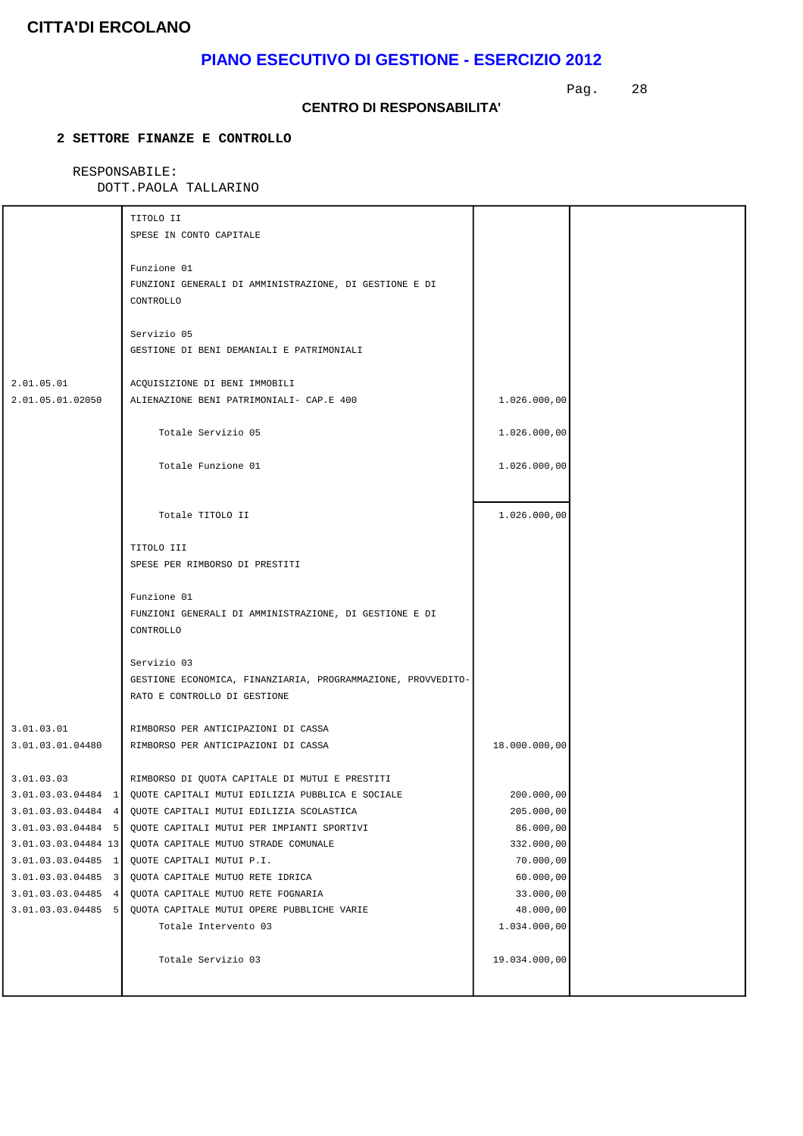# **PIANO ESECUTIVO DI GESTIONE - ESERCIZIO 2012**

Pag. 28

#### **CENTRO DI RESPONSABILITA'**

### **2 SETTORE FINANZE E CONTROLLO**

# RESPONSABILE:

|                                                                                                                                                        | TITOLO II<br>SPESE IN CONTO CAPITALE                                                                                                                                                                                                                                                                         |                                                                                            |  |
|--------------------------------------------------------------------------------------------------------------------------------------------------------|--------------------------------------------------------------------------------------------------------------------------------------------------------------------------------------------------------------------------------------------------------------------------------------------------------------|--------------------------------------------------------------------------------------------|--|
|                                                                                                                                                        | Funzione 01<br>FUNZIONI GENERALI DI AMMINISTRAZIONE, DI GESTIONE E DI<br>CONTROLLO                                                                                                                                                                                                                           |                                                                                            |  |
|                                                                                                                                                        | Servizio 05<br>GESTIONE DI BENI DEMANIALI E PATRIMONIALI                                                                                                                                                                                                                                                     |                                                                                            |  |
| 2.01.05.01<br>2.01.05.01.02050                                                                                                                         | ACQUISIZIONE DI BENI IMMOBILI<br>ALIENAZIONE BENI PATRIMONIALI- CAP.E 400                                                                                                                                                                                                                                    | 1.026.000,00                                                                               |  |
|                                                                                                                                                        | Totale Servizio 05                                                                                                                                                                                                                                                                                           | 1.026.000,00                                                                               |  |
|                                                                                                                                                        | Totale Funzione 01                                                                                                                                                                                                                                                                                           | 1.026.000,00                                                                               |  |
|                                                                                                                                                        | Totale TITOLO II                                                                                                                                                                                                                                                                                             | 1.026.000,00                                                                               |  |
|                                                                                                                                                        | TITOLO III<br>SPESE PER RIMBORSO DI PRESTITI                                                                                                                                                                                                                                                                 |                                                                                            |  |
|                                                                                                                                                        | Funzione 01<br>FUNZIONI GENERALI DI AMMINISTRAZIONE, DI GESTIONE E DI<br>CONTROLLO                                                                                                                                                                                                                           |                                                                                            |  |
|                                                                                                                                                        | Servizio 03<br>GESTIONE ECONOMICA, FINANZIARIA, PROGRAMMAZIONE, PROVVEDITO-<br>RATO E CONTROLLO DI GESTIONE                                                                                                                                                                                                  |                                                                                            |  |
| 3.01.03.01                                                                                                                                             | RIMBORSO PER ANTICIPAZIONI DI CASSA                                                                                                                                                                                                                                                                          |                                                                                            |  |
| 3.01.03.01.04480                                                                                                                                       | RIMBORSO PER ANTICIPAZIONI DI CASSA                                                                                                                                                                                                                                                                          | 18.000.000,00                                                                              |  |
| 3.01.03.03.04484<br>$\vert 4 \vert$<br>3.01.03.03.04484 5<br>3.01.03.03.04484 13<br>$3.01.03.03.04485$ 1<br>$3.01.03.03.04485$ 3<br>3.01.03.03.04485 4 | 3.01.03.03.04484 1 QUOTE CAPITALI MUTUI EDILIZIA PUBBLICA E SOCIALE<br>QUOTE CAPITALI MUTUI EDILIZIA SCOLASTICA<br>QUOTE CAPITALI MUTUI PER IMPIANTI SPORTIVI<br>QUOTA CAPITALE MUTUO STRADE COMUNALE<br>QUOTE CAPITALI MUTUI P.I.<br>QUOTA CAPITALE MUTUO RETE IDRICA<br>QUOTA CAPITALE MUTUO RETE FOGNARIA | 200.000,00<br>205.000,00<br>86.000,00<br>332.000,00<br>70.000,00<br>60.000,00<br>33.000,00 |  |
| 3.01.03.03.04485 5                                                                                                                                     | QUOTA CAPITALE MUTUI OPERE PUBBLICHE VARIE<br>Totale Intervento 03                                                                                                                                                                                                                                           | 48.000,00<br>1.034.000,00                                                                  |  |
|                                                                                                                                                        | Totale Servizio 03                                                                                                                                                                                                                                                                                           | 19.034.000,00                                                                              |  |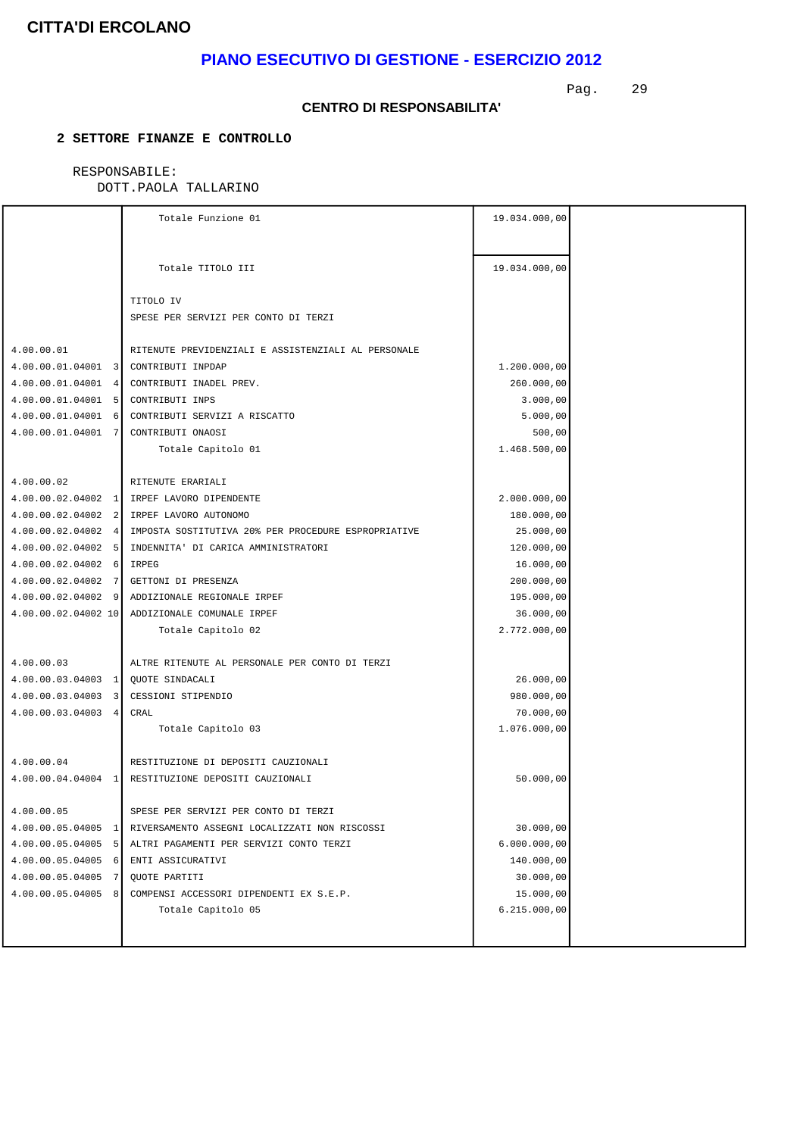# **PIANO ESECUTIVO DI GESTIONE - ESERCIZIO 2012**

Pag. 29

#### **CENTRO DI RESPONSABILITA'**

### **2 SETTORE FINANZE E CONTROLLO**

### RESPONSABILE:

|                                      | Totale Funzione 01                                                     | 19.034.000,00 |  |
|--------------------------------------|------------------------------------------------------------------------|---------------|--|
|                                      |                                                                        |               |  |
|                                      |                                                                        |               |  |
|                                      | Totale TITOLO III                                                      | 19.034.000,00 |  |
|                                      |                                                                        |               |  |
|                                      | TITOLO IV                                                              |               |  |
|                                      | SPESE PER SERVIZI PER CONTO DI TERZI                                   |               |  |
| 4.00.00.01                           | RITENUTE PREVIDENZIALI E ASSISTENZIALI AL PERSONALE                    |               |  |
| 4.00.00.01.04001 3 CONTRIBUTI INPDAP |                                                                        | 1.200.000,00  |  |
|                                      | 4.00.00.01.04001 4 CONTRIBUTI INADEL PREV.                             | 260.000,00    |  |
| 4.00.00.01.04001 5 CONTRIBUTI INPS   |                                                                        | 3.000,00      |  |
|                                      | 4.00.00.01.04001 6 CONTRIBUTI SERVIZI A RISCATTO                       | 5.000,00      |  |
| 4.00.00.01.04001 7 CONTRIBUTI ONAOSI |                                                                        | 500,00        |  |
|                                      | Totale Capitolo 01                                                     | 1.468.500,00  |  |
|                                      |                                                                        |               |  |
| 4.00.00.02                           | RITENUTE ERARIALI                                                      |               |  |
|                                      | 4.00.00.02.04002 1 IRPEF LAVORO DIPENDENTE                             | 2.000.000,00  |  |
|                                      | 4.00.00.02.04002 2 IRPEF LAVORO AUTONOMO                               | 180.000,00    |  |
|                                      | 4.00.00.02.04002 4 IMPOSTA SOSTITUTIVA 20% PER PROCEDURE ESPROPRIATIVE | 25.000,00     |  |
|                                      | 4.00.00.02.04002 5 INDENNITA' DI CARICA AMMINISTRATORI                 | 120.000,00    |  |
| $4.00.00.02.04002$ 6                 | IRPEG                                                                  | 16.000,00     |  |
| $4.00.00.02.04002$ 7                 | GETTONI DI PRESENZA                                                    | 200.000,00    |  |
|                                      | 4.00.00.02.04002 9 ADDIZIONALE REGIONALE IRPEF                         | 195.000,00    |  |
|                                      | 4.00.00.02.04002 10 ADDIZIONALE COMUNALE IRPEF                         | 36.000,00     |  |
|                                      | Totale Capitolo 02                                                     | 2.772.000,00  |  |
|                                      |                                                                        |               |  |
| 4.00.00.03                           | ALTRE RITENUTE AL PERSONALE PER CONTO DI TERZI                         |               |  |
| 4.00.00.03.04003 1 QUOTE SINDACALI   |                                                                        | 26.000,00     |  |
|                                      | 4.00.00.03.04003 3 CESSIONI STIPENDIO                                  | 980.000,00    |  |
| 4.00.00.03.04003 4 CRAL              |                                                                        | 70.000,00     |  |
|                                      | Totale Capitolo 03                                                     | 1.076.000,00  |  |
|                                      |                                                                        |               |  |
| 4.00.00.04                           | RESTITUZIONE DI DEPOSITI CAUZIONALI                                    |               |  |
|                                      | 4.00.00.04.04004 1 RESTITUZIONE DEPOSITI CAUZIONALI                    | 50.000,00     |  |
| 4.00.00.05                           | SPESE PER SERVIZI PER CONTO DI TERZI                                   |               |  |
| $4.00.00.05.04005$ 1                 | RIVERSAMENTO ASSEGNI LOCALIZZATI NON RISCOSSI                          | 30.000,00     |  |
| 4.00.00.05.04005<br>-51              | ALTRI PAGAMENTI PER SERVIZI CONTO TERZI                                | 6.000.000,00  |  |
| 4.00.00.05.04005<br>6                | ENTI ASSICURATIVI                                                      | 140.000,00    |  |
| 4.00.00.05.04005<br>7                | QUOTE PARTITI                                                          | 30.000,00     |  |
| 4.00.00.05.04005<br>8                | COMPENSI ACCESSORI DIPENDENTI EX S.E.P.                                | 15.000,00     |  |
|                                      | Totale Capitolo 05                                                     | 6.215.000,00  |  |
|                                      |                                                                        |               |  |
|                                      |                                                                        |               |  |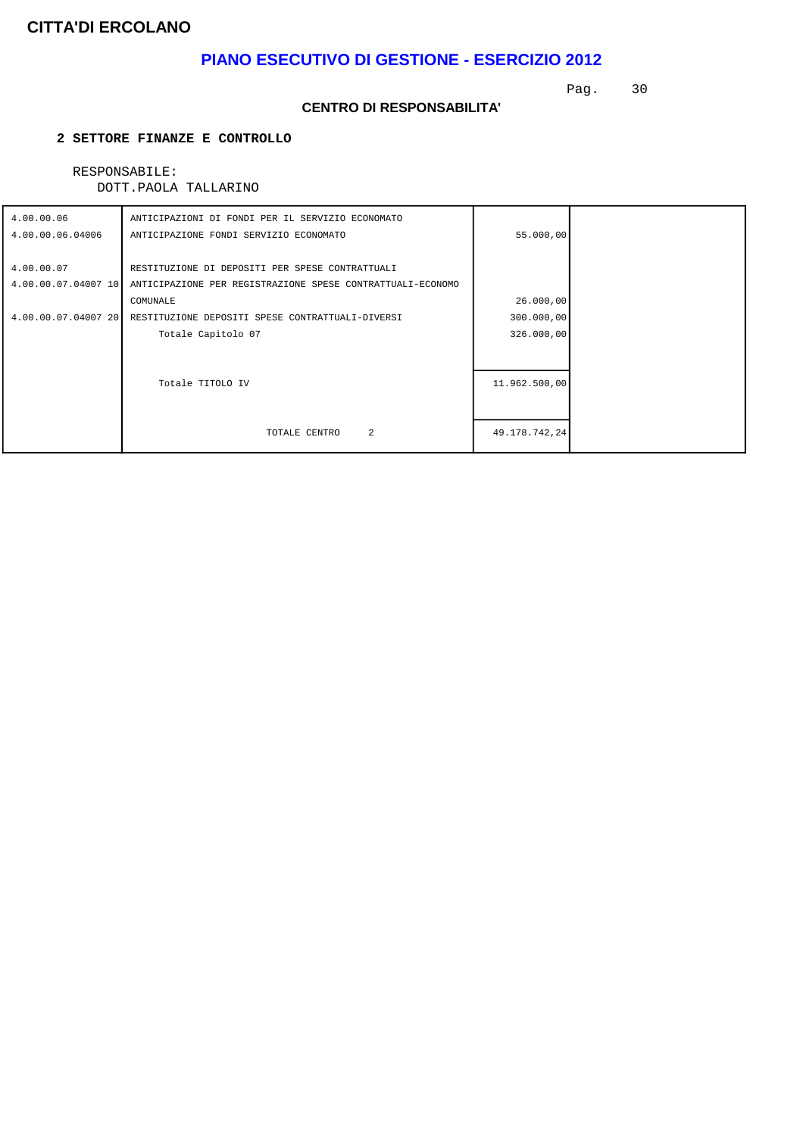# **PIANO ESECUTIVO DI GESTIONE - ESERCIZIO 2012**

Pag. 30

#### **CENTRO DI RESPONSABILITA'**

### **2 SETTORE FINANZE E CONTROLLO**

### RESPONSABILE:

| 4.00.00.06          | ANTICIPAZIONI DI FONDI PER IL SERVIZIO ECONOMATO           |               |  |
|---------------------|------------------------------------------------------------|---------------|--|
| 4.00.00.06.04006    | ANTICIPAZIONE FONDI SERVIZIO ECONOMATO                     | 55.000,00     |  |
|                     |                                                            |               |  |
| 4.00.00.07          | RESTITUZIONE DI DEPOSITI PER SPESE CONTRATTUALI            |               |  |
| 4.00.00.07.04007 10 | ANTICIPAZIONE PER REGISTRAZIONE SPESE CONTRATTUALI-ECONOMO |               |  |
|                     | COMUNALE                                                   | 26.000,00     |  |
| 4.00.00.07.04007 20 | RESTITUZIONE DEPOSITI SPESE CONTRATTUALI-DIVERSI           | 300.000,00    |  |
|                     | Totale Capitolo 07                                         | 326.000,00    |  |
|                     |                                                            |               |  |
|                     |                                                            |               |  |
|                     | Totale TITOLO IV                                           | 11.962.500,00 |  |
|                     |                                                            |               |  |
|                     |                                                            |               |  |
|                     | 2<br>TOTALE CENTRO                                         | 49.178.742,24 |  |
|                     |                                                            |               |  |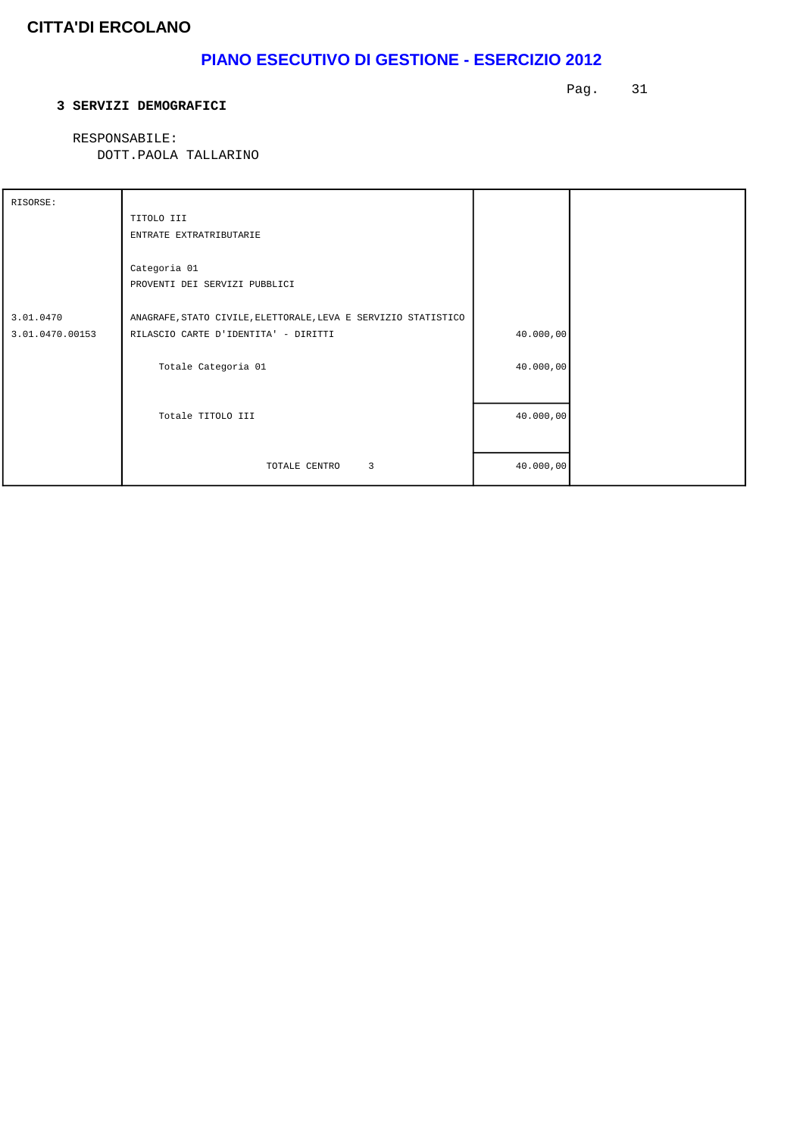# **PIANO ESECUTIVO DI GESTIONE - ESERCIZIO 2012**

#### **3 SERVIZI DEMOGRAFICI**

Pag. 31

 RESPONSABILE: DOTT.PAOLA TALLARINO

| RISORSE:        |                                                                |           |  |
|-----------------|----------------------------------------------------------------|-----------|--|
|                 | TITOLO III                                                     |           |  |
|                 | ENTRATE EXTRATRIBUTARIE                                        |           |  |
|                 |                                                                |           |  |
|                 | Categoria 01                                                   |           |  |
|                 | PROVENTI DEI SERVIZI PUBBLICI                                  |           |  |
|                 |                                                                |           |  |
| 3.01.0470       | ANAGRAFE, STATO CIVILE, ELETTORALE, LEVA E SERVIZIO STATISTICO |           |  |
| 3.01.0470.00153 | RILASCIO CARTE D'IDENTITA' - DIRITTI                           | 40.000,00 |  |
|                 |                                                                |           |  |
|                 | Totale Categoria 01                                            | 40.000,00 |  |
|                 |                                                                |           |  |
|                 |                                                                |           |  |
|                 | Totale TITOLO III                                              | 40.000,00 |  |
|                 |                                                                |           |  |
|                 |                                                                |           |  |
|                 | $\overline{3}$<br>TOTALE CENTRO                                | 40.000,00 |  |
|                 |                                                                |           |  |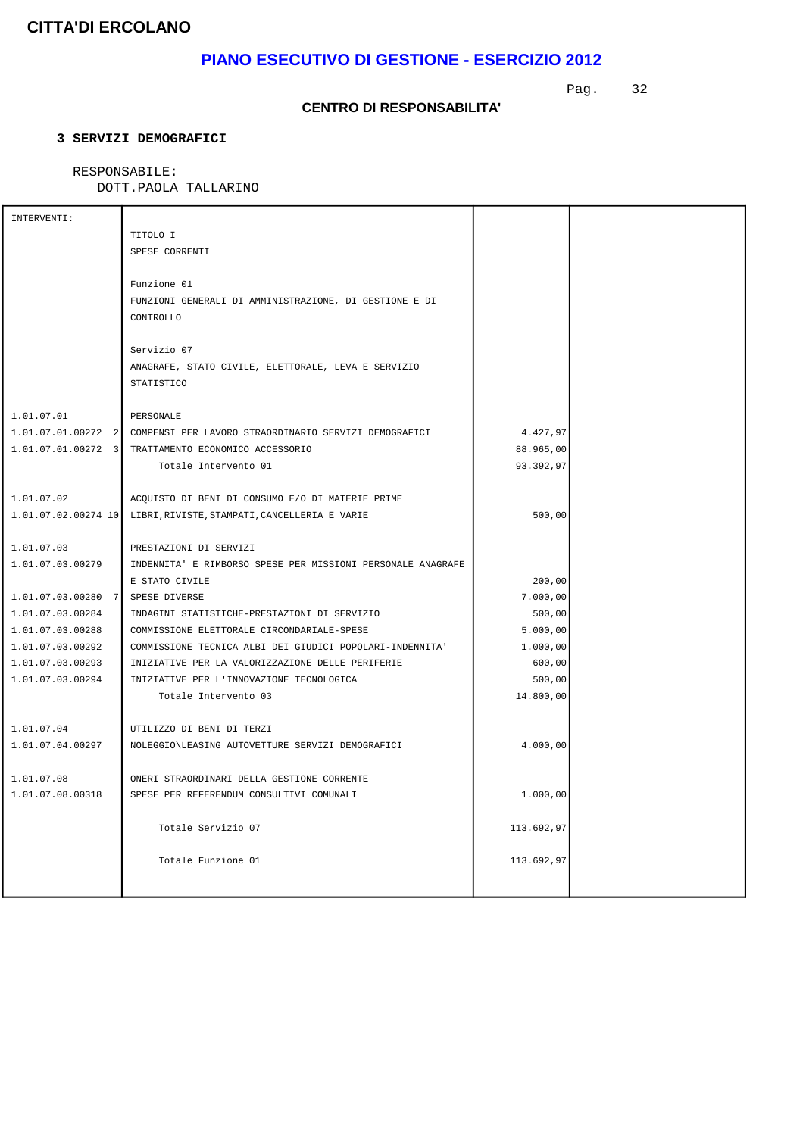# **PIANO ESECUTIVO DI GESTIONE - ESERCIZIO 2012**

Pag. 32

### **CENTRO DI RESPONSABILITA'**

### **3 SERVIZI DEMOGRAFICI**

### RESPONSABILE:

| INTERVENTI:          |                                                             |            |  |
|----------------------|-------------------------------------------------------------|------------|--|
|                      | TITOLO I                                                    |            |  |
|                      | SPESE CORRENTI                                              |            |  |
|                      |                                                             |            |  |
|                      | Funzione 01                                                 |            |  |
|                      | FUNZIONI GENERALI DI AMMINISTRAZIONE, DI GESTIONE E DI      |            |  |
|                      | CONTROLLO                                                   |            |  |
|                      |                                                             |            |  |
|                      | Servizio 07                                                 |            |  |
|                      | ANAGRAFE, STATO CIVILE, ELETTORALE, LEVA E SERVIZIO         |            |  |
|                      | <b>STATISTICO</b>                                           |            |  |
|                      |                                                             |            |  |
| 1.01.07.01           | PERSONALE                                                   |            |  |
| $1.01.07.01.00272$ 2 | COMPENSI PER LAVORO STRAORDINARIO SERVIZI DEMOGRAFICI       | 4.427,97   |  |
| 1.01.07.01.00272 3   | TRATTAMENTO ECONOMICO ACCESSORIO                            | 88.965,00  |  |
|                      |                                                             |            |  |
|                      | Totale Intervento 01                                        | 93.392,97  |  |
|                      |                                                             |            |  |
| 1.01.07.02           | ACOUISTO DI BENI DI CONSUMO E/O DI MATERIE PRIME            |            |  |
| 1.01.07.02.00274 10  | LIBRI, RIVISTE, STAMPATI, CANCELLERIA E VARIE               | 500,00     |  |
|                      |                                                             |            |  |
| 1.01.07.03           | PRESTAZIONI DI SERVIZI                                      |            |  |
| 1.01.07.03.00279     | INDENNITA' E RIMBORSO SPESE PER MISSIONI PERSONALE ANAGRAFE |            |  |
|                      | E STATO CIVILE                                              | 200,00     |  |
| 1.01.07.03.00280 7   | SPESE DIVERSE                                               | 7.000,00   |  |
| 1.01.07.03.00284     | INDAGINI STATISTICHE-PRESTAZIONI DI SERVIZIO                | 500,00     |  |
| 1.01.07.03.00288     | COMMISSIONE ELETTORALE CIRCONDARIALE-SPESE                  | 5.000,00   |  |
| 1.01.07.03.00292     | COMMISSIONE TECNICA ALBI DEI GIUDICI POPOLARI-INDENNITA'    | 1.000,00   |  |
| 1.01.07.03.00293     | INIZIATIVE PER LA VALORIZZAZIONE DELLE PERIFERIE            | 600,00     |  |
| 1.01.07.03.00294     | INIZIATIVE PER L'INNOVAZIONE TECNOLOGICA                    | 500,00     |  |
|                      | Totale Intervento 03                                        | 14.800,00  |  |
|                      |                                                             |            |  |
| 1.01.07.04           | UTILIZZO DI BENI DI TERZI                                   |            |  |
| 1.01.07.04.00297     | NOLEGGIO\LEASING AUTOVETTURE SERVIZI DEMOGRAFICI            | 4.000,00   |  |
|                      |                                                             |            |  |
| 1.01.07.08           | ONERI STRAORDINARI DELLA GESTIONE CORRENTE                  |            |  |
| 1.01.07.08.00318     | SPESE PER REFERENDUM CONSULTIVI COMUNALI                    | 1.000,00   |  |
|                      |                                                             |            |  |
|                      | Totale Servizio 07                                          | 113.692,97 |  |
|                      |                                                             |            |  |
|                      |                                                             |            |  |
|                      | Totale Funzione 01                                          | 113.692,97 |  |
|                      |                                                             |            |  |
|                      |                                                             |            |  |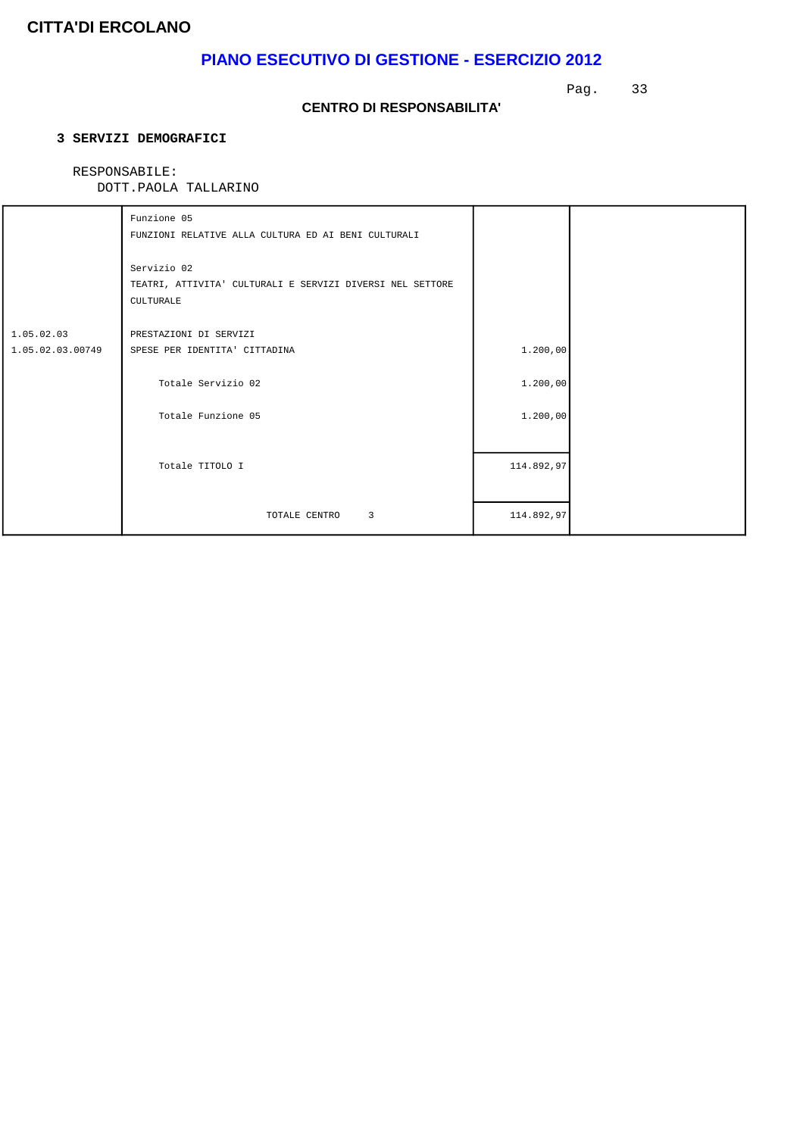# **PIANO ESECUTIVO DI GESTIONE - ESERCIZIO 2012**

Pag. 33

### **CENTRO DI RESPONSABILITA'**

### **3 SERVIZI DEMOGRAFICI**

### RESPONSABILE:

|                                | Funzione 05<br>FUNZIONI RELATIVE ALLA CULTURA ED AI BENI CULTURALI                           |            |  |
|--------------------------------|----------------------------------------------------------------------------------------------|------------|--|
|                                | Servizio 02<br>TEATRI, ATTIVITA' CULTURALI E SERVIZI DIVERSI NEL SETTORE<br><b>CULTURALE</b> |            |  |
| 1.05.02.03<br>1.05.02.03.00749 | PRESTAZIONI DI SERVIZI<br>SPESE PER IDENTITA' CITTADINA                                      | 1.200,00   |  |
|                                | Totale Servizio 02                                                                           | 1.200,00   |  |
|                                | Totale Funzione 05                                                                           | 1.200,00   |  |
|                                | Totale TITOLO I                                                                              | 114.892,97 |  |
|                                | TOTALE CENTRO 3                                                                              | 114.892,97 |  |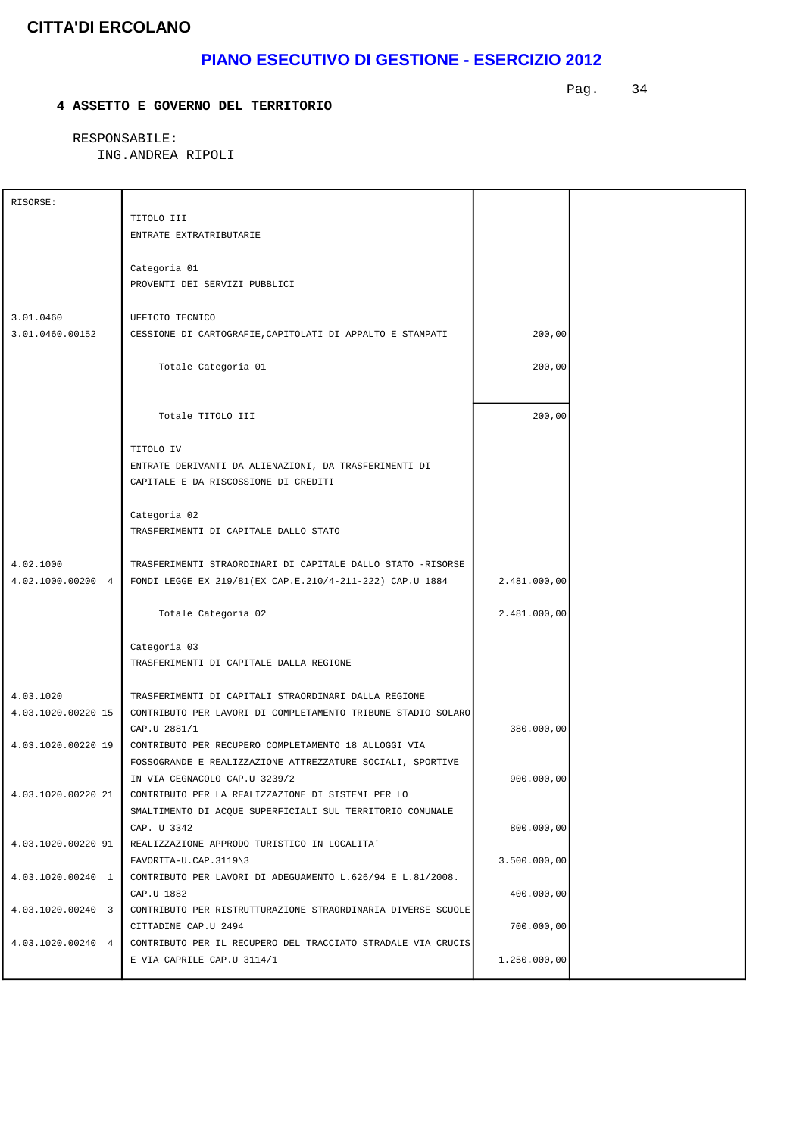# **PIANO ESECUTIVO DI GESTIONE - ESERCIZIO 2012**

 **4 ASSETTO E GOVERNO DEL TERRITORIO**

Pag. 34

 RESPONSABILE: ING.ANDREA RIPOLI

| RISORSE:           |                                                                              |              |  |
|--------------------|------------------------------------------------------------------------------|--------------|--|
|                    | TITOLO III                                                                   |              |  |
|                    | ENTRATE EXTRATRIBUTARIE                                                      |              |  |
|                    |                                                                              |              |  |
|                    | Categoria 01                                                                 |              |  |
|                    | PROVENTI DEI SERVIZI PUBBLICI                                                |              |  |
|                    |                                                                              |              |  |
| 3.01.0460          | UFFICIO TECNICO                                                              |              |  |
| 3.01.0460.00152    | CESSIONE DI CARTOGRAFIE, CAPITOLATI DI APPALTO E STAMPATI                    | 200,00       |  |
|                    |                                                                              |              |  |
|                    | Totale Categoria 01                                                          | 200,00       |  |
|                    |                                                                              |              |  |
|                    |                                                                              |              |  |
|                    |                                                                              |              |  |
|                    | Totale TITOLO III                                                            | 200,00       |  |
|                    |                                                                              |              |  |
|                    | TITOLO IV                                                                    |              |  |
|                    | ENTRATE DERIVANTI DA ALIENAZIONI, DA TRASFERIMENTI DI                        |              |  |
|                    | CAPITALE E DA RISCOSSIONE DI CREDITI                                         |              |  |
|                    |                                                                              |              |  |
|                    | Categoria 02                                                                 |              |  |
|                    | TRASFERIMENTI DI CAPITALE DALLO STATO                                        |              |  |
|                    |                                                                              |              |  |
| 4.02.1000          | TRASFERIMENTI STRAORDINARI DI CAPITALE DALLO STATO -RISORSE                  |              |  |
|                    | 4.02.1000.00200 4   FONDI LEGGE EX 219/81(EX CAP.E.210/4-211-222) CAP.U 1884 | 2.481.000,00 |  |
|                    |                                                                              |              |  |
|                    | Totale Categoria 02                                                          | 2.481.000,00 |  |
|                    |                                                                              |              |  |
|                    | Categoria 03                                                                 |              |  |
|                    | TRASFERIMENTI DI CAPITALE DALLA REGIONE                                      |              |  |
|                    |                                                                              |              |  |
| 4.03.1020          | TRASFERIMENTI DI CAPITALI STRAORDINARI DALLA REGIONE                         |              |  |
| 4.03.1020.00220 15 | CONTRIBUTO PER LAVORI DI COMPLETAMENTO TRIBUNE STADIO SOLARO                 |              |  |
|                    | CAP.U 2881/1                                                                 | 380.000,00   |  |
| 4.03.1020.00220 19 | CONTRIBUTO PER RECUPERO COMPLETAMENTO 18 ALLOGGI VIA                         |              |  |
|                    | FOSSOGRANDE E REALIZZAZIONE ATTREZZATURE SOCIALI, SPORTIVE                   |              |  |
|                    | IN VIA CEGNACOLO CAP.U 3239/2                                                | 900.000,00   |  |
| 4.03.1020.00220 21 | CONTRIBUTO PER LA REALIZZAZIONE DI SISTEMI PER LO                            |              |  |
|                    | SMALTIMENTO DI ACQUE SUPERFICIALI SUL TERRITORIO COMUNALE                    |              |  |
|                    | CAP. U 3342                                                                  | 800.000,00   |  |
| 4.03.1020.00220 91 | REALIZZAZIONE APPRODO TURISTICO IN LOCALITA'                                 |              |  |
|                    | FAVORITA-U.CAP.3119\3                                                        | 3.500.000,00 |  |
| 4.03.1020.00240 1  | CONTRIBUTO PER LAVORI DI ADEGUAMENTO L.626/94 E L.81/2008.                   |              |  |
|                    | CAP.U 1882                                                                   | 400.000,00   |  |
| 4.03.1020.00240 3  | CONTRIBUTO PER RISTRUTTURAZIONE STRAORDINARIA DIVERSE SCUOLE                 |              |  |
|                    | CITTADINE CAP.U 2494                                                         | 700.000,00   |  |
| 4.03.1020.00240 4  | CONTRIBUTO PER IL RECUPERO DEL TRACCIATO STRADALE VIA CRUCIS                 |              |  |
|                    | E VIA CAPRILE CAP.U 3114/1                                                   | 1.250.000,00 |  |
|                    |                                                                              |              |  |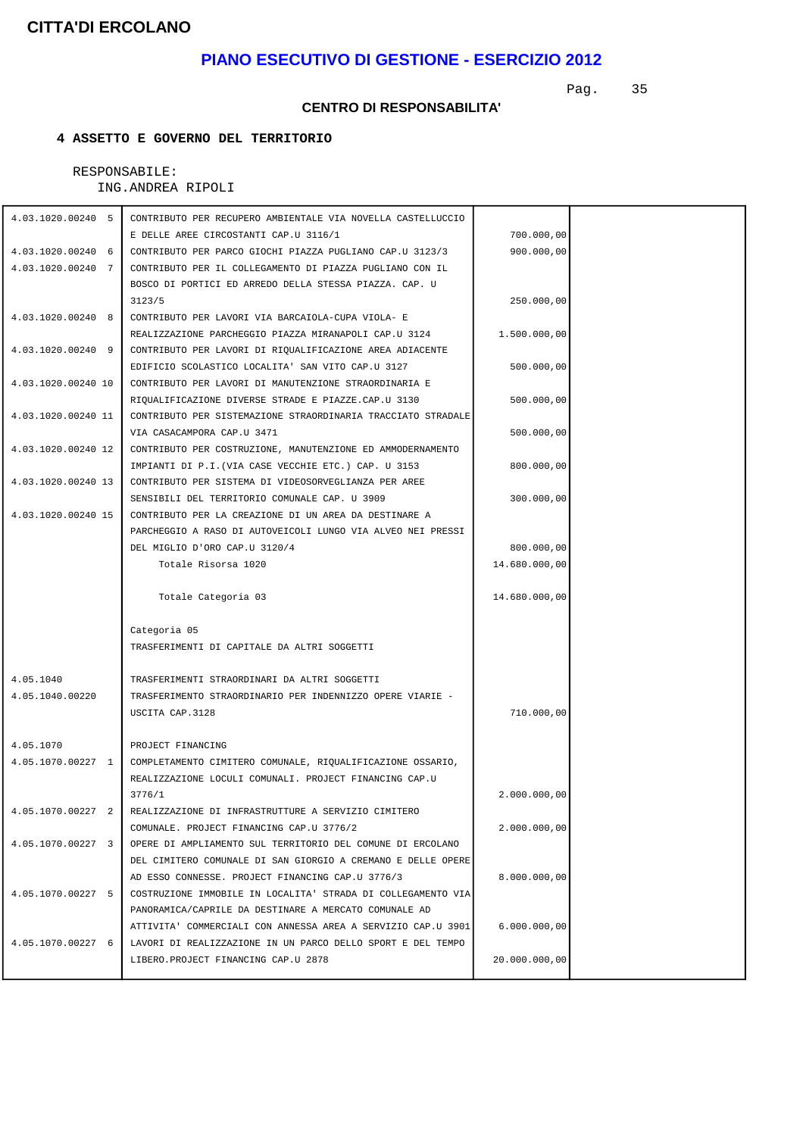### **PIANO ESECUTIVO DI GESTIONE - ESERCIZIO 2012**

Pag. 35

#### **CENTRO DI RESPONSABILITA'**

### **4 ASSETTO E GOVERNO DEL TERRITORIO**

 RESPONSABILE: ING.ANDREA RIPOLI

| 4.03.1020.00240 5  | CONTRIBUTO PER RECUPERO AMBIENTALE VIA NOVELLA CASTELLUCCIO  |               |  |
|--------------------|--------------------------------------------------------------|---------------|--|
|                    | E DELLE AREE CIRCOSTANTI CAP.U 3116/1                        | 700.000,00    |  |
| 4.03.1020.00240 6  | CONTRIBUTO PER PARCO GIOCHI PIAZZA PUGLIANO CAP.U 3123/3     | 900.000,00    |  |
| 4.03.1020.00240 7  | CONTRIBUTO PER IL COLLEGAMENTO DI PIAZZA PUGLIANO CON IL     |               |  |
|                    | BOSCO DI PORTICI ED ARREDO DELLA STESSA PIAZZA. CAP. U       |               |  |
|                    | 3123/5                                                       | 250.000,00    |  |
| 4.03.1020.00240 8  | CONTRIBUTO PER LAVORI VIA BARCAIOLA-CUPA VIOLA- E            |               |  |
|                    | REALIZZAZIONE PARCHEGGIO PIAZZA MIRANAPOLI CAP.U 3124        | 1.500.000,00  |  |
| 4.03.1020.00240 9  | CONTRIBUTO PER LAVORI DI RIQUALIFICAZIONE AREA ADIACENTE     |               |  |
|                    | EDIFICIO SCOLASTICO LOCALITA' SAN VITO CAP.U 3127            | 500.000,00    |  |
| 4.03.1020.00240 10 | CONTRIBUTO PER LAVORI DI MANUTENZIONE STRAORDINARIA E        |               |  |
|                    | RIQUALIFICAZIONE DIVERSE STRADE E PIAZZE.CAP.U 3130          | 500.000,00    |  |
| 4.03.1020.00240 11 | CONTRIBUTO PER SISTEMAZIONE STRAORDINARIA TRACCIATO STRADALE |               |  |
|                    | VIA CASACAMPORA CAP.U 3471                                   | 500.000,00    |  |
| 4.03.1020.00240 12 | CONTRIBUTO PER COSTRUZIONE, MANUTENZIONE ED AMMODERNAMENTO   |               |  |
|                    | IMPIANTI DI P.I.(VIA CASE VECCHIE ETC.) CAP. U 3153          | 800.000,00    |  |
| 4.03.1020.00240 13 | CONTRIBUTO PER SISTEMA DI VIDEOSORVEGLIANZA PER AREE         |               |  |
|                    | SENSIBILI DEL TERRITORIO COMUNALE CAP. U 3909                | 300.000,00    |  |
| 4.03.1020.00240 15 | CONTRIBUTO PER LA CREAZIONE DI UN AREA DA DESTINARE A        |               |  |
|                    | PARCHEGGIO A RASO DI AUTOVEICOLI LUNGO VIA ALVEO NEI PRESSI  |               |  |
|                    | DEL MIGLIO D'ORO CAP.U 3120/4                                | 800.000,00    |  |
|                    | Totale Risorsa 1020                                          | 14.680.000,00 |  |
|                    | Totale Categoria 03                                          | 14.680.000,00 |  |
|                    | Categoria 05                                                 |               |  |
|                    | TRASFERIMENTI DI CAPITALE DA ALTRI SOGGETTI                  |               |  |
|                    |                                                              |               |  |
| 4.05.1040          | TRASFERIMENTI STRAORDINARI DA ALTRI SOGGETTI                 |               |  |
| 4.05.1040.00220    | TRASFERIMENTO STRAORDINARIO PER INDENNIZZO OPERE VIARIE -    |               |  |
|                    | USCITA CAP.3128                                              | 710.000,00    |  |
|                    |                                                              |               |  |
| 4.05.1070          | PROJECT FINANCING                                            |               |  |
| 4.05.1070.00227 1  | COMPLETAMENTO CIMITERO COMUNALE, RIQUALIFICAZIONE OSSARIO,   |               |  |
|                    | REALIZZAZIONE LOCULI COMUNALI. PROJECT FINANCING CAP.U       |               |  |
|                    | 3776/1                                                       | 2.000.000,00  |  |
| 4.05.1070.00227 2  | REALIZZAZIONE DI INFRASTRUTTURE A SERVIZIO CIMITERO          |               |  |
|                    | COMUNALE. PROJECT FINANCING CAP.U 3776/2                     | 2.000.000,00  |  |
| 4.05.1070.00227 3  | OPERE DI AMPLIAMENTO SUL TERRITORIO DEL COMUNE DI ERCOLANO   |               |  |
|                    | DEL CIMITERO COMUNALE DI SAN GIORGIO A CREMANO E DELLE OPERE |               |  |
|                    | AD ESSO CONNESSE. PROJECT FINANCING CAP.U 3776/3             | 8.000.000,00  |  |
| 4.05.1070.00227 5  | COSTRUZIONE IMMOBILE IN LOCALITA' STRADA DI COLLEGAMENTO VIA |               |  |
|                    | PANORAMICA/CAPRILE DA DESTINARE A MERCATO COMUNALE AD        |               |  |
|                    | ATTIVITA' COMMERCIALI CON ANNESSA AREA A SERVIZIO CAP.U 3901 | 6.000.000,00  |  |
| 4.05.1070.00227 6  | LAVORI DI REALIZZAZIONE IN UN PARCO DELLO SPORT E DEL TEMPO  |               |  |
|                    | LIBERO.PROJECT FINANCING CAP.U 2878                          | 20.000.000,00 |  |
|                    |                                                              |               |  |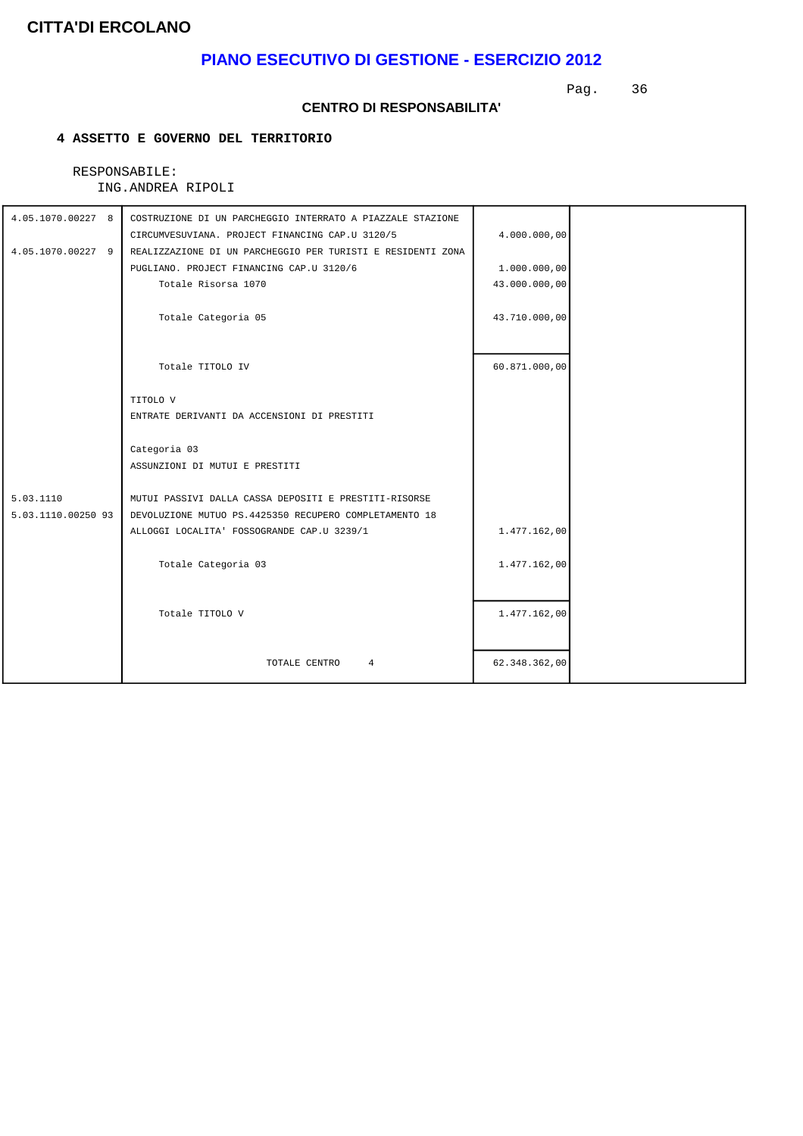### **PIANO ESECUTIVO DI GESTIONE - ESERCIZIO 2012**

Pag. 36

#### **CENTRO DI RESPONSABILITA'**

### **4 ASSETTO E GOVERNO DEL TERRITORIO**

#### RESPONSABILE: ING.ANDREA RIPOLI

| 4.05.1070.00227 8<br>4.05.1070.00227 9 | COSTRUZIONE DI UN PARCHEGGIO INTERRATO A PIAZZALE STAZIONE<br>CIRCUMVESUVIANA. PROJECT FINANCING CAP.U 3120/5<br>REALIZZAZIONE DI UN PARCHEGGIO PER TURISTI E RESIDENTI ZONA<br>PUGLIANO. PROJECT FINANCING CAP.U 3120/6 | 4.000.000,00<br>1.000.000,00 |  |
|----------------------------------------|--------------------------------------------------------------------------------------------------------------------------------------------------------------------------------------------------------------------------|------------------------------|--|
|                                        | Totale Risorsa 1070                                                                                                                                                                                                      | 43.000.000,00                |  |
|                                        | Totale Categoria 05                                                                                                                                                                                                      | 43.710.000,00                |  |
|                                        | Totale TITOLO IV                                                                                                                                                                                                         | 60.871.000,00                |  |
|                                        | TITOLO V                                                                                                                                                                                                                 |                              |  |
|                                        | ENTRATE DERIVANTI DA ACCENSIONI DI PRESTITI                                                                                                                                                                              |                              |  |
|                                        | Categoria 03<br>ASSUNZIONI DI MUTUI E PRESTITI                                                                                                                                                                           |                              |  |
| 5.03.1110                              | MUTUI PASSIVI DALLA CASSA DEPOSITI E PRESTITI-RISORSE                                                                                                                                                                    |                              |  |
| 5.03.1110.00250 93                     | DEVOLUZIONE MUTUO PS.4425350 RECUPERO COMPLETAMENTO 18                                                                                                                                                                   |                              |  |
|                                        | ALLOGGI LOCALITA' FOSSOGRANDE CAP.U 3239/1                                                                                                                                                                               | 1.477.162,00                 |  |
|                                        | Totale Categoria 03                                                                                                                                                                                                      | 1.477.162,00                 |  |
|                                        | Totale TITOLO V                                                                                                                                                                                                          | 1.477.162,00                 |  |
|                                        | TOTALE CENTRO<br>$\overline{4}$                                                                                                                                                                                          | 62.348.362,00                |  |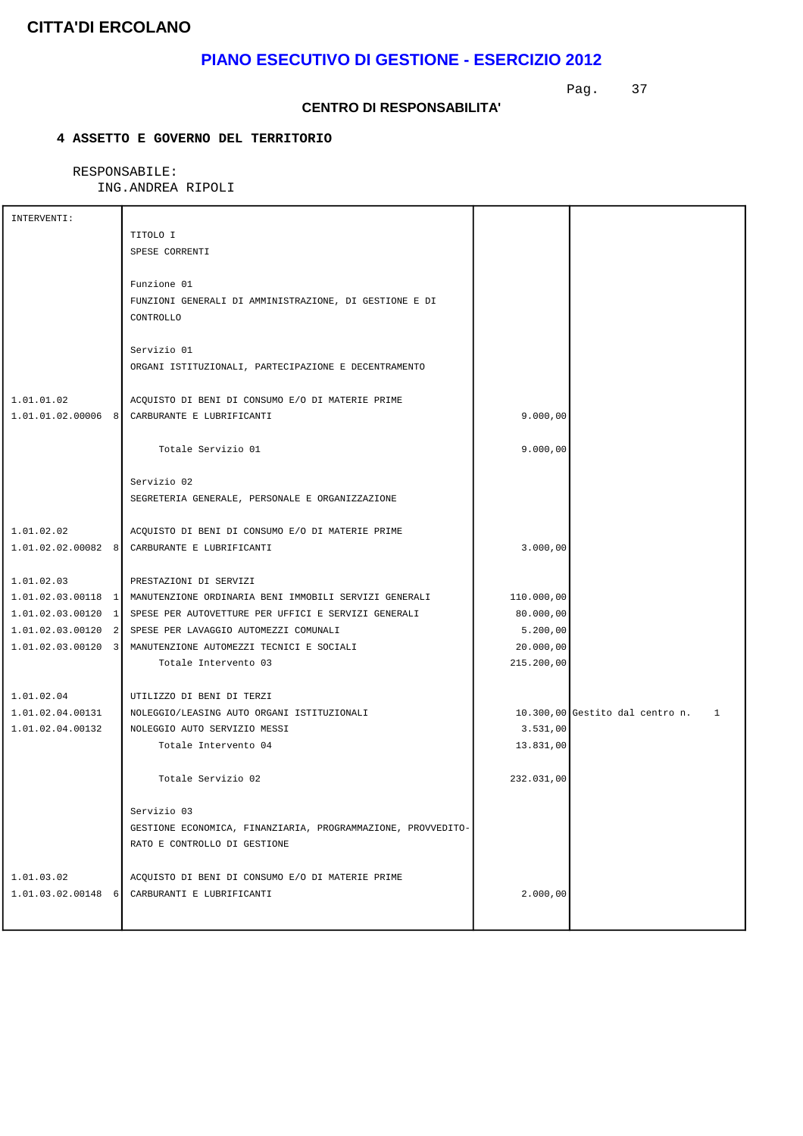## **PIANO ESECUTIVO DI GESTIONE - ESERCIZIO 2012**

Pag. 37

#### **CENTRO DI RESPONSABILITA'**

### **4 ASSETTO E GOVERNO DEL TERRITORIO**

| INTERVENTI:          |                                                                            |            |                                                 |
|----------------------|----------------------------------------------------------------------------|------------|-------------------------------------------------|
|                      | TITOLO I                                                                   |            |                                                 |
|                      | SPESE CORRENTI                                                             |            |                                                 |
|                      |                                                                            |            |                                                 |
|                      | Funzione 01                                                                |            |                                                 |
|                      | FUNZIONI GENERALI DI AMMINISTRAZIONE, DI GESTIONE E DI                     |            |                                                 |
|                      | CONTROLLO                                                                  |            |                                                 |
|                      |                                                                            |            |                                                 |
|                      | Servizio 01                                                                |            |                                                 |
|                      | ORGANI ISTITUZIONALI, PARTECIPAZIONE E DECENTRAMENTO                       |            |                                                 |
|                      |                                                                            |            |                                                 |
| 1.01.01.02           | ACQUISTO DI BENI DI CONSUMO E/O DI MATERIE PRIME                           |            |                                                 |
|                      | 1.01.01.02.00006 8 CARBURANTE E LUBRIFICANTI                               | 9.000,00   |                                                 |
|                      |                                                                            |            |                                                 |
|                      | Totale Servizio 01                                                         | 9.000,00   |                                                 |
|                      |                                                                            |            |                                                 |
|                      | Servizio 02                                                                |            |                                                 |
|                      | SEGRETERIA GENERALE, PERSONALE E ORGANIZZAZIONE                            |            |                                                 |
|                      |                                                                            |            |                                                 |
| 1.01.02.02           | ACQUISTO DI BENI DI CONSUMO E/O DI MATERIE PRIME                           |            |                                                 |
|                      | 1.01.02.02.00082 8 CARBURANTE E LUBRIFICANTI                               | 3.000,00   |                                                 |
|                      |                                                                            |            |                                                 |
| 1.01.02.03           | PRESTAZIONI DI SERVIZI                                                     |            |                                                 |
|                      | 1.01.02.03.00118 1   MANUTENZIONE ORDINARIA BENI IMMOBILI SERVIZI GENERALI | 110.000,00 |                                                 |
|                      | 1.01.02.03.00120 1 SPESE PER AUTOVETTURE PER UFFICI E SERVIZI GENERALI     | 80.000,00  |                                                 |
|                      | 1.01.02.03.00120 2 SPESE PER LAVAGGIO AUTOMEZZI COMUNALI                   | 5.200,00   |                                                 |
|                      | 1.01.02.03.00120 3 MANUTENZIONE AUTOMEZZI TECNICI E SOCIALI                | 20.000,00  |                                                 |
|                      | Totale Intervento 03                                                       | 215.200,00 |                                                 |
|                      |                                                                            |            |                                                 |
| 1.01.02.04           | UTILIZZO DI BENI DI TERZI                                                  |            |                                                 |
| 1.01.02.04.00131     | NOLEGGIO/LEASING AUTO ORGANI ISTITUZIONALI                                 |            | 10.300,00 Gestito dal centro n.<br>$\mathbf{1}$ |
| 1.01.02.04.00132     | NOLEGGIO AUTO SERVIZIO MESSI                                               | 3.531,00   |                                                 |
|                      | Totale Intervento 04                                                       | 13.831,00  |                                                 |
|                      |                                                                            |            |                                                 |
|                      | Totale Servizio 02                                                         | 232.031,00 |                                                 |
|                      |                                                                            |            |                                                 |
|                      | Servizio 03                                                                |            |                                                 |
|                      | GESTIONE ECONOMICA, FINANZIARIA, PROGRAMMAZIONE, PROVVEDITO-               |            |                                                 |
|                      | RATO E CONTROLLO DI GESTIONE                                               |            |                                                 |
|                      |                                                                            |            |                                                 |
| 1.01.03.02           | ACQUISTO DI BENI DI CONSUMO E/O DI MATERIE PRIME                           |            |                                                 |
| $1.01.03.02.00148$ 6 | CARBURANTI E LUBRIFICANTI                                                  | 2.000,00   |                                                 |
|                      |                                                                            |            |                                                 |
|                      |                                                                            |            |                                                 |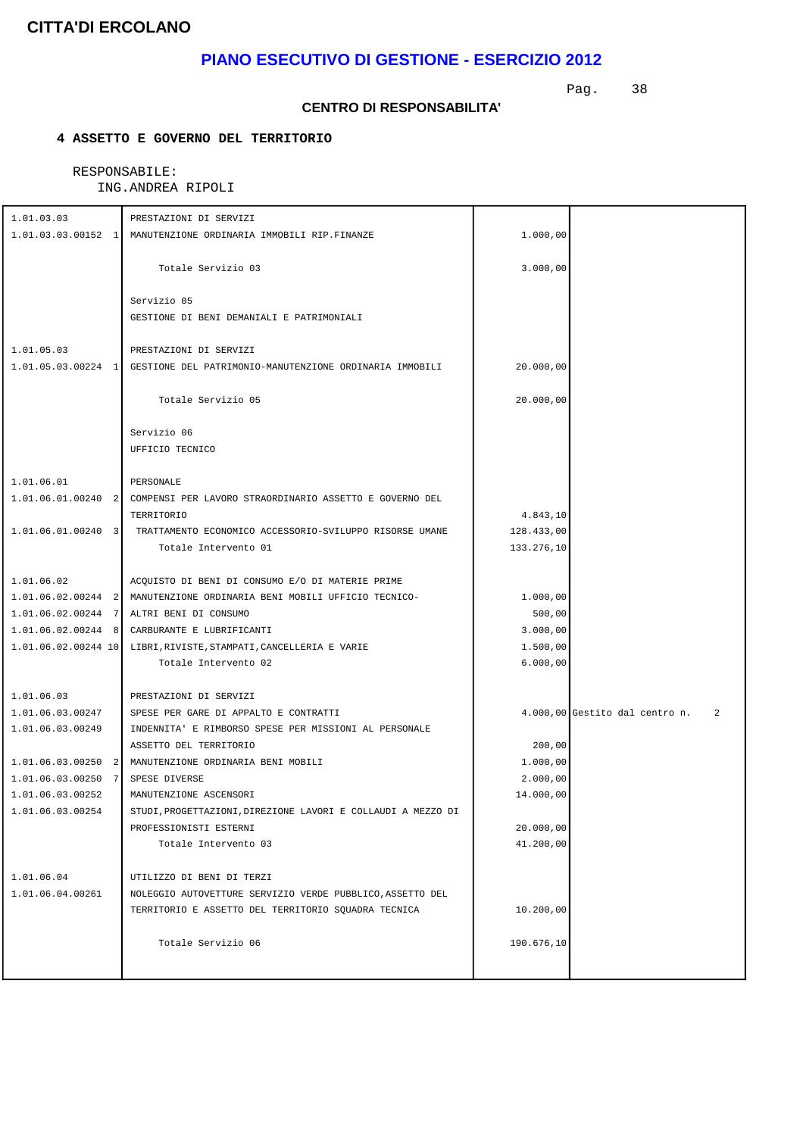## **PIANO ESECUTIVO DI GESTIONE - ESERCIZIO 2012**

Pag. 38

#### **CENTRO DI RESPONSABILITA'**

### **4 ASSETTO E GOVERNO DEL TERRITORIO**

| 1.01.03.03                                   | PRESTAZIONI DI SERVIZI                                                     |                      |                                     |
|----------------------------------------------|----------------------------------------------------------------------------|----------------------|-------------------------------------|
|                                              | 1.01.03.03.00152 1   MANUTENZIONE ORDINARIA IMMOBILI RIP.FINANZE           | 1.000,00             |                                     |
|                                              |                                                                            |                      |                                     |
|                                              | Totale Servizio 03                                                         | 3.000,00             |                                     |
|                                              |                                                                            |                      |                                     |
|                                              | Servizio 05                                                                |                      |                                     |
|                                              | GESTIONE DI BENI DEMANIALI E PATRIMONIALI                                  |                      |                                     |
|                                              |                                                                            |                      |                                     |
| 1.01.05.03                                   | PRESTAZIONI DI SERVIZI                                                     |                      |                                     |
|                                              | 1.01.05.03.00224 1 GESTIONE DEL PATRIMONIO-MANUTENZIONE ORDINARIA IMMOBILI | 20.000,00            |                                     |
|                                              |                                                                            |                      |                                     |
|                                              | Totale Servizio 05                                                         | 20.000,00            |                                     |
|                                              |                                                                            |                      |                                     |
|                                              | Servizio 06                                                                |                      |                                     |
|                                              | UFFICIO TECNICO                                                            |                      |                                     |
|                                              |                                                                            |                      |                                     |
| 1.01.06.01                                   | PERSONALE                                                                  |                      |                                     |
|                                              | 1.01.06.01.00240 2 COMPENSI PER LAVORO STRAORDINARIO ASSETTO E GOVERNO DEL |                      |                                     |
|                                              | TERRITORIO                                                                 | 4.843,10             |                                     |
| $1.01.06.01.00240$ 3                         | TRATTAMENTO ECONOMICO ACCESSORIO-SVILUPPO RISORSE UMANE                    | 128.433,00           |                                     |
|                                              | Totale Intervento 01                                                       | 133.276,10           |                                     |
|                                              |                                                                            |                      |                                     |
| 1.01.06.02                                   | ACQUISTO DI BENI DI CONSUMO E/O DI MATERIE PRIME                           |                      |                                     |
|                                              | 1.01.06.02.00244 2 MANUTENZIONE ORDINARIA BENI MOBILI UFFICIO TECNICO-     | 1.000,00             |                                     |
| $1.01.06.02.00244$ 7<br>$1.01.06.02.00244$ 8 | ALTRI BENI DI CONSUMO                                                      | 500,00               |                                     |
|                                              | CARBURANTE E LUBRIFICANTI                                                  | 3.000,00             |                                     |
| 1.01.06.02.00244 10                          | LIBRI, RIVISTE, STAMPATI, CANCELLERIA E VARIE<br>Totale Intervento 02      | 1.500,00<br>6.000,00 |                                     |
|                                              |                                                                            |                      |                                     |
| 1.01.06.03                                   | PRESTAZIONI DI SERVIZI                                                     |                      |                                     |
| 1.01.06.03.00247                             | SPESE PER GARE DI APPALTO E CONTRATTI                                      |                      | 4.000,00 Gestito dal centro n.<br>2 |
| 1.01.06.03.00249                             | INDENNITA' E RIMBORSO SPESE PER MISSIONI AL PERSONALE                      |                      |                                     |
|                                              | ASSETTO DEL TERRITORIO                                                     | 200,00               |                                     |
|                                              | 1.01.06.03.00250 2 MANUTENZIONE ORDINARIA BENI MOBILI                      | 1.000,00             |                                     |
| 1.01.06.03.00250 7 SPESE DIVERSE             |                                                                            | 2.000,00             |                                     |
| 1.01.06.03.00252                             | MANUTENZIONE ASCENSORI                                                     | 14.000,00            |                                     |
| 1.01.06.03.00254                             | STUDI, PROGETTAZIONI, DIREZIONE LAVORI E COLLAUDI A MEZZO DI               |                      |                                     |
|                                              | PROFESSIONISTI ESTERNI                                                     | 20.000,00            |                                     |
|                                              | Totale Intervento 03                                                       | 41.200,00            |                                     |
|                                              |                                                                            |                      |                                     |
| 1.01.06.04                                   | UTILIZZO DI BENI DI TERZI                                                  |                      |                                     |
| 1.01.06.04.00261                             | NOLEGGIO AUTOVETTURE SERVIZIO VERDE PUBBLICO, ASSETTO DEL                  |                      |                                     |
|                                              | TERRITORIO E ASSETTO DEL TERRITORIO SOUADRA TECNICA                        | 10.200,00            |                                     |
|                                              |                                                                            |                      |                                     |
|                                              | Totale Servizio 06                                                         | 190.676,10           |                                     |
|                                              |                                                                            |                      |                                     |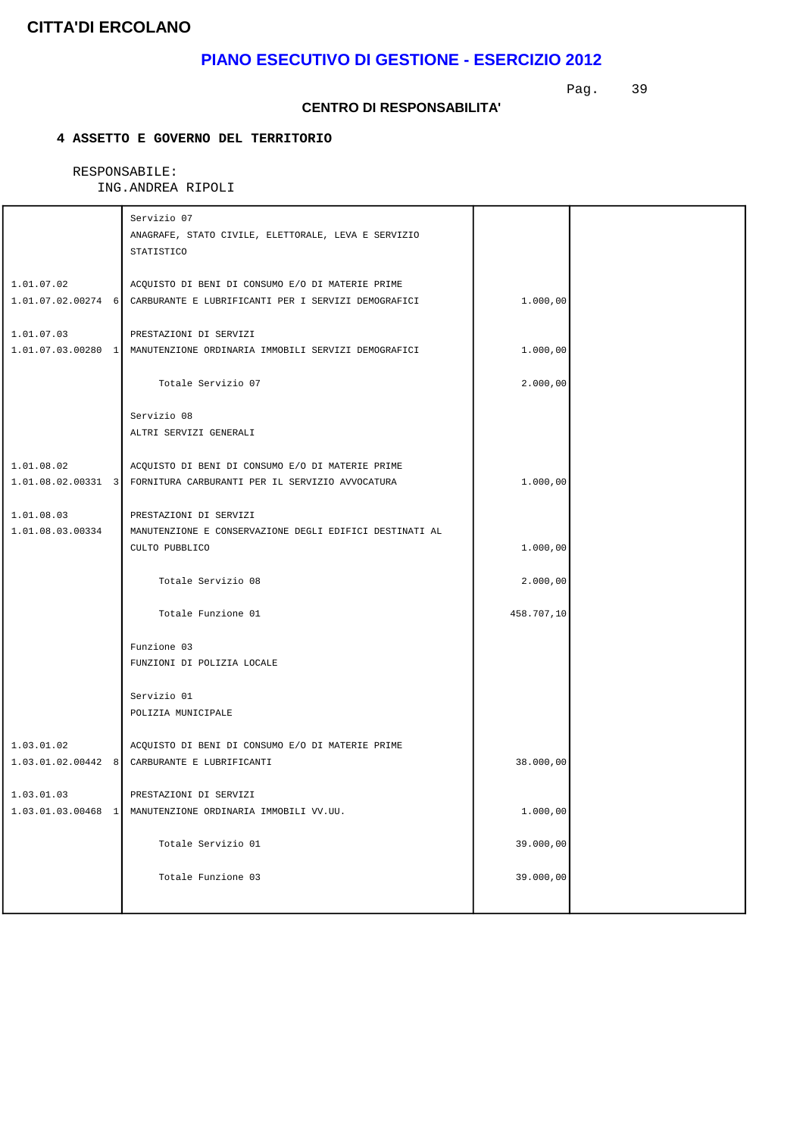## **PIANO ESECUTIVO DI GESTIONE - ESERCIZIO 2012**

Pag. 39

#### **CENTRO DI RESPONSABILITA'**

### **4 ASSETTO E GOVERNO DEL TERRITORIO**

|                  | Servizio 07                                                            |            |  |
|------------------|------------------------------------------------------------------------|------------|--|
|                  | ANAGRAFE, STATO CIVILE, ELETTORALE, LEVA E SERVIZIO                    |            |  |
|                  | STATISTICO                                                             |            |  |
|                  |                                                                        |            |  |
| 1.01.07.02       | ACQUISTO DI BENI DI CONSUMO E/O DI MATERIE PRIME                       |            |  |
|                  | 1.01.07.02.00274 6 CARBURANTE E LUBRIFICANTI PER I SERVIZI DEMOGRAFICI | 1.000,00   |  |
| 1.01.07.03       | PRESTAZIONI DI SERVIZI                                                 |            |  |
|                  | 1.01.07.03.00280 1 MANUTENZIONE ORDINARIA IMMOBILI SERVIZI DEMOGRAFICI | 1.000,00   |  |
|                  |                                                                        |            |  |
|                  | Totale Servizio 07                                                     | 2.000,00   |  |
|                  |                                                                        |            |  |
|                  | Servizio 08                                                            |            |  |
|                  | ALTRI SERVIZI GENERALI                                                 |            |  |
| 1.01.08.02       | ACQUISTO DI BENI DI CONSUMO E/O DI MATERIE PRIME                       |            |  |
|                  | 1.01.08.02.00331 3 FORNITURA CARBURANTI PER IL SERVIZIO AVVOCATURA     | 1.000,00   |  |
|                  |                                                                        |            |  |
| 1.01.08.03       | PRESTAZIONI DI SERVIZI                                                 |            |  |
| 1.01.08.03.00334 | MANUTENZIONE E CONSERVAZIONE DEGLI EDIFICI DESTINATI AL                |            |  |
|                  | CULTO PUBBLICO                                                         | 1.000,00   |  |
|                  |                                                                        |            |  |
|                  | Totale Servizio 08                                                     | 2.000,00   |  |
|                  |                                                                        |            |  |
|                  | Totale Funzione 01                                                     | 458.707,10 |  |
|                  | Funzione 03                                                            |            |  |
|                  | FUNZIONI DI POLIZIA LOCALE                                             |            |  |
|                  |                                                                        |            |  |
|                  | Servizio 01                                                            |            |  |
|                  | POLIZIA MUNICIPALE                                                     |            |  |
|                  |                                                                        |            |  |
| 1.03.01.02       | ACQUISTO DI BENI DI CONSUMO E/O DI MATERIE PRIME                       |            |  |
|                  | 1.03.01.02.00442 8 CARBURANTE E LUBRIFICANTI                           | 38.000,00  |  |
| 1.03.01.03       | PRESTAZIONI DI SERVIZI                                                 |            |  |
|                  | 1.03.01.03.00468 1 MANUTENZIONE ORDINARIA IMMOBILI VV.UU.              | 1.000,00   |  |
|                  |                                                                        |            |  |
|                  | Totale Servizio 01                                                     | 39.000,00  |  |
|                  |                                                                        |            |  |
|                  | Totale Funzione 03                                                     | 39.000,00  |  |
|                  |                                                                        |            |  |
|                  |                                                                        |            |  |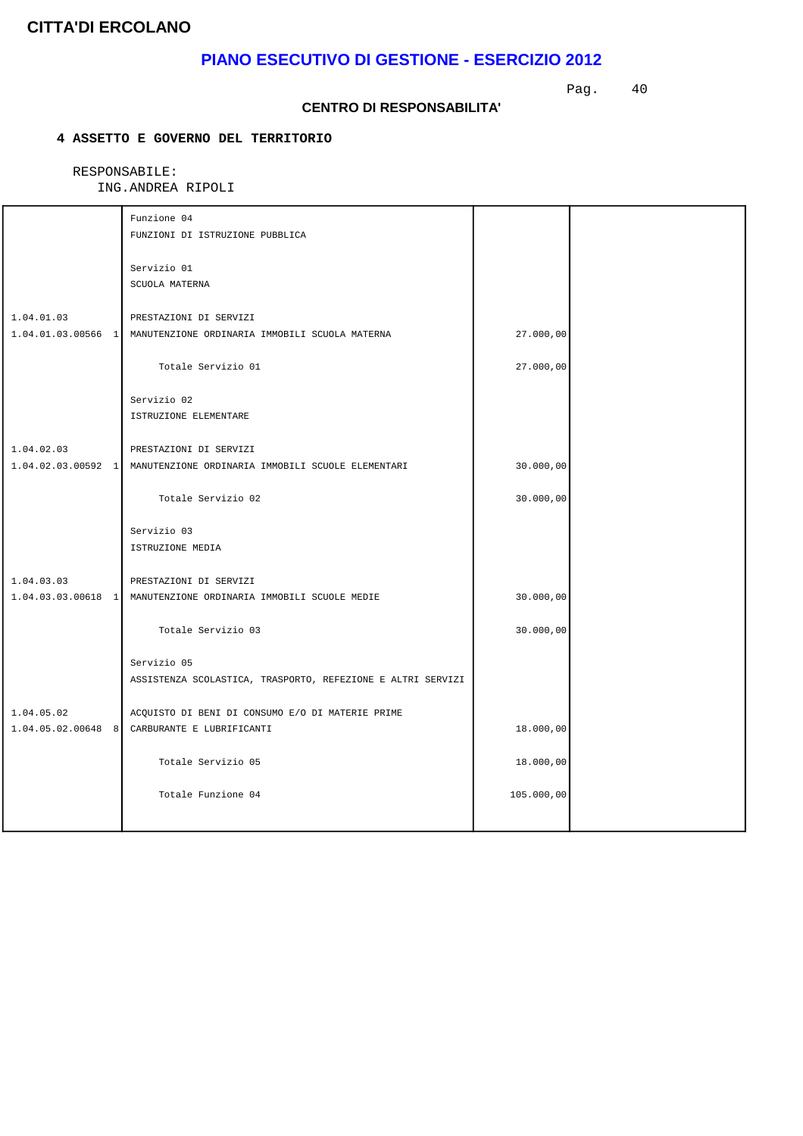## **PIANO ESECUTIVO DI GESTIONE - ESERCIZIO 2012**

Pag. 40

#### **CENTRO DI RESPONSABILITA'**

### **4 ASSETTO E GOVERNO DEL TERRITORIO**

|            | Funzione 04                                                                                    |            |  |
|------------|------------------------------------------------------------------------------------------------|------------|--|
|            | FUNZIONI DI ISTRUZIONE PUBBLICA                                                                |            |  |
|            | Servizio 01                                                                                    |            |  |
|            | SCUOLA MATERNA                                                                                 |            |  |
|            |                                                                                                |            |  |
| 1.04.01.03 | PRESTAZIONI DI SERVIZI                                                                         |            |  |
|            | 1.04.01.03.00566 1   MANUTENZIONE ORDINARIA IMMOBILI SCUOLA MATERNA                            | 27.000,00  |  |
|            | Totale Servizio 01                                                                             | 27.000,00  |  |
|            | Servizio 02                                                                                    |            |  |
|            | ISTRUZIONE ELEMENTARE                                                                          |            |  |
|            |                                                                                                |            |  |
| 1.04.02.03 | PRESTAZIONI DI SERVIZI<br>1.04.02.03.00592 1 MANUTENZIONE ORDINARIA IMMOBILI SCUOLE ELEMENTARI | 30.000,00  |  |
|            |                                                                                                |            |  |
|            | Totale Servizio 02                                                                             | 30.000,00  |  |
|            | Servizio 03                                                                                    |            |  |
|            | ISTRUZIONE MEDIA                                                                               |            |  |
|            |                                                                                                |            |  |
| 1.04.03.03 | PRESTAZIONI DI SERVIZI<br>1.04.03.03.00618 1 MANUTENZIONE ORDINARIA IMMOBILI SCUOLE MEDIE      |            |  |
|            |                                                                                                | 30.000,00  |  |
|            | Totale Servizio 03                                                                             | 30.000,00  |  |
|            | Servizio 05                                                                                    |            |  |
|            | ASSISTENZA SCOLASTICA, TRASPORTO, REFEZIONE E ALTRI SERVIZI                                    |            |  |
|            |                                                                                                |            |  |
| 1.04.05.02 | ACQUISTO DI BENI DI CONSUMO E/O DI MATERIE PRIME                                               |            |  |
|            | 1.04.05.02.00648 8 CARBURANTE E LUBRIFICANTI                                                   | 18.000,00  |  |
|            | Totale Servizio 05                                                                             | 18.000,00  |  |
|            | Totale Funzione 04                                                                             | 105.000,00 |  |
|            |                                                                                                |            |  |
|            |                                                                                                |            |  |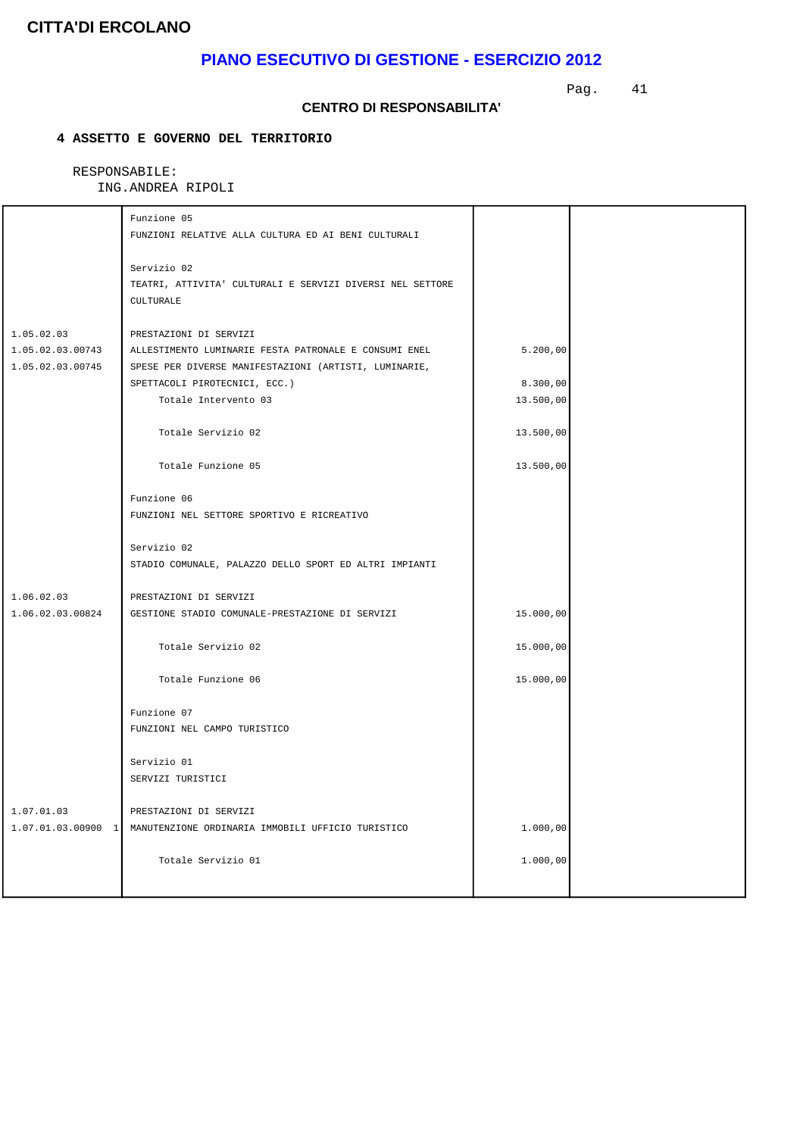## **PIANO ESECUTIVO DI GESTIONE - ESERCIZIO 2012**

Pag. 41

#### **CENTRO DI RESPONSABILITA'**

### **4 ASSETTO E GOVERNO DEL TERRITORIO**

|                                      | Funzione 05                                                                                                    |           |  |
|--------------------------------------|----------------------------------------------------------------------------------------------------------------|-----------|--|
|                                      | FUNZIONI RELATIVE ALLA CULTURA ED AI BENI CULTURALI                                                            |           |  |
|                                      | Servizio 02<br>TEATRI, ATTIVITA' CULTURALI E SERVIZI DIVERSI NEL SETTORE                                       |           |  |
|                                      | CULTURALE                                                                                                      |           |  |
| 1.05.02.03                           | PRESTAZIONI DI SERVIZI                                                                                         |           |  |
| 1.05.02.03.00743<br>1.05.02.03.00745 | ALLESTIMENTO LUMINARIE FESTA PATRONALE E CONSUMI ENEL<br>SPESE PER DIVERSE MANIFESTAZIONI (ARTISTI, LUMINARIE, | 5.200,00  |  |
|                                      | SPETTACOLI PIROTECNICI, ECC.)                                                                                  | 8.300,00  |  |
|                                      | Totale Intervento 03                                                                                           | 13.500,00 |  |
|                                      | Totale Servizio 02                                                                                             | 13.500,00 |  |
|                                      | Totale Funzione 05                                                                                             | 13.500,00 |  |
|                                      | Funzione 06                                                                                                    |           |  |
|                                      | FUNZIONI NEL SETTORE SPORTIVO E RICREATIVO                                                                     |           |  |
|                                      | Servizio 02                                                                                                    |           |  |
|                                      | STADIO COMUNALE, PALAZZO DELLO SPORT ED ALTRI IMPIANTI                                                         |           |  |
| 1.06.02.03                           | PRESTAZIONI DI SERVIZI                                                                                         |           |  |
| 1.06.02.03.00824                     | GESTIONE STADIO COMUNALE-PRESTAZIONE DI SERVIZI                                                                | 15.000,00 |  |
|                                      | Totale Servizio 02                                                                                             | 15.000,00 |  |
|                                      | Totale Funzione 06                                                                                             | 15.000,00 |  |
|                                      | Funzione 07                                                                                                    |           |  |
|                                      | FUNZIONI NEL CAMPO TURISTICO                                                                                   |           |  |
|                                      | Servizio 01                                                                                                    |           |  |
|                                      | SERVIZI TURISTICI                                                                                              |           |  |
| 1.07.01.03                           | PRESTAZIONI DI SERVIZI                                                                                         |           |  |
|                                      | 1.07.01.03.00900 1 MANUTENZIONE ORDINARIA IMMOBILI UFFICIO TURISTICO                                           | 1.000,00  |  |
|                                      | Totale Servizio 01                                                                                             | 1.000,00  |  |
|                                      |                                                                                                                |           |  |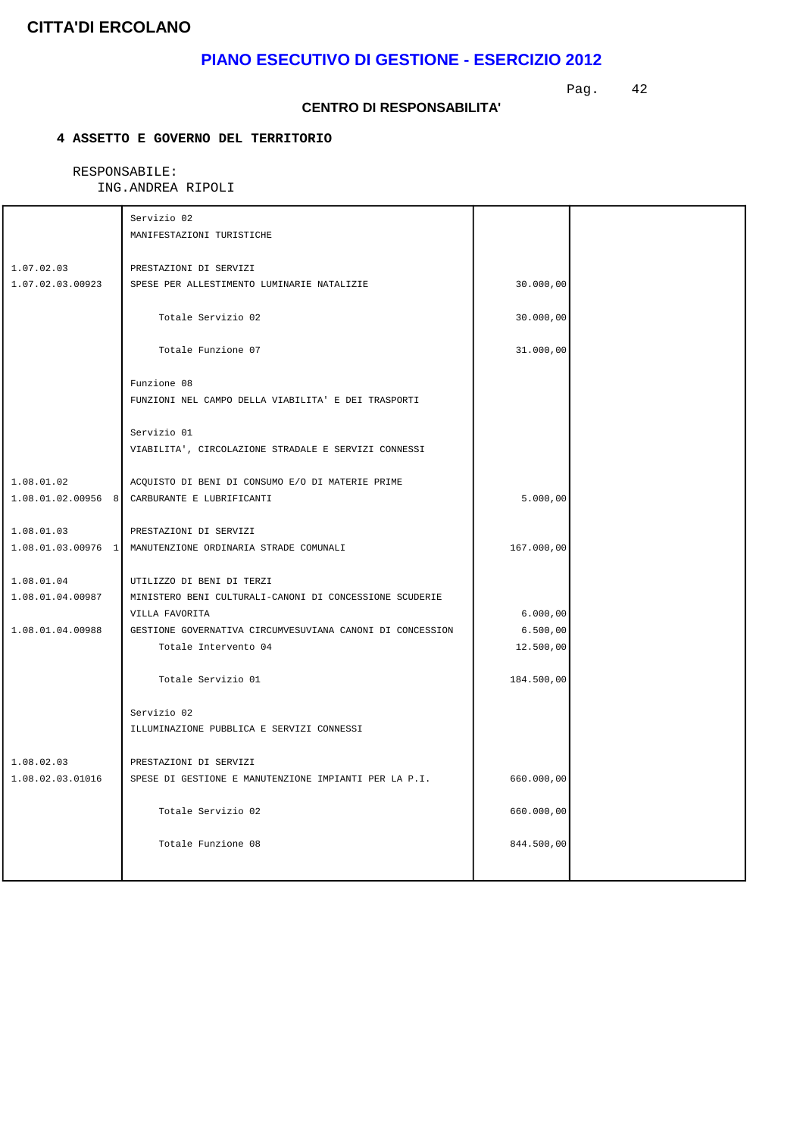## **PIANO ESECUTIVO DI GESTIONE - ESERCIZIO 2012**

Pag. 42

#### **CENTRO DI RESPONSABILITA'**

### **4 ASSETTO E GOVERNO DEL TERRITORIO**

|                                | Servizio 02                                                                          |            |  |
|--------------------------------|--------------------------------------------------------------------------------------|------------|--|
|                                | MANIFESTAZIONI TURISTICHE                                                            |            |  |
| 1.07.02.03                     | PRESTAZIONI DI SERVIZI                                                               |            |  |
| 1.07.02.03.00923               | SPESE PER ALLESTIMENTO LUMINARIE NATALIZIE                                           | 30.000,00  |  |
|                                | Totale Servizio 02                                                                   | 30.000,00  |  |
|                                | Totale Funzione 07                                                                   | 31.000,00  |  |
|                                | Funzione 08<br>FUNZIONI NEL CAMPO DELLA VIABILITA' E DEI TRASPORTI                   |            |  |
|                                | Servizio 01<br>VIABILITA', CIRCOLAZIONE STRADALE E SERVIZI CONNESSI                  |            |  |
| 1.08.01.02                     | ACQUISTO DI BENI DI CONSUMO E/O DI MATERIE PRIME                                     |            |  |
|                                | 1.08.01.02.00956 8 CARBURANTE E LUBRIFICANTI                                         | 5.000,00   |  |
| 1.08.01.03                     | PRESTAZIONI DI SERVIZI                                                               |            |  |
| $1.08.01.03.00976$ 1           | MANUTENZIONE ORDINARIA STRADE COMUNALI                                               | 167.000,00 |  |
|                                |                                                                                      |            |  |
| 1.08.01.04<br>1.08.01.04.00987 | UTILIZZO DI BENI DI TERZI<br>MINISTERO BENI CULTURALI-CANONI DI CONCESSIONE SCUDERIE |            |  |
|                                | VILLA FAVORITA                                                                       | 6.000,00   |  |
| 1.08.01.04.00988               | GESTIONE GOVERNATIVA CIRCUMVESUVIANA CANONI DI CONCESSION                            | 6.500,00   |  |
|                                | Totale Intervento 04                                                                 | 12.500,00  |  |
|                                | Totale Servizio 01                                                                   | 184.500,00 |  |
|                                | Servizio 02                                                                          |            |  |
|                                | ILLUMINAZIONE PUBBLICA E SERVIZI CONNESSI                                            |            |  |
| 1.08.02.03                     | PRESTAZIONI DI SERVIZI                                                               |            |  |
| 1.08.02.03.01016               | SPESE DI GESTIONE E MANUTENZIONE IMPIANTI PER LA P.I.                                | 660.000,00 |  |
|                                | Totale Servizio 02                                                                   | 660.000,00 |  |
|                                | Totale Funzione 08                                                                   | 844.500,00 |  |
|                                |                                                                                      |            |  |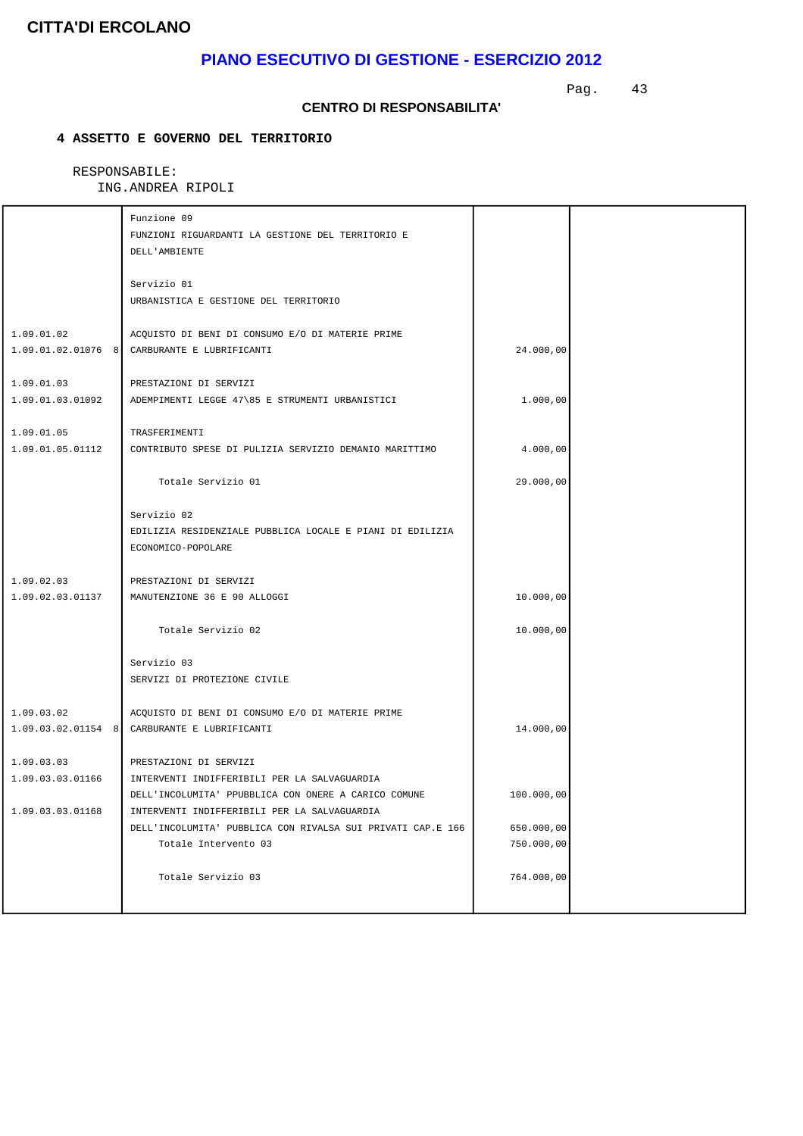## **PIANO ESECUTIVO DI GESTIONE - ESERCIZIO 2012**

Pag. 43

#### **CENTRO DI RESPONSABILITA'**

### **4 ASSETTO E GOVERNO DEL TERRITORIO**

|                  | Funzione 09                                                 |            |  |
|------------------|-------------------------------------------------------------|------------|--|
|                  | FUNZIONI RIGUARDANTI LA GESTIONE DEL TERRITORIO E           |            |  |
|                  | DELL'AMBIENTE                                               |            |  |
|                  |                                                             |            |  |
|                  | Servizio 01                                                 |            |  |
|                  | URBANISTICA E GESTIONE DEL TERRITORIO                       |            |  |
|                  |                                                             |            |  |
| 1.09.01.02       | ACQUISTO DI BENI DI CONSUMO E/O DI MATERIE PRIME            |            |  |
|                  | 1.09.01.02.01076 8 CARBURANTE E LUBRIFICANTI                | 24.000,00  |  |
|                  |                                                             |            |  |
| 1.09.01.03       | PRESTAZIONI DI SERVIZI                                      |            |  |
| 1.09.01.03.01092 | ADEMPIMENTI LEGGE 47\85 E STRUMENTI URBANISTICI             | 1.000,00   |  |
|                  |                                                             |            |  |
| 1.09.01.05       | TRASFERIMENTI                                               |            |  |
| 1.09.01.05.01112 | CONTRIBUTO SPESE DI PULIZIA SERVIZIO DEMANIO MARITTIMO      | 4.000,00   |  |
|                  |                                                             |            |  |
|                  | Totale Servizio 01                                          | 29.000,00  |  |
|                  |                                                             |            |  |
|                  | Servizio 02                                                 |            |  |
|                  | EDILIZIA RESIDENZIALE PUBBLICA LOCALE E PIANI DI EDILIZIA   |            |  |
|                  | ECONOMICO-POPOLARE                                          |            |  |
|                  |                                                             |            |  |
| 1.09.02.03       | PRESTAZIONI DI SERVIZI                                      |            |  |
| 1.09.02.03.01137 | MANUTENZIONE 36 E 90 ALLOGGI                                | 10.000,00  |  |
|                  |                                                             |            |  |
|                  | Totale Servizio 02                                          | 10.000,00  |  |
|                  |                                                             |            |  |
|                  | Servizio 03                                                 |            |  |
|                  | SERVIZI DI PROTEZIONE CIVILE                                |            |  |
|                  |                                                             |            |  |
| 1.09.03.02       | ACQUISTO DI BENI DI CONSUMO E/O DI MATERIE PRIME            |            |  |
|                  | 1.09.03.02.01154 8 CARBURANTE E LUBRIFICANTI                | 14.000,00  |  |
|                  |                                                             |            |  |
| 1.09.03.03       | PRESTAZIONI DI SERVIZI                                      |            |  |
| 1.09.03.03.01166 | INTERVENTI INDIFFERIBILI PER LA SALVAGUARDIA                |            |  |
|                  | DELL'INCOLUMITA' PPUBBLICA CON ONERE A CARICO COMUNE        | 100.000,00 |  |
| 1.09.03.03.01168 | INTERVENTI INDIFFERIBILI PER LA SALVAGUARDIA                |            |  |
|                  | DELL'INCOLUMITA' PUBBLICA CON RIVALSA SUI PRIVATI CAP.E 166 | 650.000,00 |  |
|                  | Totale Intervento 03                                        | 750.000,00 |  |
|                  |                                                             |            |  |
|                  | Totale Servizio 03                                          | 764.000,00 |  |
|                  |                                                             |            |  |
|                  |                                                             |            |  |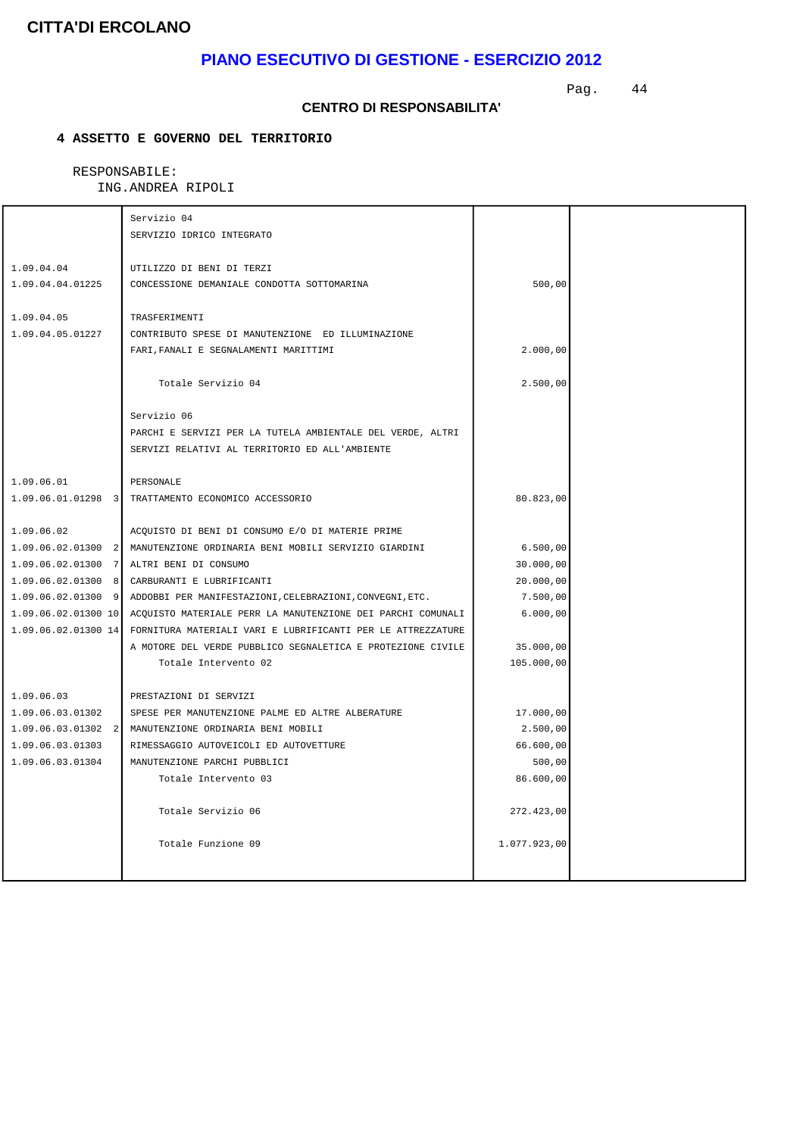## **PIANO ESECUTIVO DI GESTIONE - ESERCIZIO 2012**

Pag. 44

#### **CENTRO DI RESPONSABILITA'**

### **4 ASSETTO E GOVERNO DEL TERRITORIO**

|                      | Servizio 04                                                 |              |  |
|----------------------|-------------------------------------------------------------|--------------|--|
|                      | SERVIZIO IDRICO INTEGRATO                                   |              |  |
|                      |                                                             |              |  |
| 1.09.04.04           | UTILIZZO DI BENI DI TERZI                                   |              |  |
| 1.09.04.04.01225     | CONCESSIONE DEMANIALE CONDOTTA SOTTOMARINA                  | 500,00       |  |
|                      |                                                             |              |  |
| 1.09.04.05           | TRASFERIMENTI                                               |              |  |
| 1.09.04.05.01227     | CONTRIBUTO SPESE DI MANUTENZIONE ED ILLUMINAZIONE           |              |  |
|                      | FARI, FANALI E SEGNALAMENTI MARITTIMI                       | 2.000,00     |  |
|                      |                                                             |              |  |
|                      | Totale Servizio 04                                          | 2.500,00     |  |
|                      |                                                             |              |  |
|                      | Servizio 06                                                 |              |  |
|                      | PARCHI E SERVIZI PER LA TUTELA AMBIENTALE DEL VERDE, ALTRI  |              |  |
|                      | SERVIZI RELATIVI AL TERRITORIO ED ALL'AMBIENTE              |              |  |
|                      |                                                             |              |  |
| 1.09.06.01           | PERSONALE                                                   |              |  |
|                      | 1.09.06.01.01298 3 TRATTAMENTO ECONOMICO ACCESSORIO         | 80.823,00    |  |
|                      |                                                             |              |  |
| 1.09.06.02           | ACQUISTO DI BENI DI CONSUMO E/O DI MATERIE PRIME            |              |  |
| $1.09.06.02.01300$ 2 | MANUTENZIONE ORDINARIA BENI MOBILI SERVIZIO GIARDINI        | 6.500,00     |  |
| $1.09.06.02.01300$ 7 | ALTRI BENI DI CONSUMO                                       | 30.000,00    |  |
| $1.09.06.02.01300$ 8 | CARBURANTI E LUBRIFICANTI                                   | 20.000,00    |  |
| $1.09.06.02.01300$ 9 | ADDOBBI PER MANIFESTAZIONI, CELEBRAZIONI, CONVEGNI, ETC.    | 7.500,00     |  |
| 1.09.06.02.01300 10  | ACOUISTO MATERIALE PERR LA MANUTENZIONE DEI PARCHI COMUNALI | 6.000,00     |  |
| 1.09.06.02.01300 14  | FORNITURA MATERIALI VARI E LUBRIFICANTI PER LE ATTREZZATURE |              |  |
|                      | A MOTORE DEL VERDE PUBBLICO SEGNALETICA E PROTEZIONE CIVILE | 35.000,00    |  |
|                      | Totale Intervento 02                                        | 105.000,00   |  |
|                      |                                                             |              |  |
| 1.09.06.03           | PRESTAZIONI DI SERVIZI                                      |              |  |
| 1.09.06.03.01302     | SPESE PER MANUTENZIONE PALME ED ALTRE ALBERATURE            | 17.000,00    |  |
| $1.09.06.03.01302$ 2 | MANUTENZIONE ORDINARIA BENI MOBILI                          | 2.500,00     |  |
| 1.09.06.03.01303     | RIMESSAGGIO AUTOVEICOLI ED AUTOVETTURE                      | 66.600,00    |  |
| 1.09.06.03.01304     | MANUTENZIONE PARCHI PUBBLICI                                | 500,00       |  |
|                      | Totale Intervento 03                                        | 86.600,00    |  |
|                      |                                                             |              |  |
|                      | Totale Servizio 06                                          | 272.423,00   |  |
|                      |                                                             |              |  |
|                      | Totale Funzione 09                                          | 1.077.923,00 |  |
|                      |                                                             |              |  |
|                      |                                                             |              |  |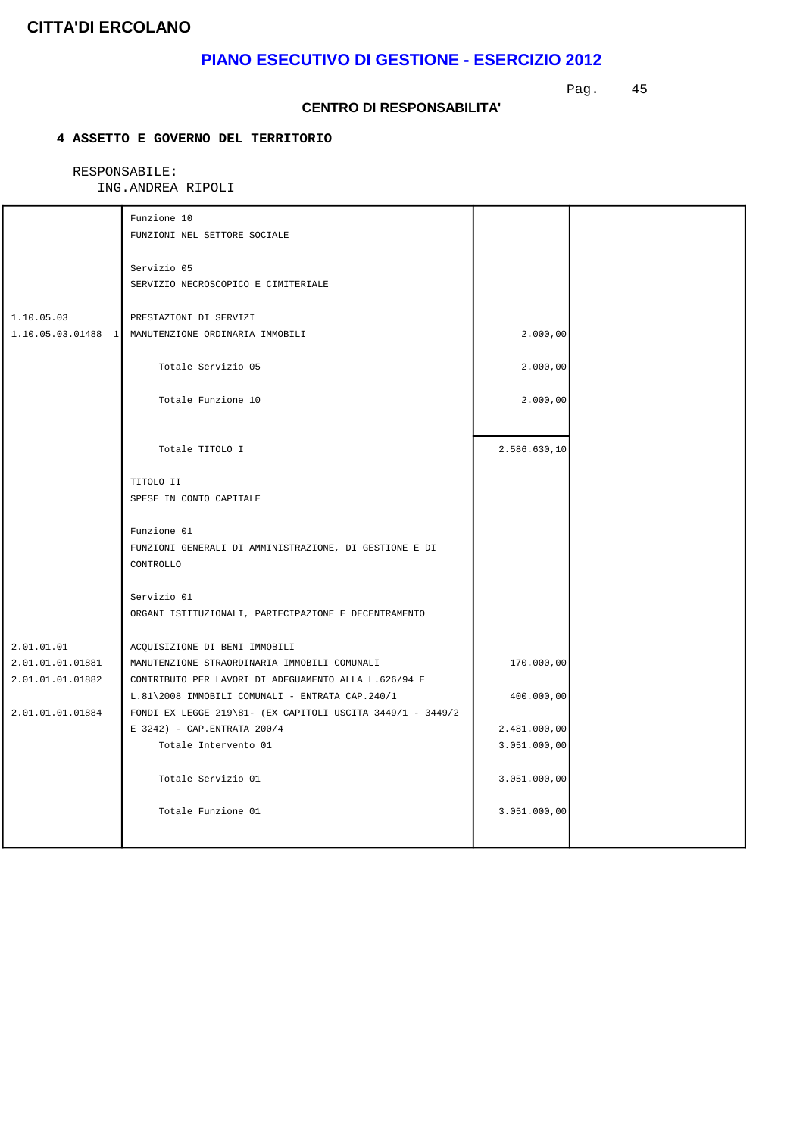## **PIANO ESECUTIVO DI GESTIONE - ESERCIZIO 2012**

Pag. 45

#### **CENTRO DI RESPONSABILITA'**

### **4 ASSETTO E GOVERNO DEL TERRITORIO**

|                  | Funzione 10                                                                                                   |              |  |
|------------------|---------------------------------------------------------------------------------------------------------------|--------------|--|
|                  | FUNZIONI NEL SETTORE SOCIALE                                                                                  |              |  |
|                  | Servizio 05                                                                                                   |              |  |
|                  | SERVIZIO NECROSCOPICO E CIMITERIALE                                                                           |              |  |
|                  |                                                                                                               |              |  |
| 1.10.05.03       | PRESTAZIONI DI SERVIZI                                                                                        |              |  |
|                  | 1.10.05.03.01488 1 MANUTENZIONE ORDINARIA IMMOBILI                                                            | 2.000,00     |  |
|                  | Totale Servizio 05                                                                                            | 2.000,00     |  |
|                  |                                                                                                               |              |  |
|                  | Totale Funzione 10                                                                                            | 2.000,00     |  |
|                  |                                                                                                               |              |  |
|                  | Totale TITOLO I                                                                                               | 2.586.630,10 |  |
|                  |                                                                                                               |              |  |
|                  | TITOLO II                                                                                                     |              |  |
|                  | SPESE IN CONTO CAPITALE                                                                                       |              |  |
|                  |                                                                                                               |              |  |
|                  | Funzione 01                                                                                                   |              |  |
|                  | FUNZIONI GENERALI DI AMMINISTRAZIONE, DI GESTIONE E DI                                                        |              |  |
|                  | CONTROLLO                                                                                                     |              |  |
|                  | Servizio 01                                                                                                   |              |  |
|                  | ORGANI ISTITUZIONALI, PARTECIPAZIONE E DECENTRAMENTO                                                          |              |  |
|                  |                                                                                                               |              |  |
| 2.01.01.01       | ACQUISIZIONE DI BENI IMMOBILI                                                                                 |              |  |
| 2.01.01.01.01881 | MANUTENZIONE STRAORDINARIA IMMOBILI COMUNALI                                                                  | 170.000,00   |  |
| 2.01.01.01.01882 | CONTRIBUTO PER LAVORI DI ADEGUAMENTO ALLA L.626/94 E                                                          |              |  |
| 2.01.01.01.01884 | L.81\2008 IMMOBILI COMUNALI - ENTRATA CAP.240/1<br>FONDI EX LEGGE 219\81- (EX CAPITOLI USCITA 3449/1 - 3449/2 | 400.000,00   |  |
|                  | E 3242) - CAP.ENTRATA 200/4                                                                                   | 2.481.000,00 |  |
|                  | Totale Intervento 01                                                                                          | 3.051.000,00 |  |
|                  |                                                                                                               |              |  |
|                  | Totale Servizio 01                                                                                            | 3.051.000,00 |  |
|                  |                                                                                                               |              |  |
|                  | Totale Funzione 01                                                                                            | 3.051.000,00 |  |
|                  |                                                                                                               |              |  |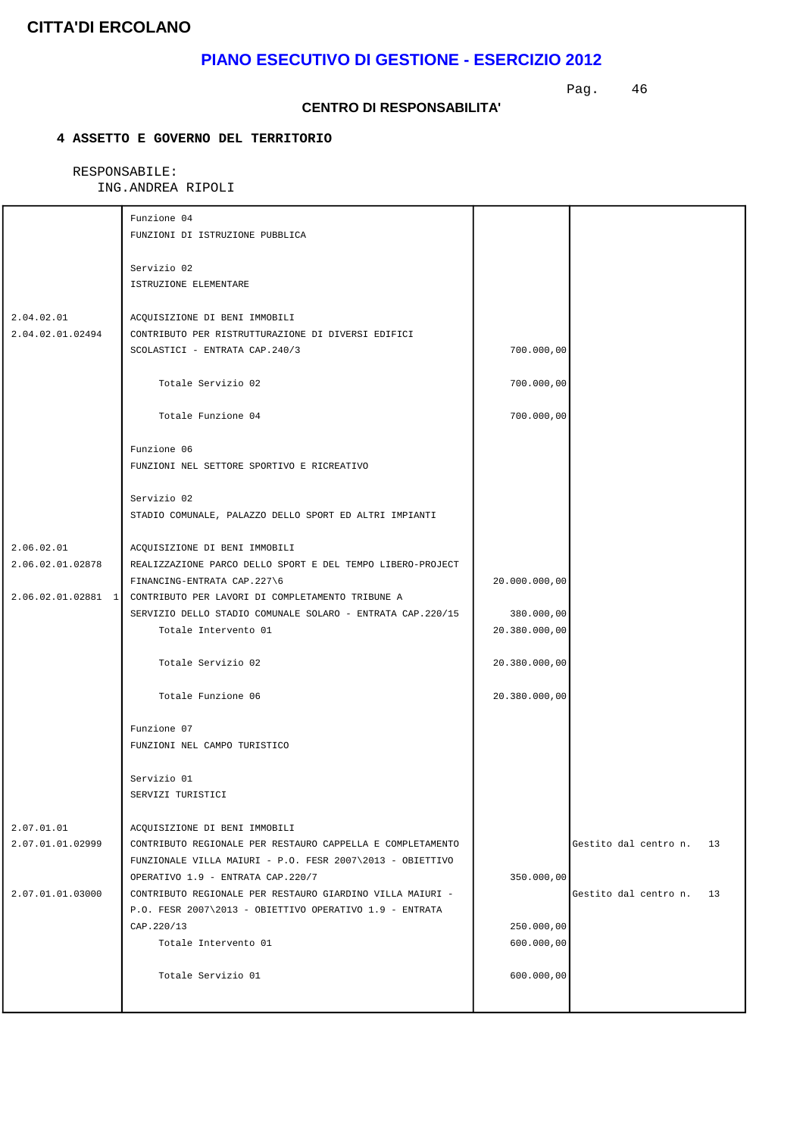## **PIANO ESECUTIVO DI GESTIONE - ESERCIZIO 2012**

Pag. 46

#### **CENTRO DI RESPONSABILITA'**

### **4 ASSETTO E GOVERNO DEL TERRITORIO**

|                                | Funzione 04<br>FUNZIONI DI ISTRUZIONE PUBBLICA                                                                                                            |                          |                             |
|--------------------------------|-----------------------------------------------------------------------------------------------------------------------------------------------------------|--------------------------|-----------------------------|
|                                | Servizio 02<br>ISTRUZIONE ELEMENTARE                                                                                                                      |                          |                             |
| 2.04.02.01<br>2.04.02.01.02494 | ACQUISIZIONE DI BENI IMMOBILI<br>CONTRIBUTO PER RISTRUTTURAZIONE DI DIVERSI EDIFICI<br>SCOLASTICI - ENTRATA CAP.240/3                                     | 700.000,00               |                             |
|                                | Totale Servizio 02                                                                                                                                        | 700.000,00               |                             |
|                                | Totale Funzione 04                                                                                                                                        | 700.000,00               |                             |
|                                | Funzione 06<br>FUNZIONI NEL SETTORE SPORTIVO E RICREATIVO                                                                                                 |                          |                             |
|                                | Servizio 02<br>STADIO COMUNALE, PALAZZO DELLO SPORT ED ALTRI IMPIANTI                                                                                     |                          |                             |
| 2.06.02.01<br>2.06.02.01.02878 | ACQUISIZIONE DI BENI IMMOBILI<br>REALIZZAZIONE PARCO DELLO SPORT E DEL TEMPO LIBERO-PROJECT                                                               |                          |                             |
|                                | FINANCING-ENTRATA CAP.227\6<br>2.06.02.01.02881 1 CONTRIBUTO PER LAVORI DI COMPLETAMENTO TRIBUNE A                                                        | 20.000.000,00            |                             |
|                                | SERVIZIO DELLO STADIO COMUNALE SOLARO - ENTRATA CAP.220/15                                                                                                | 380.000,00               |                             |
|                                | Totale Intervento 01                                                                                                                                      | 20.380.000,00            |                             |
|                                | Totale Servizio 02                                                                                                                                        | 20.380.000,00            |                             |
|                                | Totale Funzione 06                                                                                                                                        | 20.380.000,00            |                             |
|                                | Funzione 07<br>FUNZIONI NEL CAMPO TURISTICO                                                                                                               |                          |                             |
|                                | Servizio 01<br>SERVIZI TURISTICI                                                                                                                          |                          |                             |
| 2.07.01.01<br>2.07.01.01.02999 | ACQUISIZIONE DI BENI IMMOBILI<br>CONTRIBUTO REGIONALE PER RESTAURO CAPPELLA E COMPLETAMENTO<br>FUNZIONALE VILLA MAIURI - P.O. FESR 2007\2013 - OBIETTIVO  |                          | Gestito dal centro n.<br>13 |
| 2.07.01.01.03000               | OPERATIVO 1.9 - ENTRATA CAP.220/7<br>CONTRIBUTO REGIONALE PER RESTAURO GIARDINO VILLA MAIURI -<br>P.O. FESR 2007\2013 - OBIETTIVO OPERATIVO 1.9 - ENTRATA | 350.000,00               | Gestito dal centro n.<br>13 |
|                                | CAP. 220/13<br>Totale Intervento 01                                                                                                                       | 250.000,00<br>600.000,00 |                             |
|                                | Totale Servizio 01                                                                                                                                        | 600.000,00               |                             |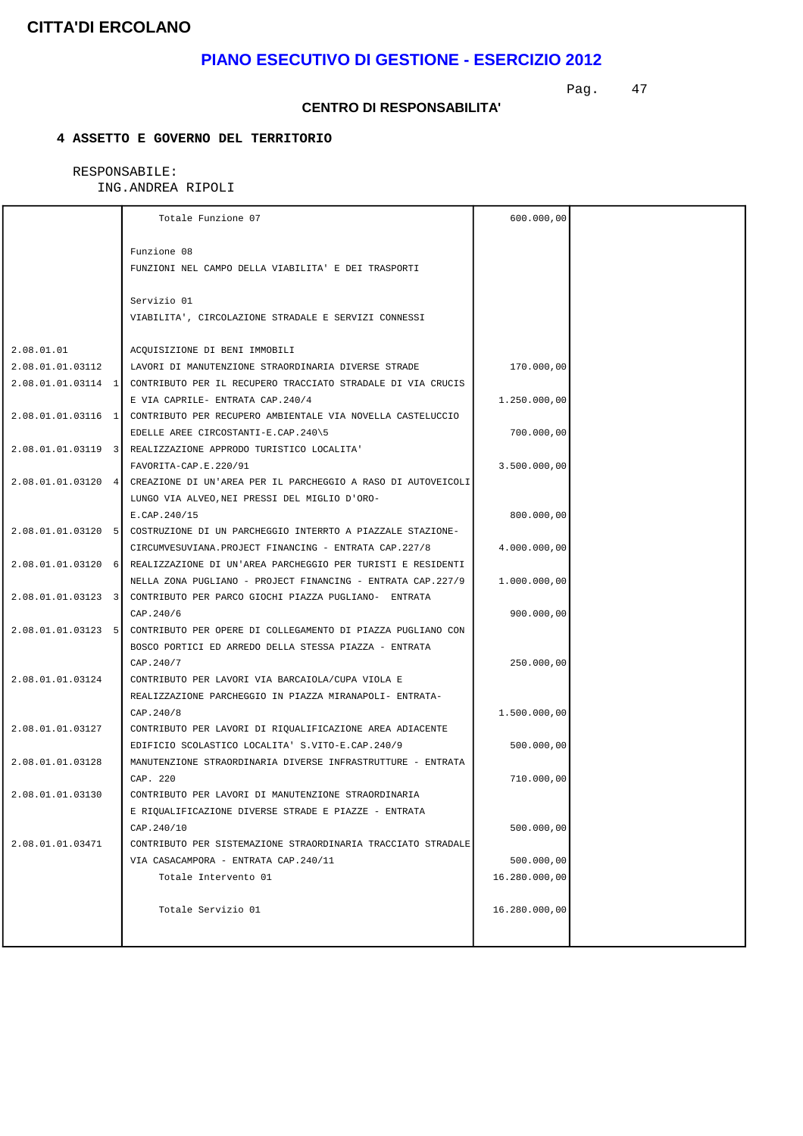## **PIANO ESECUTIVO DI GESTIONE - ESERCIZIO 2012**

Pag. 47

#### **CENTRO DI RESPONSABILITA'**

### **4 ASSETTO E GOVERNO DEL TERRITORIO**

|                      | Totale Funzione 07                                                              | 600.000,00    |  |
|----------------------|---------------------------------------------------------------------------------|---------------|--|
|                      | Funzione 08                                                                     |               |  |
|                      | FUNZIONI NEL CAMPO DELLA VIABILITA' E DEI TRASPORTI                             |               |  |
|                      |                                                                                 |               |  |
|                      | Servizio 01                                                                     |               |  |
|                      | VIABILITA', CIRCOLAZIONE STRADALE E SERVIZI CONNESSI                            |               |  |
|                      |                                                                                 |               |  |
| 2.08.01.01           | ACQUISIZIONE DI BENI IMMOBILI                                                   |               |  |
| 2.08.01.01.03112     | LAVORI DI MANUTENZIONE STRAORDINARIA DIVERSE STRADE                             | 170.000,00    |  |
| $2.08.01.01.03114$ 1 | CONTRIBUTO PER IL RECUPERO TRACCIATO STRADALE DI VIA CRUCIS                     |               |  |
|                      | E VIA CAPRILE- ENTRATA CAP. 240/4                                               | 1.250.000,00  |  |
| $2.08.01.01.03116$ 1 | CONTRIBUTO PER RECUPERO AMBIENTALE VIA NOVELLA CASTELUCCIO                      |               |  |
|                      | EDELLE AREE CIRCOSTANTI-E.CAP.240\5                                             | 700.000,00    |  |
|                      | 2.08.01.01.03119 3 REALIZZAZIONE APPRODO TURISTICO LOCALITA                     |               |  |
|                      | FAVORITA-CAP.E.220/91                                                           | 3.500.000,00  |  |
|                      | 2.08.01.01.03120 4 CREAZIONE DI UN'AREA PER IL PARCHEGGIO A RASO DI AUTOVEICOLI |               |  |
|                      | LUNGO VIA ALVEO, NEI PRESSI DEL MIGLIO D'ORO-                                   |               |  |
|                      | E.CAP.240/15                                                                    | 800.000,00    |  |
| 2.08.01.01.03120 5   | COSTRUZIONE DI UN PARCHEGGIO INTERRTO A PIAZZALE STAZIONE-                      |               |  |
|                      | CIRCUMVESUVIANA.PROJECT FINANCING - ENTRATA CAP.227/8                           | 4.000.000,00  |  |
|                      | 2.08.01.01.03120 6 REALIZZAZIONE DI UN'AREA PARCHEGGIO PER TURISTI E RESIDENTI  |               |  |
|                      | NELLA ZONA PUGLIANO - PROJECT FINANCING - ENTRATA CAP.227/9                     | 1.000.000,00  |  |
| $2.08.01.01.03123$ 3 | CONTRIBUTO PER PARCO GIOCHI PIAZZA PUGLIANO- ENTRATA                            |               |  |
|                      | CAP. 240/6                                                                      | 900.000,00    |  |
| 2.08.01.01.03123 5   | CONTRIBUTO PER OPERE DI COLLEGAMENTO DI PIAZZA PUGLIANO CON                     |               |  |
|                      | BOSCO PORTICI ED ARREDO DELLA STESSA PIAZZA - ENTRATA                           |               |  |
|                      | CAP. 240/7                                                                      | 250.000,00    |  |
| 2.08.01.01.03124     | CONTRIBUTO PER LAVORI VIA BARCAIOLA/CUPA VIOLA E                                |               |  |
|                      | REALIZZAZIONE PARCHEGGIO IN PIAZZA MIRANAPOLI- ENTRATA-                         |               |  |
|                      | CAP. 240/8                                                                      | 1.500.000,00  |  |
| 2.08.01.01.03127     | CONTRIBUTO PER LAVORI DI RIOUALIFICAZIONE AREA ADIACENTE                        |               |  |
|                      | EDIFICIO SCOLASTICO LOCALITA' S.VITO-E.CAP.240/9                                | 500.000,00    |  |
| 2.08.01.01.03128     | MANUTENZIONE STRAORDINARIA DIVERSE INFRASTRUTTURE - ENTRATA                     |               |  |
|                      | CAP. 220                                                                        | 710.000,00    |  |
| 2.08.01.01.03130     | CONTRIBUTO PER LAVORI DI MANUTENZIONE STRAORDINARIA                             |               |  |
|                      | E RIQUALIFICAZIONE DIVERSE STRADE E PIAZZE - ENTRATA                            |               |  |
|                      | CAP.240/10                                                                      | 500.000,00    |  |
| 2.08.01.01.03471     | CONTRIBUTO PER SISTEMAZIONE STRAORDINARIA TRACCIATO STRADALE                    |               |  |
|                      | VIA CASACAMPORA - ENTRATA CAP.240/11                                            | 500.000,00    |  |
|                      | Totale Intervento 01                                                            | 16.280.000,00 |  |
|                      |                                                                                 |               |  |
|                      | Totale Servizio 01                                                              | 16.280.000,00 |  |
|                      |                                                                                 |               |  |
|                      |                                                                                 |               |  |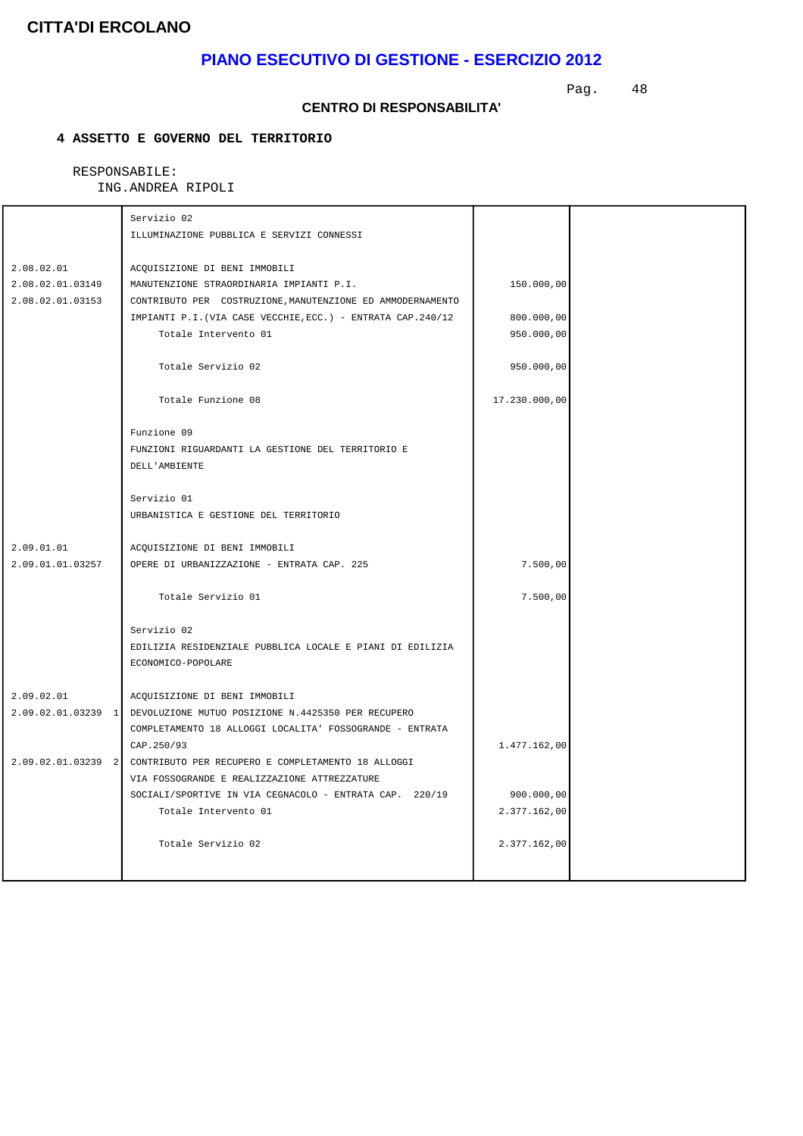## **PIANO ESECUTIVO DI GESTIONE - ESERCIZIO 2012**

Pag. 48

#### **CENTRO DI RESPONSABILITA'**

### **4 ASSETTO E GOVERNO DEL TERRITORIO**

|                      | Servizio 02                                                           |               |  |
|----------------------|-----------------------------------------------------------------------|---------------|--|
|                      | ILLUMINAZIONE PUBBLICA E SERVIZI CONNESSI                             |               |  |
|                      |                                                                       |               |  |
| 2.08.02.01           | ACOUISIZIONE DI BENI IMMOBILI                                         |               |  |
| 2.08.02.01.03149     | MANUTENZIONE STRAORDINARIA IMPIANTI P.I.                              | 150.000,00    |  |
| 2.08.02.01.03153     | CONTRIBUTO PER COSTRUZIONE, MANUTENZIONE ED AMMODERNAMENTO            |               |  |
|                      | IMPIANTI P.I. (VIA CASE VECCHIE, ECC.) - ENTRATA CAP. 240/12          | 800.000,00    |  |
|                      | Totale Intervento 01                                                  | 950.000,00    |  |
|                      | Totale Servizio 02                                                    | 950.000,00    |  |
|                      | Totale Funzione 08                                                    | 17.230.000,00 |  |
|                      |                                                                       |               |  |
|                      | Funzione 09<br>FUNZIONI RIGUARDANTI LA GESTIONE DEL TERRITORIO E      |               |  |
|                      | DELL'AMBIENTE                                                         |               |  |
|                      |                                                                       |               |  |
|                      | Servizio 01                                                           |               |  |
|                      | URBANISTICA E GESTIONE DEL TERRITORIO                                 |               |  |
|                      |                                                                       |               |  |
| 2.09.01.01           | ACQUISIZIONE DI BENI IMMOBILI                                         |               |  |
| 2.09.01.01.03257     | OPERE DI URBANIZZAZIONE - ENTRATA CAP. 225                            | 7.500,00      |  |
|                      | Totale Servizio 01                                                    | 7.500,00      |  |
|                      |                                                                       |               |  |
|                      | Servizio 02                                                           |               |  |
|                      | EDILIZIA RESIDENZIALE PUBBLICA LOCALE E PIANI DI EDILIZIA             |               |  |
|                      | ECONOMICO-POPOLARE                                                    |               |  |
| 2.09.02.01           | ACQUISIZIONE DI BENI IMMOBILI                                         |               |  |
|                      | 2.09.02.01.03239 1 DEVOLUZIONE MUTUO POSIZIONE N.4425350 PER RECUPERO |               |  |
|                      | COMPLETAMENTO 18 ALLOGGI LOCALITA' FOSSOGRANDE - ENTRATA              |               |  |
|                      | CAP. 250/93                                                           | 1.477.162,00  |  |
| $2.09.02.01.03239$ 2 | CONTRIBUTO PER RECUPERO E COMPLETAMENTO 18 ALLOGGI                    |               |  |
|                      | VIA FOSSOGRANDE E REALIZZAZIONE ATTREZZATURE                          |               |  |
|                      | SOCIALI/SPORTIVE IN VIA CEGNACOLO - ENTRATA CAP. 220/19               | 900.000,00    |  |
|                      | Totale Intervento 01                                                  | 2.377.162,00  |  |
|                      |                                                                       |               |  |
|                      | Totale Servizio 02                                                    | 2.377.162,00  |  |
|                      |                                                                       |               |  |
|                      |                                                                       |               |  |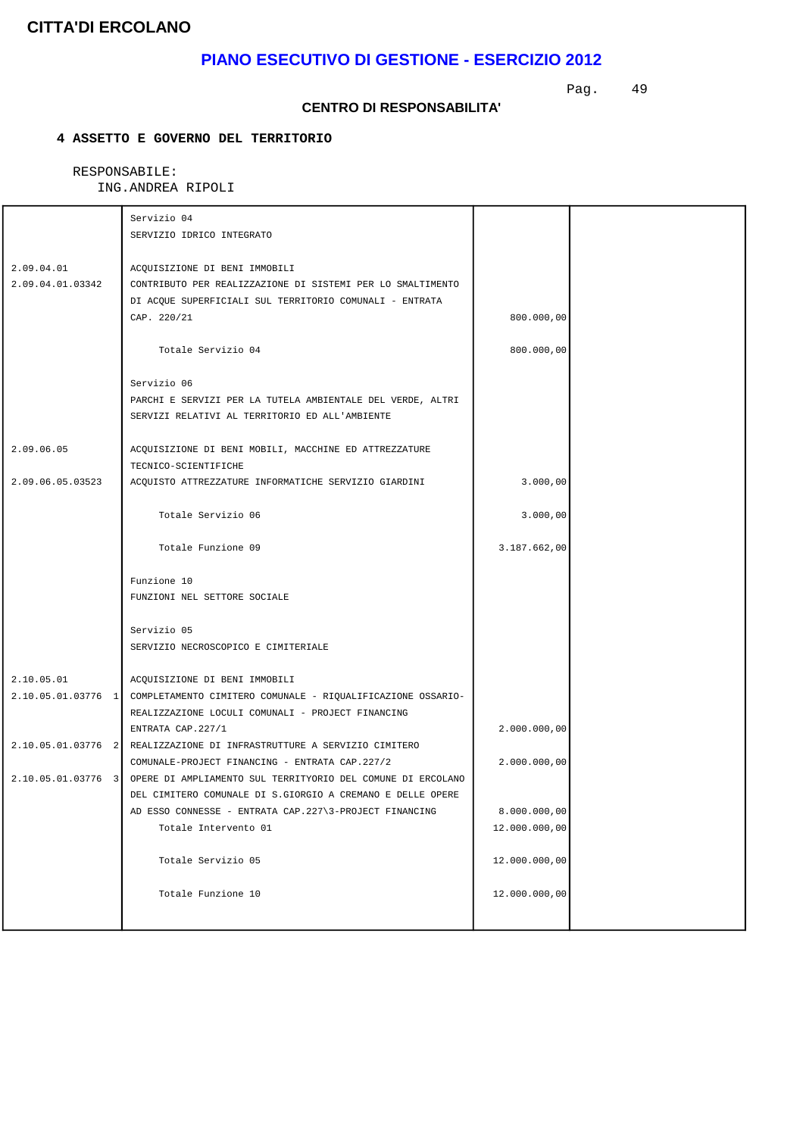## **PIANO ESECUTIVO DI GESTIONE - ESERCIZIO 2012**

Pag. 49

#### **CENTRO DI RESPONSABILITA'**

### **4 ASSETTO E GOVERNO DEL TERRITORIO**

|                  | Servizio 04                                                                    |               |  |
|------------------|--------------------------------------------------------------------------------|---------------|--|
|                  | SERVIZIO IDRICO INTEGRATO                                                      |               |  |
| 2.09.04.01       | ACQUISIZIONE DI BENI IMMOBILI                                                  |               |  |
| 2.09.04.01.03342 | CONTRIBUTO PER REALIZZAZIONE DI SISTEMI PER LO SMALTIMENTO                     |               |  |
|                  | DI ACQUE SUPERFICIALI SUL TERRITORIO COMUNALI - ENTRATA                        |               |  |
|                  | CAP. 220/21                                                                    | 800.000,00    |  |
|                  |                                                                                |               |  |
|                  | Totale Servizio 04                                                             | 800.000,00    |  |
|                  | Servizio 06                                                                    |               |  |
|                  | PARCHI E SERVIZI PER LA TUTELA AMBIENTALE DEL VERDE, ALTRI                     |               |  |
|                  | SERVIZI RELATIVI AL TERRITORIO ED ALL'AMBIENTE                                 |               |  |
|                  |                                                                                |               |  |
| 2.09.06.05       | ACQUISIZIONE DI BENI MOBILI, MACCHINE ED ATTREZZATURE                          |               |  |
|                  | TECNICO-SCIENTIFICHE                                                           |               |  |
| 2.09.06.05.03523 | ACQUISTO ATTREZZATURE INFORMATICHE SERVIZIO GIARDINI                           | 3.000,00      |  |
|                  |                                                                                |               |  |
|                  | Totale Servizio 06                                                             | 3.000,00      |  |
|                  |                                                                                |               |  |
|                  | Totale Funzione 09                                                             | 3.187.662,00  |  |
|                  | Funzione 10                                                                    |               |  |
|                  | FUNZIONI NEL SETTORE SOCIALE                                                   |               |  |
|                  |                                                                                |               |  |
|                  | Servizio 05                                                                    |               |  |
|                  | SERVIZIO NECROSCOPICO E CIMITERIALE                                            |               |  |
| 2.10.05.01       | ACQUISIZIONE DI BENI IMMOBILI                                                  |               |  |
|                  | 2.10.05.01.03776 1 COMPLETAMENTO CIMITERO COMUNALE - RIQUALIFICAZIONE OSSARIO- |               |  |
|                  | REALIZZAZIONE LOCULI COMUNALI - PROJECT FINANCING                              |               |  |
|                  | ENTRATA CAP. 227/1                                                             | 2.000.000,00  |  |
|                  | 2.10.05.01.03776 2 REALIZZAZIONE DI INFRASTRUTTURE A SERVIZIO CIMITERO         |               |  |
|                  | COMUNALE-PROJECT FINANCING - ENTRATA CAP. 227/2                                | 2.000.000,00  |  |
|                  | 2.10.05.01.03776 3 OPERE DI AMPLIAMENTO SUL TERRITYORIO DEL COMUNE DI ERCOLANO |               |  |
|                  | DEL CIMITERO COMUNALE DI S.GIORGIO A CREMANO E DELLE OPERE                     |               |  |
|                  | AD ESSO CONNESSE - ENTRATA CAP.227\3-PROJECT FINANCING                         | 8.000.000,00  |  |
|                  | Totale Intervento 01                                                           | 12.000.000,00 |  |
|                  |                                                                                |               |  |
|                  | Totale Servizio 05                                                             | 12.000.000,00 |  |
|                  |                                                                                |               |  |
|                  | Totale Funzione 10                                                             | 12.000.000,00 |  |
|                  |                                                                                |               |  |
|                  |                                                                                |               |  |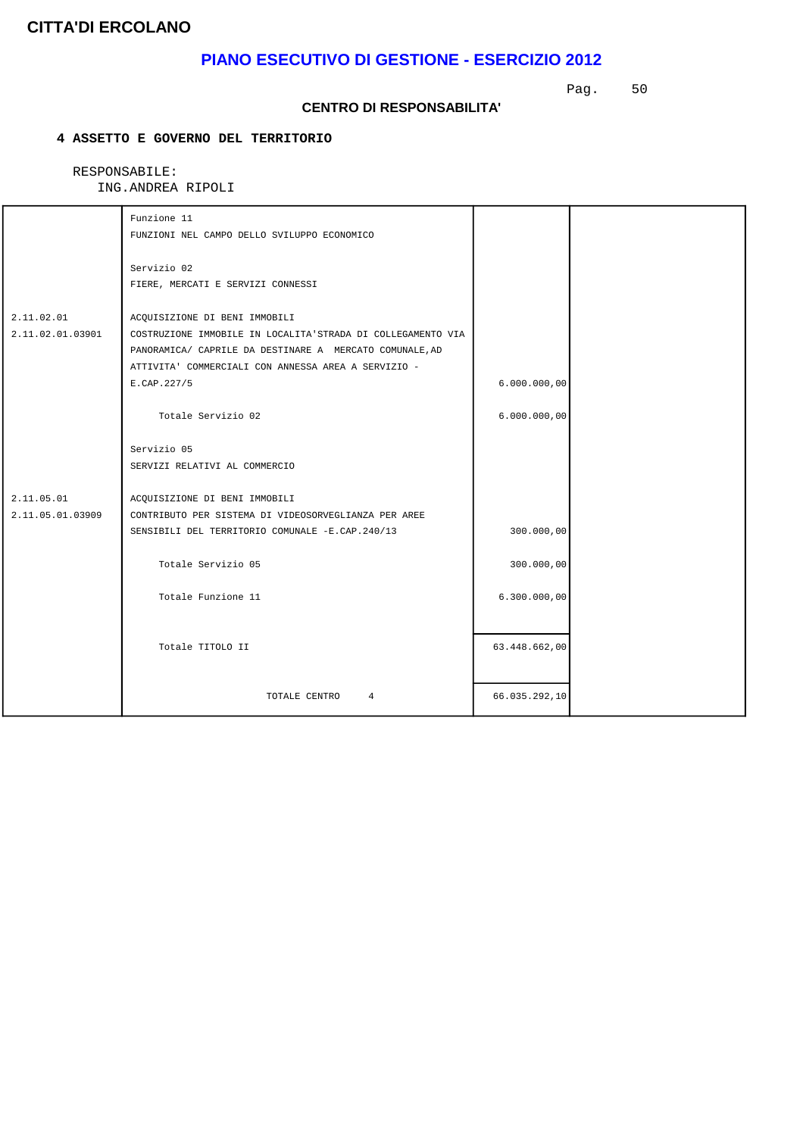## **PIANO ESECUTIVO DI GESTIONE - ESERCIZIO 2012**

Pag. 50

#### **CENTRO DI RESPONSABILITA'**

### **4 ASSETTO E GOVERNO DEL TERRITORIO**

| Funzione 11                                          |                                                                                                                                                                                                                                                                                                                                              |                                                             |
|------------------------------------------------------|----------------------------------------------------------------------------------------------------------------------------------------------------------------------------------------------------------------------------------------------------------------------------------------------------------------------------------------------|-------------------------------------------------------------|
|                                                      |                                                                                                                                                                                                                                                                                                                                              |                                                             |
| Servizio 02                                          |                                                                                                                                                                                                                                                                                                                                              |                                                             |
| FIERE, MERCATI E SERVIZI CONNESSI                    |                                                                                                                                                                                                                                                                                                                                              |                                                             |
|                                                      |                                                                                                                                                                                                                                                                                                                                              |                                                             |
|                                                      |                                                                                                                                                                                                                                                                                                                                              |                                                             |
|                                                      |                                                                                                                                                                                                                                                                                                                                              |                                                             |
|                                                      |                                                                                                                                                                                                                                                                                                                                              |                                                             |
|                                                      |                                                                                                                                                                                                                                                                                                                                              |                                                             |
|                                                      |                                                                                                                                                                                                                                                                                                                                              |                                                             |
|                                                      |                                                                                                                                                                                                                                                                                                                                              |                                                             |
|                                                      |                                                                                                                                                                                                                                                                                                                                              |                                                             |
| Servizio 05                                          |                                                                                                                                                                                                                                                                                                                                              |                                                             |
| SERVIZI RELATIVI AL COMMERCIO                        |                                                                                                                                                                                                                                                                                                                                              |                                                             |
|                                                      |                                                                                                                                                                                                                                                                                                                                              |                                                             |
| ACQUISIZIONE DI BENI IMMOBILI                        |                                                                                                                                                                                                                                                                                                                                              |                                                             |
| CONTRIBUTO PER SISTEMA DI VIDEOSORVEGLIANZA PER AREE |                                                                                                                                                                                                                                                                                                                                              |                                                             |
| SENSIBILI DEL TERRITORIO COMUNALE -E.CAP.240/13      | 300.000,00                                                                                                                                                                                                                                                                                                                                   |                                                             |
|                                                      |                                                                                                                                                                                                                                                                                                                                              |                                                             |
|                                                      |                                                                                                                                                                                                                                                                                                                                              |                                                             |
| Totale Funzione 11                                   | 6.300.000,00                                                                                                                                                                                                                                                                                                                                 |                                                             |
|                                                      |                                                                                                                                                                                                                                                                                                                                              |                                                             |
|                                                      |                                                                                                                                                                                                                                                                                                                                              |                                                             |
|                                                      |                                                                                                                                                                                                                                                                                                                                              |                                                             |
|                                                      |                                                                                                                                                                                                                                                                                                                                              |                                                             |
| TOTALE CENTRO<br>$4\overline{ }$                     | 66.035.292,10                                                                                                                                                                                                                                                                                                                                |                                                             |
|                                                      | FUNZIONI NEL CAMPO DELLO SVILUPPO ECONOMICO<br>ACQUISIZIONE DI BENI IMMOBILI<br>COSTRUZIONE IMMOBILE IN LOCALITA'STRADA DI COLLEGAMENTO VIA<br>PANORAMICA/ CAPRILE DA DESTINARE A MERCATO COMUNALE, AD<br>ATTIVITA' COMMERCIALI CON ANNESSA AREA A SERVIZIO -<br>E.CAP.227/5<br>Totale Servizio 02<br>Totale Servizio 05<br>Totale TITOLO II | 6.000.000,00<br>6.000.000,00<br>300.000,00<br>63.448.662,00 |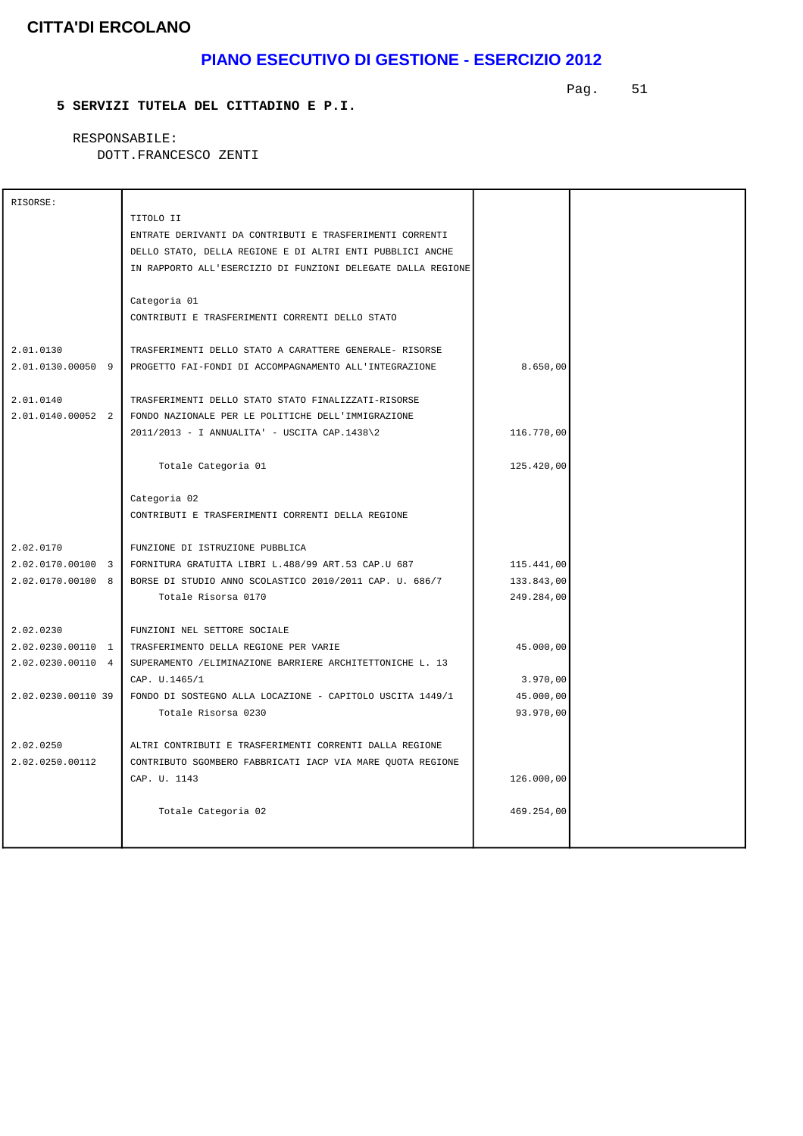## **PIANO ESECUTIVO DI GESTIONE - ESERCIZIO 2012**

Pag. 51

### **5 SERVIZI TUTELA DEL CITTADINO E P.I.**

 RESPONSABILE: DOTT.FRANCESCO ZENTI

| RISORSE:           |                                                              |            |  |
|--------------------|--------------------------------------------------------------|------------|--|
|                    | TITOLO II                                                    |            |  |
|                    | ENTRATE DERIVANTI DA CONTRIBUTI E TRASFERIMENTI CORRENTI     |            |  |
|                    |                                                              |            |  |
|                    | DELLO STATO, DELLA REGIONE E DI ALTRI ENTI PUBBLICI ANCHE    |            |  |
|                    | IN RAPPORTO ALL'ESERCIZIO DI FUNZIONI DELEGATE DALLA REGIONE |            |  |
|                    | Categoria 01                                                 |            |  |
|                    | CONTRIBUTI E TRASFERIMENTI CORRENTI DELLO STATO              |            |  |
|                    |                                                              |            |  |
| 2.01.0130          | TRASFERIMENTI DELLO STATO A CARATTERE GENERALE- RISORSE      |            |  |
| 2.01.0130.00050 9  | PROGETTO FAI-FONDI DI ACCOMPAGNAMENTO ALL'INTEGRAZIONE       | 8.650,00   |  |
|                    |                                                              |            |  |
| 2.01.0140          | TRASFERIMENTI DELLO STATO STATO FINALIZZATI-RISORSE          |            |  |
| 2.01.0140.00052 2  | FONDO NAZIONALE PER LE POLITICHE DELL'IMMIGRAZIONE           |            |  |
|                    | 2011/2013 - I ANNUALITA' - USCITA CAP.1438\2                 | 116.770,00 |  |
|                    |                                                              |            |  |
|                    | Totale Categoria 01                                          | 125.420,00 |  |
|                    | Categoria 02                                                 |            |  |
|                    | CONTRIBUTI E TRASFERIMENTI CORRENTI DELLA REGIONE            |            |  |
|                    |                                                              |            |  |
| 2.02.0170          | FUNZIONE DI ISTRUZIONE PUBBLICA                              |            |  |
| 2.02.0170.00100 3  | FORNITURA GRATUITA LIBRI L.488/99 ART.53 CAP.U 687           | 115.441,00 |  |
| 2.02.0170.00100 8  | BORSE DI STUDIO ANNO SCOLASTICO 2010/2011 CAP. U. 686/7      | 133.843,00 |  |
|                    | Totale Risorsa 0170                                          | 249.284,00 |  |
|                    |                                                              |            |  |
| 2.02.0230          | FUNZIONI NEL SETTORE SOCIALE                                 |            |  |
| 2.02.0230.00110 1  | TRASFERIMENTO DELLA REGIONE PER VARIE                        | 45.000,00  |  |
| 2.02.0230.00110 4  | SUPERAMENTO / ELIMINAZIONE BARRIERE ARCHITETTONICHE L. 13    |            |  |
|                    | CAP. U.1465/1                                                | 3.970,00   |  |
| 2.02.0230.00110 39 | FONDO DI SOSTEGNO ALLA LOCAZIONE - CAPITOLO USCITA 1449/1    | 45.000,00  |  |
|                    | Totale Risorsa 0230                                          | 93.970,00  |  |
|                    |                                                              |            |  |
| 2.02.0250          | ALTRI CONTRIBUTI E TRASFERIMENTI CORRENTI DALLA REGIONE      |            |  |
| 2.02.0250.00112    | CONTRIBUTO SGOMBERO FABBRICATI IACP VIA MARE QUOTA REGIONE   |            |  |
|                    | CAP. U. 1143                                                 | 126.000,00 |  |
|                    |                                                              |            |  |
|                    | Totale Categoria 02                                          | 469.254,00 |  |
|                    |                                                              |            |  |
|                    |                                                              |            |  |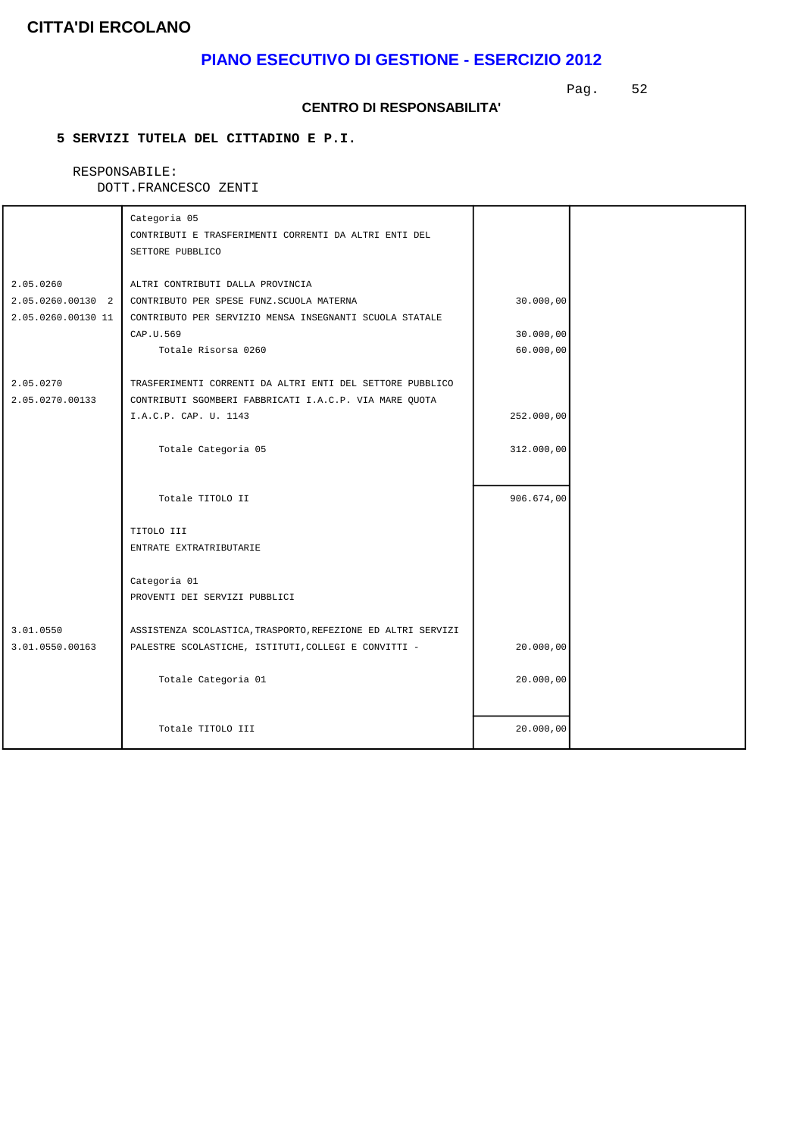## **PIANO ESECUTIVO DI GESTIONE - ESERCIZIO 2012**

Pag. 52

#### **CENTRO DI RESPONSABILITA'**

### **5 SERVIZI TUTELA DEL CITTADINO E P.I.**

### RESPONSABILE:

|                     | Categoria 05                                                              |                        |  |
|---------------------|---------------------------------------------------------------------------|------------------------|--|
|                     | CONTRIBUTI E TRASFERIMENTI CORRENTI DA ALTRI ENTI DEL<br>SETTORE PUBBLICO |                        |  |
|                     |                                                                           |                        |  |
| 2.05.0260           | ALTRI CONTRIBUTI DALLA PROVINCIA                                          |                        |  |
| $2.05.0260.00130$ 2 | CONTRIBUTO PER SPESE FUNZ.SCUOLA MATERNA                                  | 30.000,00              |  |
| 2.05.0260.00130 11  | CONTRIBUTO PER SERVIZIO MENSA INSEGNANTI SCUOLA STATALE                   |                        |  |
|                     | CAP.U.569<br>Totale Risorsa 0260                                          | 30.000,00<br>60.000,00 |  |
|                     |                                                                           |                        |  |
| 2.05.0270           | TRASFERIMENTI CORRENTI DA ALTRI ENTI DEL SETTORE PUBBLICO                 |                        |  |
| 2.05.0270.00133     | CONTRIBUTI SGOMBERI FABBRICATI I.A.C.P. VIA MARE QUOTA                    |                        |  |
|                     | I.A.C.P. CAP. U. 1143                                                     | 252.000,00             |  |
|                     | Totale Categoria 05                                                       | 312.000,00             |  |
|                     |                                                                           |                        |  |
|                     |                                                                           |                        |  |
|                     | Totale TITOLO II                                                          | 906.674,00             |  |
|                     | TITOLO III                                                                |                        |  |
|                     | ENTRATE EXTRATRIBUTARIE                                                   |                        |  |
|                     | Categoria 01                                                              |                        |  |
|                     | PROVENTI DEI SERVIZI PUBBLICI                                             |                        |  |
|                     |                                                                           |                        |  |
| 3.01.0550           | ASSISTENZA SCOLASTICA, TRASPORTO, REFEZIONE ED ALTRI SERVIZI              |                        |  |
| 3.01.0550.00163     | PALESTRE SCOLASTICHE, ISTITUTI, COLLEGI E CONVITTI -                      | 20.000,00              |  |
|                     | Totale Categoria 01                                                       | 20.000,00              |  |
|                     |                                                                           |                        |  |
|                     |                                                                           |                        |  |
|                     | Totale TITOLO III                                                         | 20.000,00              |  |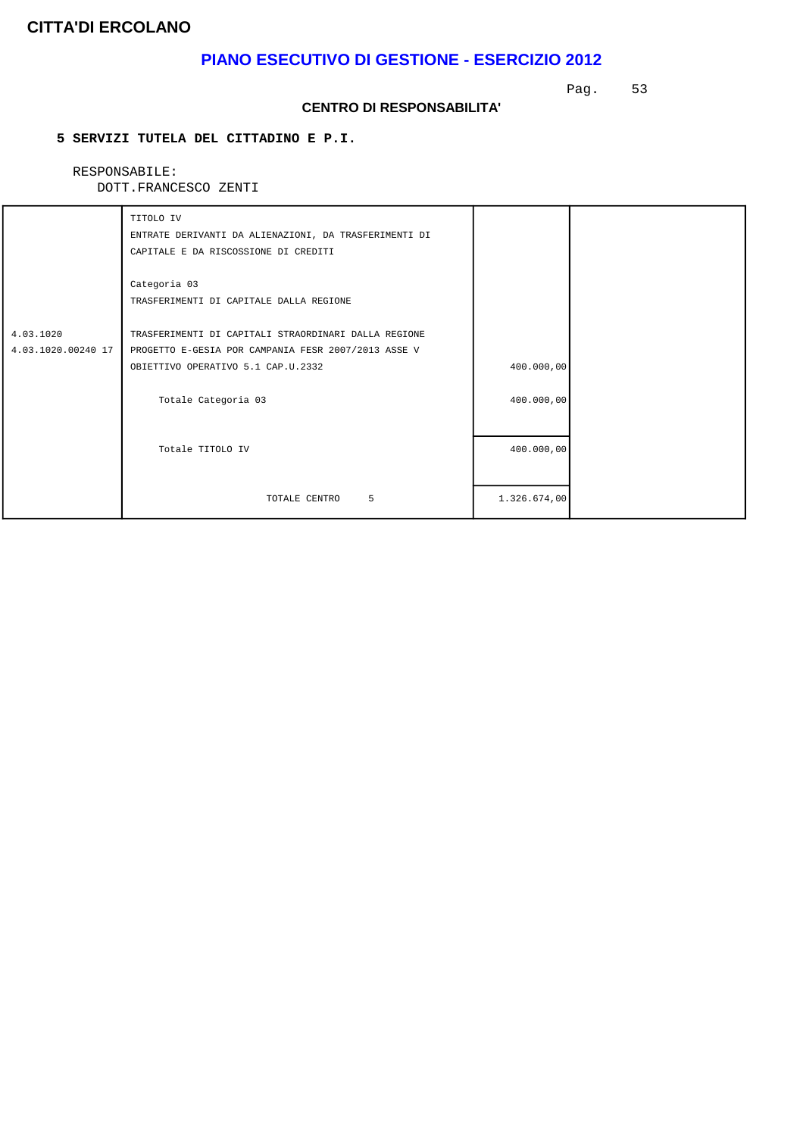## **PIANO ESECUTIVO DI GESTIONE - ESERCIZIO 2012**

Pag. 53

#### **CENTRO DI RESPONSABILITA'**

### **5 SERVIZI TUTELA DEL CITTADINO E P.I.**

### RESPONSABILE:

|                                 | TITOLO IV<br>ENTRATE DERIVANTI DA ALIENAZIONI, DA TRASFERIMENTI DI<br>CAPITALE E DA RISCOSSIONE DI CREDITI                                        |              |  |
|---------------------------------|---------------------------------------------------------------------------------------------------------------------------------------------------|--------------|--|
|                                 | Categoria 03<br>TRASFERIMENTI DI CAPITALE DALLA REGIONE                                                                                           |              |  |
| 4.03.1020<br>4.03.1020.00240 17 | TRASFERIMENTI DI CAPITALI STRAORDINARI DALLA REGIONE<br>PROGETTO E-GESIA POR CAMPANIA FESR 2007/2013 ASSE V<br>OBIETTIVO OPERATIVO 5.1 CAP.U.2332 | 400.000,00   |  |
|                                 | Totale Categoria 03                                                                                                                               | 400.000,00   |  |
|                                 | Totale TITOLO IV                                                                                                                                  | 400.000,00   |  |
|                                 | 5<br>TOTALE CENTRO                                                                                                                                | 1.326.674,00 |  |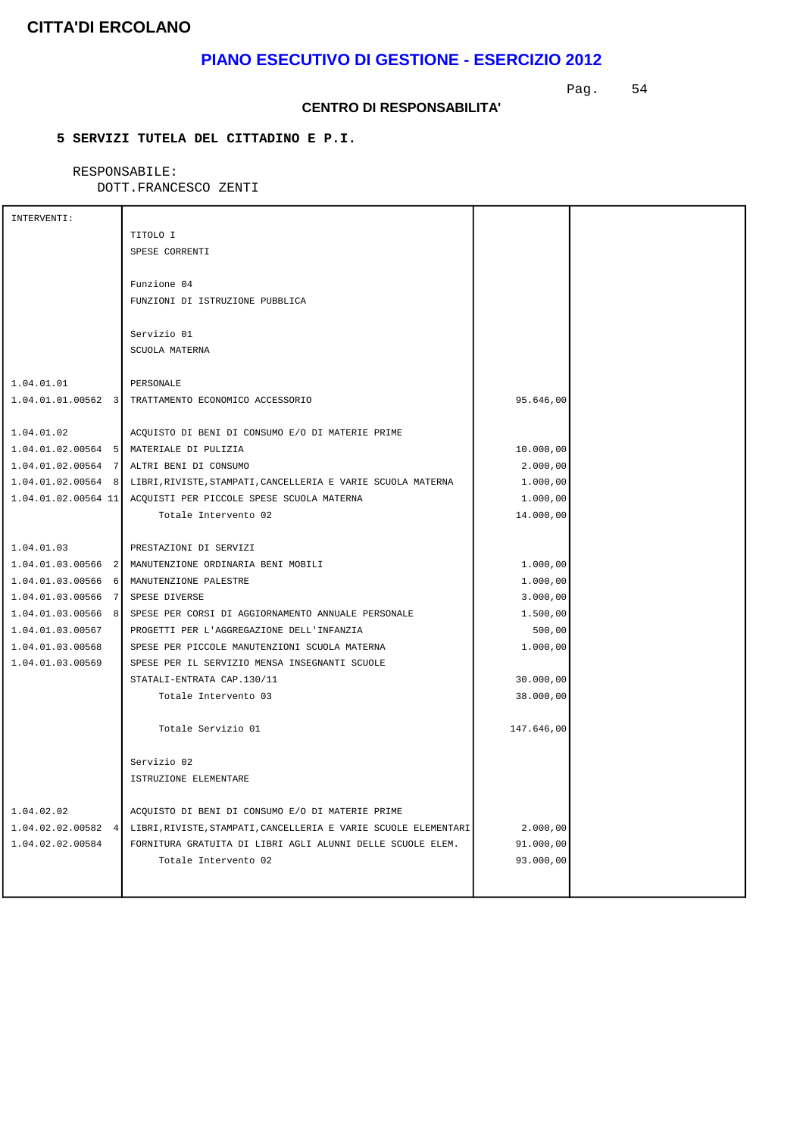## **PIANO ESECUTIVO DI GESTIONE - ESERCIZIO 2012**

Pag. 54

#### **CENTRO DI RESPONSABILITA'**

### **5 SERVIZI TUTELA DEL CITTADINO E P.I.**

### RESPONSABILE:

| INTERVENTI:           |                                                                                    |            |  |
|-----------------------|------------------------------------------------------------------------------------|------------|--|
|                       | TITOLO I                                                                           |            |  |
|                       | SPESE CORRENTI                                                                     |            |  |
|                       |                                                                                    |            |  |
|                       | Funzione 04                                                                        |            |  |
|                       | FUNZIONI DI ISTRUZIONE PUBBLICA                                                    |            |  |
|                       |                                                                                    |            |  |
|                       | Servizio 01                                                                        |            |  |
|                       | SCUOLA MATERNA                                                                     |            |  |
|                       |                                                                                    |            |  |
| 1.04.01.01            | PERSONALE                                                                          |            |  |
|                       | 1.04.01.01.00562 3 TRATTAMENTO ECONOMICO ACCESSORIO                                | 95.646,00  |  |
|                       |                                                                                    |            |  |
| 1.04.01.02            | ACQUISTO DI BENI DI CONSUMO E/O DI MATERIE PRIME                                   |            |  |
|                       | 1.04.01.02.00564 5 MATERIALE DI PULIZIA                                            | 10.000,00  |  |
| $1.04.01.02.00564$ 7  | ALTRI BENI DI CONSUMO                                                              | 2.000,00   |  |
| $1.04.01.02.00564$ 8  | LIBRI, RIVISTE, STAMPATI, CANCELLERIA E VARIE SCUOLA MATERNA                       | 1.000,00   |  |
| $1.04.01.02.00564$ 11 | ACQUISTI PER PICCOLE SPESE SCUOLA MATERNA                                          | 1.000,00   |  |
|                       | Totale Intervento 02                                                               | 14.000,00  |  |
|                       |                                                                                    |            |  |
| 1.04.01.03            | PRESTAZIONI DI SERVIZI                                                             |            |  |
| $1.04.01.03.00566$ 2  | MANUTENZIONE ORDINARIA BENI MOBILI                                                 | 1.000,00   |  |
| 1.04.01.03.00566<br>6 | MANUTENZIONE PALESTRE                                                              | 1.000,00   |  |
| 1.04.01.03.00566<br>7 | SPESE DIVERSE                                                                      | 3.000,00   |  |
| 1.04.01.03.00566<br>8 | SPESE PER CORSI DI AGGIORNAMENTO ANNUALE PERSONALE                                 | 1.500,00   |  |
| 1.04.01.03.00567      | PROGETTI PER L'AGGREGAZIONE DELL'INFANZIA                                          | 500,00     |  |
| 1.04.01.03.00568      | SPESE PER PICCOLE MANUTENZIONI SCUOLA MATERNA                                      | 1.000,00   |  |
| 1.04.01.03.00569      | SPESE PER IL SERVIZIO MENSA INSEGNANTI SCUOLE                                      |            |  |
|                       | STATALI-ENTRATA CAP.130/11                                                         | 30.000,00  |  |
|                       | Totale Intervento 03                                                               | 38.000,00  |  |
|                       |                                                                                    |            |  |
|                       | Totale Servizio 01                                                                 | 147.646,00 |  |
|                       |                                                                                    |            |  |
|                       | Servizio 02                                                                        |            |  |
|                       | ISTRUZIONE ELEMENTARE                                                              |            |  |
|                       |                                                                                    |            |  |
| 1.04.02.02            | ACQUISTO DI BENI DI CONSUMO E/O DI MATERIE PRIME                                   |            |  |
|                       | 1.04.02.02.00582 4 LIBRI, RIVISTE, STAMPATI, CANCELLERIA E VARIE SCUOLE ELEMENTARI | 2.000,00   |  |
| 1.04.02.02.00584      | FORNITURA GRATUITA DI LIBRI AGLI ALUNNI DELLE SCUOLE ELEM.                         | 91.000,00  |  |
|                       | Totale Intervento 02                                                               | 93.000,00  |  |
|                       |                                                                                    |            |  |
|                       |                                                                                    |            |  |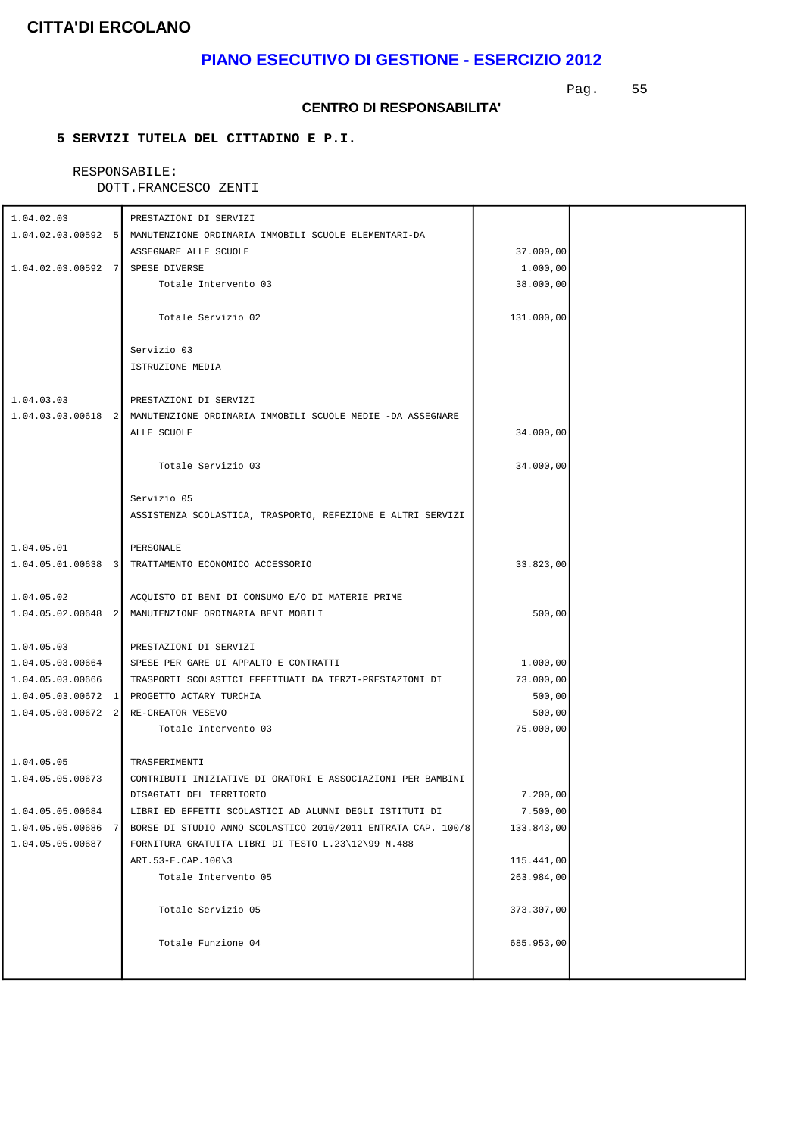## **PIANO ESECUTIVO DI GESTIONE - ESERCIZIO 2012**

Pag. 55

#### **CENTRO DI RESPONSABILITA'**

### **5 SERVIZI TUTELA DEL CITTADINO E P.I.**

## RESPONSABILE:

| 1.04.02.03                           | PRESTAZIONI DI SERVIZI                                                        |            |  |
|--------------------------------------|-------------------------------------------------------------------------------|------------|--|
|                                      | 1.04.02.03.00592 5 MANUTENZIONE ORDINARIA IMMOBILI SCUOLE ELEMENTARI-DA       |            |  |
|                                      | ASSEGNARE ALLE SCUOLE                                                         | 37.000,00  |  |
| 1.04.02.03.00592 7 SPESE DIVERSE     |                                                                               |            |  |
|                                      |                                                                               | 1.000,00   |  |
|                                      | Totale Intervento 03                                                          | 38.000,00  |  |
|                                      |                                                                               |            |  |
|                                      | Totale Servizio 02                                                            | 131.000,00 |  |
|                                      | Servizio 03                                                                   |            |  |
|                                      | ISTRUZIONE MEDIA                                                              |            |  |
|                                      |                                                                               |            |  |
| 1.04.03.03                           | PRESTAZIONI DI SERVIZI                                                        |            |  |
|                                      | 1.04.03.03.00618 2 MANUTENZIONE ORDINARIA IMMOBILI SCUOLE MEDIE -DA ASSEGNARE |            |  |
|                                      | ALLE SCUOLE                                                                   | 34.000,00  |  |
|                                      |                                                                               |            |  |
|                                      | Totale Servizio 03                                                            | 34.000,00  |  |
|                                      |                                                                               |            |  |
|                                      | Servizio 05                                                                   |            |  |
|                                      | ASSISTENZA SCOLASTICA, TRASPORTO, REFEZIONE E ALTRI SERVIZI                   |            |  |
|                                      |                                                                               |            |  |
| 1.04.05.01                           | PERSONALE                                                                     |            |  |
|                                      | 1.04.05.01.00638 3 TRATTAMENTO ECONOMICO ACCESSORIO                           | 33.823,00  |  |
|                                      |                                                                               |            |  |
| 1.04.05.02                           | ACQUISTO DI BENI DI CONSUMO E/O DI MATERIE PRIME                              |            |  |
|                                      | 1.04.05.02.00648 2 MANUTENZIONE ORDINARIA BENI MOBILI                         | 500,00     |  |
|                                      |                                                                               |            |  |
| 1.04.05.03                           | PRESTAZIONI DI SERVIZI                                                        |            |  |
| 1.04.05.03.00664                     | SPESE PER GARE DI APPALTO E CONTRATTI                                         | 1.000,00   |  |
| 1.04.05.03.00666                     | TRASPORTI SCOLASTICI EFFETTUATI DA TERZI-PRESTAZIONI DI                       | 73.000,00  |  |
|                                      | 1.04.05.03.00672 1 PROGETTO ACTARY TURCHIA                                    | 500,00     |  |
| 1.04.05.03.00672 2 RE-CREATOR VESEVO |                                                                               | 500,00     |  |
|                                      | Totale Intervento 03                                                          | 75.000,00  |  |
|                                      |                                                                               |            |  |
| 1.04.05.05                           | TRASFERIMENTI                                                                 |            |  |
| 1.04.05.05.00673                     | CONTRIBUTI INIZIATIVE DI ORATORI E ASSOCIAZIONI PER BAMBINI                   |            |  |
|                                      | DISAGIATI DEL TERRITORIO                                                      | 7.200,00   |  |
| 1.04.05.05.00684                     | LIBRI ED EFFETTI SCOLASTICI AD ALUNNI DEGLI ISTITUTI DI                       | 7.500,00   |  |
| 1.04.05.05.00686<br>7                | BORSE DI STUDIO ANNO SCOLASTICO 2010/2011 ENTRATA CAP. 100/8                  | 133.843,00 |  |
| 1.04.05.05.00687                     | FORNITURA GRATUITA LIBRI DI TESTO L.23\12\99 N.488                            |            |  |
|                                      | ART. $53-E$ . CAP. $100\$ 3                                                   | 115.441,00 |  |
|                                      | Totale Intervento 05                                                          | 263.984,00 |  |
|                                      |                                                                               |            |  |
|                                      | Totale Servizio 05                                                            | 373.307,00 |  |
|                                      |                                                                               |            |  |
|                                      | Totale Funzione 04                                                            | 685.953,00 |  |
|                                      |                                                                               |            |  |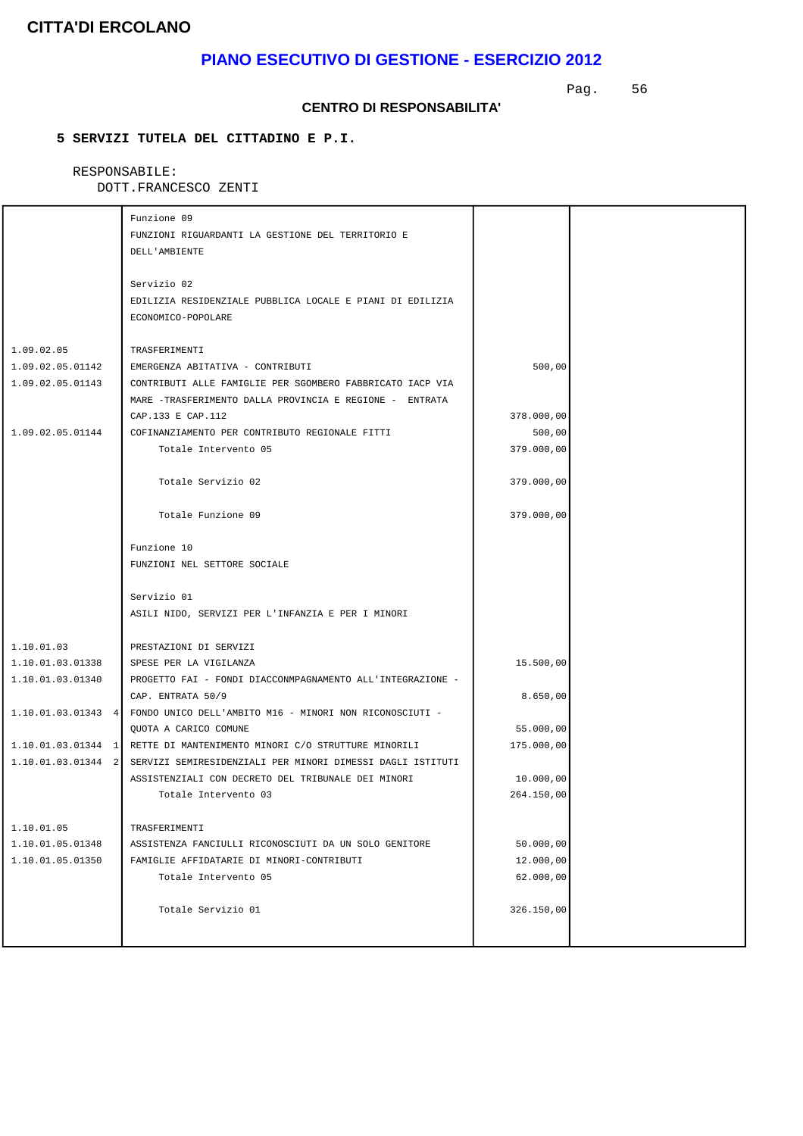## **PIANO ESECUTIVO DI GESTIONE - ESERCIZIO 2012**

Pag. 56

#### **CENTRO DI RESPONSABILITA'**

### **5 SERVIZI TUTELA DEL CITTADINO E P.I.**

#### RESPONSABILE: DOTT.FRANCESCO ZENTI

|                      | Funzione 09<br>FUNZIONI RIGUARDANTI LA GESTIONE DEL TERRITORIO E<br>DELL'AMBIENTE              |            |  |
|----------------------|------------------------------------------------------------------------------------------------|------------|--|
|                      | Servizio 02<br>EDILIZIA RESIDENZIALE PUBBLICA LOCALE E PIANI DI EDILIZIA<br>ECONOMICO-POPOLARE |            |  |
|                      |                                                                                                |            |  |
| 1.09.02.05           | TRASFERIMENTI                                                                                  |            |  |
| 1.09.02.05.01142     | EMERGENZA ABITATIVA - CONTRIBUTI                                                               | 500,00     |  |
| 1.09.02.05.01143     | CONTRIBUTI ALLE FAMIGLIE PER SGOMBERO FABBRICATO IACP VIA                                      |            |  |
|                      | MARE -TRASFERIMENTO DALLA PROVINCIA E REGIONE - ENTRATA<br>CAP.133 E CAP.112                   | 378.000,00 |  |
| 1.09.02.05.01144     | COFINANZIAMENTO PER CONTRIBUTO REGIONALE FITTI                                                 | 500,00     |  |
|                      | Totale Intervento 05                                                                           | 379.000,00 |  |
|                      |                                                                                                |            |  |
|                      | Totale Servizio 02                                                                             | 379.000,00 |  |
|                      | Totale Funzione 09                                                                             | 379.000,00 |  |
|                      | Funzione 10                                                                                    |            |  |
|                      | FUNZIONI NEL SETTORE SOCIALE                                                                   |            |  |
|                      |                                                                                                |            |  |
|                      | Servizio 01                                                                                    |            |  |
|                      | ASILI NIDO, SERVIZI PER L'INFANZIA E PER I MINORI                                              |            |  |
| 1.10.01.03           | PRESTAZIONI DI SERVIZI                                                                         |            |  |
| 1.10.01.03.01338     | SPESE PER LA VIGILANZA                                                                         | 15.500,00  |  |
| 1.10.01.03.01340     | PROGETTO FAI - FONDI DIACCONMPAGNAMENTO ALL'INTEGRAZIONE -                                     |            |  |
|                      | CAP. ENTRATA 50/9                                                                              | 8.650,00   |  |
| $1.10.01.03.01343$ 4 | FONDO UNICO DELL'AMBITO M16 - MINORI NON RICONOSCIUTI -                                        |            |  |
|                      | QUOTA A CARICO COMUNE                                                                          | 55.000,00  |  |
| $1.10.01.03.01344$ 1 | RETTE DI MANTENIMENTO MINORI C/O STRUTTURE MINORILI                                            | 175.000,00 |  |
| 1.10.01.03.01344 2   | SERVIZI SEMIRESIDENZIALI PER MINORI DIMESSI DAGLI ISTITUTI                                     |            |  |
|                      | ASSISTENZIALI CON DECRETO DEL TRIBUNALE DEI MINORI                                             | 10.000,00  |  |
|                      | Totale Intervento 03                                                                           | 264.150,00 |  |
| 1.10.01.05           | TRASFERIMENTI                                                                                  |            |  |
| 1.10.01.05.01348     | ASSISTENZA FANCIULLI RICONOSCIUTI DA UN SOLO GENITORE                                          | 50.000,00  |  |
| 1.10.01.05.01350     | FAMIGLIE AFFIDATARIE DI MINORI-CONTRIBUTI                                                      | 12.000,00  |  |
|                      | Totale Intervento 05                                                                           | 62.000,00  |  |
|                      | Totale Servizio 01                                                                             | 326.150,00 |  |
|                      |                                                                                                |            |  |
|                      |                                                                                                |            |  |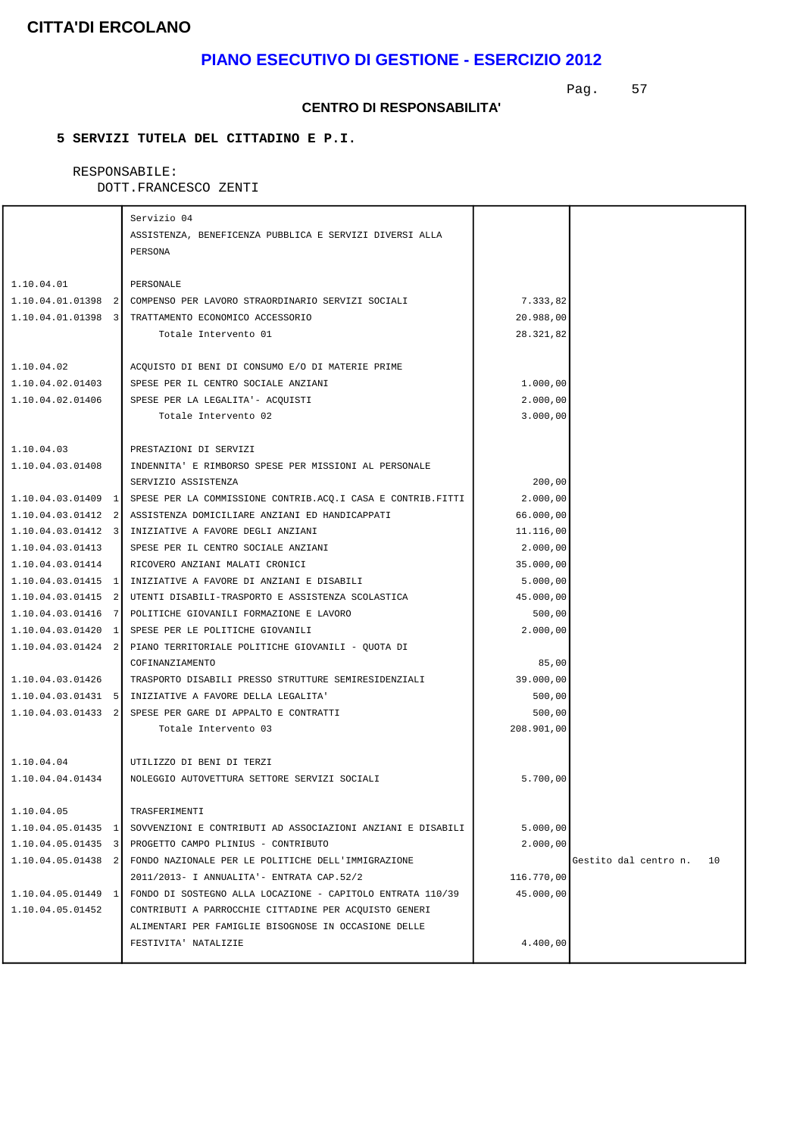### **PIANO ESECUTIVO DI GESTIONE - ESERCIZIO 2012**

Pag. 57

#### **CENTRO DI RESPONSABILITA'**

### **5 SERVIZI TUTELA DEL CITTADINO E P.I.**

# RESPONSABILE:

|                    | Servizio 04                                                                    |            |                             |
|--------------------|--------------------------------------------------------------------------------|------------|-----------------------------|
|                    | ASSISTENZA, BENEFICENZA PUBBLICA E SERVIZI DIVERSI ALLA                        |            |                             |
|                    | PERSONA                                                                        |            |                             |
|                    |                                                                                |            |                             |
| 1.10.04.01         | PERSONALE                                                                      |            |                             |
|                    | 1.10.04.01.01398 2 COMPENSO PER LAVORO STRAORDINARIO SERVIZI SOCIALI           | 7.333,82   |                             |
|                    | 1.10.04.01.01398 3 TRATTAMENTO ECONOMICO ACCESSORIO                            | 20.988,00  |                             |
|                    | Totale Intervento 01                                                           | 28.321,82  |                             |
|                    |                                                                                |            |                             |
| 1.10.04.02         | ACQUISTO DI BENI DI CONSUMO E/O DI MATERIE PRIME                               |            |                             |
| 1.10.04.02.01403   | SPESE PER IL CENTRO SOCIALE ANZIANI                                            | 1.000,00   |                             |
| 1.10.04.02.01406   | SPESE PER LA LEGALITA'- ACOUISTI                                               | 2.000,00   |                             |
|                    | Totale Intervento 02                                                           | 3.000,00   |                             |
|                    |                                                                                |            |                             |
| 1.10.04.03         | PRESTAZIONI DI SERVIZI                                                         |            |                             |
| 1.10.04.03.01408   | INDENNITA' E RIMBORSO SPESE PER MISSIONI AL PERSONALE                          |            |                             |
|                    | SERVIZIO ASSISTENZA                                                            | 200,00     |                             |
|                    | 1.10.04.03.01409 1 SPESE PER LA COMMISSIONE CONTRIB.ACQ.I CASA E CONTRIB.FITTI | 2.000,00   |                             |
|                    | 1.10.04.03.01412 2 ASSISTENZA DOMICILIARE ANZIANI ED HANDICAPPATI              | 66.000,00  |                             |
|                    | 1.10.04.03.01412 3 INIZIATIVE A FAVORE DEGLI ANZIANI                           | 11.116,00  |                             |
| 1.10.04.03.01413   | SPESE PER IL CENTRO SOCIALE ANZIANI                                            | 2.000,00   |                             |
| 1.10.04.03.01414   | RICOVERO ANZIANI MALATI CRONICI                                                | 35.000,00  |                             |
|                    | 1.10.04.03.01415 1 INIZIATIVE A FAVORE DI ANZIANI E DISABILI                   | 5.000,00   |                             |
|                    | 1.10.04.03.01415 2 UTENTI DISABILI-TRASPORTO E ASSISTENZA SCOLASTICA           | 45.000,00  |                             |
|                    | 1.10.04.03.01416 7 POLITICHE GIOVANILI FORMAZIONE E LAVORO                     | 500,00     |                             |
|                    | 1.10.04.03.01420 1 SPESE PER LE POLITICHE GIOVANILI                            | 2.000,00   |                             |
|                    | 1.10.04.03.01424 2 PIANO TERRITORIALE POLITICHE GIOVANILI - QUOTA DI           |            |                             |
|                    | COFINANZIAMENTO                                                                | 85,00      |                             |
| 1.10.04.03.01426   | TRASPORTO DISABILI PRESSO STRUTTURE SEMIRESIDENZIALI                           | 39.000,00  |                             |
|                    | 1.10.04.03.01431 5   INIZIATIVE A FAVORE DELLA LEGALITA'                       | 500,00     |                             |
|                    | 1.10.04.03.01433 2 SPESE PER GARE DI APPALTO E CONTRATTI                       | 500,00     |                             |
|                    | Totale Intervento 03                                                           | 208.901,00 |                             |
|                    |                                                                                |            |                             |
| 1.10.04.04         | UTILIZZO DI BENI DI TERZI                                                      |            |                             |
| 1.10.04.04.01434   | NOLEGGIO AUTOVETTURA SETTORE SERVIZI SOCIALI                                   | 5.700,00   |                             |
|                    |                                                                                |            |                             |
| 1.10.04.05         | TRASFERIMENTI                                                                  |            |                             |
| 1.10.04.05.01435 1 | SOVVENZIONI E CONTRIBUTI AD ASSOCIAZIONI ANZIANI E DISABILI                    | 5.000,00   |                             |
| 1.10.04.05.01435 3 | PROGETTO CAMPO PLINIUS - CONTRIBUTO                                            | 2.000,00   |                             |
| 1.10.04.05.01438 2 | FONDO NAZIONALE PER LE POLITICHE DELL'IMMIGRAZIONE                             |            | Gestito dal centro n.<br>10 |
|                    | 2011/2013- I ANNUALITA'- ENTRATA CAP.52/2                                      | 116.770,00 |                             |
| 1.10.04.05.01449 1 | FONDO DI SOSTEGNO ALLA LOCAZIONE - CAPITOLO ENTRATA 110/39                     | 45.000,00  |                             |
| 1.10.04.05.01452   | CONTRIBUTI A PARROCCHIE CITTADINE PER ACOUISTO GENERI                          |            |                             |
|                    | ALIMENTARI PER FAMIGLIE BISOGNOSE IN OCCASIONE DELLE                           |            |                             |
|                    | FESTIVITA' NATALIZIE                                                           | 4.400,00   |                             |
|                    |                                                                                |            |                             |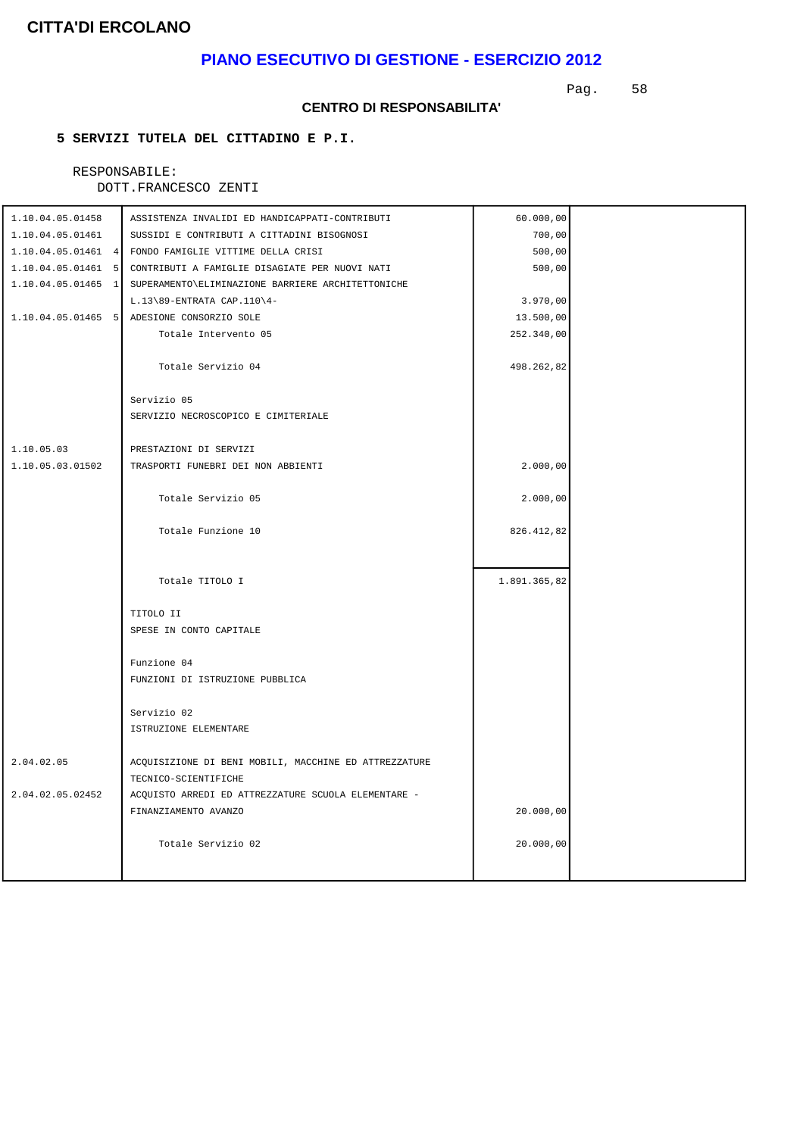### **PIANO ESECUTIVO DI GESTIONE - ESERCIZIO 2012**

Pag. 58

#### **CENTRO DI RESPONSABILITA'**

### **5 SERVIZI TUTELA DEL CITTADINO E P.I.**

### RESPONSABILE:

| 1.10.04.05.01458 | ASSISTENZA INVALIDI ED HANDICAPPATI-CONTRIBUTI                       | 60.000,00    |  |
|------------------|----------------------------------------------------------------------|--------------|--|
| 1.10.04.05.01461 | SUSSIDI E CONTRIBUTI A CITTADINI BISOGNOSI                           | 700,00       |  |
|                  | 1.10.04.05.01461 4 FONDO FAMIGLIE VITTIME DELLA CRISI                | 500,00       |  |
|                  | 1.10.04.05.01461 5 CONTRIBUTI A FAMIGLIE DISAGIATE PER NUOVI NATI    | 500,00       |  |
|                  | 1.10.04.05.01465 1 SUPERAMENTO ELIMINAZIONE BARRIERE ARCHITETTONICHE |              |  |
|                  | $L.13\89$ -ENTRATA CAP.110 $4-$                                      | 3.970,00     |  |
|                  | 1.10.04.05.01465 5 ADESIONE CONSORZIO SOLE                           | 13.500,00    |  |
|                  | Totale Intervento 05                                                 | 252.340,00   |  |
|                  |                                                                      |              |  |
|                  | Totale Servizio 04                                                   | 498.262,82   |  |
|                  |                                                                      |              |  |
|                  | Servizio 05                                                          |              |  |
|                  | SERVIZIO NECROSCOPICO E CIMITERIALE                                  |              |  |
|                  |                                                                      |              |  |
| 1.10.05.03       | PRESTAZIONI DI SERVIZI                                               |              |  |
| 1.10.05.03.01502 | TRASPORTI FUNEBRI DEI NON ABBIENTI                                   | 2.000,00     |  |
|                  |                                                                      |              |  |
|                  | Totale Servizio 05                                                   | 2.000,00     |  |
|                  |                                                                      |              |  |
|                  | Totale Funzione 10                                                   | 826.412,82   |  |
|                  |                                                                      |              |  |
|                  |                                                                      |              |  |
|                  | Totale TITOLO I                                                      | 1.891.365,82 |  |
|                  |                                                                      |              |  |
|                  | TITOLO II                                                            |              |  |
|                  | SPESE IN CONTO CAPITALE                                              |              |  |
|                  |                                                                      |              |  |
|                  | Funzione 04                                                          |              |  |
|                  | FUNZIONI DI ISTRUZIONE PUBBLICA                                      |              |  |
|                  | Servizio 02                                                          |              |  |
|                  | ISTRUZIONE ELEMENTARE                                                |              |  |
|                  |                                                                      |              |  |
| 2.04.02.05       | ACQUISIZIONE DI BENI MOBILI, MACCHINE ED ATTREZZATURE                |              |  |
|                  | TECNICO-SCIENTIFICHE                                                 |              |  |
| 2.04.02.05.02452 | ACQUISTO ARREDI ED ATTREZZATURE SCUOLA ELEMENTARE -                  |              |  |
|                  | FINANZIAMENTO AVANZO                                                 | 20.000,00    |  |
|                  |                                                                      |              |  |
|                  | Totale Servizio 02                                                   | 20.000,00    |  |
|                  |                                                                      |              |  |
|                  |                                                                      |              |  |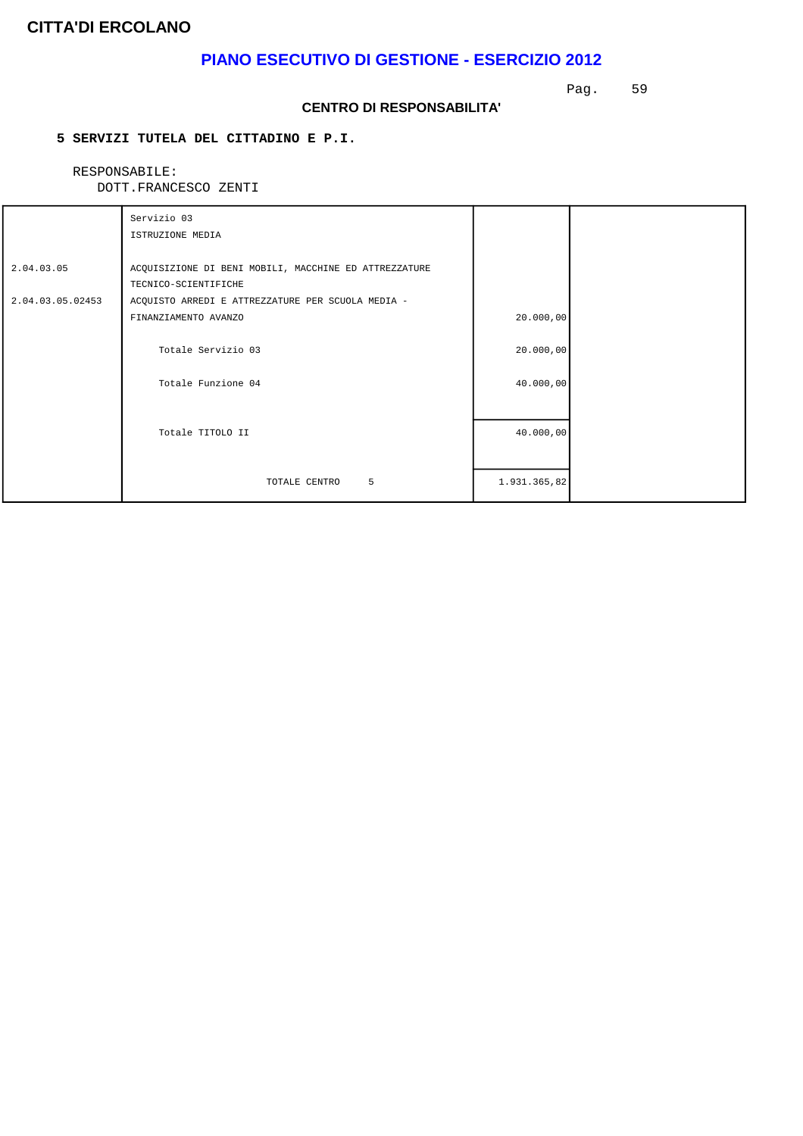## **PIANO ESECUTIVO DI GESTIONE - ESERCIZIO 2012**

Pag. 59

#### **CENTRO DI RESPONSABILITA'**

### **5 SERVIZI TUTELA DEL CITTADINO E P.I.**

# RESPONSABILE:

|  | DOTT. FRANCESCO ZENTI |  |
|--|-----------------------|--|
|  |                       |  |

|                  | Servizio 03                                           |              |  |
|------------------|-------------------------------------------------------|--------------|--|
|                  | ISTRUZIONE MEDIA                                      |              |  |
|                  |                                                       |              |  |
| 2.04.03.05       | ACQUISIZIONE DI BENI MOBILI, MACCHINE ED ATTREZZATURE |              |  |
|                  | TECNICO-SCIENTIFICHE                                  |              |  |
| 2.04.03.05.02453 | ACQUISTO ARREDI E ATTREZZATURE PER SCUOLA MEDIA -     |              |  |
|                  | FINANZIAMENTO AVANZO                                  | 20.000,00    |  |
|                  |                                                       |              |  |
|                  | Totale Servizio 03                                    | 20.000,00    |  |
|                  |                                                       |              |  |
|                  | Totale Funzione 04                                    | 40.000,00    |  |
|                  |                                                       |              |  |
|                  |                                                       |              |  |
|                  | Totale TITOLO II                                      | 40.000,00    |  |
|                  |                                                       |              |  |
|                  |                                                       |              |  |
|                  | 5<br>TOTALE CENTRO                                    | 1.931.365,82 |  |
|                  |                                                       |              |  |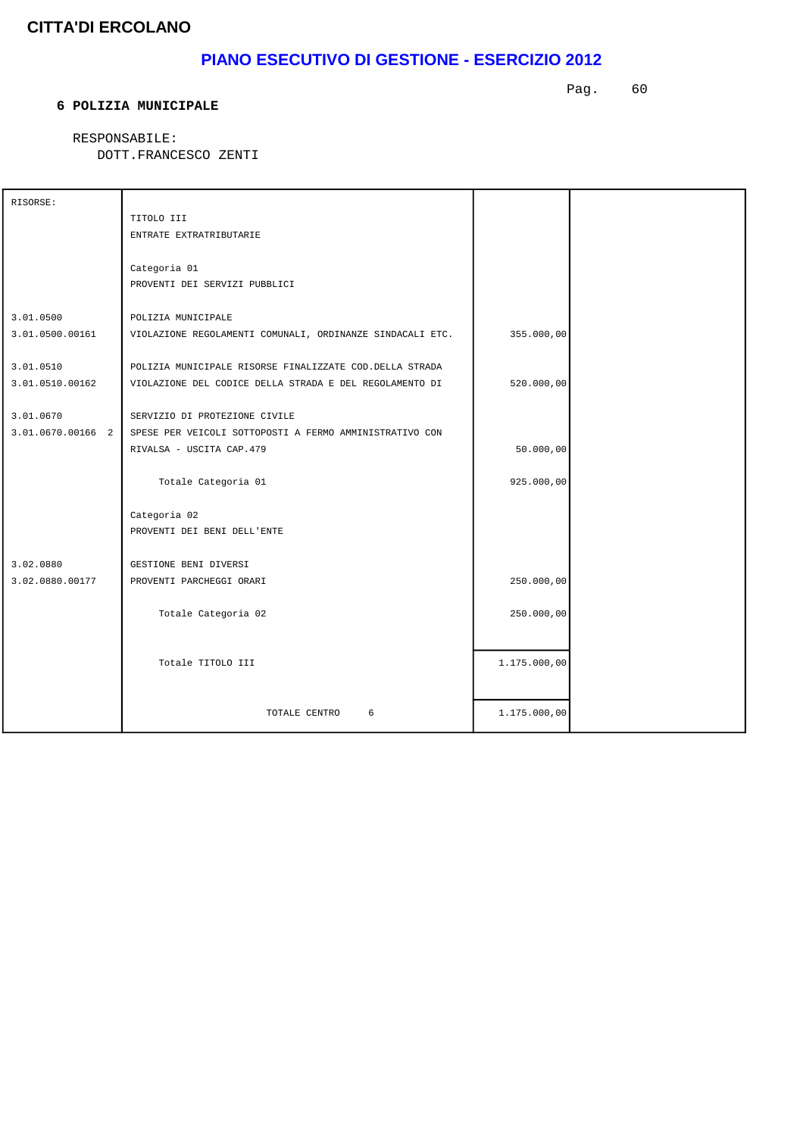## **PIANO ESECUTIVO DI GESTIONE - ESERCIZIO 2012**

#### **6 POLIZIA MUNICIPALE**

Pag. 60

RESPONSABILE:

| RISORSE:            |                                                           |              |  |
|---------------------|-----------------------------------------------------------|--------------|--|
|                     | TITOLO III                                                |              |  |
|                     | ENTRATE EXTRATRIBUTARIE                                   |              |  |
|                     |                                                           |              |  |
|                     | Categoria 01                                              |              |  |
|                     | PROVENTI DEI SERVIZI PUBBLICI                             |              |  |
| 3.01.0500           | POLIZIA MUNICIPALE                                        |              |  |
| 3.01.0500.00161     | VIOLAZIONE REGOLAMENTI COMUNALI, ORDINANZE SINDACALI ETC. | 355.000,00   |  |
|                     |                                                           |              |  |
| 3.01.0510           | POLIZIA MUNICIPALE RISORSE FINALIZZATE COD. DELLA STRADA  |              |  |
| 3.01.0510.00162     | VIOLAZIONE DEL CODICE DELLA STRADA E DEL REGOLAMENTO DI   | 520.000,00   |  |
|                     |                                                           |              |  |
| 3.01.0670           | SERVIZIO DI PROTEZIONE CIVILE                             |              |  |
| $3.01.0670.00166$ 2 | SPESE PER VEICOLI SOTTOPOSTI A FERMO AMMINISTRATIVO CON   |              |  |
|                     | RIVALSA - USCITA CAP.479                                  | 50.000,00    |  |
|                     | Totale Categoria 01                                       | 925.000,00   |  |
|                     |                                                           |              |  |
|                     | Categoria 02                                              |              |  |
|                     | PROVENTI DEI BENI DELL'ENTE                               |              |  |
|                     |                                                           |              |  |
| 3.02.0880           | GESTIONE BENI DIVERSI                                     |              |  |
| 3.02.0880.00177     | PROVENTI PARCHEGGI ORARI                                  | 250.000,00   |  |
|                     |                                                           |              |  |
|                     | Totale Categoria 02                                       | 250.000,00   |  |
|                     |                                                           |              |  |
|                     | Totale TITOLO III                                         |              |  |
|                     |                                                           | 1.175.000,00 |  |
|                     |                                                           |              |  |
|                     | TOTALE CENTRO<br>6                                        | 1.175.000,00 |  |
|                     |                                                           |              |  |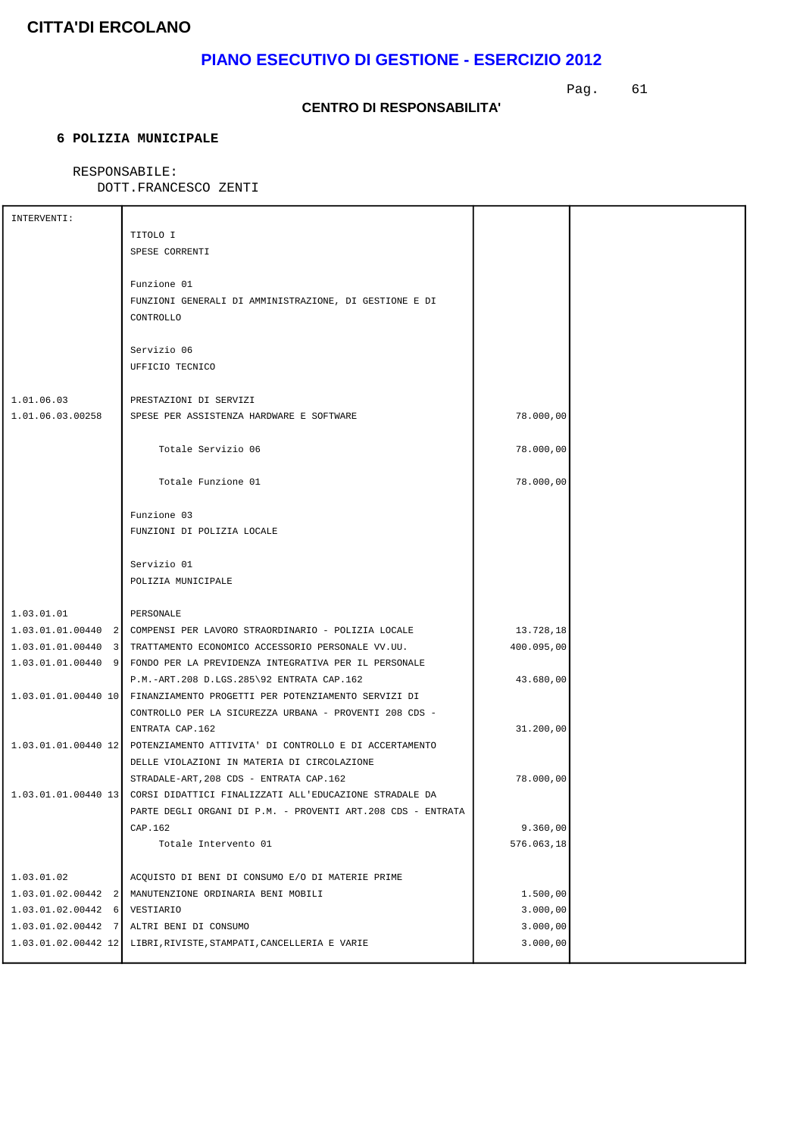## **PIANO ESECUTIVO DI GESTIONE - ESERCIZIO 2012**

Pag. 61

### **CENTRO DI RESPONSABILITA'**

### **6 POLIZIA MUNICIPALE**

### RESPONSABILE:

| INTERVENTI:           |                                                                            |            |  |
|-----------------------|----------------------------------------------------------------------------|------------|--|
|                       | TITOLO I                                                                   |            |  |
|                       | SPESE CORRENTI                                                             |            |  |
|                       |                                                                            |            |  |
|                       | Funzione 01                                                                |            |  |
|                       | FUNZIONI GENERALI DI AMMINISTRAZIONE, DI GESTIONE E DI                     |            |  |
|                       | CONTROLLO                                                                  |            |  |
|                       |                                                                            |            |  |
|                       | Servizio 06                                                                |            |  |
|                       | UFFICIO TECNICO                                                            |            |  |
| 1.01.06.03            | PRESTAZIONI DI SERVIZI                                                     |            |  |
| 1.01.06.03.00258      | SPESE PER ASSISTENZA HARDWARE E SOFTWARE                                   | 78.000,00  |  |
|                       |                                                                            |            |  |
|                       | Totale Servizio 06                                                         | 78.000,00  |  |
|                       |                                                                            |            |  |
|                       | Totale Funzione 01                                                         | 78.000,00  |  |
|                       |                                                                            |            |  |
|                       | Funzione 03                                                                |            |  |
|                       | FUNZIONI DI POLIZIA LOCALE                                                 |            |  |
|                       |                                                                            |            |  |
|                       | Servizio 01                                                                |            |  |
|                       | POLIZIA MUNICIPALE                                                         |            |  |
| 1.03.01.01            | PERSONALE                                                                  |            |  |
|                       | 1.03.01.01.00440 2 COMPENSI PER LAVORO STRAORDINARIO - POLIZIA LOCALE      | 13.728,18  |  |
|                       | 1.03.01.01.00440 3 TRATTAMENTO ECONOMICO ACCESSORIO PERSONALE VV.UU.       | 400.095,00 |  |
|                       | 1.03.01.01.00440 9 FONDO PER LA PREVIDENZA INTEGRATIVA PER IL PERSONALE    |            |  |
|                       | P.M.-ART.208 D.LGS.285\92 ENTRATA CAP.162                                  | 43.680,00  |  |
|                       | 1.03.01.01.00440 10 FINANZIAMENTO PROGETTI PER POTENZIAMENTO SERVIZI DI    |            |  |
|                       | CONTROLLO PER LA SICUREZZA URBANA - PROVENTI 208 CDS -                     |            |  |
|                       | ENTRATA CAP.162                                                            | 31.200,00  |  |
|                       | 1.03.01.01.00440 12 POTENZIAMENTO ATTIVITA' DI CONTROLLO E DI ACCERTAMENTO |            |  |
|                       | DELLE VIOLAZIONI IN MATERIA DI CIRCOLAZIONE                                |            |  |
|                       | STRADALE-ART, 208 CDS - ENTRATA CAP.162                                    | 78.000,00  |  |
|                       | 1.03.01.01.00440 13 CORSI DIDATTICI FINALIZZATI ALL'EDUCAZIONE STRADALE DA |            |  |
|                       | PARTE DEGLI ORGANI DI P.M. - PROVENTI ART.208 CDS - ENTRATA                |            |  |
|                       | CAP.162                                                                    | 9.360,00   |  |
|                       | Totale Intervento 01                                                       | 576.063,18 |  |
|                       |                                                                            |            |  |
| 1.03.01.02            | ACQUISTO DI BENI DI CONSUMO E/O DI MATERIE PRIME                           |            |  |
|                       | 1.03.01.02.00442 2 MANUTENZIONE ORDINARIA BENI MOBILI                      | 1.500,00   |  |
| $1.03.01.02.00442$ 6  | VESTIARIO                                                                  | 3.000,00   |  |
| $1.03.01.02.00442$ 7  | ALTRI BENI DI CONSUMO                                                      | 3.000,00   |  |
| $1.03.01.02.00442$ 12 | LIBRI, RIVISTE, STAMPATI, CANCELLERIA E VARIE                              | 3.000,00   |  |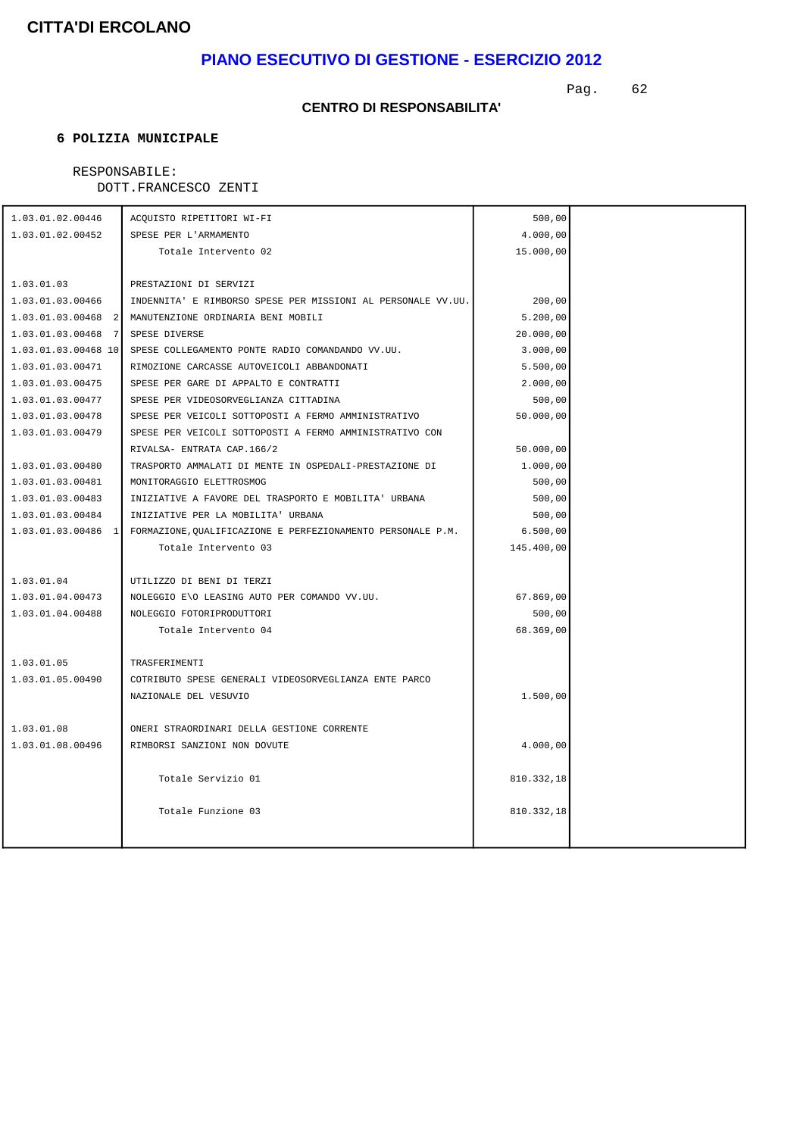## **PIANO ESECUTIVO DI GESTIONE - ESERCIZIO 2012**

Pag. 62

### **CENTRO DI RESPONSABILITA'**

### **6 POLIZIA MUNICIPALE**

### RESPONSABILE:

| 1.03.01.02.00446     | ACQUISTO RIPETITORI WI-FI                                            | 500,00     |  |
|----------------------|----------------------------------------------------------------------|------------|--|
| 1.03.01.02.00452     | SPESE PER L'ARMAMENTO                                                | 4.000,00   |  |
|                      | Totale Intervento 02                                                 | 15.000,00  |  |
|                      |                                                                      |            |  |
| 1.03.01.03           | PRESTAZIONI DI SERVIZI                                               |            |  |
| 1.03.01.03.00466     | INDENNITA' E RIMBORSO SPESE PER MISSIONI AL PERSONALE VV.UU.         | 200,00     |  |
| $1.03.01.03.00468$ 2 | MANUTENZIONE ORDINARIA BENI MOBILI                                   | 5.200,00   |  |
| $1.03.01.03.00468$ 7 | SPESE DIVERSE                                                        | 20.000,00  |  |
|                      | 1.03.01.03.00468 10 SPESE COLLEGAMENTO PONTE RADIO COMANDANDO VV.UU. | 3.000,00   |  |
| 1.03.01.03.00471     | RIMOZIONE CARCASSE AUTOVEICOLI ABBANDONATI                           | 5.500,00   |  |
| 1.03.01.03.00475     | SPESE PER GARE DI APPALTO E CONTRATTI                                | 2.000,00   |  |
| 1.03.01.03.00477     | SPESE PER VIDEOSORVEGLIANZA CITTADINA                                | 500,00     |  |
| 1.03.01.03.00478     | SPESE PER VEICOLI SOTTOPOSTI A FERMO AMMINISTRATIVO                  | 50.000,00  |  |
| 1.03.01.03.00479     | SPESE PER VEICOLI SOTTOPOSTI A FERMO AMMINISTRATIVO CON              |            |  |
|                      | RIVALSA- ENTRATA CAP.166/2                                           | 50.000,00  |  |
| 1.03.01.03.00480     | TRASPORTO AMMALATI DI MENTE IN OSPEDALI-PRESTAZIONE DI               | 1.000,00   |  |
| 1.03.01.03.00481     | MONITORAGGIO ELETTROSMOG                                             | 500,00     |  |
| 1.03.01.03.00483     | INIZIATIVE A FAVORE DEL TRASPORTO E MOBILITA' URBANA                 | 500,00     |  |
| 1.03.01.03.00484     | INIZIATIVE PER LA MOBILITA' URBANA                                   | 500,00     |  |
| 1.03.01.03.00486 1   | FORMAZIONE, QUALIFICAZIONE E PERFEZIONAMENTO PERSONALE P.M.          | 6.500,00   |  |
|                      | Totale Intervento 03                                                 | 145.400,00 |  |
|                      |                                                                      |            |  |
| 1.03.01.04           | UTILIZZO DI BENI DI TERZI                                            |            |  |
| 1.03.01.04.00473     | NOLEGGIO E\O LEASING AUTO PER COMANDO VV.UU.                         | 67.869,00  |  |
| 1.03.01.04.00488     | NOLEGGIO FOTORIPRODUTTORI                                            | 500,00     |  |
|                      | Totale Intervento 04                                                 | 68.369,00  |  |
|                      |                                                                      |            |  |
| 1.03.01.05           | TRASFERIMENTI                                                        |            |  |
| 1.03.01.05.00490     | COTRIBUTO SPESE GENERALI VIDEOSORVEGLIANZA ENTE PARCO                |            |  |
|                      | NAZIONALE DEL VESUVIO                                                | 1.500,00   |  |
|                      |                                                                      |            |  |
| 1.03.01.08           | ONERI STRAORDINARI DELLA GESTIONE CORRENTE                           |            |  |
| 1.03.01.08.00496     | RIMBORSI SANZIONI NON DOVUTE                                         | 4.000,00   |  |
|                      |                                                                      |            |  |
|                      | Totale Servizio 01                                                   | 810.332,18 |  |
|                      |                                                                      |            |  |
|                      | Totale Funzione 03                                                   | 810.332,18 |  |
|                      |                                                                      |            |  |
|                      |                                                                      |            |  |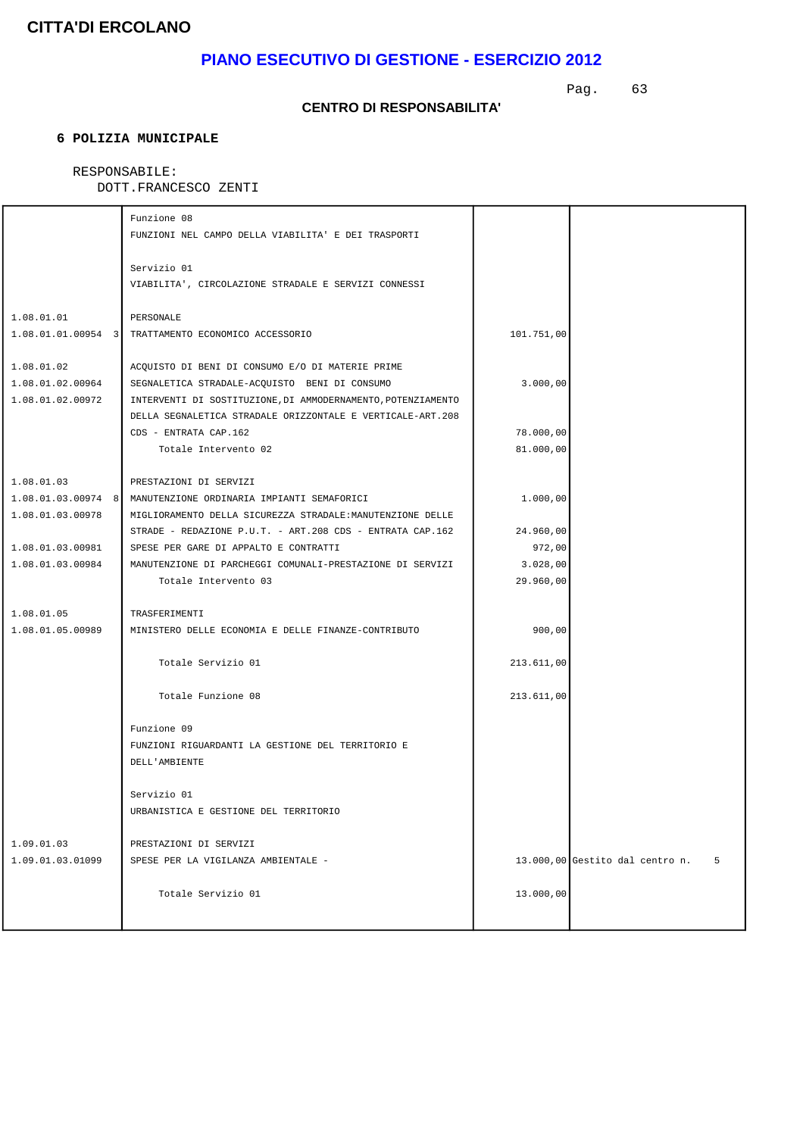## **PIANO ESECUTIVO DI GESTIONE - ESERCIZIO 2012**

Pag. 63

#### **CENTRO DI RESPONSABILITA'**

### **6 POLIZIA MUNICIPALE**

### RESPONSABILE:

|                  | Funzione 08                                                     |            |                                        |
|------------------|-----------------------------------------------------------------|------------|----------------------------------------|
|                  | FUNZIONI NEL CAMPO DELLA VIABILITA' E DEI TRASPORTI             |            |                                        |
|                  | Servizio 01                                                     |            |                                        |
|                  | VIABILITA', CIRCOLAZIONE STRADALE E SERVIZI CONNESSI            |            |                                        |
| 1.08.01.01       | PERSONALE                                                       |            |                                        |
|                  | 1.08.01.01.00954 3 TRATTAMENTO ECONOMICO ACCESSORIO             | 101.751,00 |                                        |
| 1.08.01.02       | ACQUISTO DI BENI DI CONSUMO E/O DI MATERIE PRIME                |            |                                        |
| 1.08.01.02.00964 | SEGNALETICA STRADALE-ACQUISTO BENI DI CONSUMO                   | 3.000,00   |                                        |
| 1.08.01.02.00972 | INTERVENTI DI SOSTITUZIONE, DI AMMODERNAMENTO, POTENZIAMENTO    |            |                                        |
|                  | DELLA SEGNALETICA STRADALE ORIZZONTALE E VERTICALE-ART.208      |            |                                        |
|                  | CDS - ENTRATA CAP.162                                           | 78.000,00  |                                        |
|                  | Totale Intervento 02                                            | 81.000,00  |                                        |
| 1.08.01.03       | PRESTAZIONI DI SERVIZI                                          |            |                                        |
|                  | 1.08.01.03.00974 8   MANUTENZIONE ORDINARIA IMPIANTI SEMAFORICI | 1.000,00   |                                        |
| 1.08.01.03.00978 | MIGLIORAMENTO DELLA SICUREZZA STRADALE: MANUTENZIONE DELLE      |            |                                        |
|                  | STRADE - REDAZIONE P.U.T. - ART.208 CDS - ENTRATA CAP.162       | 24.960,00  |                                        |
| 1.08.01.03.00981 | SPESE PER GARE DI APPALTO E CONTRATTI                           | 972,00     |                                        |
| 1.08.01.03.00984 | MANUTENZIONE DI PARCHEGGI COMUNALI-PRESTAZIONE DI SERVIZI       | 3.028,00   |                                        |
|                  | Totale Intervento 03                                            | 29.960,00  |                                        |
| 1.08.01.05       | TRASFERIMENTI                                                   |            |                                        |
| 1.08.01.05.00989 | MINISTERO DELLE ECONOMIA E DELLE FINANZE-CONTRIBUTO             | 900,00     |                                        |
|                  | Totale Servizio 01                                              | 213.611,00 |                                        |
|                  | Totale Funzione 08                                              | 213.611,00 |                                        |
|                  | Funzione 09                                                     |            |                                        |
|                  | FUNZIONI RIGUARDANTI LA GESTIONE DEL TERRITORIO E               |            |                                        |
|                  | DELL'AMBIENTE                                                   |            |                                        |
|                  | Servizio 01                                                     |            |                                        |
|                  | URBANISTICA E GESTIONE DEL TERRITORIO                           |            |                                        |
| 1.09.01.03       | PRESTAZIONI DI SERVIZI                                          |            |                                        |
| 1.09.01.03.01099 | SPESE PER LA VIGILANZA AMBIENTALE -                             |            | $13.000,00$ Gestito dal centro n.<br>5 |
|                  | Totale Servizio 01                                              | 13.000,00  |                                        |
|                  |                                                                 |            |                                        |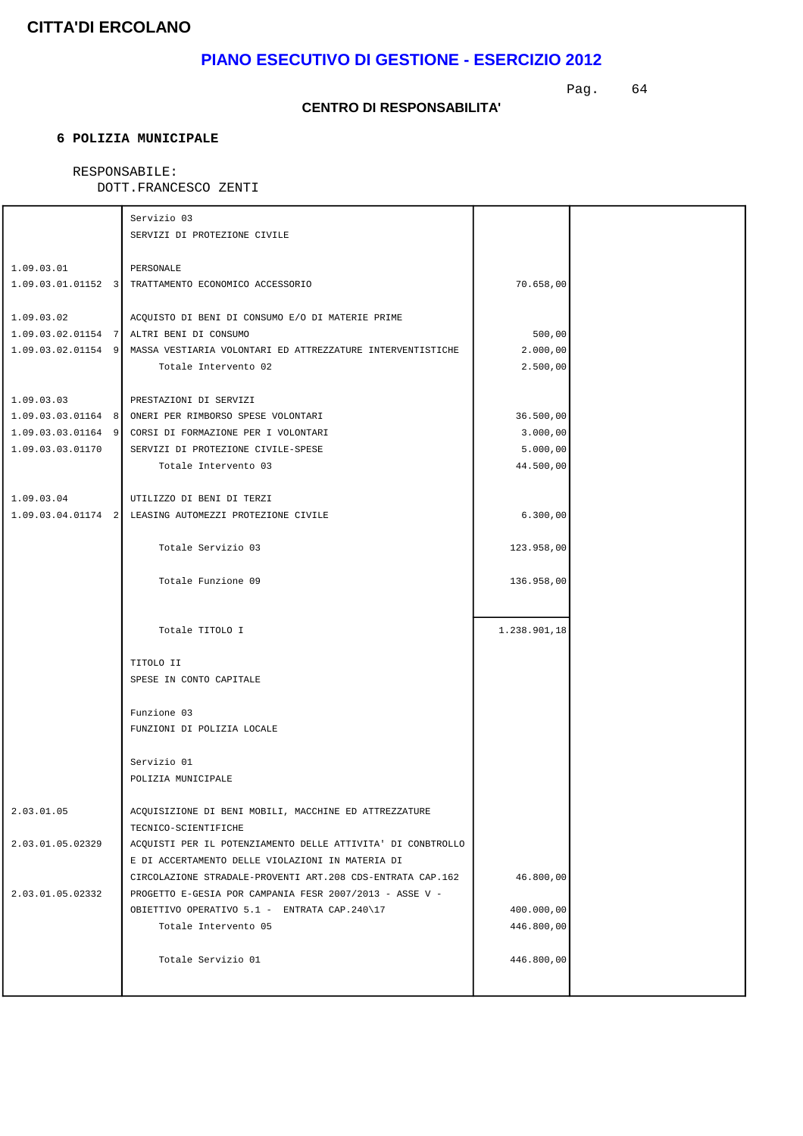## **PIANO ESECUTIVO DI GESTIONE - ESERCIZIO 2012**

Pag. 64

#### **CENTRO DI RESPONSABILITA'**

### **6 POLIZIA MUNICIPALE**

### RESPONSABILE:

|                  | Servizio 03                                                                   |              |  |
|------------------|-------------------------------------------------------------------------------|--------------|--|
|                  | SERVIZI DI PROTEZIONE CIVILE                                                  |              |  |
|                  |                                                                               |              |  |
| 1.09.03.01       | PERSONALE                                                                     |              |  |
|                  | 1.09.03.01.01152 3 TRATTAMENTO ECONOMICO ACCESSORIO                           | 70.658,00    |  |
| 1.09.03.02       | ACQUISTO DI BENI DI CONSUMO E/O DI MATERIE PRIME                              |              |  |
|                  | 1.09.03.02.01154 7 ALTRI BENI DI CONSUMO                                      | 500,00       |  |
|                  | 1.09.03.02.01154 9 MASSA VESTIARIA VOLONTARI ED ATTREZZATURE INTERVENTISTICHE | 2.000,00     |  |
|                  | Totale Intervento 02                                                          | 2.500,00     |  |
|                  |                                                                               |              |  |
| 1.09.03.03       | PRESTAZIONI DI SERVIZI                                                        |              |  |
|                  | 1.09.03.03.01164 8 ONERI PER RIMBORSO SPESE VOLONTARI                         | 36.500,00    |  |
|                  | 1.09.03.03.01164 9 CORSI DI FORMAZIONE PER I VOLONTARI                        | 3.000,00     |  |
| 1.09.03.03.01170 | SERVIZI DI PROTEZIONE CIVILE-SPESE                                            | 5.000,00     |  |
|                  | Totale Intervento 03                                                          | 44.500,00    |  |
|                  |                                                                               |              |  |
| 1.09.03.04       | UTILIZZO DI BENI DI TERZI                                                     |              |  |
|                  | 1.09.03.04.01174 2 LEASING AUTOMEZZI PROTEZIONE CIVILE                        | 6.300,00     |  |
|                  |                                                                               |              |  |
|                  | Totale Servizio 03                                                            | 123.958,00   |  |
|                  |                                                                               |              |  |
|                  | Totale Funzione 09                                                            | 136.958,00   |  |
|                  |                                                                               |              |  |
|                  |                                                                               |              |  |
|                  | Totale TITOLO I                                                               | 1.238.901,18 |  |
|                  | TITOLO II                                                                     |              |  |
|                  | SPESE IN CONTO CAPITALE                                                       |              |  |
|                  |                                                                               |              |  |
|                  | Funzione 03                                                                   |              |  |
|                  | FUNZIONI DI POLIZIA LOCALE                                                    |              |  |
|                  |                                                                               |              |  |
|                  | Servizio 01                                                                   |              |  |
|                  | POLIZIA MUNICIPALE                                                            |              |  |
|                  |                                                                               |              |  |
| 2.03.01.05       | ACQUISIZIONE DI BENI MOBILI, MACCHINE ED ATTREZZATURE                         |              |  |
|                  | TECNICO-SCIENTIFICHE                                                          |              |  |
| 2.03.01.05.02329 | ACQUISTI PER IL POTENZIAMENTO DELLE ATTIVITA' DI CONBTROLLO                   |              |  |
|                  | E DI ACCERTAMENTO DELLE VIOLAZIONI IN MATERIA DI                              |              |  |
|                  | CIRCOLAZIONE STRADALE-PROVENTI ART.208 CDS-ENTRATA CAP.162                    | 46.800,00    |  |
| 2.03.01.05.02332 | PROGETTO E-GESIA POR CAMPANIA FESR 2007/2013 - ASSE V -                       |              |  |
|                  | OBIETTIVO OPERATIVO 5.1 - ENTRATA CAP.240\17                                  | 400.000,00   |  |
|                  | Totale Intervento 05                                                          | 446.800,00   |  |
|                  |                                                                               |              |  |
|                  | Totale Servizio 01                                                            | 446.800,00   |  |
|                  |                                                                               |              |  |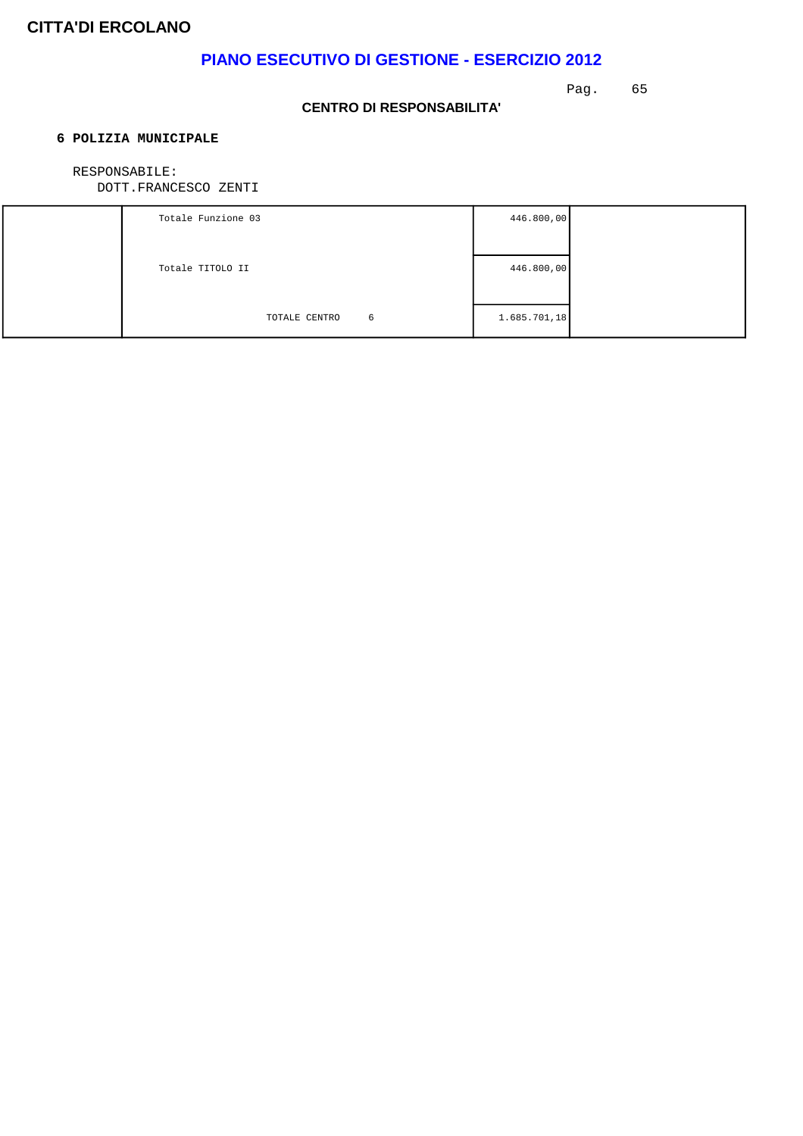## **PIANO ESECUTIVO DI GESTIONE - ESERCIZIO 2012**

Pag. 65

### **CENTRO DI RESPONSABILITA'**

### **6 POLIZIA MUNICIPALE**

#### RESPONSABILE:

| Totale Funzione 03 | 446.800,00   |  |
|--------------------|--------------|--|
|                    |              |  |
| Totale TITOLO II   | 446.800,00   |  |
|                    |              |  |
| TOTALE CENTRO<br>6 | 1.685.701,18 |  |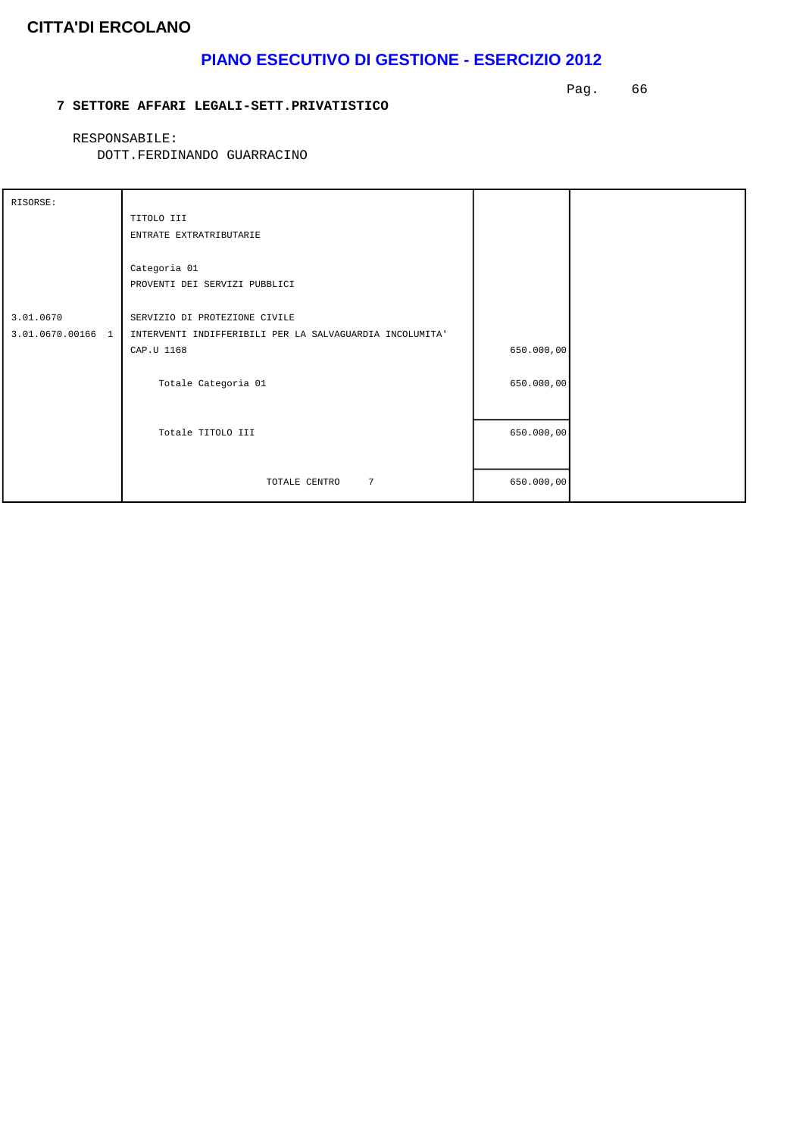## **PIANO ESECUTIVO DI GESTIONE - ESERCIZIO 2012**

#### **7 SETTORE AFFARI LEGALI-SETT.PRIVATISTICO**

Pag. 66

RESPONSABILE:

| RISORSE:          |                                                          |            |  |
|-------------------|----------------------------------------------------------|------------|--|
|                   | TITOLO III                                               |            |  |
|                   | ENTRATE EXTRATRIBUTARIE                                  |            |  |
|                   |                                                          |            |  |
|                   | Categoria 01                                             |            |  |
|                   | PROVENTI DEI SERVIZI PUBBLICI                            |            |  |
|                   |                                                          |            |  |
| 3.01.0670         | SERVIZIO DI PROTEZIONE CIVILE                            |            |  |
| 3.01.0670.00166 1 | INTERVENTI INDIFFERIBILI PER LA SALVAGUARDIA INCOLUMITA' |            |  |
|                   | CAP.U 1168                                               | 650.000,00 |  |
|                   |                                                          |            |  |
|                   | Totale Categoria 01                                      | 650.000,00 |  |
|                   |                                                          |            |  |
|                   |                                                          |            |  |
|                   | Totale TITOLO III                                        | 650.000,00 |  |
|                   |                                                          |            |  |
|                   | $7\overline{ }$<br>TOTALE CENTRO                         | 650.000,00 |  |
|                   |                                                          |            |  |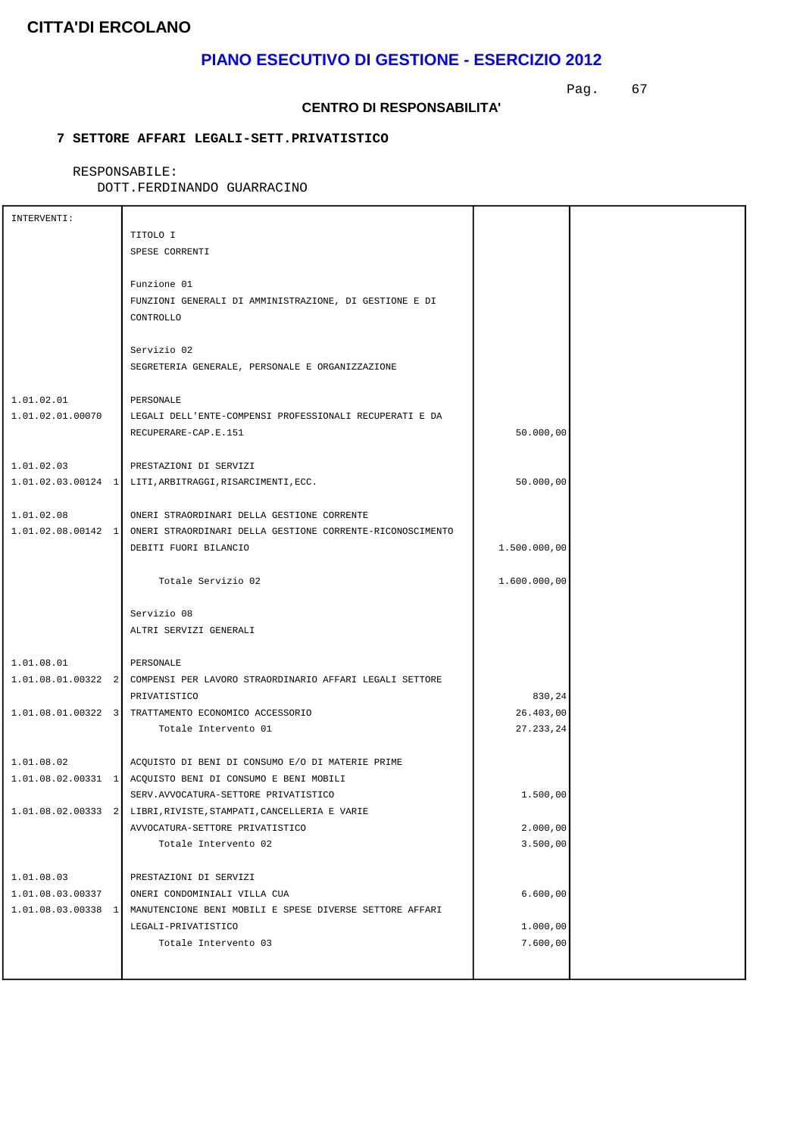### **PIANO ESECUTIVO DI GESTIONE - ESERCIZIO 2012**

Pag. 67

#### **CENTRO DI RESPONSABILITA'**

### **7 SETTORE AFFARI LEGALI-SETT.PRIVATISTICO**

RESPONSABILE:

| INTERVENTI:        |                                                                              |              |  |
|--------------------|------------------------------------------------------------------------------|--------------|--|
|                    | TITOLO I                                                                     |              |  |
|                    | SPESE CORRENTI                                                               |              |  |
|                    |                                                                              |              |  |
|                    | Funzione 01                                                                  |              |  |
|                    | FUNZIONI GENERALI DI AMMINISTRAZIONE, DI GESTIONE E DI                       |              |  |
|                    | CONTROLLO                                                                    |              |  |
|                    |                                                                              |              |  |
|                    | Servizio 02                                                                  |              |  |
|                    | SEGRETERIA GENERALE, PERSONALE E ORGANIZZAZIONE                              |              |  |
|                    |                                                                              |              |  |
| 1.01.02.01         | PERSONALE                                                                    |              |  |
| 1.01.02.01.00070   | LEGALI DELL'ENTE-COMPENSI PROFESSIONALI RECUPERATI E DA                      |              |  |
|                    | RECUPERARE-CAP.E.151                                                         | 50.000,00    |  |
|                    |                                                                              |              |  |
| 1.01.02.03         | PRESTAZIONI DI SERVIZI                                                       |              |  |
|                    |                                                                              | 50.000,00    |  |
|                    |                                                                              |              |  |
| 1.01.02.08         | ONERI STRAORDINARI DELLA GESTIONE CORRENTE                                   |              |  |
|                    | 1.01.02.08.00142 1 ONERI STRAORDINARI DELLA GESTIONE CORRENTE-RICONOSCIMENTO |              |  |
|                    | DEBITI FUORI BILANCIO                                                        | 1.500.000,00 |  |
|                    |                                                                              |              |  |
|                    | Totale Servizio 02                                                           | 1.600.000,00 |  |
|                    |                                                                              |              |  |
|                    | Servizio 08                                                                  |              |  |
|                    | ALTRI SERVIZI GENERALI                                                       |              |  |
|                    |                                                                              |              |  |
| 1.01.08.01         | PERSONALE                                                                    |              |  |
|                    | 1.01.08.01.00322 2 COMPENSI PER LAVORO STRAORDINARIO AFFARI LEGALI SETTORE   |              |  |
|                    | PRIVATISTICO                                                                 | 830,24       |  |
|                    | 1.01.08.01.00322 3 TRATTAMENTO ECONOMICO ACCESSORIO                          | 26.403,00    |  |
|                    | Totale Intervento 01                                                         | 27.233,24    |  |
|                    |                                                                              |              |  |
| 1.01.08.02         | ACQUISTO DI BENI DI CONSUMO E/O DI MATERIE PRIME                             |              |  |
|                    | 1.01.08.02.00331 1  ACQUISTO BENI DI CONSUMO E BENI MOBILI                   |              |  |
|                    | SERV.AVVOCATURA-SETTORE PRIVATISTICO                                         | 1.500,00     |  |
| 1.01.08.02.00333 2 | LIBRI, RIVISTE, STAMPATI, CANCELLERIA E VARIE                                |              |  |
|                    | AVVOCATURA-SETTORE PRIVATISTICO                                              | 2.000,00     |  |
|                    | Totale Intervento 02                                                         | 3.500,00     |  |
|                    |                                                                              |              |  |
| 1.01.08.03         | PRESTAZIONI DI SERVIZI                                                       |              |  |
| 1.01.08.03.00337   | ONERI CONDOMINIALI VILLA CUA                                                 | 6.600,00     |  |
| 1.01.08.03.00338 1 | MANUTENCIONE BENI MOBILI E SPESE DIVERSE SETTORE AFFARI                      |              |  |
|                    | LEGALI-PRIVATISTICO                                                          | 1.000,00     |  |
|                    | Totale Intervento 03                                                         | 7.600,00     |  |
|                    |                                                                              |              |  |
|                    |                                                                              |              |  |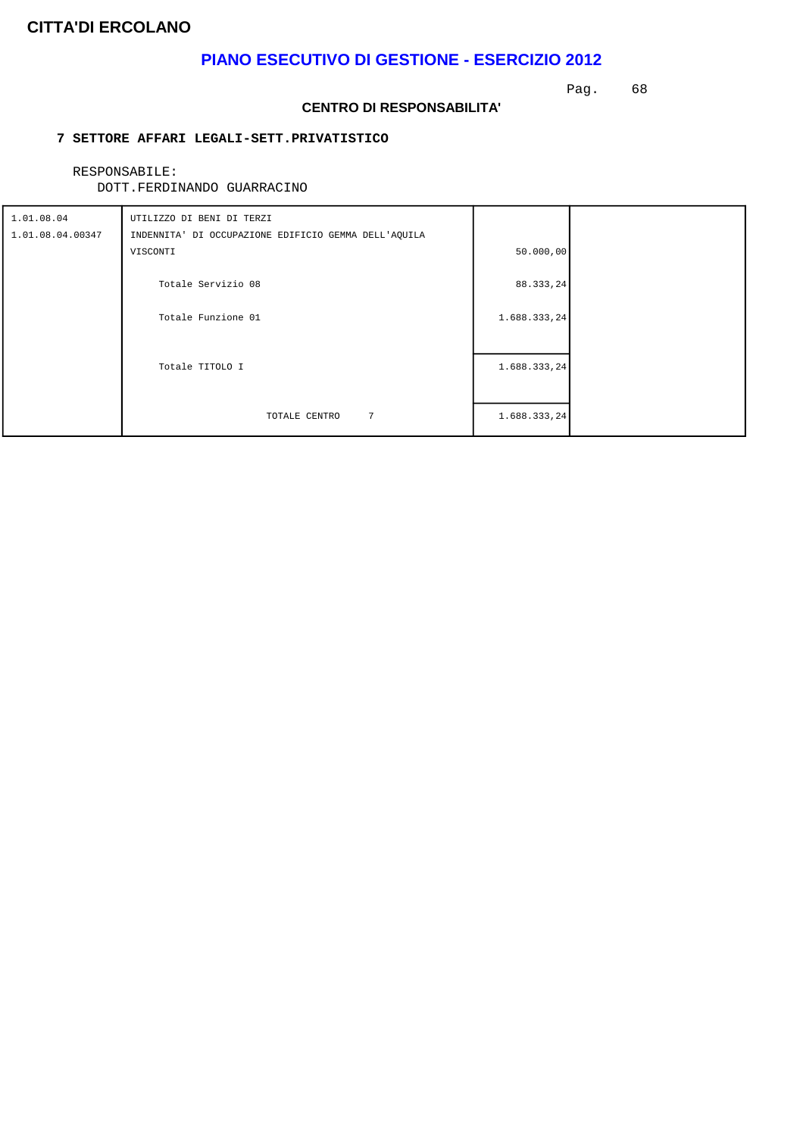### **PIANO ESECUTIVO DI GESTIONE - ESERCIZIO 2012**

Pag. 68

#### **CENTRO DI RESPONSABILITA'**

### **7 SETTORE AFFARI LEGALI-SETT.PRIVATISTICO**

RESPONSABILE:

| 1.01.08.04<br>1.01.08.04.00347 | UTILIZZO DI BENI DI TERZI<br>INDENNITA' DI OCCUPAZIONE EDIFICIO GEMMA DELL'AQUILA |              |  |
|--------------------------------|-----------------------------------------------------------------------------------|--------------|--|
|                                | VISCONTI                                                                          | 50.000,00    |  |
|                                | Totale Servizio 08                                                                | 88.333,24    |  |
|                                | Totale Funzione 01                                                                | 1.688.333,24 |  |
|                                | Totale TITOLO I                                                                   | 1.688.333,24 |  |
|                                | $7\phantom{.0}$<br>TOTALE CENTRO                                                  | 1.688.333,24 |  |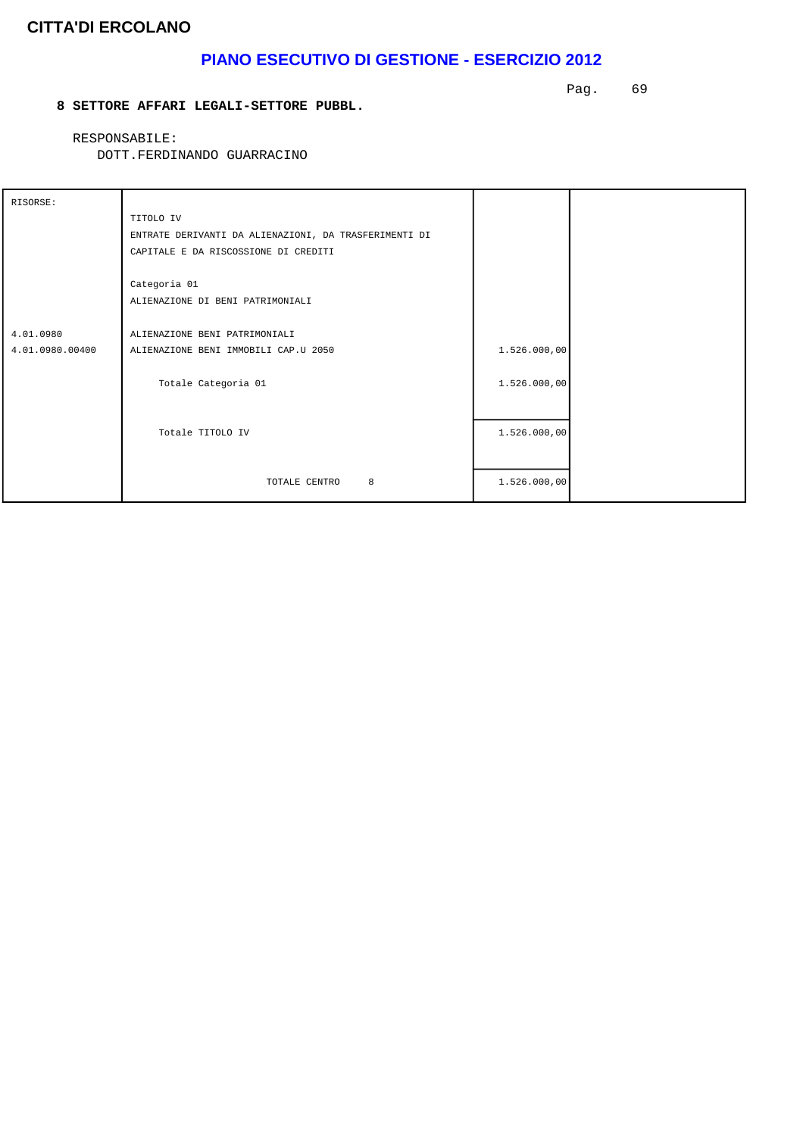## **PIANO ESECUTIVO DI GESTIONE - ESERCIZIO 2012**

#### **8 SETTORE AFFARI LEGALI-SETTORE PUBBL.**

Pag. 69

RESPONSABILE:

| RISORSE:        |                                                       |              |  |
|-----------------|-------------------------------------------------------|--------------|--|
|                 | TITOLO IV                                             |              |  |
|                 | ENTRATE DERIVANTI DA ALIENAZIONI, DA TRASFERIMENTI DI |              |  |
|                 | CAPITALE E DA RISCOSSIONE DI CREDITI                  |              |  |
|                 |                                                       |              |  |
|                 | Categoria 01                                          |              |  |
|                 | ALIENAZIONE DI BENI PATRIMONIALI                      |              |  |
|                 |                                                       |              |  |
| 4.01.0980       | ALIENAZIONE BENI PATRIMONIALI                         |              |  |
| 4.01.0980.00400 | ALIENAZIONE BENI IMMOBILI CAP.U 2050                  | 1.526.000,00 |  |
|                 |                                                       |              |  |
|                 | Totale Categoria 01                                   | 1.526.000,00 |  |
|                 |                                                       |              |  |
|                 |                                                       |              |  |
|                 | Totale TITOLO IV                                      | 1.526.000,00 |  |
|                 |                                                       |              |  |
|                 |                                                       |              |  |
|                 | 8<br>TOTALE CENTRO                                    | 1.526.000,00 |  |
|                 |                                                       |              |  |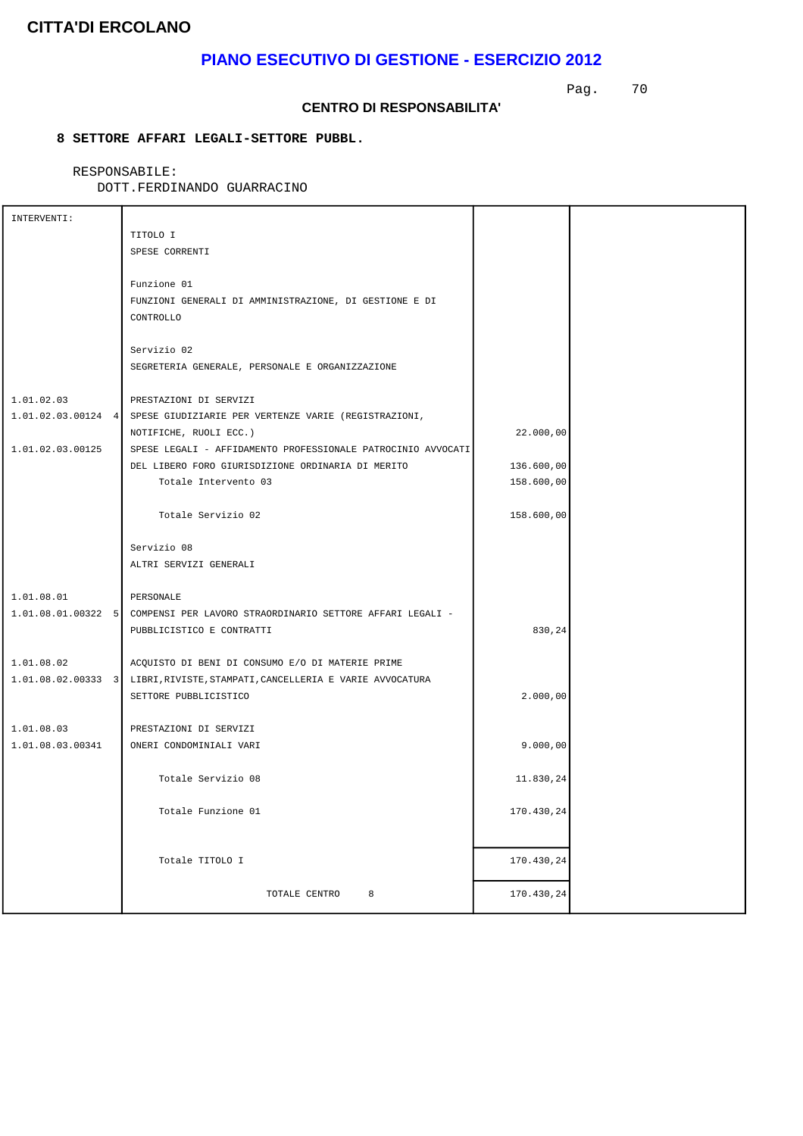## **PIANO ESECUTIVO DI GESTIONE - ESERCIZIO 2012**

Pag. 70

#### **CENTRO DI RESPONSABILITA'**

### **8 SETTORE AFFARI LEGALI-SETTORE PUBBL.**

RESPONSABILE:

| INTERVENTI:      |                                                                               |            |  |
|------------------|-------------------------------------------------------------------------------|------------|--|
|                  | TITOLO I                                                                      |            |  |
|                  | SPESE CORRENTI                                                                |            |  |
|                  |                                                                               |            |  |
|                  | Funzione 01                                                                   |            |  |
|                  | FUNZIONI GENERALI DI AMMINISTRAZIONE, DI GESTIONE E DI                        |            |  |
|                  | CONTROLLO                                                                     |            |  |
|                  |                                                                               |            |  |
|                  | Servizio 02                                                                   |            |  |
|                  | SEGRETERIA GENERALE, PERSONALE E ORGANIZZAZIONE                               |            |  |
|                  |                                                                               |            |  |
| 1.01.02.03       | PRESTAZIONI DI SERVIZI                                                        |            |  |
|                  | 1.01.02.03.00124 4 SPESE GIUDIZIARIE PER VERTENZE VARIE (REGISTRAZIONI,       |            |  |
|                  | NOTIFICHE, RUOLI ECC.)                                                        | 22.000,00  |  |
| 1.01.02.03.00125 | SPESE LEGALI - AFFIDAMENTO PROFESSIONALE PATROCINIO AVVOCATI                  |            |  |
|                  | DEL LIBERO FORO GIURISDIZIONE ORDINARIA DI MERITO                             | 136.600,00 |  |
|                  | Totale Intervento 03                                                          | 158.600,00 |  |
|                  |                                                                               |            |  |
|                  | Totale Servizio 02                                                            | 158.600,00 |  |
|                  |                                                                               |            |  |
|                  | Servizio 08                                                                   |            |  |
|                  | ALTRI SERVIZI GENERALI                                                        |            |  |
|                  |                                                                               |            |  |
| 1.01.08.01       | PERSONALE                                                                     |            |  |
|                  | 1.01.08.01.00322 5 COMPENSI PER LAVORO STRAORDINARIO SETTORE AFFARI LEGALI -  |            |  |
|                  | PUBBLICISTICO E CONTRATTI                                                     | 830,24     |  |
| 1.01.08.02       | ACQUISTO DI BENI DI CONSUMO E/O DI MATERIE PRIME                              |            |  |
|                  | 1.01.08.02.00333 3   LIBRI, RIVISTE, STAMPATI, CANCELLERIA E VARIE AVVOCATURA |            |  |
|                  | SETTORE PUBBLICISTICO                                                         | 2.000,00   |  |
|                  |                                                                               |            |  |
| 1.01.08.03       | PRESTAZIONI DI SERVIZI                                                        |            |  |
| 1.01.08.03.00341 | ONERI CONDOMINIALI VARI                                                       | 9.000,00   |  |
|                  |                                                                               |            |  |
|                  | Totale Servizio 08                                                            | 11.830,24  |  |
|                  |                                                                               |            |  |
|                  | Totale Funzione 01                                                            | 170.430,24 |  |
|                  |                                                                               |            |  |
|                  |                                                                               |            |  |
|                  | Totale TITOLO I                                                               | 170.430,24 |  |
|                  |                                                                               |            |  |
|                  | TOTALE CENTRO<br>8                                                            | 170.430,24 |  |
|                  |                                                                               |            |  |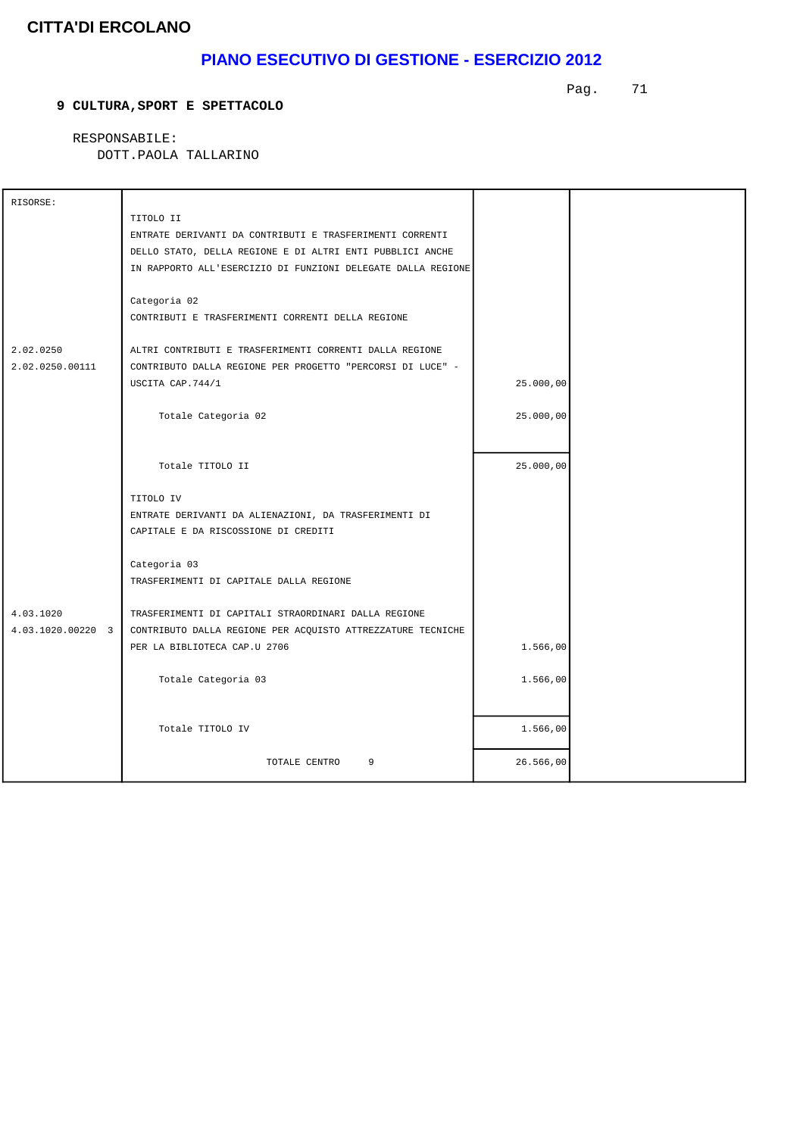## **PIANO ESECUTIVO DI GESTIONE - ESERCIZIO 2012**

#### **9 CULTURA,SPORT E SPETTACOLO**

Pag. 71

 RESPONSABILE: DOTT.PAOLA TALLARINO

| RISORSE:          |                                                              |           |  |
|-------------------|--------------------------------------------------------------|-----------|--|
|                   | TITOLO II                                                    |           |  |
|                   | ENTRATE DERIVANTI DA CONTRIBUTI E TRASFERIMENTI CORRENTI     |           |  |
|                   | DELLO STATO, DELLA REGIONE E DI ALTRI ENTI PUBBLICI ANCHE    |           |  |
|                   | IN RAPPORTO ALL'ESERCIZIO DI FUNZIONI DELEGATE DALLA REGIONE |           |  |
|                   |                                                              |           |  |
|                   | Categoria 02                                                 |           |  |
|                   | CONTRIBUTI E TRASFERIMENTI CORRENTI DELLA REGIONE            |           |  |
|                   |                                                              |           |  |
| 2.02.0250         | ALTRI CONTRIBUTI E TRASFERIMENTI CORRENTI DALLA REGIONE      |           |  |
| 2.02.0250.00111   | CONTRIBUTO DALLA REGIONE PER PROGETTO "PERCORSI DI LUCE" -   |           |  |
|                   | USCITA CAP.744/1                                             | 25.000,00 |  |
|                   |                                                              |           |  |
|                   | Totale Categoria 02                                          | 25.000,00 |  |
|                   |                                                              |           |  |
|                   |                                                              |           |  |
|                   | Totale TITOLO II                                             | 25.000,00 |  |
|                   |                                                              |           |  |
|                   | TITOLO IV                                                    |           |  |
|                   | ENTRATE DERIVANTI DA ALIENAZIONI, DA TRASFERIMENTI DI        |           |  |
|                   | CAPITALE E DA RISCOSSIONE DI CREDITI                         |           |  |
|                   |                                                              |           |  |
|                   | Categoria 03                                                 |           |  |
|                   | TRASFERIMENTI DI CAPITALE DALLA REGIONE                      |           |  |
| 4.03.1020         | TRASFERIMENTI DI CAPITALI STRAORDINARI DALLA REGIONE         |           |  |
| 4.03.1020.00220 3 | CONTRIBUTO DALLA REGIONE PER ACQUISTO ATTREZZATURE TECNICHE  |           |  |
|                   | PER LA BIBLIOTECA CAP.U 2706                                 | 1.566,00  |  |
|                   |                                                              |           |  |
|                   | Totale Categoria 03                                          | 1.566,00  |  |
|                   |                                                              |           |  |
|                   |                                                              |           |  |
|                   | Totale TITOLO IV                                             | 1.566,00  |  |
|                   |                                                              |           |  |
|                   | TOTALE CENTRO<br>9                                           | 26.566,00 |  |
|                   |                                                              |           |  |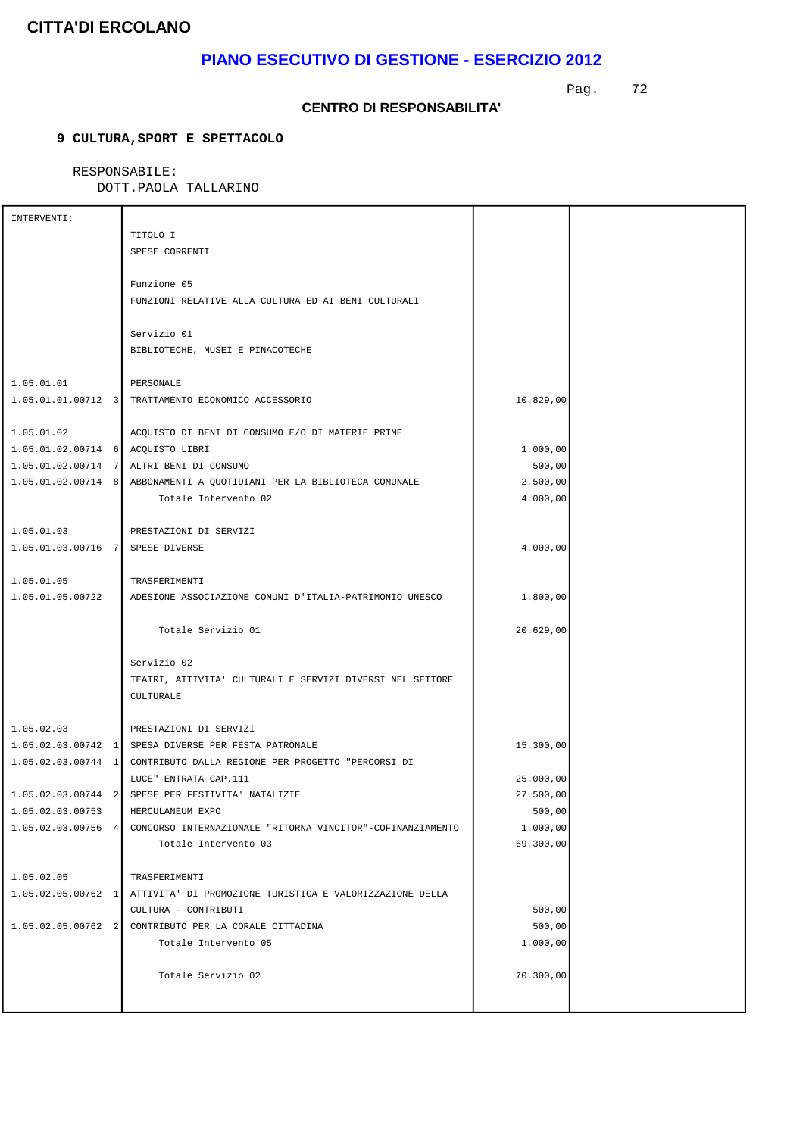## **PIANO ESECUTIVO DI GESTIONE - ESERCIZIO 2012**

Pag. 72

#### **CENTRO DI RESPONSABILITA'**

### **9 CULTURA,SPORT E SPETTACOLO**

### RESPONSABILE:

DOTT.PAOLA TALLARINO

| INTERVENTI:                       |                                                                        |           |  |
|-----------------------------------|------------------------------------------------------------------------|-----------|--|
|                                   | TITOLO I                                                               |           |  |
|                                   | SPESE CORRENTI                                                         |           |  |
|                                   |                                                                        |           |  |
|                                   | Funzione 05                                                            |           |  |
|                                   | FUNZIONI RELATIVE ALLA CULTURA ED AI BENI CULTURALI                    |           |  |
|                                   |                                                                        |           |  |
|                                   | Servizio 01                                                            |           |  |
|                                   | BIBLIOTECHE, MUSEI E PINACOTECHE                                       |           |  |
|                                   |                                                                        |           |  |
| 1.05.01.01                        | PERSONALE                                                              |           |  |
|                                   | 1.05.01.01.00712 3 TRATTAMENTO ECONOMICO ACCESSORIO                    | 10.829,00 |  |
|                                   |                                                                        |           |  |
| 1.05.01.02                        | ACQUISTO DI BENI DI CONSUMO E/O DI MATERIE PRIME                       |           |  |
| 1.05.01.02.00714 6 ACQUISTO LIBRI |                                                                        | 1.000,00  |  |
|                                   | 1.05.01.02.00714 7 ALTRI BENI DI CONSUMO                               | 500,00    |  |
|                                   | 1.05.01.02.00714 8 ABBONAMENTI A QUOTIDIANI PER LA BIBLIOTECA COMUNALE | 2.500,00  |  |
|                                   | Totale Intervento 02                                                   | 4.000,00  |  |
|                                   |                                                                        |           |  |
| 1.05.01.03                        | PRESTAZIONI DI SERVIZI                                                 |           |  |
| 1.05.01.03.00716 7 SPESE DIVERSE  |                                                                        | 4.000,00  |  |
|                                   |                                                                        |           |  |
| 1.05.01.05                        | TRASFERIMENTI                                                          |           |  |
| 1.05.01.05.00722                  | ADESIONE ASSOCIAZIONE COMUNI D'ITALIA-PATRIMONIO UNESCO                | 1.800,00  |  |
|                                   |                                                                        |           |  |
|                                   | Totale Servizio 01                                                     | 20.629,00 |  |
|                                   |                                                                        |           |  |
|                                   | Servizio 02                                                            |           |  |
|                                   | TEATRI, ATTIVITA' CULTURALI E SERVIZI DIVERSI NEL SETTORE              |           |  |
|                                   | CULTURALE                                                              |           |  |
|                                   |                                                                        |           |  |
| 1.05.02.03                        | PRESTAZIONI DI SERVIZI                                                 |           |  |
|                                   | 1.05.02.03.00742 1 SPESA DIVERSE PER FESTA PATRONALE                   | 15.300,00 |  |
|                                   | 1.05.02.03.00744 1 CONTRIBUTO DALLA REGIONE PER PROGETTO "PERCORSI DI  |           |  |
|                                   | LUCE"-ENTRATA CAP.111                                                  | 25.000,00 |  |
|                                   | 1.05.02.03.00744 2 SPESE PER FESTIVITA' NATALIZIE                      | 27.500,00 |  |
| 1.05.02.03.00753                  | HERCULANEUM EXPO                                                       | 500,00    |  |
| $1.05.02.03.00756$ 4              | CONCORSO INTERNAZIONALE "RITORNA VINCITOR"-COFINANZIAMENTO             | 1.000,00  |  |
|                                   | Totale Intervento 03                                                   | 69.300,00 |  |
|                                   |                                                                        |           |  |
| 1.05.02.05                        | TRASFERIMENTI                                                          |           |  |
| $1.05.02.05.00762$ 1              | ATTIVITA' DI PROMOZIONE TURISTICA E VALORIZZAZIONE DELLA               |           |  |
|                                   | CULTURA - CONTRIBUTI                                                   | 500,00    |  |
| $1.05.02.05.00762$ 2              | CONTRIBUTO PER LA CORALE CITTADINA                                     | 500,00    |  |
|                                   | Totale Intervento 05                                                   | 1.000,00  |  |
|                                   |                                                                        |           |  |
|                                   | Totale Servizio 02                                                     | 70.300,00 |  |
|                                   |                                                                        |           |  |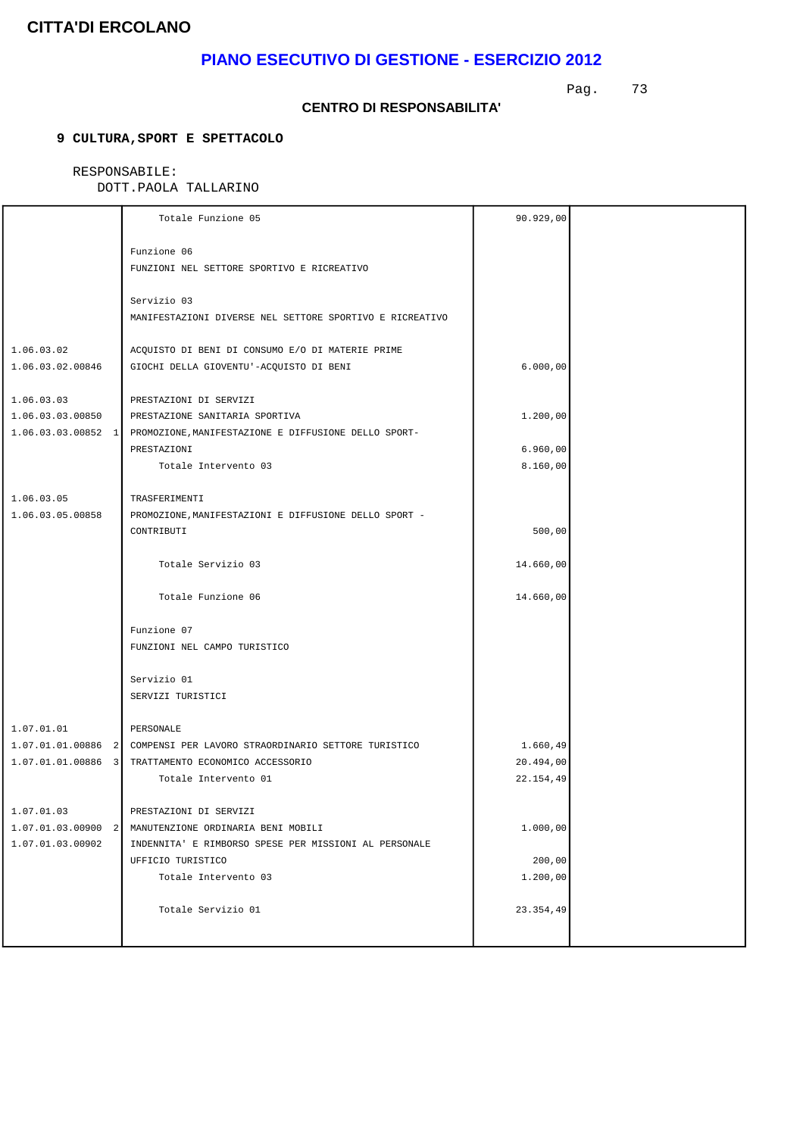# **PIANO ESECUTIVO DI GESTIONE - ESERCIZIO 2012**

Pag. 73

#### **CENTRO DI RESPONSABILITA'**

### **9 CULTURA,SPORT E SPETTACOLO**

### RESPONSABILE:

|                                | Totale Funzione 05                                                     | 90.929,00 |  |
|--------------------------------|------------------------------------------------------------------------|-----------|--|
|                                | Funzione 06                                                            |           |  |
|                                | FUNZIONI NEL SETTORE SPORTIVO E RICREATIVO                             |           |  |
|                                |                                                                        |           |  |
|                                | Servizio 03                                                            |           |  |
|                                | MANIFESTAZIONI DIVERSE NEL SETTORE SPORTIVO E RICREATIVO               |           |  |
| 1.06.03.02                     | ACQUISTO DI BENI DI CONSUMO E/O DI MATERIE PRIME                       |           |  |
| 1.06.03.02.00846               | GIOCHI DELLA GIOVENTU'-ACQUISTO DI BENI                                | 6.000,00  |  |
| 1.06.03.03                     | PRESTAZIONI DI SERVIZI                                                 |           |  |
| 1.06.03.03.00850               | PRESTAZIONE SANITARIA SPORTIVA                                         | 1.200,00  |  |
| $1.06.03.03.00852$ 1           | PROMOZIONE, MANIFESTAZIONE E DIFFUSIONE DELLO SPORT-                   |           |  |
|                                | PRESTAZIONI                                                            | 6.960,00  |  |
|                                | Totale Intervento 03                                                   | 8.160,00  |  |
|                                |                                                                        |           |  |
| 1.06.03.05<br>1.06.03.05.00858 | TRASFERIMENTI<br>PROMOZIONE, MANIFESTAZIONI E DIFFUSIONE DELLO SPORT - |           |  |
|                                | CONTRIBUTI                                                             | 500,00    |  |
|                                |                                                                        |           |  |
|                                | Totale Servizio 03                                                     | 14.660,00 |  |
|                                | Totale Funzione 06                                                     | 14.660,00 |  |
|                                | Funzione 07                                                            |           |  |
|                                | FUNZIONI NEL CAMPO TURISTICO                                           |           |  |
|                                |                                                                        |           |  |
|                                | Servizio 01                                                            |           |  |
|                                | SERVIZI TURISTICI                                                      |           |  |
| 1.07.01.01                     | PERSONALE                                                              |           |  |
|                                | 1.07.01.01.00886 2 COMPENSI PER LAVORO STRAORDINARIO SETTORE TURISTICO | 1.660,49  |  |
|                                | 1.07.01.01.00886 3 TRATTAMENTO ECONOMICO ACCESSORIO                    | 20.494,00 |  |
|                                | Totale Intervento 01                                                   | 22.154,49 |  |
| 1.07.01.03                     | PRESTAZIONI DI SERVIZI                                                 |           |  |
| $1.07.01.03.00900$ 2           | MANUTENZIONE ORDINARIA BENI MOBILI                                     | 1.000,00  |  |
| 1.07.01.03.00902               | INDENNITA' E RIMBORSO SPESE PER MISSIONI AL PERSONALE                  |           |  |
|                                | UFFICIO TURISTICO                                                      | 200,00    |  |
|                                | Totale Intervento 03                                                   | 1.200,00  |  |
|                                | Totale Servizio 01                                                     | 23.354,49 |  |
|                                |                                                                        |           |  |
|                                |                                                                        |           |  |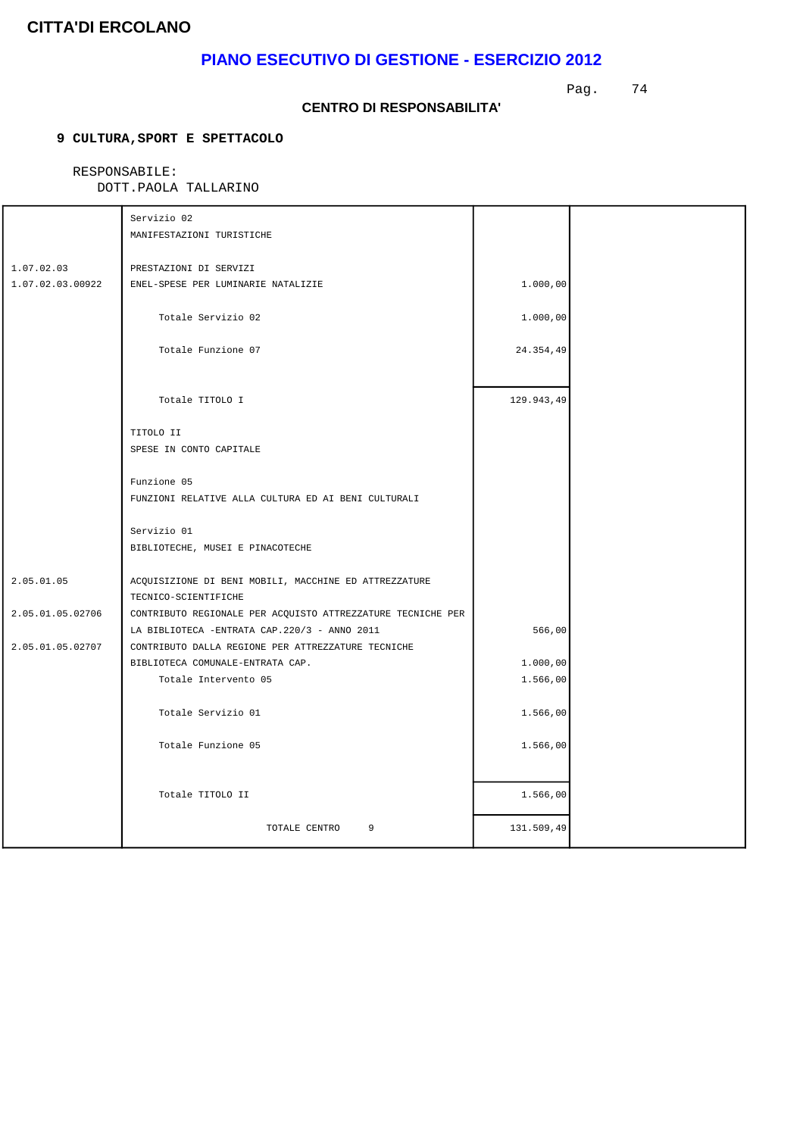# **PIANO ESECUTIVO DI GESTIONE - ESERCIZIO 2012**

Pag. 74

#### **CENTRO DI RESPONSABILITA'**

### **9 CULTURA,SPORT E SPETTACOLO**

### RESPONSABILE:

|                                | Servizio 02<br>MANIFESTAZIONI TURISTICHE                                                                       |                      |  |
|--------------------------------|----------------------------------------------------------------------------------------------------------------|----------------------|--|
| 1.07.02.03<br>1.07.02.03.00922 | PRESTAZIONI DI SERVIZI<br>ENEL-SPESE PER LUMINARIE NATALIZIE                                                   | 1.000,00             |  |
|                                | Totale Servizio 02                                                                                             | 1.000,00             |  |
|                                | Totale Funzione 07                                                                                             | 24.354,49            |  |
|                                | Totale TITOLO I                                                                                                | 129.943,49           |  |
|                                | TITOLO II<br>SPESE IN CONTO CAPITALE                                                                           |                      |  |
|                                | Funzione 05<br>FUNZIONI RELATIVE ALLA CULTURA ED AI BENI CULTURALI                                             |                      |  |
|                                | Servizio 01<br>BIBLIOTECHE, MUSEI E PINACOTECHE                                                                |                      |  |
| 2.05.01.05                     | ACQUISIZIONE DI BENI MOBILI, MACCHINE ED ATTREZZATURE<br>TECNICO-SCIENTIFICHE                                  |                      |  |
| 2.05.01.05.02706               | CONTRIBUTO REGIONALE PER ACQUISTO ATTREZZATURE TECNICHE PER<br>LA BIBLIOTECA -ENTRATA CAP. 220/3 - ANNO 2011   | 566,00               |  |
| 2.05.01.05.02707               | CONTRIBUTO DALLA REGIONE PER ATTREZZATURE TECNICHE<br>BIBLIOTECA COMUNALE-ENTRATA CAP.<br>Totale Intervento 05 | 1.000,00<br>1.566,00 |  |
|                                | Totale Servizio 01                                                                                             | 1.566,00             |  |
|                                | Totale Funzione 05                                                                                             | 1.566,00             |  |
|                                | Totale TITOLO II                                                                                               | 1.566,00             |  |
|                                | TOTALE CENTRO<br>9                                                                                             | 131.509,49           |  |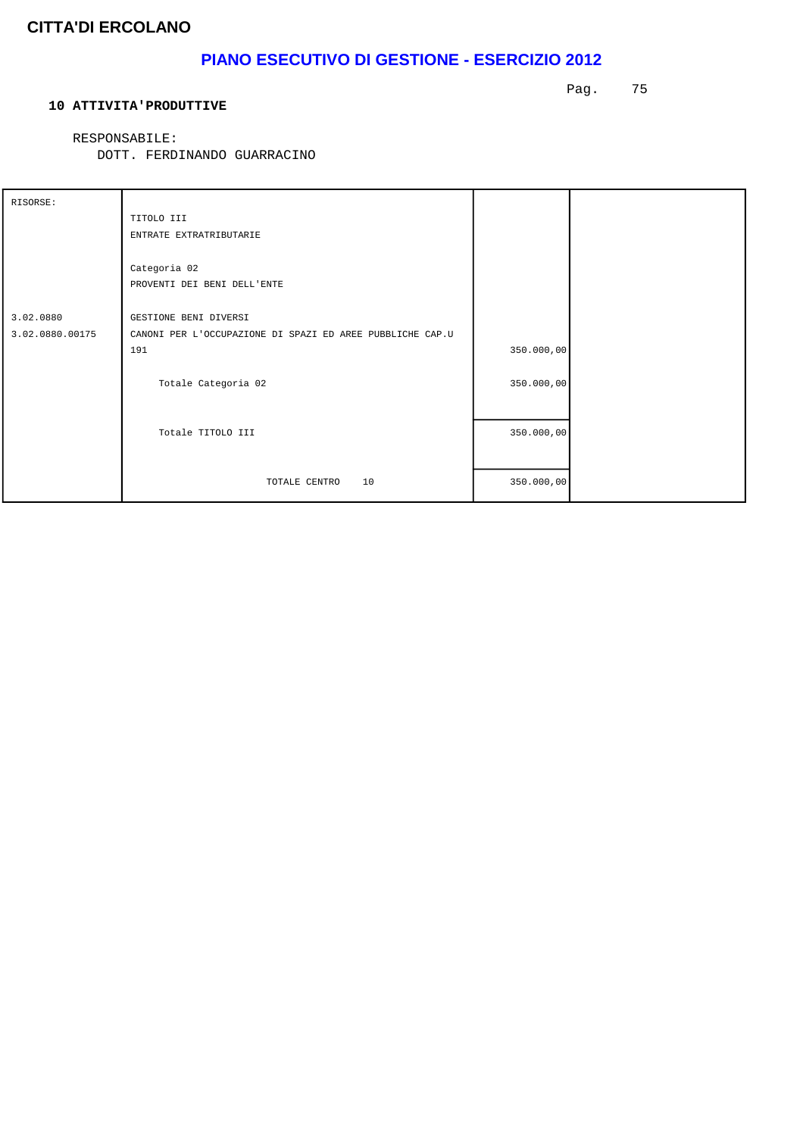# **PIANO ESECUTIVO DI GESTIONE - ESERCIZIO 2012**

#### **10 ATTIVITA'PRODUTTIVE**

Pag. 75

RESPONSABILE:

DOTT. FERDINANDO GUARRACINO

| RISORSE:        |                                                           |            |  |
|-----------------|-----------------------------------------------------------|------------|--|
|                 | TITOLO III                                                |            |  |
|                 | ENTRATE EXTRATRIBUTARIE                                   |            |  |
|                 |                                                           |            |  |
|                 | Categoria 02                                              |            |  |
|                 | PROVENTI DEI BENI DELL'ENTE                               |            |  |
|                 |                                                           |            |  |
| 3.02.0880       | GESTIONE BENI DIVERSI                                     |            |  |
| 3.02.0880.00175 | CANONI PER L'OCCUPAZIONE DI SPAZI ED AREE PUBBLICHE CAP.U |            |  |
|                 | 191                                                       | 350.000,00 |  |
|                 |                                                           |            |  |
|                 | Totale Categoria 02                                       | 350.000,00 |  |
|                 |                                                           |            |  |
|                 |                                                           |            |  |
|                 | Totale TITOLO III                                         | 350.000,00 |  |
|                 |                                                           |            |  |
|                 |                                                           |            |  |
|                 | 10<br>TOTALE CENTRO                                       | 350.000,00 |  |
|                 |                                                           |            |  |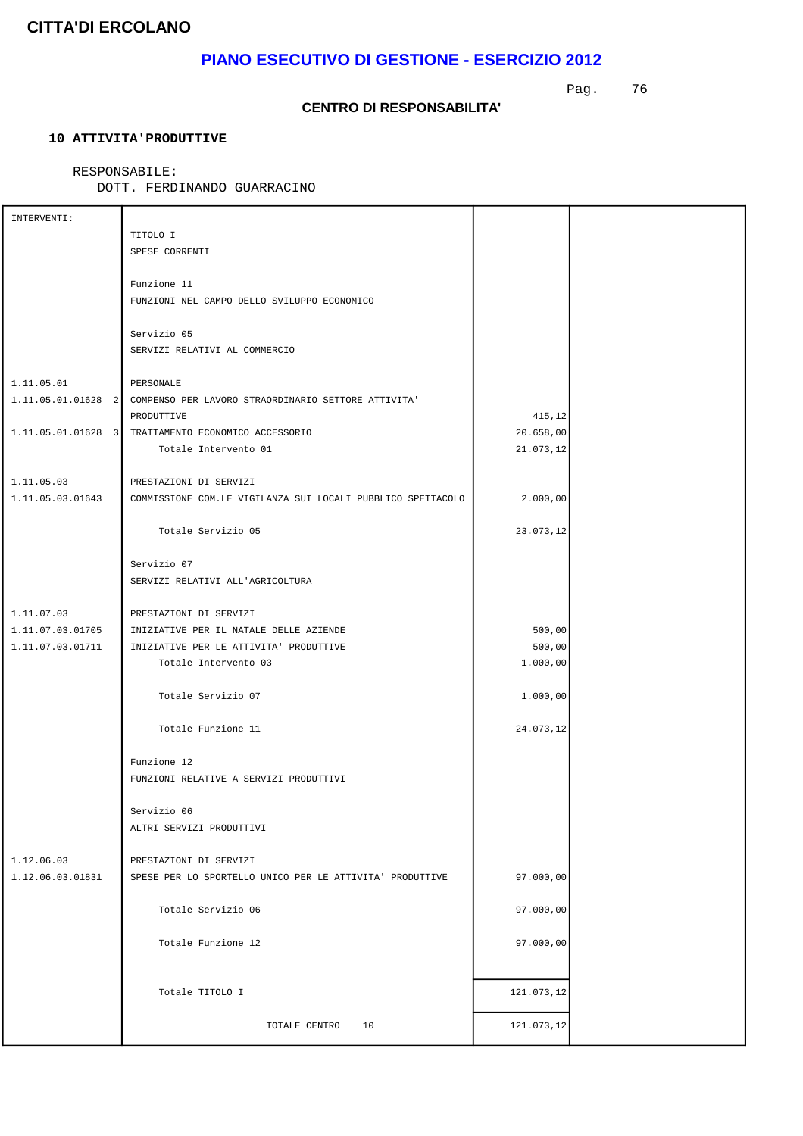# **PIANO ESECUTIVO DI GESTIONE - ESERCIZIO 2012**

Pag. 76

#### **CENTRO DI RESPONSABILITA'**

### **10 ATTIVITA'PRODUTTIVE**

#### RESPONSABILE:

DOTT. FERDINANDO GUARRACINO

| INTERVENTI:      |                                                                       |            |  |
|------------------|-----------------------------------------------------------------------|------------|--|
|                  | TITOLO I                                                              |            |  |
|                  | SPESE CORRENTI                                                        |            |  |
|                  |                                                                       |            |  |
|                  | Funzione 11                                                           |            |  |
|                  | FUNZIONI NEL CAMPO DELLO SVILUPPO ECONOMICO                           |            |  |
|                  |                                                                       |            |  |
|                  | Servizio 05                                                           |            |  |
|                  | SERVIZI RELATIVI AL COMMERCIO                                         |            |  |
|                  |                                                                       |            |  |
| 1.11.05.01       | PERSONALE                                                             |            |  |
|                  | 1.11.05.01.01628 2 COMPENSO PER LAVORO STRAORDINARIO SETTORE ATTIVITA |            |  |
|                  | PRODUTTIVE                                                            | 415,12     |  |
|                  | 1.11.05.01.01628 3 TRATTAMENTO ECONOMICO ACCESSORIO                   | 20.658,00  |  |
|                  | Totale Intervento 01                                                  | 21.073,12  |  |
|                  |                                                                       |            |  |
| 1.11.05.03       |                                                                       |            |  |
|                  | PRESTAZIONI DI SERVIZI                                                |            |  |
| 1.11.05.03.01643 | COMMISSIONE COM.LE VIGILANZA SUI LOCALI PUBBLICO SPETTACOLO           | 2.000,00   |  |
|                  |                                                                       |            |  |
|                  | Totale Servizio 05                                                    | 23.073,12  |  |
|                  |                                                                       |            |  |
|                  | Servizio 07                                                           |            |  |
|                  | SERVIZI RELATIVI ALL'AGRICOLTURA                                      |            |  |
|                  |                                                                       |            |  |
| 1.11.07.03       | PRESTAZIONI DI SERVIZI                                                |            |  |
| 1.11.07.03.01705 | INIZIATIVE PER IL NATALE DELLE AZIENDE                                | 500,00     |  |
| 1.11.07.03.01711 | INIZIATIVE PER LE ATTIVITA' PRODUTTIVE                                | 500,00     |  |
|                  | Totale Intervento 03                                                  | 1.000,00   |  |
|                  |                                                                       |            |  |
|                  | Totale Servizio 07                                                    | 1.000,00   |  |
|                  |                                                                       |            |  |
|                  | Totale Funzione 11                                                    | 24.073,12  |  |
|                  |                                                                       |            |  |
|                  | Funzione 12                                                           |            |  |
|                  | FUNZIONI RELATIVE A SERVIZI PRODUTTIVI                                |            |  |
|                  |                                                                       |            |  |
|                  | Servizio 06                                                           |            |  |
|                  | ALTRI SERVIZI PRODUTTIVI                                              |            |  |
|                  |                                                                       |            |  |
| 1.12.06.03       | PRESTAZIONI DI SERVIZI                                                |            |  |
| 1.12.06.03.01831 | SPESE PER LO SPORTELLO UNICO PER LE ATTIVITA' PRODUTTIVE              | 97.000,00  |  |
|                  |                                                                       |            |  |
|                  | Totale Servizio 06                                                    | 97.000,00  |  |
|                  |                                                                       |            |  |
|                  | Totale Funzione 12                                                    | 97.000,00  |  |
|                  |                                                                       |            |  |
|                  |                                                                       |            |  |
|                  | Totale TITOLO I                                                       | 121.073,12 |  |
|                  |                                                                       |            |  |
|                  | 10<br>TOTALE CENTRO                                                   | 121.073,12 |  |
|                  |                                                                       |            |  |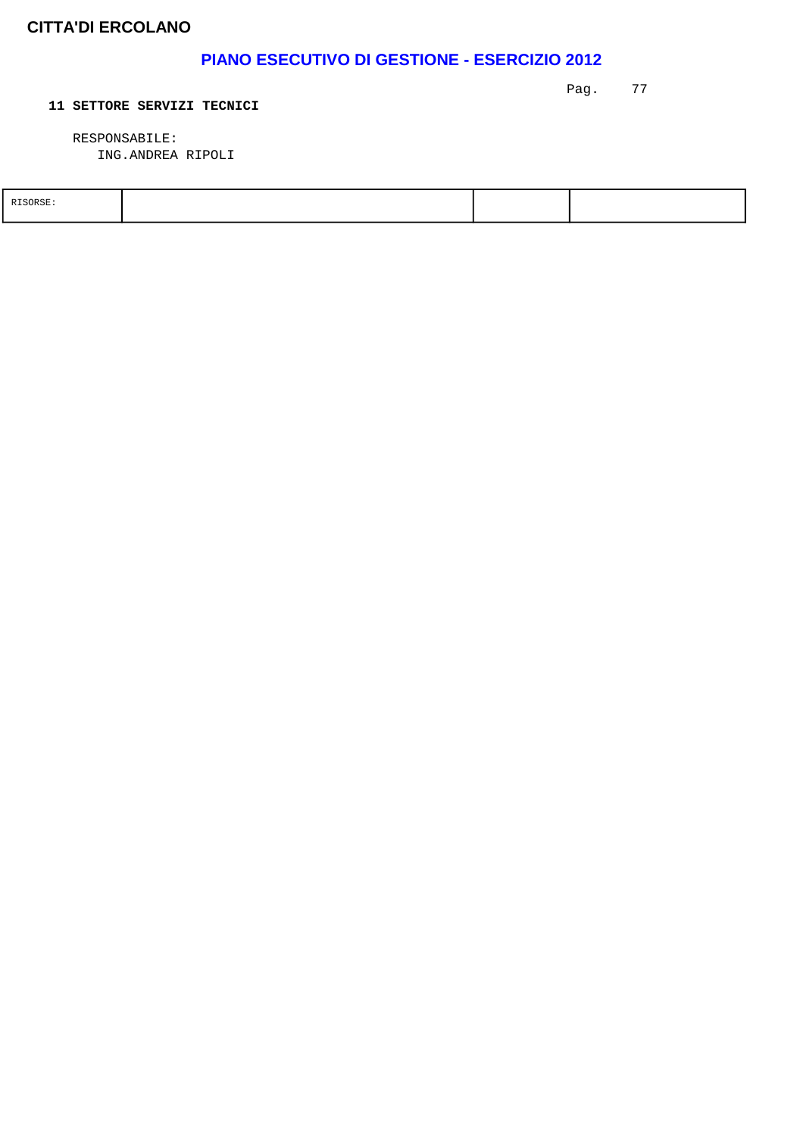## **PIANO ESECUTIVO DI GESTIONE - ESERCIZIO 2012**

Pag. 77

#### **11 SETTORE SERVIZI TECNICI**

 RESPONSABILE: ING.ANDREA RIPOLI

| SOR SE |  |  |
|--------|--|--|
|        |  |  |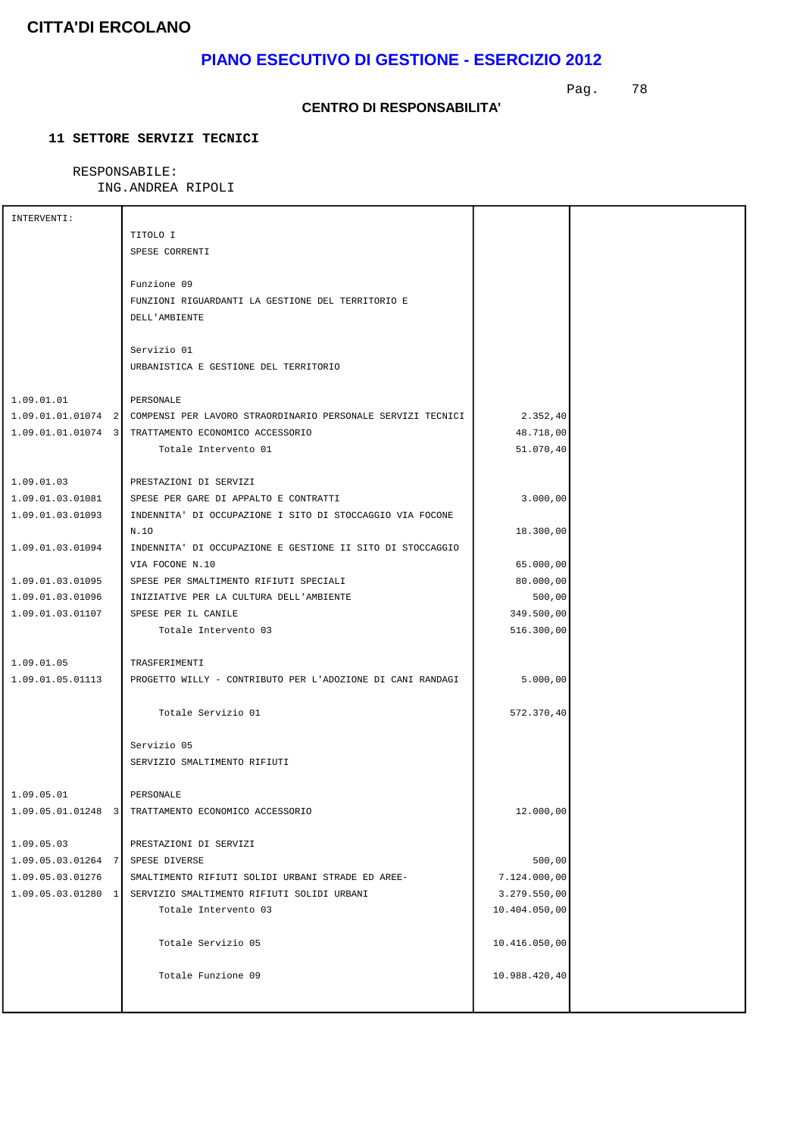# **PIANO ESECUTIVO DI GESTIONE - ESERCIZIO 2012**

Pag. 78

#### **CENTRO DI RESPONSABILITA'**

### **11 SETTORE SERVIZI TECNICI**

### RESPONSABILE:

### ING.ANDREA RIPOLI

| INTERVENTI:                      |                                                                                |               |  |
|----------------------------------|--------------------------------------------------------------------------------|---------------|--|
|                                  | TITOLO I                                                                       |               |  |
|                                  | SPESE CORRENTI                                                                 |               |  |
|                                  |                                                                                |               |  |
|                                  | Funzione 09                                                                    |               |  |
|                                  | FUNZIONI RIGUARDANTI LA GESTIONE DEL TERRITORIO E                              |               |  |
|                                  | DELL'AMBIENTE                                                                  |               |  |
|                                  |                                                                                |               |  |
|                                  | Servizio 01                                                                    |               |  |
|                                  | URBANISTICA E GESTIONE DEL TERRITORIO                                          |               |  |
|                                  |                                                                                |               |  |
| 1.09.01.01                       | PERSONALE                                                                      |               |  |
|                                  | 1.09.01.01.01074 2 COMPENSI PER LAVORO STRAORDINARIO PERSONALE SERVIZI TECNICI | 2.352, 40     |  |
|                                  | 1.09.01.01.01074 3 TRATTAMENTO ECONOMICO ACCESSORIO                            | 48.718,00     |  |
|                                  | Totale Intervento 01                                                           | 51.070,40     |  |
|                                  |                                                                                |               |  |
| 1.09.01.03                       | PRESTAZIONI DI SERVIZI                                                         |               |  |
|                                  |                                                                                |               |  |
| 1.09.01.03.01081                 | SPESE PER GARE DI APPALTO E CONTRATTI                                          | 3.000,00      |  |
| 1.09.01.03.01093                 | INDENNITA' DI OCCUPAZIONE I SITO DI STOCCAGGIO VIA FOCONE                      |               |  |
|                                  | N.10                                                                           | 18.300,00     |  |
| 1.09.01.03.01094                 | INDENNITA' DI OCCUPAZIONE E GESTIONE II SITO DI STOCCAGGIO                     |               |  |
|                                  | VIA FOCONE N.10                                                                | 65.000,00     |  |
| 1.09.01.03.01095                 | SPESE PER SMALTIMENTO RIFIUTI SPECIALI                                         | 80.000,00     |  |
| 1.09.01.03.01096                 | INIZIATIVE PER LA CULTURA DELL'AMBIENTE                                        | 500,00        |  |
| 1.09.01.03.01107                 | SPESE PER IL CANILE                                                            | 349.500,00    |  |
|                                  | Totale Intervento 03                                                           | 516.300,00    |  |
|                                  |                                                                                |               |  |
| 1.09.01.05                       | TRASFERIMENTI                                                                  |               |  |
| 1.09.01.05.01113                 | PROGETTO WILLY - CONTRIBUTO PER L'ADOZIONE DI CANI RANDAGI                     | 5.000,00      |  |
|                                  |                                                                                |               |  |
|                                  | Totale Servizio 01                                                             | 572.370,40    |  |
|                                  |                                                                                |               |  |
|                                  | Servizio 05                                                                    |               |  |
|                                  | SERVIZIO SMALTIMENTO RIFIUTI                                                   |               |  |
|                                  |                                                                                |               |  |
| 1.09.05.01                       | PERSONALE                                                                      |               |  |
|                                  | 1.09.05.01.01248 3 TRATTAMENTO ECONOMICO ACCESSORIO                            | 12.000,00     |  |
|                                  |                                                                                |               |  |
| 1.09.05.03                       | PRESTAZIONI DI SERVIZI                                                         |               |  |
| 1.09.05.03.01264 7 SPESE DIVERSE |                                                                                | 500,00        |  |
| 1.09.05.03.01276                 | SMALTIMENTO RIFIUTI SOLIDI URBANI STRADE ED AREE-                              | 7.124.000,00  |  |
|                                  | 1.09.05.03.01280 1 SERVIZIO SMALTIMENTO RIFIUTI SOLIDI URBANI                  | 3.279.550,00  |  |
|                                  | Totale Intervento 03                                                           | 10.404.050,00 |  |
|                                  |                                                                                |               |  |
|                                  |                                                                                |               |  |
|                                  | Totale Servizio 05                                                             | 10.416.050,00 |  |
|                                  |                                                                                |               |  |
|                                  | Totale Funzione 09                                                             | 10.988.420,40 |  |
|                                  |                                                                                |               |  |
|                                  |                                                                                |               |  |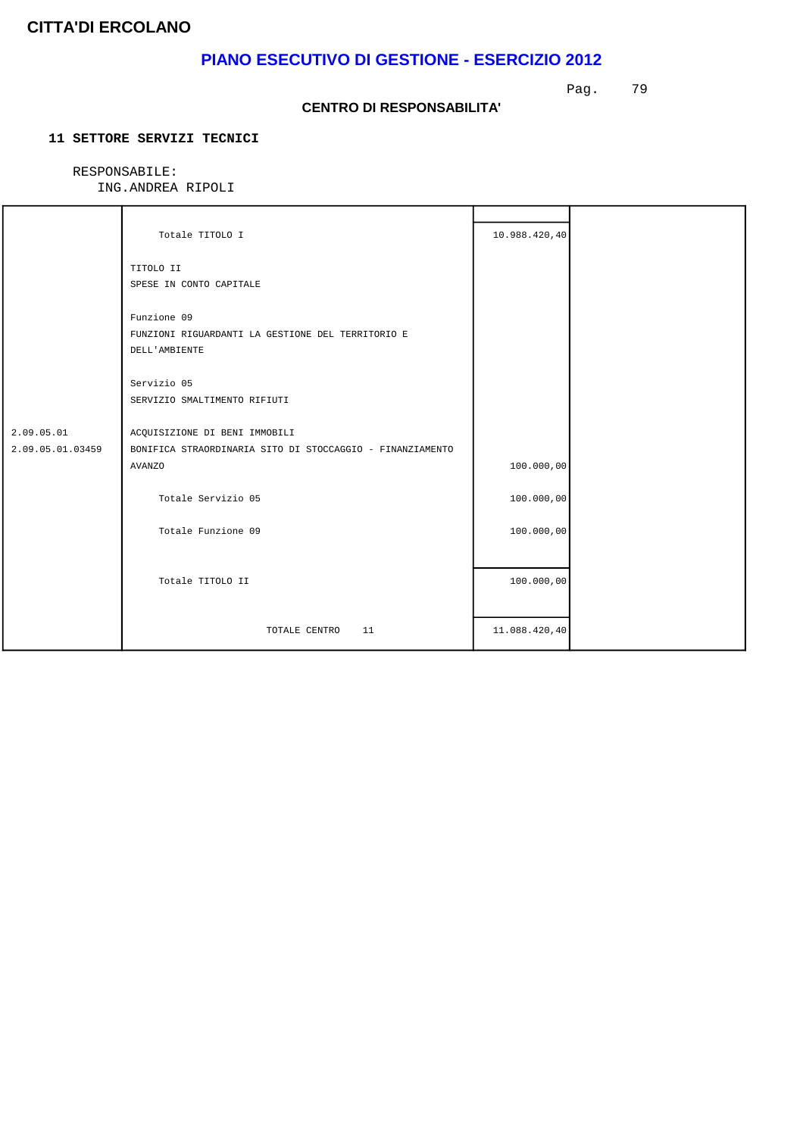## **PIANO ESECUTIVO DI GESTIONE - ESERCIZIO 2012**

Pag. 79

#### **CENTRO DI RESPONSABILITA'**

### **11 SETTORE SERVIZI TECNICI**

### RESPONSABILE:

ING.ANDREA RIPOLI

|                                | Totale TITOLO I                                                                                             | 10.988.420,40 |  |
|--------------------------------|-------------------------------------------------------------------------------------------------------------|---------------|--|
|                                | TITOLO II<br>SPESE IN CONTO CAPITALE                                                                        |               |  |
|                                | Funzione 09<br>FUNZIONI RIGUARDANTI LA GESTIONE DEL TERRITORIO E<br>DELL'AMBIENTE                           |               |  |
|                                | Servizio 05<br>SERVIZIO SMALTIMENTO RIFIUTI                                                                 |               |  |
| 2.09.05.01<br>2.09.05.01.03459 | ACQUISIZIONE DI BENI IMMOBILI<br>BONIFICA STRAORDINARIA SITO DI STOCCAGGIO - FINANZIAMENTO<br><b>AVANZO</b> | 100.000,00    |  |
|                                | Totale Servizio 05                                                                                          | 100.000,00    |  |
|                                | Totale Funzione 09                                                                                          | 100.000,00    |  |
|                                | Totale TITOLO II                                                                                            | 100.000,00    |  |
|                                | TOTALE CENTRO<br>11                                                                                         | 11.088.420,40 |  |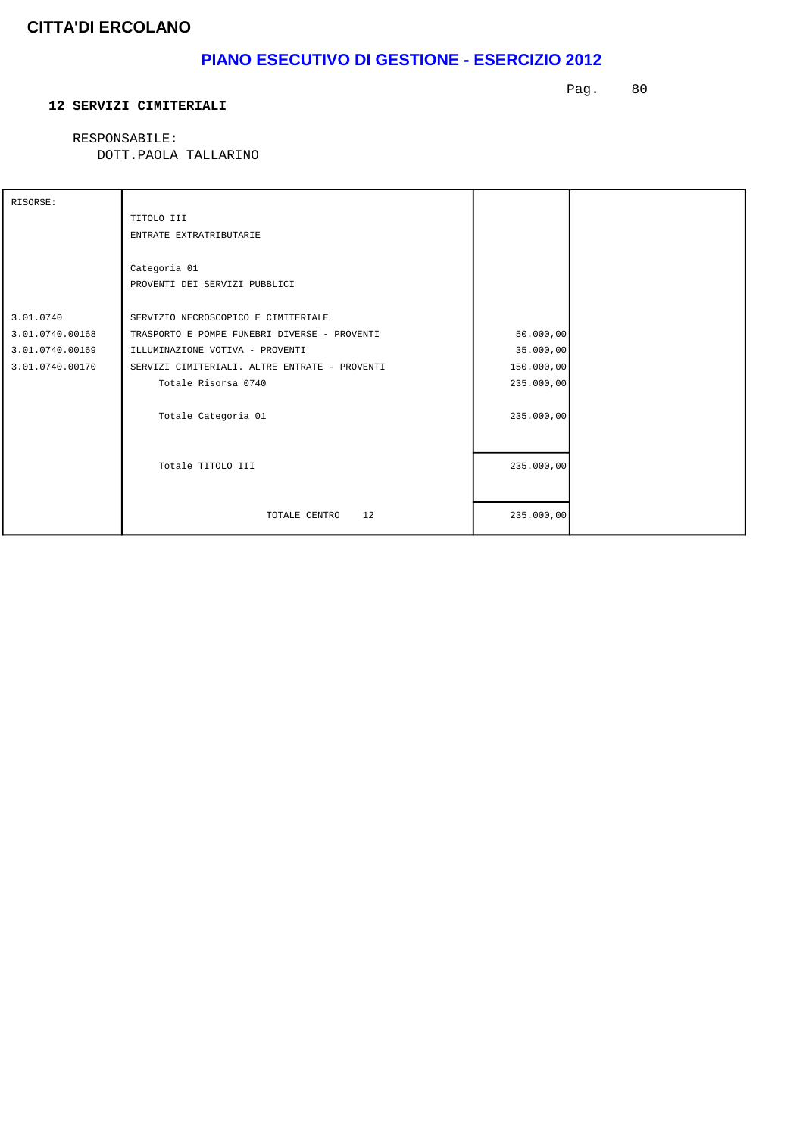# **PIANO ESECUTIVO DI GESTIONE - ESERCIZIO 2012**

#### **12 SERVIZI CIMITERIALI**

Pag. 80

RESPONSABILE:

| RISORSE:        |                                               |            |  |
|-----------------|-----------------------------------------------|------------|--|
|                 | TITOLO III                                    |            |  |
|                 | ENTRATE EXTRATRIBUTARIE                       |            |  |
|                 |                                               |            |  |
|                 | Categoria 01                                  |            |  |
|                 | PROVENTI DEI SERVIZI PUBBLICI                 |            |  |
|                 |                                               |            |  |
| 3.01.0740       | SERVIZIO NECROSCOPICO E CIMITERIALE           |            |  |
| 3.01.0740.00168 | TRASPORTO E POMPE FUNEBRI DIVERSE - PROVENTI  | 50.000,00  |  |
| 3.01.0740.00169 | ILLUMINAZIONE VOTIVA - PROVENTI               | 35.000,00  |  |
| 3.01.0740.00170 | SERVIZI CIMITERIALI. ALTRE ENTRATE - PROVENTI | 150.000,00 |  |
|                 | Totale Risorsa 0740                           | 235.000,00 |  |
|                 |                                               |            |  |
|                 | Totale Categoria 01                           | 235.000,00 |  |
|                 |                                               |            |  |
|                 |                                               |            |  |
|                 | Totale TITOLO III                             | 235.000,00 |  |
|                 |                                               |            |  |
|                 |                                               |            |  |
|                 | 12<br>TOTALE CENTRO                           | 235.000,00 |  |
|                 |                                               |            |  |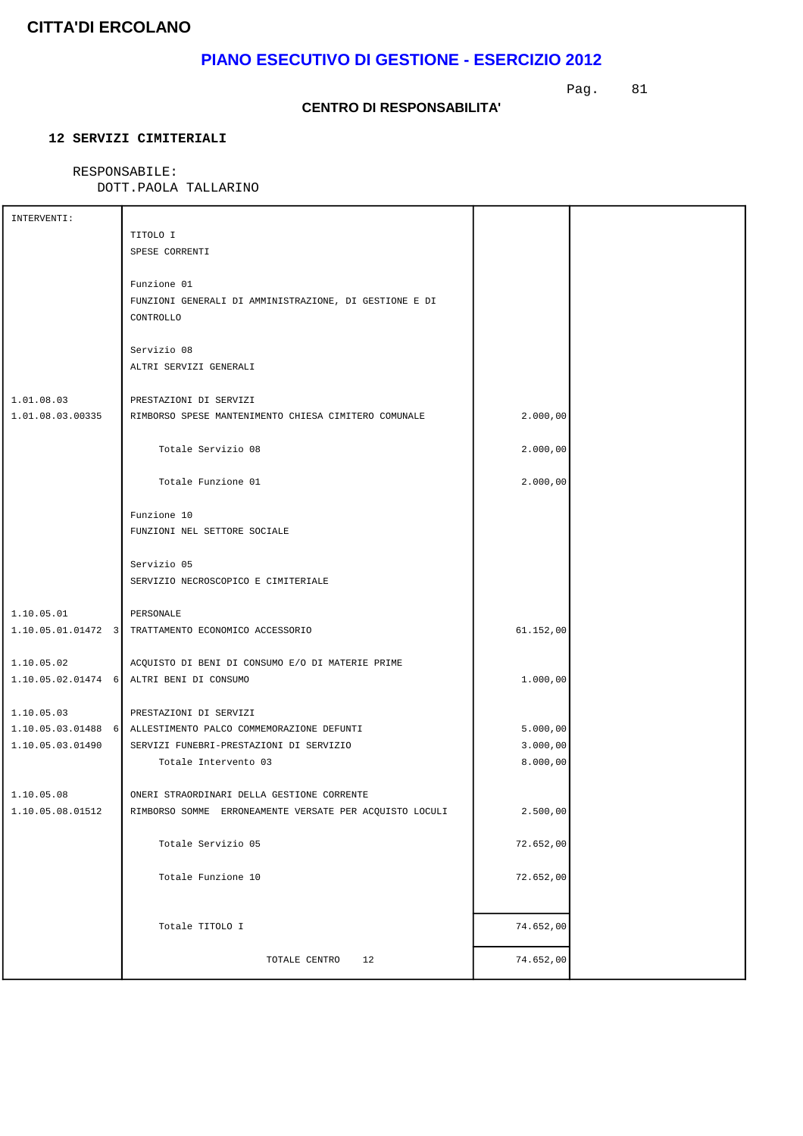# **PIANO ESECUTIVO DI GESTIONE - ESERCIZIO 2012**

Pag. 81

#### **CENTRO DI RESPONSABILITA'**

### **12 SERVIZI CIMITERIALI**

### RESPONSABILE:

| INTERVENTI:      |                                                              |           |  |
|------------------|--------------------------------------------------------------|-----------|--|
|                  | TITOLO I                                                     |           |  |
|                  | SPESE CORRENTI                                               |           |  |
|                  |                                                              |           |  |
|                  | Funzione 01                                                  |           |  |
|                  | FUNZIONI GENERALI DI AMMINISTRAZIONE, DI GESTIONE E DI       |           |  |
|                  | CONTROLLO                                                    |           |  |
|                  |                                                              |           |  |
|                  | Servizio 08                                                  |           |  |
|                  | ALTRI SERVIZI GENERALI                                       |           |  |
|                  |                                                              |           |  |
|                  |                                                              |           |  |
| 1.01.08.03       | PRESTAZIONI DI SERVIZI                                       |           |  |
| 1.01.08.03.00335 | RIMBORSO SPESE MANTENIMENTO CHIESA CIMITERO COMUNALE         | 2.000,00  |  |
|                  |                                                              |           |  |
|                  | Totale Servizio 08                                           | 2.000,00  |  |
|                  |                                                              |           |  |
|                  | Totale Funzione 01                                           | 2.000,00  |  |
|                  |                                                              |           |  |
|                  | Funzione 10                                                  |           |  |
|                  | FUNZIONI NEL SETTORE SOCIALE                                 |           |  |
|                  |                                                              |           |  |
|                  | Servizio 05                                                  |           |  |
|                  |                                                              |           |  |
|                  | SERVIZIO NECROSCOPICO E CIMITERIALE                          |           |  |
|                  |                                                              |           |  |
| 1.10.05.01       | PERSONALE                                                    |           |  |
|                  | 1.10.05.01.01472 3 TRATTAMENTO ECONOMICO ACCESSORIO          | 61.152,00 |  |
|                  |                                                              |           |  |
| 1.10.05.02       | ACQUISTO DI BENI DI CONSUMO E/O DI MATERIE PRIME             |           |  |
|                  | 1.10.05.02.01474 6 ALTRI BENI DI CONSUMO                     | 1.000,00  |  |
|                  |                                                              |           |  |
| 1.10.05.03       | PRESTAZIONI DI SERVIZI                                       |           |  |
|                  | 1.10.05.03.01488 6 ALLESTIMENTO PALCO COMMEMORAZIONE DEFUNTI | 5.000,00  |  |
| 1.10.05.03.01490 | SERVIZI FUNEBRI-PRESTAZIONI DI SERVIZIO                      | 3.000,00  |  |
|                  |                                                              |           |  |
|                  | Totale Intervento 03                                         | 8.000,00  |  |
|                  |                                                              |           |  |
| 1.10.05.08       | ONERI STRAORDINARI DELLA GESTIONE CORRENTE                   |           |  |
| 1.10.05.08.01512 | RIMBORSO SOMME ERRONEAMENTE VERSATE PER ACQUISTO LOCULI      | 2.500,00  |  |
|                  |                                                              |           |  |
|                  | Totale Servizio 05                                           | 72.652,00 |  |
|                  |                                                              |           |  |
|                  | Totale Funzione 10                                           | 72.652,00 |  |
|                  |                                                              |           |  |
|                  |                                                              |           |  |
|                  | Totale TITOLO I                                              | 74.652,00 |  |
|                  |                                                              |           |  |
|                  |                                                              | 74.652,00 |  |
|                  | TOTALE CENTRO<br>12                                          |           |  |
|                  |                                                              |           |  |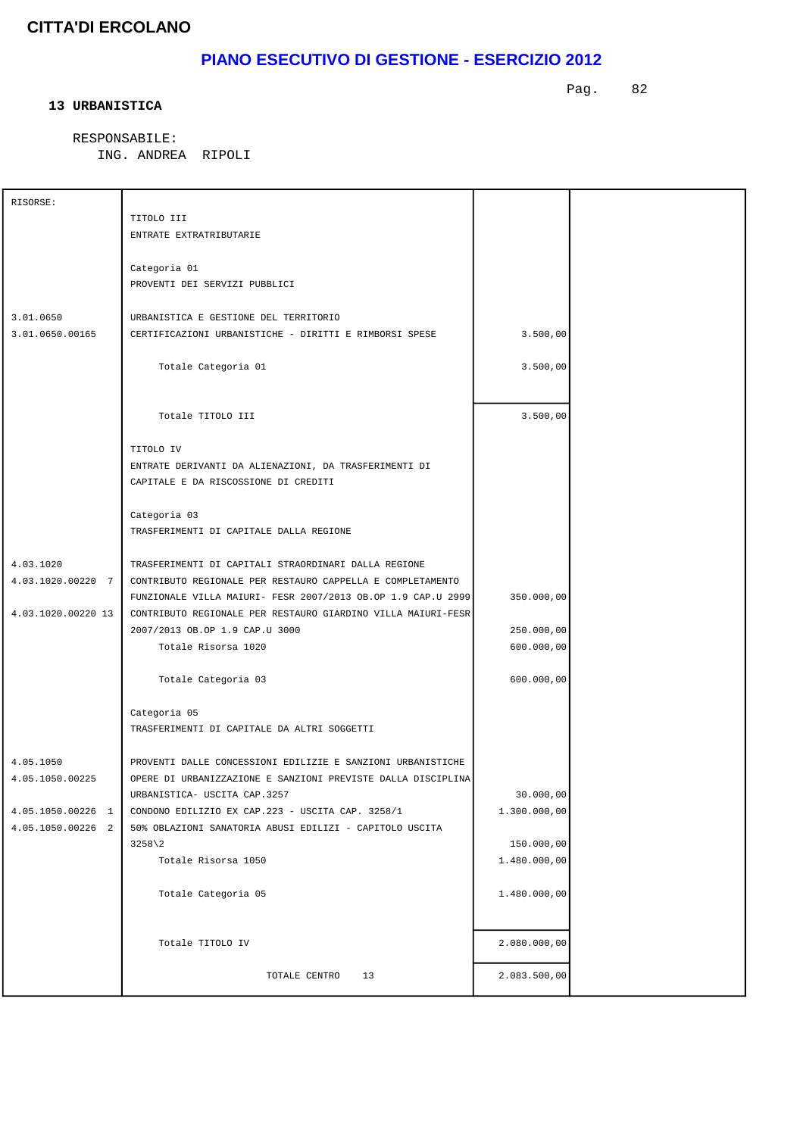# **PIANO ESECUTIVO DI GESTIONE - ESERCIZIO 2012**

#### **13 URBANISTICA**

Pag. 82

 RESPONSABILE: ING. ANDREA RIPOLI

| RISORSE:           |                                                              |              |  |
|--------------------|--------------------------------------------------------------|--------------|--|
|                    | TITOLO III                                                   |              |  |
|                    | ENTRATE EXTRATRIBUTARIE                                      |              |  |
|                    |                                                              |              |  |
|                    | Categoria 01                                                 |              |  |
|                    | PROVENTI DEI SERVIZI PUBBLICI                                |              |  |
|                    |                                                              |              |  |
| 3.01.0650          | URBANISTICA E GESTIONE DEL TERRITORIO                        |              |  |
| 3.01.0650.00165    | CERTIFICAZIONI URBANISTICHE - DIRITTI E RIMBORSI SPESE       | 3.500,00     |  |
|                    |                                                              |              |  |
|                    | Totale Categoria 01                                          | 3.500,00     |  |
|                    |                                                              |              |  |
|                    |                                                              |              |  |
|                    | Totale TITOLO III                                            | 3.500,00     |  |
|                    |                                                              |              |  |
|                    | TITOLO IV                                                    |              |  |
|                    | ENTRATE DERIVANTI DA ALIENAZIONI, DA TRASFERIMENTI DI        |              |  |
|                    | CAPITALE E DA RISCOSSIONE DI CREDITI                         |              |  |
|                    |                                                              |              |  |
|                    | Categoria 03                                                 |              |  |
|                    | TRASFERIMENTI DI CAPITALE DALLA REGIONE                      |              |  |
|                    |                                                              |              |  |
| 4.03.1020          | TRASFERIMENTI DI CAPITALI STRAORDINARI DALLA REGIONE         |              |  |
| 4.03.1020.00220 7  | CONTRIBUTO REGIONALE PER RESTAURO CAPPELLA E COMPLETAMENTO   |              |  |
|                    | FUNZIONALE VILLA MAIURI- FESR 2007/2013 OB.OP 1.9 CAP.U 2999 | 350.000,00   |  |
| 4.03.1020.00220 13 | CONTRIBUTO REGIONALE PER RESTAURO GIARDINO VILLA MAIURI-FESR |              |  |
|                    | 2007/2013 OB.OP 1.9 CAP.U 3000                               | 250.000,00   |  |
|                    | Totale Risorsa 1020                                          | 600.000,00   |  |
|                    |                                                              |              |  |
|                    | Totale Categoria 03                                          | 600.000,00   |  |
|                    |                                                              |              |  |
|                    | Categoria 05                                                 |              |  |
|                    | TRASFERIMENTI DI CAPITALE DA ALTRI SOGGETTI                  |              |  |
|                    |                                                              |              |  |
| 4.05.1050          | PROVENTI DALLE CONCESSIONI EDILIZIE E SANZIONI URBANISTICHE  |              |  |
| 4.05.1050.00225    | OPERE DI URBANIZZAZIONE E SANZIONI PREVISTE DALLA DISCIPLINA |              |  |
|                    | URBANISTICA- USCITA CAP.3257                                 | 30.000,00    |  |
| 4.05.1050.00226 1  | CONDONO EDILIZIO EX CAP. 223 - USCITA CAP. 3258/1            | 1.300.000,00 |  |
| 4.05.1050.00226 2  | 50% OBLAZIONI SANATORIA ABUSI EDILIZI - CAPITOLO USCITA      |              |  |
|                    | $3258 \ 2$                                                   | 150.000,00   |  |
|                    | Totale Risorsa 1050                                          | 1.480.000,00 |  |
|                    |                                                              |              |  |
|                    | Totale Categoria 05                                          | 1.480.000,00 |  |
|                    |                                                              |              |  |
|                    |                                                              |              |  |
|                    | Totale TITOLO IV                                             | 2.080.000,00 |  |
|                    |                                                              |              |  |
|                    | TOTALE CENTRO<br>13                                          | 2.083.500,00 |  |
|                    |                                                              |              |  |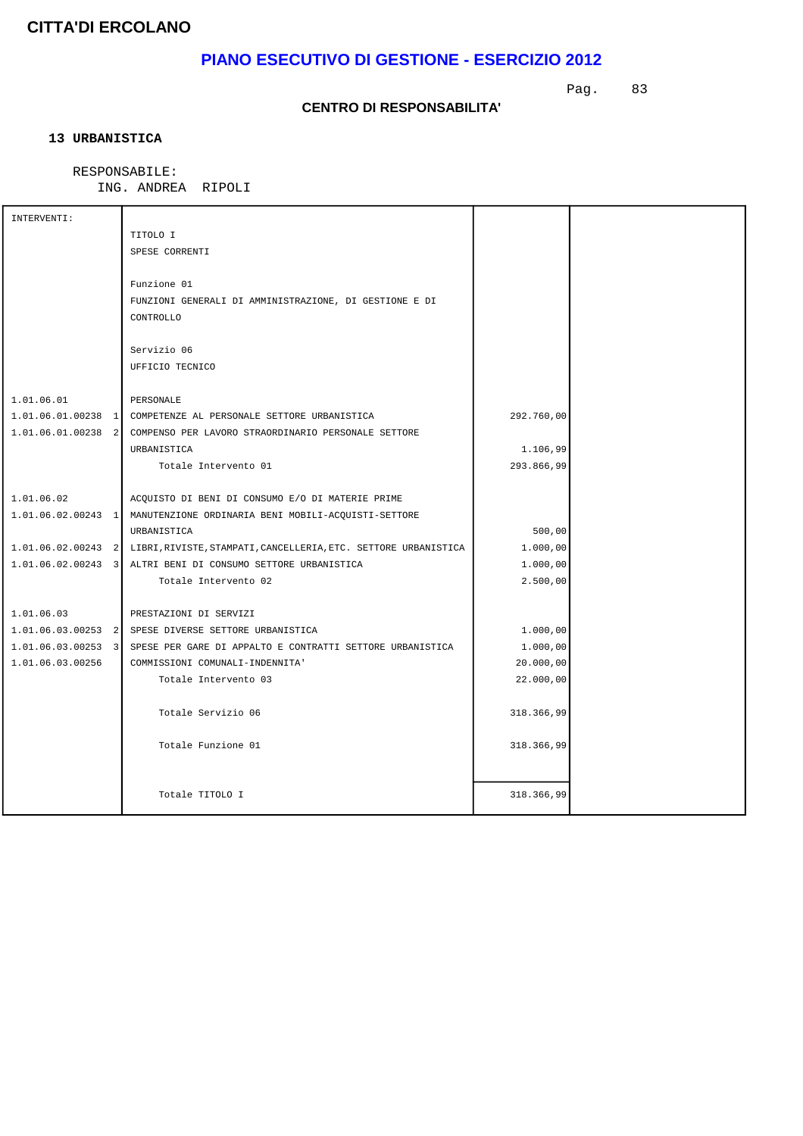# **PIANO ESECUTIVO DI GESTIONE - ESERCIZIO 2012**

Pag. 83

#### **CENTRO DI RESPONSABILITA'**

### **13 URBANISTICA**

### RESPONSABILE:

ING. ANDREA RIPOLI

| INTERVENTI:      |                                                                                    |            |  |
|------------------|------------------------------------------------------------------------------------|------------|--|
|                  | TITOLO I                                                                           |            |  |
|                  | SPESE CORRENTI                                                                     |            |  |
|                  |                                                                                    |            |  |
|                  | Funzione 01                                                                        |            |  |
|                  | FUNZIONI GENERALI DI AMMINISTRAZIONE, DI GESTIONE E DI                             |            |  |
|                  | CONTROLLO                                                                          |            |  |
|                  |                                                                                    |            |  |
|                  | Servizio 06                                                                        |            |  |
|                  | UFFICIO TECNICO                                                                    |            |  |
|                  |                                                                                    |            |  |
| 1.01.06.01       | PERSONALE                                                                          |            |  |
|                  | 1.01.06.01.00238 1 COMPETENZE AL PERSONALE SETTORE URBANISTICA                     | 292.760,00 |  |
|                  | 1.01.06.01.00238 2 COMPENSO PER LAVORO STRAORDINARIO PERSONALE SETTORE             |            |  |
|                  | URBANISTICA                                                                        | 1.106,99   |  |
|                  | Totale Intervento 01                                                               | 293.866,99 |  |
|                  |                                                                                    |            |  |
| 1.01.06.02       | ACQUISTO DI BENI DI CONSUMO E/O DI MATERIE PRIME                                   |            |  |
|                  | 1.01.06.02.00243 1 MANUTENZIONE ORDINARIA BENI MOBILI-ACQUISTI-SETTORE             |            |  |
|                  | URBANISTICA                                                                        | 500,00     |  |
|                  | 1.01.06.02.00243 2 LIBRI, RIVISTE, STAMPATI, CANCELLERIA, ETC. SETTORE URBANISTICA | 1.000,00   |  |
|                  | 1.01.06.02.00243 3 ALTRI BENI DI CONSUMO SETTORE URBANISTICA                       | 1.000,00   |  |
|                  | Totale Intervento 02                                                               | 2.500,00   |  |
|                  |                                                                                    |            |  |
| 1.01.06.03       | PRESTAZIONI DI SERVIZI                                                             |            |  |
|                  | 1.01.06.03.00253 2 SPESE DIVERSE SETTORE URBANISTICA                               | 1.000,00   |  |
|                  | 1.01.06.03.00253 3 SPESE PER GARE DI APPALTO E CONTRATTI SETTORE URBANISTICA       | 1.000,00   |  |
| 1.01.06.03.00256 | COMMISSIONI COMUNALI-INDENNITA'                                                    | 20.000,00  |  |
|                  | Totale Intervento 03                                                               | 22.000,00  |  |
|                  |                                                                                    |            |  |
|                  | Totale Servizio 06                                                                 | 318.366,99 |  |
|                  |                                                                                    |            |  |
|                  | Totale Funzione 01                                                                 | 318.366,99 |  |
|                  |                                                                                    |            |  |
|                  |                                                                                    |            |  |
|                  | Totale TITOLO I                                                                    | 318.366,99 |  |
|                  |                                                                                    |            |  |